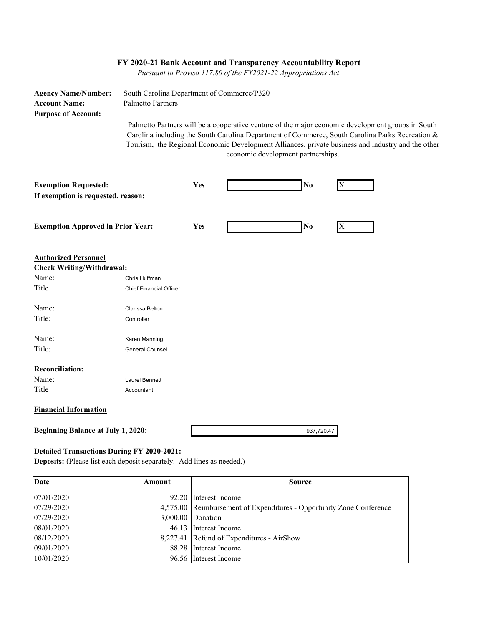|                                                                                  |                                                                        |     | FY 2020-21 Bank Account and Transparency Accountability Report<br>Pursuant to Proviso 117.80 of the FY2021-22 Appropriations Act |                                                                                                                                                                                                                                                                                                           |  |
|----------------------------------------------------------------------------------|------------------------------------------------------------------------|-----|----------------------------------------------------------------------------------------------------------------------------------|-----------------------------------------------------------------------------------------------------------------------------------------------------------------------------------------------------------------------------------------------------------------------------------------------------------|--|
| <b>Agency Name/Number:</b><br><b>Account Name:</b><br><b>Purpose of Account:</b> | South Carolina Department of Commerce/P320<br><b>Palmetto Partners</b> |     |                                                                                                                                  |                                                                                                                                                                                                                                                                                                           |  |
|                                                                                  |                                                                        |     | economic development partnerships.                                                                                               | Palmetto Partners will be a cooperative venture of the major economic development groups in South<br>Carolina including the South Carolina Department of Commerce, South Carolina Parks Recreation &<br>Tourism, the Regional Economic Development Alliances, private business and industry and the other |  |
| <b>Exemption Requested:</b>                                                      |                                                                        | Yes | No                                                                                                                               | X                                                                                                                                                                                                                                                                                                         |  |
| If exemption is requested, reason:                                               |                                                                        |     |                                                                                                                                  |                                                                                                                                                                                                                                                                                                           |  |
| <b>Exemption Approved in Prior Year:</b>                                         |                                                                        | Yes | No                                                                                                                               | X                                                                                                                                                                                                                                                                                                         |  |
| <b>Authorized Personnel</b>                                                      |                                                                        |     |                                                                                                                                  |                                                                                                                                                                                                                                                                                                           |  |
| <b>Check Writing/Withdrawal:</b><br>Name:                                        | Chris Huffman                                                          |     |                                                                                                                                  |                                                                                                                                                                                                                                                                                                           |  |
| Title                                                                            | <b>Chief Financial Officer</b>                                         |     |                                                                                                                                  |                                                                                                                                                                                                                                                                                                           |  |
| Name:                                                                            | Clarissa Belton                                                        |     |                                                                                                                                  |                                                                                                                                                                                                                                                                                                           |  |
| Title:                                                                           | Controller                                                             |     |                                                                                                                                  |                                                                                                                                                                                                                                                                                                           |  |
| Name:                                                                            | Karen Manning                                                          |     |                                                                                                                                  |                                                                                                                                                                                                                                                                                                           |  |
| Title:                                                                           | <b>General Counsel</b>                                                 |     |                                                                                                                                  |                                                                                                                                                                                                                                                                                                           |  |
| <b>Reconciliation:</b>                                                           |                                                                        |     |                                                                                                                                  |                                                                                                                                                                                                                                                                                                           |  |
| Name:                                                                            | Laurel Bennett                                                         |     |                                                                                                                                  |                                                                                                                                                                                                                                                                                                           |  |
| Title                                                                            | Accountant                                                             |     |                                                                                                                                  |                                                                                                                                                                                                                                                                                                           |  |
| <b>Financial Information</b>                                                     |                                                                        |     |                                                                                                                                  |                                                                                                                                                                                                                                                                                                           |  |
| <b>Beginning Balance at July 1, 2020:</b>                                        |                                                                        |     | 937,720.47                                                                                                                       |                                                                                                                                                                                                                                                                                                           |  |

## **Detailed Transactions During FY 2020-2021:**

**Deposits:** (Please list each deposit separately. Add lines as needed.)

| Date       | Amount | <b>Source</b>                                                        |
|------------|--------|----------------------------------------------------------------------|
|            |        |                                                                      |
| 07/01/2020 |        | 92.20 Interest Income                                                |
| 07/29/2020 |        | 4,575.00 Reimbursement of Expenditures - Opportunity Zone Conference |
| 07/29/2020 |        | 3,000.00 Donation                                                    |
| 08/01/2020 |        | 46.13 Interest Income                                                |
| 08/12/2020 |        | 8,227.41 Refund of Expenditures - AirShow                            |
| 09/01/2020 |        | 88.28 Interest Income                                                |
| 10/01/2020 |        | 96.56 Interest Income                                                |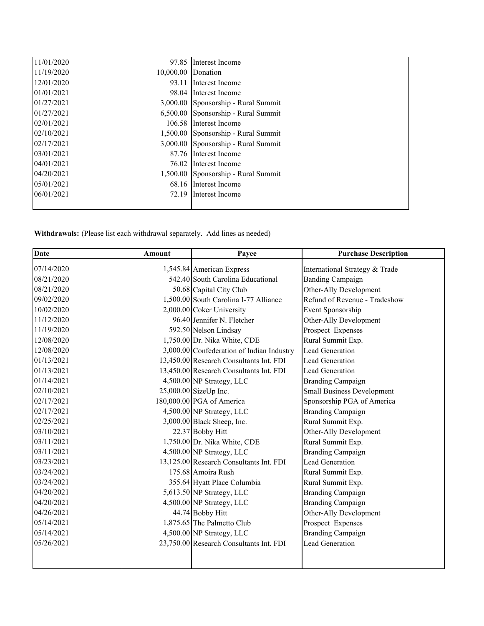| 11/01/2020 | 97.85              | Interest Income                     |
|------------|--------------------|-------------------------------------|
| 11/19/2020 | 10,000.00 Donation |                                     |
| 12/01/2020 | 93.11              | Interest Income                     |
| 01/01/2021 |                    | 98.04 Interest Income               |
| 01/27/2021 |                    | 3,000.00 Sponsorship - Rural Summit |
| 01/27/2021 |                    | 6,500.00 Sponsorship - Rural Summit |
| 02/01/2021 | 106.58             | Interest Income                     |
| 02/10/2021 |                    | 1,500.00 Sponsorship - Rural Summit |
| 02/17/2021 |                    | 3,000.00 Sponsorship - Rural Summit |
| 03/01/2021 |                    | 87.76 Interest Income               |
| 04/01/2021 | 76.02              | Interest Income                     |
| 04/20/2021 |                    | 1,500.00 Sponsorship - Rural Summit |
| 05/01/2021 |                    | 68.16 Interest Income               |
| 06/01/2021 | 72.19              | Interest Income                     |
|            |                    |                                     |

**Withdrawals:** (Please list each withdrawal separately. Add lines as needed)

| Date       | <b>Amount</b> | Payee                                     | <b>Purchase Description</b>       |
|------------|---------------|-------------------------------------------|-----------------------------------|
| 07/14/2020 |               | 1,545.84 American Express                 | International Strategy & Trade    |
| 08/21/2020 |               | 542.40 South Carolina Educational         | <b>Banding Campaign</b>           |
| 08/21/2020 |               | 50.68 Capital City Club                   | Other-Ally Development            |
| 09/02/2020 |               | 1,500.00 South Carolina I-77 Alliance     | Refund of Revenue - Tradeshow     |
| 10/02/2020 |               | 2,000.00 Coker University                 | Event Sponsorship                 |
| 11/12/2020 |               | 96.40 Jennifer N. Fletcher                | Other-Ally Development            |
| 11/19/2020 |               | 592.50 Nelson Lindsay                     | Prospect Expenses                 |
| 12/08/2020 |               | 1,750.00 Dr. Nika White, CDE              | Rural Summit Exp.                 |
| 12/08/2020 |               | 3,000.00 Confederation of Indian Industry | Lead Generation                   |
| 01/13/2021 |               | 13,450.00 Research Consultants Int. FDI   | Lead Generation                   |
| 01/13/2021 |               | 13,450.00 Research Consultants Int. FDI   | Lead Generation                   |
| 01/14/2021 |               | 4,500.00 NP Strategy, LLC                 | <b>Branding Campaign</b>          |
| 02/10/2021 |               | 25,000.00 SizeUp Inc.                     | <b>Small Business Development</b> |
| 02/17/2021 |               | 180,000.00 PGA of America                 | Sponsorship PGA of America        |
| 02/17/2021 |               | 4,500.00 NP Strategy, LLC                 | <b>Branding Campaign</b>          |
| 02/25/2021 |               | 3,000.00 Black Sheep, Inc.                | Rural Summit Exp.                 |
| 03/10/2021 |               | 22.37 Bobby Hitt                          | Other-Ally Development            |
| 03/11/2021 |               | 1,750.00 Dr. Nika White, CDE              | Rural Summit Exp.                 |
| 03/11/2021 |               | 4,500.00 NP Strategy, LLC                 | <b>Branding Campaign</b>          |
| 03/23/2021 |               | 13,125.00 Research Consultants Int. FDI   | Lead Generation                   |
| 03/24/2021 |               | 175.68 Amoira Rush                        | Rural Summit Exp.                 |
| 03/24/2021 |               | 355.64 Hyatt Place Columbia               | Rural Summit Exp.                 |
| 04/20/2021 |               | 5,613.50 NP Strategy, LLC                 | <b>Branding Campaign</b>          |
| 04/20/2021 |               | 4,500.00 NP Strategy, LLC                 | <b>Branding Campaign</b>          |
| 04/26/2021 |               | 44.74 Bobby Hitt                          | Other-Ally Development            |
| 05/14/2021 |               | 1,875.65 The Palmetto Club                | Prospect Expenses                 |
| 05/14/2021 |               | 4,500.00 NP Strategy, LLC                 | <b>Branding Campaign</b>          |
| 05/26/2021 |               | 23,750.00 Research Consultants Int. FDI   | Lead Generation                   |
|            |               |                                           |                                   |
|            |               |                                           |                                   |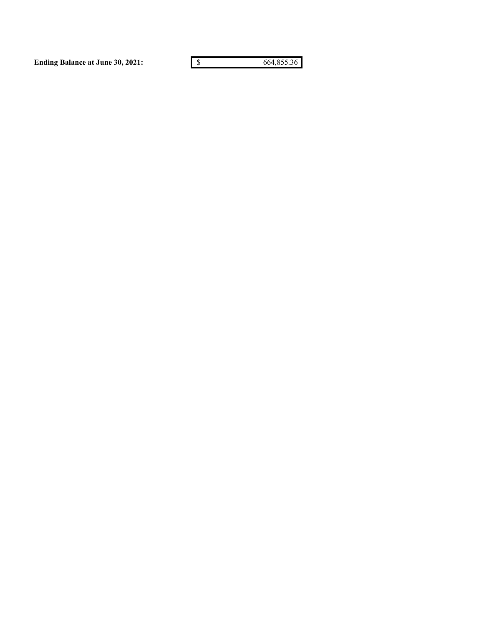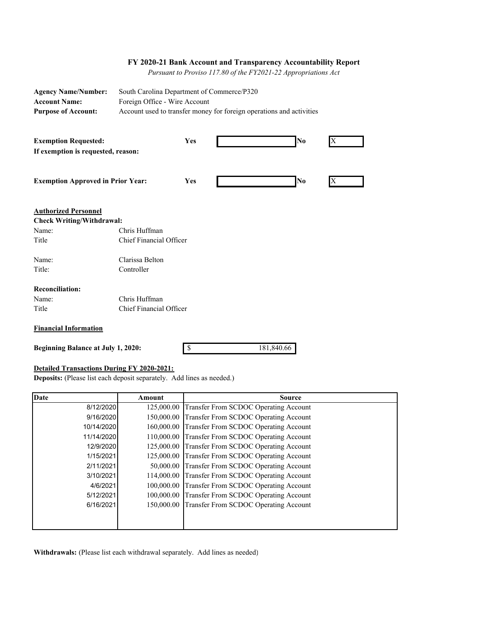#### **FY 2020-21 Bank Account and Transparency Accountability Report**

 *Pursuant to Proviso 117.80 of the FY2021-22 Appropriations Act*

| <b>Agency Name/Number:</b><br><b>Account Name:</b><br><b>Purpose of Account:</b>  | South Carolina Department of Commerce/P320<br>Foreign Office - Wire Account<br>Account used to transfer money for foreign operations and activities |     |  |         |
|-----------------------------------------------------------------------------------|-----------------------------------------------------------------------------------------------------------------------------------------------------|-----|--|---------|
| <b>Exemption Requested:</b><br>If exemption is requested, reason:                 |                                                                                                                                                     | Yes |  | No<br>X |
| <b>Exemption Approved in Prior Year:</b>                                          |                                                                                                                                                     | Yes |  | No      |
| <b>Authorized Personnel</b><br><b>Check Writing/Withdrawal:</b><br>Name:<br>Title | Chris Huffman<br>Chief Financial Officer                                                                                                            |     |  |         |
| Name:<br>Title:                                                                   | Clarissa Belton<br>Controller                                                                                                                       |     |  |         |
| <b>Reconciliation:</b><br>Name:<br>Title<br>Financial Information                 | Chris Huffman<br>Chief Financial Officer                                                                                                            |     |  |         |

**Financial Information**

**Beginning Balance at July 1, 2020:**

\$ 181,840.66

#### **Detailed Transactions During FY 2020-2021:**

**Deposits:** (Please list each deposit separately. Add lines as needed.)

| <b>Date</b> | Amount     | <b>Source</b>                                    |
|-------------|------------|--------------------------------------------------|
| 8/12/2020   | 125,000.00 | Transfer From SCDOC Operating Account            |
| 9/16/2020   | 150,000.00 | Transfer From SCDOC Operating Account            |
| 10/14/2020  | 160,000.00 | <b>Transfer From SCDOC Operating Account</b>     |
| 11/14/2020  | 110,000.00 | Transfer From SCDOC Operating Account            |
| 12/9/2020   | 125,000.00 | <b>Transfer From SCDOC Operating Account</b>     |
| 1/15/2021   | 125,000.00 | Transfer From SCDOC Operating Account            |
| 2/11/2021   |            | 50,000.00 Transfer From SCDOC Operating Account  |
| 3/10/2021   |            | 114,000.00 Transfer From SCDOC Operating Account |
| 4/6/2021    | 100,000.00 | Transfer From SCDOC Operating Account            |
| 5/12/2021   | 100,000.00 | Transfer From SCDOC Operating Account            |
| 6/16/2021   | 150,000.00 | Transfer From SCDOC Operating Account            |
|             |            |                                                  |
|             |            |                                                  |

Withdrawals: (Please list each withdrawal separately. Add lines as needed)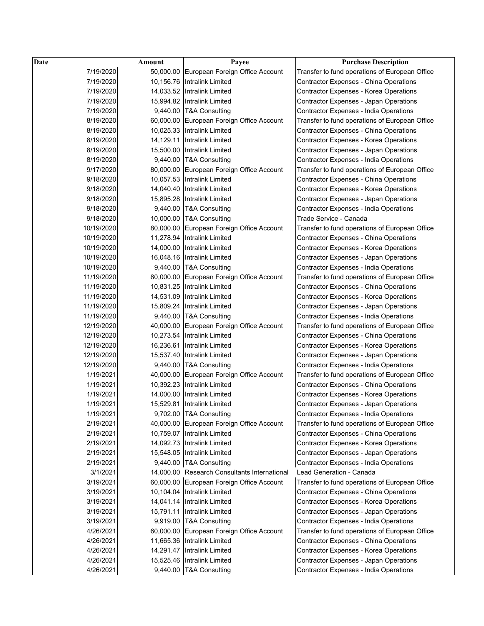| <b>Date</b> | Amount    | Payee                                        | <b>Purchase Description</b>                    |
|-------------|-----------|----------------------------------------------|------------------------------------------------|
| 7/19/2020   | 50,000.00 | European Foreign Office Account              | Transfer to fund operations of European Office |
| 7/19/2020   |           | 10,156.76 Intralink Limited                  | <b>Contractor Expenses - China Operations</b>  |
| 7/19/2020   |           | 14,033.52 Intralink Limited                  | <b>Contractor Expenses - Korea Operations</b>  |
| 7/19/2020   |           | 15,994.82 Intralink Limited                  | Contractor Expenses - Japan Operations         |
| 7/19/2020   |           | 9,440.00 T&A Consulting                      | Contractor Expenses - India Operations         |
| 8/19/2020   |           | 60,000.00 European Foreign Office Account    | Transfer to fund operations of European Office |
| 8/19/2020   |           | 10,025.33 Intralink Limited                  | <b>Contractor Expenses - China Operations</b>  |
| 8/19/2020   |           | 14,129.11 Intralink Limited                  | <b>Contractor Expenses - Korea Operations</b>  |
| 8/19/2020   |           | 15,500.00 Intralink Limited                  | Contractor Expenses - Japan Operations         |
| 8/19/2020   |           | 9,440.00 T&A Consulting                      | Contractor Expenses - India Operations         |
| 9/17/2020   |           | 80,000.00 European Foreign Office Account    | Transfer to fund operations of European Office |
| 9/18/2020   |           | 10,057.53 Intralink Limited                  | <b>Contractor Expenses - China Operations</b>  |
| 9/18/2020   |           | 14,040.40 Intralink Limited                  | <b>Contractor Expenses - Korea Operations</b>  |
| 9/18/2020   |           | 15,895.28 Intralink Limited                  | Contractor Expenses - Japan Operations         |
| 9/18/2020   |           | 9,440.00 T&A Consulting                      | Contractor Expenses - India Operations         |
| 9/18/2020   |           | 10,000.00 T&A Consulting                     | Trade Service - Canada                         |
| 10/19/2020  | 80,000.00 | European Foreign Office Account              | Transfer to fund operations of European Office |
| 10/19/2020  | 11,278.94 | <b>Intralink Limited</b>                     | Contractor Expenses - China Operations         |
| 10/19/2020  |           | 14,000.00 Intralink Limited                  | <b>Contractor Expenses - Korea Operations</b>  |
| 10/19/2020  |           | 16,048.16 Intralink Limited                  | Contractor Expenses - Japan Operations         |
| 10/19/2020  |           | 9,440.00 T&A Consulting                      | Contractor Expenses - India Operations         |
| 11/19/2020  |           | 80,000.00 European Foreign Office Account    | Transfer to fund operations of European Office |
| 11/19/2020  |           | 10,831.25 Intralink Limited                  | Contractor Expenses - China Operations         |
| 11/19/2020  |           | 14,531.09 Intralink Limited                  | <b>Contractor Expenses - Korea Operations</b>  |
| 11/19/2020  |           | 15,809.24 Intralink Limited                  | Contractor Expenses - Japan Operations         |
| 11/19/2020  |           | 9,440.00 T&A Consulting                      | Contractor Expenses - India Operations         |
| 12/19/2020  |           | 40,000.00 European Foreign Office Account    | Transfer to fund operations of European Office |
| 12/19/2020  |           | 10,273.54 Intralink Limited                  | Contractor Expenses - China Operations         |
| 12/19/2020  | 16,236.61 | Intralink Limited                            | <b>Contractor Expenses - Korea Operations</b>  |
| 12/19/2020  |           | 15,537.40 Intralink Limited                  | Contractor Expenses - Japan Operations         |
| 12/19/2020  |           | 9,440.00 T&A Consulting                      | Contractor Expenses - India Operations         |
| 1/19/2021   | 40,000.00 | European Foreign Office Account              | Transfer to fund operations of European Office |
| 1/19/2021   |           | 10,392.23 Intralink Limited                  | Contractor Expenses - China Operations         |
| 1/19/2021   | 14,000.00 | <b>Intralink Limited</b>                     | Contractor Expenses - Korea Operations         |
| 1/19/2021   | 15,529.81 | Intralink Limited                            | Contractor Expenses - Japan Operations         |
| 1/19/2021   |           | 9,702.00 T&A Consulting                      | Contractor Expenses - India Operations         |
| 2/19/2021   |           | 40,000.00 European Foreign Office Account    | Transfer to fund operations of European Office |
| 2/19/2021   |           | 10,759.07 Intralink Limited                  | Contractor Expenses - China Operations         |
| 2/19/2021   |           | 14,092.73 Intralink Limited                  | <b>Contractor Expenses - Korea Operations</b>  |
| 2/19/2021   |           | 15,548.05 Intralink Limited                  | Contractor Expenses - Japan Operations         |
| 2/19/2021   |           | 9,440.00 T&A Consulting                      | Contractor Expenses - India Operations         |
| 3/1/2021    |           | 14,000.00 Research Consultants International | Lead Generation - Canada                       |
| 3/19/2021   |           | 60,000.00 European Foreign Office Account    | Transfer to fund operations of European Office |
| 3/19/2021   |           | 10,104.04 Intralink Limited                  | <b>Contractor Expenses - China Operations</b>  |
| 3/19/2021   |           | 14,041.14 Intralink Limited                  | <b>Contractor Expenses - Korea Operations</b>  |
| 3/19/2021   |           | 15,791.11 Intralink Limited                  | <b>Contractor Expenses - Japan Operations</b>  |
| 3/19/2021   |           | 9,919.00 T&A Consulting                      | <b>Contractor Expenses - India Operations</b>  |
| 4/26/2021   |           | 60,000.00 European Foreign Office Account    | Transfer to fund operations of European Office |
| 4/26/2021   |           | 11,665.36 Intralink Limited                  | Contractor Expenses - China Operations         |
| 4/26/2021   |           | 14,291.47 Intralink Limited                  | <b>Contractor Expenses - Korea Operations</b>  |
| 4/26/2021   |           | 15,525.46 Intralink Limited                  |                                                |
|             |           |                                              | <b>Contractor Expenses - Japan Operations</b>  |
| 4/26/2021   |           | 9,440.00 T&A Consulting                      | Contractor Expenses - India Operations         |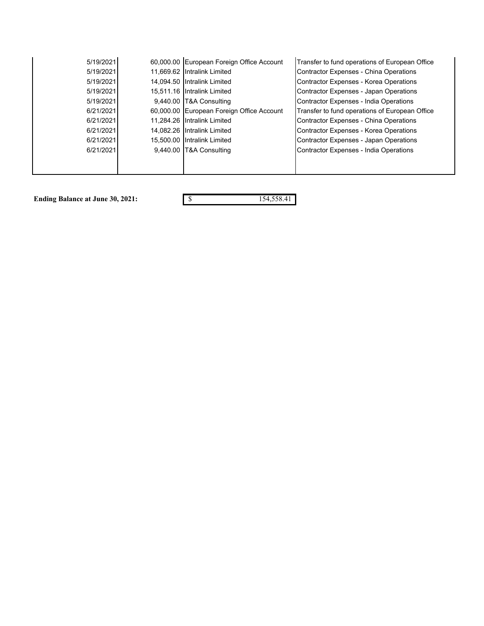| 5/19/2021 |          | 60,000.00 European Foreign Office Account | Transfer to fund operations of European Office |
|-----------|----------|-------------------------------------------|------------------------------------------------|
| 5/19/2021 |          | 11,669.62 Intralink Limited               | Contractor Expenses - China Operations         |
| 5/19/2021 |          | 14,094.50 Intralink Limited               | <b>Contractor Expenses - Korea Operations</b>  |
| 5/19/2021 |          | 15,511.16 Intralink Limited               | Contractor Expenses - Japan Operations         |
| 5/19/2021 |          | 9,440.00 T&A Consulting                   | <b>Contractor Expenses - India Operations</b>  |
| 6/21/2021 |          | 60,000.00 European Foreign Office Account | Transfer to fund operations of European Office |
| 6/21/2021 |          | 11.284.26 Intralink Limited               | Contractor Expenses - China Operations         |
| 6/21/2021 |          | 14.082.26 Intralink Limited               | Contractor Expenses - Korea Operations         |
| 6/21/2021 |          | 15,500.00 Intralink Limited               | Contractor Expenses - Japan Operations         |
| 6/21/2021 | 9,440.00 | <b>T&amp;A Consulting</b>                 | Contractor Expenses - India Operations         |
|           |          |                                           |                                                |
|           |          |                                           |                                                |

**Ending Balance at June 30, 2021:**  $\qquad \qquad$  \$ 154,558.41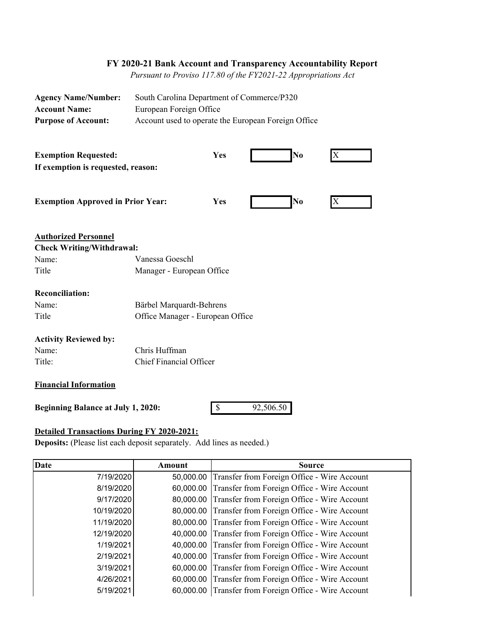# **FY 2020-21 Bank Account and Transparency Accountability Report**

 *Pursuant to Proviso 117.80 of the FY2021-22 Appropriations Act*

| <b>Agency Name/Number:</b>                | South Carolina Department of Commerce/P320          |  |  |  |
|-------------------------------------------|-----------------------------------------------------|--|--|--|
| <b>Account Name:</b>                      | European Foreign Office                             |  |  |  |
| <b>Purpose of Account:</b>                | Account used to operate the European Foreign Office |  |  |  |
|                                           |                                                     |  |  |  |
|                                           |                                                     |  |  |  |
| <b>Exemption Requested:</b>               | No<br>Yes<br>$\mathbf{X}$                           |  |  |  |
| If exemption is requested, reason:        |                                                     |  |  |  |
|                                           |                                                     |  |  |  |
|                                           |                                                     |  |  |  |
| <b>Exemption Approved in Prior Year:</b>  | No<br><b>Yes</b><br>X                               |  |  |  |
|                                           |                                                     |  |  |  |
|                                           |                                                     |  |  |  |
| <b>Authorized Personnel</b>               |                                                     |  |  |  |
| <b>Check Writing/Withdrawal:</b>          |                                                     |  |  |  |
| Name:                                     | Vanessa Goeschl                                     |  |  |  |
| Title                                     | Manager - European Office                           |  |  |  |
|                                           |                                                     |  |  |  |
| <b>Reconciliation:</b>                    |                                                     |  |  |  |
| Name:                                     | Bärbel Marquardt-Behrens                            |  |  |  |
| Title                                     | Office Manager - European Office                    |  |  |  |
|                                           |                                                     |  |  |  |
| <b>Activity Reviewed by:</b>              |                                                     |  |  |  |
| Name:                                     | Chris Huffman                                       |  |  |  |
| Title:                                    | Chief Financial Officer                             |  |  |  |
|                                           |                                                     |  |  |  |
| <b>Financial Information</b>              |                                                     |  |  |  |
| <b>Beginning Balance at July 1, 2020:</b> | $\boldsymbol{\mathsf{S}}$<br>92,506.50              |  |  |  |
|                                           |                                                     |  |  |  |

## **Detailed Transactions During FY 2020-2021:**

**Deposits:** (Please list each deposit separately. Add lines as needed.)

| <b>Date</b> | Amount | <b>Source</b>                                         |
|-------------|--------|-------------------------------------------------------|
| 7/19/2020   |        | 50,000.00 Transfer from Foreign Office - Wire Account |
| 8/19/2020   |        | 60,000.00 Transfer from Foreign Office - Wire Account |
| 9/17/2020   |        | 80,000.00 Transfer from Foreign Office - Wire Account |
| 10/19/2020  |        | 80,000.00 Transfer from Foreign Office - Wire Account |
| 11/19/2020  |        | 80,000.00 Transfer from Foreign Office - Wire Account |
| 12/19/2020  |        | 40,000.00 Transfer from Foreign Office - Wire Account |
| 1/19/2021   |        | 40,000.00 Transfer from Foreign Office - Wire Account |
| 2/19/2021   |        | 40,000.00 Transfer from Foreign Office - Wire Account |
| 3/19/2021   |        | 60,000.00 Transfer from Foreign Office - Wire Account |
| 4/26/2021   |        | 60,000.00 Transfer from Foreign Office - Wire Account |
| 5/19/2021   |        | 60,000.00 Transfer from Foreign Office - Wire Account |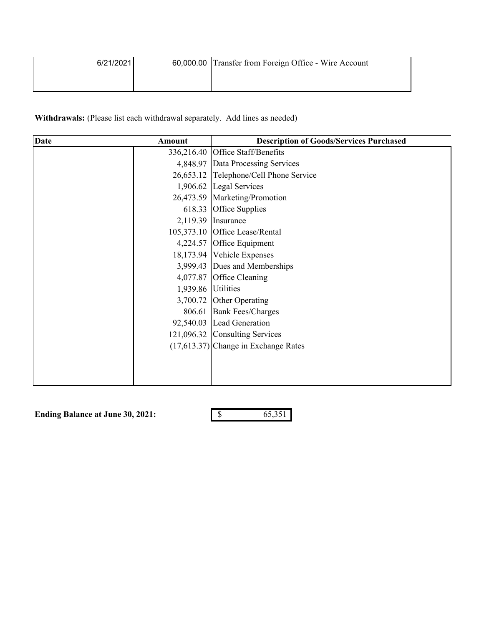| 6/21/2021 | 60,000.00 Transfer from Foreign Office - Wire Account |
|-----------|-------------------------------------------------------|
|           |                                                       |

Withdrawals: (Please list each withdrawal separately. Add lines as needed)

| <b>Date</b> | Amount             | <b>Description of Goods/Services Purchased</b> |
|-------------|--------------------|------------------------------------------------|
|             |                    | 336,216.40 Office Staff/Benefits               |
|             |                    | 4,848.97 Data Processing Services              |
|             |                    | 26,653.12 Telephone/Cell Phone Service         |
|             |                    | 1,906.62 Legal Services                        |
|             |                    | 26,473.59 Marketing/Promotion                  |
|             |                    | 618.33 Office Supplies                         |
|             |                    | $2,119.39$ Insurance                           |
|             |                    | 105,373.10 Office Lease/Rental                 |
|             |                    | 4,224.57 Office Equipment                      |
|             |                    | 18,173.94 Vehicle Expenses                     |
|             |                    | 3,999.43 Dues and Memberships                  |
|             |                    | 4,077.87 Office Cleaning                       |
|             | 1,939.86 Utilities |                                                |
|             |                    | 3,700.72 Other Operating                       |
|             |                    | 806.61 Bank Fees/Charges                       |
|             |                    | 92,540.03 Lead Generation                      |
|             |                    | 121,096.32 Consulting Services                 |
|             |                    | $(17,613.37)$ Change in Exchange Rates         |
|             |                    |                                                |
|             |                    |                                                |
|             |                    |                                                |

**Ending Balance at June 30, 2021:** \$ 65,351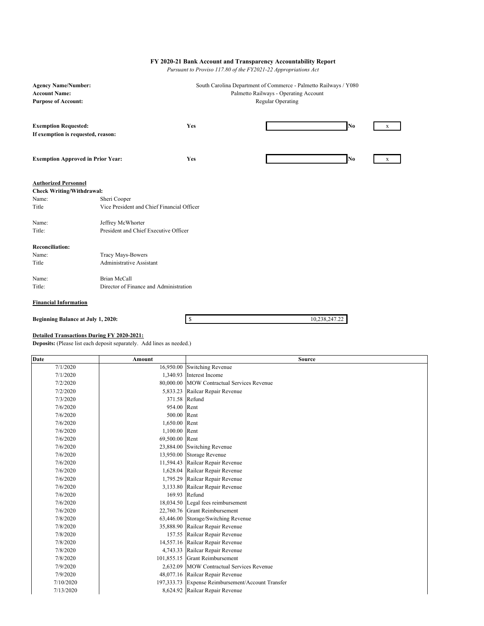#### **FY 2020-21 Bank Account and Transparency Accountability Report**

 *Pursuant to Proviso 117.80 of the FY2021-22 Appropriations Act*

| <b>Agency Name/Number:</b>               |                                            |                                       | South Carolina Department of Commerce - Palmetto Railways / Y080 |    |   |
|------------------------------------------|--------------------------------------------|---------------------------------------|------------------------------------------------------------------|----|---|
| <b>Account Name:</b>                     |                                            | Palmetto Railways - Operating Account |                                                                  |    |   |
| <b>Purpose of Account:</b>               |                                            |                                       | <b>Regular Operating</b>                                         |    |   |
|                                          |                                            |                                       |                                                                  |    |   |
| <b>Exemption Requested:</b>              |                                            | Yes                                   |                                                                  | No | X |
| If exemption is requested, reason:       |                                            |                                       |                                                                  |    |   |
|                                          |                                            |                                       |                                                                  |    |   |
|                                          |                                            |                                       |                                                                  |    |   |
| <b>Exemption Approved in Prior Year:</b> |                                            | Yes                                   |                                                                  | No | X |
|                                          |                                            |                                       |                                                                  |    |   |
| <b>Authorized Personnel</b>              |                                            |                                       |                                                                  |    |   |
| <b>Check Writing/Withdrawal:</b>         |                                            |                                       |                                                                  |    |   |
| Name:                                    | Sheri Cooper                               |                                       |                                                                  |    |   |
| Title                                    | Vice President and Chief Financial Officer |                                       |                                                                  |    |   |
| Name:                                    | Jeffrey McWhorter                          |                                       |                                                                  |    |   |
| Title:                                   | President and Chief Executive Officer      |                                       |                                                                  |    |   |
|                                          |                                            |                                       |                                                                  |    |   |
| <b>Reconciliation:</b>                   |                                            |                                       |                                                                  |    |   |
| Name:                                    | Tracy Mays-Bowers                          |                                       |                                                                  |    |   |
| Title                                    | Administrative Assistant                   |                                       |                                                                  |    |   |
|                                          |                                            |                                       |                                                                  |    |   |
| Name:                                    | <b>Brian McCall</b>                        |                                       |                                                                  |    |   |
| Title:                                   | Director of Finance and Administration     |                                       |                                                                  |    |   |
| <b>Financial Information</b>             |                                            |                                       |                                                                  |    |   |

**Beginning Balance at July 1, 2020:** \$ 10,238,247.22

### **Detailed Transactions During FY 2020-2021:**

**Deposits:** (Please list each deposit separately. Add lines as needed.)

| Date      | Amount         | <b>Source</b>                                     |
|-----------|----------------|---------------------------------------------------|
| 7/1/2020  |                | 16,950.00 Switching Revenue                       |
| 7/1/2020  |                | 1,340.93 Interest Income                          |
| 7/2/2020  |                | 80,000.00 MOW Contractual Services Revenue        |
| 7/2/2020  |                | 5,833.23 Railcar Repair Revenue                   |
| 7/3/2020  |                | 371.58 Refund                                     |
| 7/6/2020  | 954.00 Rent    |                                                   |
| 7/6/2020  | 500.00 Rent    |                                                   |
| 7/6/2020  | 1,650.00 Rent  |                                                   |
| 7/6/2020  | 1,100.00 Rent  |                                                   |
| 7/6/2020  | 69,500.00 Rent |                                                   |
| 7/6/2020  |                | 23,884.00 Switching Revenue                       |
| 7/6/2020  |                | 13,950.00 Storage Revenue                         |
| 7/6/2020  |                | 11,594.43 Railcar Repair Revenue                  |
| 7/6/2020  |                | 1,628.04 Railcar Repair Revenue                   |
| 7/6/2020  |                | 1,795.29 Railcar Repair Revenue                   |
| 7/6/2020  |                | 3,133.80 Railcar Repair Revenue                   |
| 7/6/2020  |                | 169.93 Refund                                     |
| 7/6/2020  |                | 18,034.50 Legal fees reimbursement                |
| 7/6/2020  |                | 22.760.76 Grant Reimbursement                     |
| 7/8/2020  |                | 63,446.00 Storage/Switching Revenue               |
| 7/8/2020  |                | 35,888.90 Railcar Repair Revenue                  |
| 7/8/2020  |                | 157.55 Railcar Repair Revenue                     |
| 7/8/2020  |                | 14,557.16 Railcar Repair Revenue                  |
| 7/8/2020  |                | 4,743.33 Railcar Repair Revenue                   |
| 7/8/2020  |                | 101,855.15 Grant Reimbursement                    |
| 7/9/2020  |                | 2.632.09 MOW Contractual Services Revenue         |
| 7/9/2020  |                | 48,077.16 Railcar Repair Revenue                  |
| 7/10/2020 |                | 197,333.73 Expense Reimbursement/Account Transfer |
| 7/13/2020 |                | 8,624.92 Railcar Repair Revenue                   |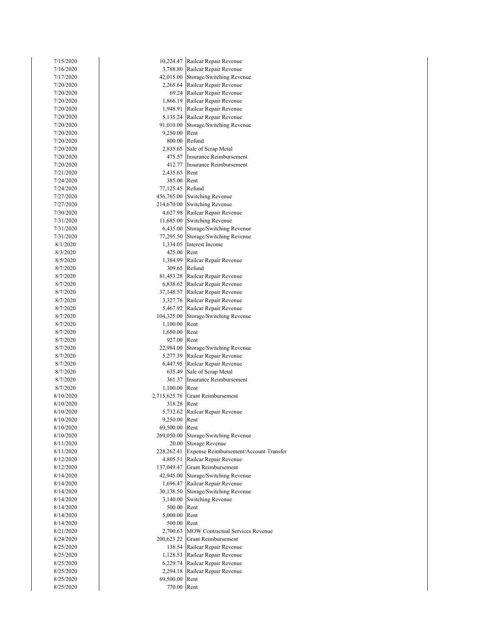| 7/15/2020              | 10,224.47        | Railcar Repair Revenue                                       |
|------------------------|------------------|--------------------------------------------------------------|
| 7/16/2020              |                  | 3,788.80 Railcar Repair Revenue                              |
| 7/17/2020              |                  | 42,015.00 Storage/Switching Revenue                          |
| 7/20/2020              |                  | 2,265.64 Railcar Repair Revenue                              |
| 7/20/2020              |                  | 69.24 Railcar Repair Revenue                                 |
| 7/20/2020              |                  | 1,866.19 Railcar Repair Revenue                              |
| 7/20/2020              |                  | 1,948.91 Railcar Repair Revenue                              |
| 7/20/2020              |                  | 5,135.24 Railcar Repair Revenue                              |
| 7/20/2020              |                  | 91,010.00 Storage/Switching Revenue                          |
| 7/20/2020              | 9,250.00 Rent    |                                                              |
| 7/20/2020              |                  | 800.00 Refund                                                |
| 7/20/2020              |                  | 2,835.65 Sale of Scrap Metal                                 |
| 7/20/2020              |                  | 475.57 Insurance Reimbursement                               |
| 7/20/2020              |                  | 412.77 Insurance Reimbursement                               |
| 7/21/2020              | 2,435.65 Rent    |                                                              |
| 7/24/2020              | 385.00 Rent      |                                                              |
| 7/24/2020<br>7/27/2020 | 77,125.45 Refund |                                                              |
| 7/27/2020              |                  | 456,765.00 Switching Revenue<br>214,670.00 Switching Revenue |
| 7/30/2020              |                  | 4,627.98 Railcar Repair Revenue                              |
| 7/31/2020              |                  | 11,685.00 Switching Revenue                                  |
| 7/31/2020              |                  | 6,435.00 Storage/Switching Revenue                           |
| 7/31/2020              |                  | 77,295.50 Storage/Switching Revenue                          |
| 8/1/2020               |                  | 1,334.05 Interest Income                                     |
| 8/3/2020               | 425.00 Rent      |                                                              |
| 8/5/2020               |                  | 1,384.99 Railcar Repair Revenue                              |
| 8/7/2020               |                  | 309.65 Refund                                                |
| 8/7/2020               |                  | 81,453.28 Railcar Repair Revenue                             |
| 8/7/2020               |                  | 6,838.62 Railcar Repair Revenue                              |
| 8/7/2020               |                  | 37,148.57 Railcar Repair Revenue                             |
| 8/7/2020               |                  | 3,327.76 Railcar Repair Revenue                              |
| 8/7/2020               |                  | 5,467.92 Railcar Repair Revenue                              |
| 8/7/2020               |                  | 104,325.00 Storage/Switching Revenue                         |
| 8/7/2020               | 1,100.00 Rent    |                                                              |
| 8/7/2020               | 1,650.00 Rent    |                                                              |
| 8/7/2020               | 927.00 Rent      |                                                              |
| 8/7/2020               |                  | 22,984.00 Storage/Switching Revenue                          |
| 8/7/2020               |                  | 5,277.39 Railcar Repair Revenue                              |
| 8/7/2020               |                  | 6,447.95 Railcar Repair Revenue                              |
| 8/7/2020               |                  | 635.49 Sale of Scrap Metal                                   |
| 8/7/2020               |                  | 361.37 Insurance Reimbursement                               |
| 8/7/2020               | 1,100.00 Rent    |                                                              |
| 8/10/2020<br>8/10/2020 | 318.28 Rent      | 2,715,625.76 Grant Reimbursement                             |
| 8/10/2020              |                  | 5,732.62 Railcar Repair Revenue                              |
| 8/10/2020              | 9,250.00 Rent    |                                                              |
| 8/10/2020              | 69,500.00        | Rent                                                         |
| 8/10/2020              |                  | 269,050.00 Storage/Switching Revenue                         |
| 8/11/2020              |                  | 20.00 Storage Revenue                                        |
| 8/11/2020              | 228,262.41       | Expense Reimbursement/Account Transfer                       |
| 8/12/2020              | 4,805.51         | Railcar Repair Revenue                                       |
| 8/12/2020              | 137,049.47       | Grant Reimbursement                                          |
| 8/14/2020              | 42,945.00        | Storage/Switching Revenue                                    |
| 8/14/2020              |                  | 1,696.47 Railcar Repair Revenue                              |
| 8/14/2020              |                  | 30,138.50 Storage/Switching Revenue                          |
| 8/14/2020              | 3,140.00         | <b>Switching Revenue</b>                                     |
| 8/14/2020              | 500.00 Rent      |                                                              |
| 8/14/2020              | 5,000.00 Rent    |                                                              |
| 8/14/2020              | 500.00 Rent      |                                                              |
| 8/21/2020              |                  | 2,700.63 MOW Contractual Services Revenue                    |
| 8/24/2020              |                  | 200,623.22 Grant Reimbursement                               |
| 8/25/2020              |                  | 138.54 Railcar Repair Revenue                                |
| 8/25/2020              |                  | 1,128.53 Railcar Repair Revenue                              |
| 8/25/2020              |                  | 6,229.74 Railcar Repair Revenue                              |
| 8/25/2020              | 2,294.18         | Railcar Repair Revenue                                       |
| 8/25/2020              | 69,500.00        | Rent                                                         |
| 8/25/2020              | 770.00 Rent      |                                                              |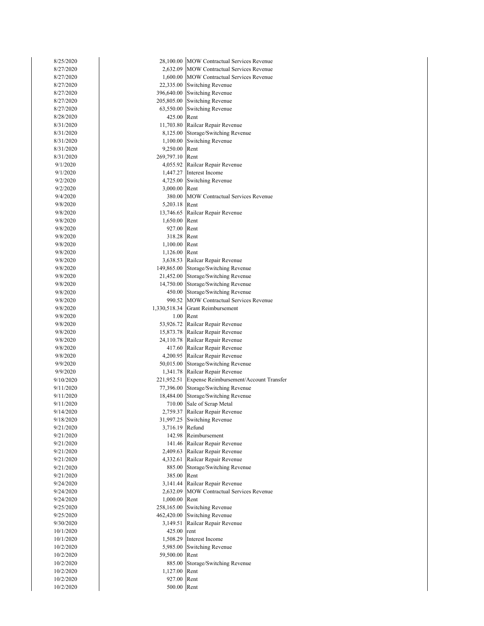| 8/25/2020              |                 | 28,100.00 MOW Contractual Services Revenue                          |
|------------------------|-----------------|---------------------------------------------------------------------|
| 8/27/2020              |                 | 2,632.09 MOW Contractual Services Revenue                           |
| 8/27/2020              |                 | 1,600.00 MOW Contractual Services Revenue                           |
| 8/27/2020              |                 | 22,335.00 Switching Revenue                                         |
| 8/27/2020              |                 | 396,640.00 Switching Revenue                                        |
| 8/27/2020              |                 | 205,805.00 Switching Revenue                                        |
| 8/27/2020              |                 | 63,550.00 Switching Revenue                                         |
| 8/28/2020              | 425.00 Rent     |                                                                     |
| 8/31/2020              |                 | 11,703.80 Railcar Repair Revenue                                    |
| 8/31/2020              |                 | 8,125.00 Storage/Switching Revenue                                  |
| 8/31/2020              |                 | 1,100.00 Switching Revenue                                          |
| 8/31/2020              | 9,250.00 Rent   |                                                                     |
| 8/31/2020              | 269,797.10 Rent |                                                                     |
| 9/1/2020               |                 | 4,055.92 Railcar Repair Revenue                                     |
| 9/1/2020               |                 | 1,447.27 Interest Income                                            |
| 9/2/2020               |                 | 4,725.00 Switching Revenue                                          |
| 9/2/2020               | 3,000.00 Rent   |                                                                     |
| 9/4/2020               | 380.00          | <b>MOW Contractual Services Revenue</b>                             |
| 9/8/2020               | 5,203.18 Rent   |                                                                     |
| 9/8/2020               |                 | 13,746.65 Railcar Repair Revenue                                    |
| 9/8/2020               | 1,650.00        | Rent                                                                |
| 9/8/2020               | 927.00 Rent     |                                                                     |
| 9/8/2020               | 318.28 Rent     |                                                                     |
| 9/8/2020               | 1,100.00 Rent   |                                                                     |
| 9/8/2020               | 1,126.00 Rent   |                                                                     |
| 9/8/2020               |                 | 3,638.53 Railcar Repair Revenue                                     |
| 9/8/2020               |                 | 149,865.00 Storage/Switching Revenue                                |
| 9/8/2020               |                 | 21,452.00 Storage/Switching Revenue                                 |
| 9/8/2020               |                 | 14,750.00 Storage/Switching Revenue                                 |
| 9/8/2020               |                 | 450.00 Storage/Switching Revenue                                    |
| 9/8/2020               |                 | 990.52 MOW Contractual Services Revenue                             |
| 9/8/2020               |                 | 1,330,518.34 Grant Reimbursement                                    |
| 9/8/2020               |                 | 1.00 Rent                                                           |
| 9/8/2020               |                 | 53,926.72 Railcar Repair Revenue                                    |
| 9/8/2020               |                 | 15,873.78 Railcar Repair Revenue                                    |
| 9/8/2020               |                 | 24,110.78 Railcar Repair Revenue                                    |
| 9/8/2020               |                 | 417.60 Railcar Repair Revenue                                       |
| 9/8/2020               |                 | 4,200.95 Railcar Repair Revenue                                     |
| 9/9/2020               |                 | 50,015.00 Storage/Switching Revenue                                 |
| 9/9/2020               |                 | 1,341.78 Railcar Repair Revenue                                     |
| 9/10/2020              |                 | 221,952.51 Expense Reimbursement/Account Transfer                   |
| 9/11/2020              |                 | 77,396.00 Storage/Switching Revenue                                 |
| 9/11/2020              |                 | 18,484.00 Storage/Switching Revenue                                 |
| 9/11/2020              |                 | 710.00 Sale of Scrap Metal                                          |
| 9/14/2020              |                 | 2,759.37 Railcar Repair Revenue                                     |
| 9/18/2020              |                 | 31,997.25 Switching Revenue                                         |
| 9/21/2020              | 3,716.19 Refund |                                                                     |
| 9/21/2020              |                 | 142.98 Reimbursement                                                |
| 9/21/2020              |                 | 141.46 Railcar Repair Revenue                                       |
| 9/21/2020              |                 | 2,409.63 Railcar Repair Revenue                                     |
| 9/21/2020<br>9/21/2020 |                 | 4,332.61 Railcar Repair Revenue<br>885.00 Storage/Switching Revenue |
|                        | 385.00 Rent     |                                                                     |
| 9/21/2020<br>9/24/2020 |                 | 3,141.44 Railcar Repair Revenue                                     |
|                        |                 | 2,632.09 MOW Contractual Services Revenue                           |
| 9/24/2020<br>9/24/2020 | 1,000.00 Rent   |                                                                     |
| 9/25/2020              |                 | 258,165.00 Switching Revenue                                        |
| 9/25/2020              |                 | 462,420.00 Switching Revenue                                        |
| 9/30/2020              |                 | 3,149.51 Railcar Repair Revenue                                     |
| 10/1/2020              | 425.00 rent     |                                                                     |
| 10/1/2020              |                 | 1,508.29 Interest Income                                            |
| 10/2/2020              |                 | 5,985.00 Switching Revenue                                          |
| 10/2/2020              | 59,500.00 Rent  |                                                                     |
| 10/2/2020              |                 | 885.00 Storage/Switching Revenue                                    |
| 10/2/2020              | 1,127.00 Rent   |                                                                     |
| 10/2/2020              | 927.00 Rent     |                                                                     |
| 10/2/2020              | 500.00 Rent     |                                                                     |
|                        |                 |                                                                     |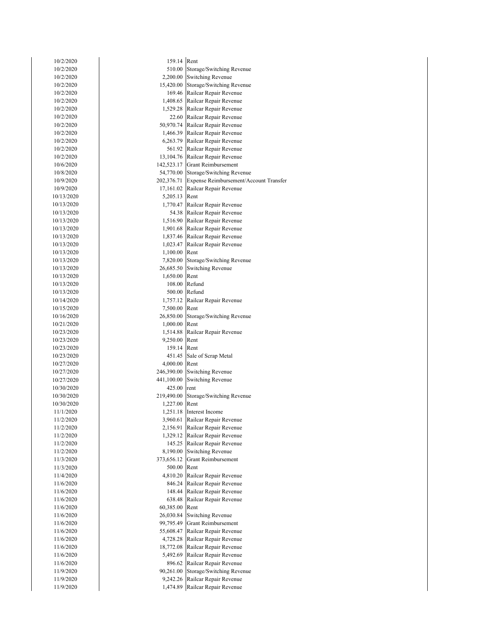| 10/2/2020  | 159.14 Rent   |                                                   |
|------------|---------------|---------------------------------------------------|
| 10/2/2020  |               | 510.00 Storage/Switching Revenue                  |
| 10/2/2020  |               | 2,200.00 Switching Revenue                        |
| 10/2/2020  |               | 15,420.00 Storage/Switching Revenue               |
| 10/2/2020  |               | 169.46 Railcar Repair Revenue                     |
| 10/2/2020  |               | 1,408.65 Railcar Repair Revenue                   |
| 10/2/2020  |               | 1,529.28 Railcar Repair Revenue                   |
| 10/2/2020  |               | 22.60 Railcar Repair Revenue                      |
| 10/2/2020  |               | 50,970.74 Railcar Repair Revenue                  |
| 10/2/2020  |               | 1,466.39 Railcar Repair Revenue                   |
| 10/2/2020  |               | 6,263.79 Railcar Repair Revenue                   |
| 10/2/2020  |               | 561.92 Railcar Repair Revenue                     |
| 10/2/2020  |               | 13,104.76 Railcar Repair Revenue                  |
| 10/6/2020  |               | 142,523.17 Grant Reimbursement                    |
| 10/8/2020  |               | 54,770.00 Storage/Switching Revenue               |
| 10/9/2020  |               | 202,376.71 Expense Reimbursement/Account Transfer |
| 10/9/2020  |               | 17,161.02 Railcar Repair Revenue                  |
| 10/13/2020 | 5,205.13 Rent |                                                   |
| 10/13/2020 |               | 1,770.47 Railcar Repair Revenue                   |
| 10/13/2020 |               | 54.38 Railcar Repair Revenue                      |
| 10/13/2020 |               | 1,516.90 Railcar Repair Revenue                   |
| 10/13/2020 |               | 1,901.68 Railcar Repair Revenue                   |
| 10/13/2020 |               | 1,837.46 Railcar Repair Revenue                   |
| 10/13/2020 |               | 1,023.47 Railcar Repair Revenue                   |
| 10/13/2020 | 1,100.00 Rent |                                                   |
| 10/13/2020 |               | 7,820.00 Storage/Switching Revenue                |
| 10/13/2020 |               | 26,685.50 Switching Revenue                       |
| 10/13/2020 | 1,650.00 Rent |                                                   |
| 10/13/2020 |               | 108.00 Refund                                     |
| 10/13/2020 |               | 500.00 Refund                                     |
| 10/14/2020 |               | 1,757.12 Railcar Repair Revenue                   |
| 10/15/2020 | 7,500.00 Rent |                                                   |
| 10/16/2020 |               | 26,850.00 Storage/Switching Revenue               |
| 10/21/2020 | 1,000.00 Rent |                                                   |
| 10/23/2020 |               | 1,514.88 Railcar Repair Revenue                   |
| 10/23/2020 | 9,250.00 Rent |                                                   |
| 10/23/2020 | 159.14 Rent   |                                                   |
| 10/23/2020 |               | 451.45 Sale of Scrap Metal                        |
| 10/27/2020 | 4,000.00 Rent |                                                   |
| 10/27/2020 |               | 246,390.00 Switching Revenue                      |
| 10/27/2020 |               | 441,100.00 Switching Revenue                      |
| 10/30/2020 | 425.00 rent   |                                                   |
| 10/30/2020 |               | 219,490.00 Storage/Switching Revenue              |
| 10/30/2020 | 1,227.00 Rent |                                                   |
| 11/1/2020  |               | 1,251.18 Interest Income                          |
| 11/2/2020  | 3,960.61      | Railcar Repair Revenue                            |
| 11/2/2020  | 2,156.91      | Railcar Repair Revenue                            |
| 11/2/2020  |               | 1,329.12 Railcar Repair Revenue                   |
| 11/2/2020  | 145.25        | Railcar Repair Revenue                            |
| 11/2/2020  | 8,190.00      | Switching Revenue                                 |
| 11/3/2020  | 373,656.12    | <b>Grant Reimbursement</b>                        |
| 11/3/2020  | 500.00        | Rent                                              |
| 11/4/2020  | 4,810.20      | Railcar Repair Revenue                            |
| 11/6/2020  | 846.24        | Railcar Repair Revenue                            |
| 11/6/2020  | 148.44        | Railcar Repair Revenue                            |
| 11/6/2020  | 638.48        | Railcar Repair Revenue                            |
| 11/6/2020  | 60,385.00     | Rent                                              |
| 11/6/2020  | 26,030.84     | Switching Revenue                                 |
| 11/6/2020  | 99,795.49     | <b>Grant Reimbursement</b>                        |
| 11/6/2020  | 55,608.47     | Railcar Repair Revenue                            |
| 11/6/2020  | 4,728.28      | Railcar Repair Revenue                            |
| 11/6/2020  | 18,772.08     | Railcar Repair Revenue                            |
| 11/6/2020  | 5,492.69      | Railcar Repair Revenue                            |
| 11/6/2020  |               | 896.62 Railcar Repair Revenue                     |
| 11/9/2020  | 90,261.00     | Storage/Switching Revenue                         |
| 11/9/2020  | 9,242.26      | Railcar Repair Revenue                            |
| 11/9/2020  |               | 1,474.89 Railcar Repair Revenue                   |
|            |               |                                                   |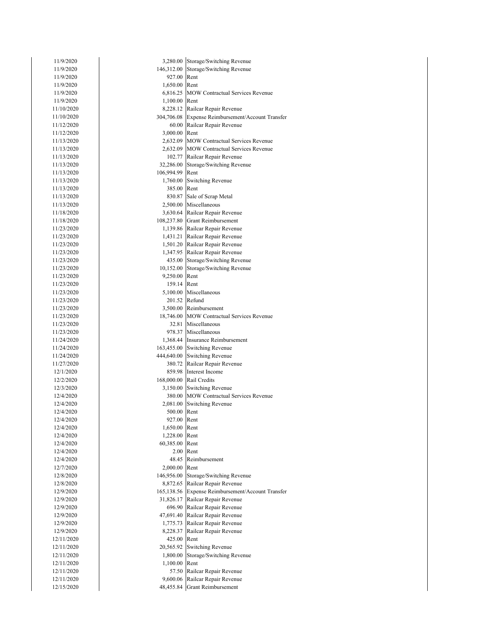| 11/9/2020                |                | 3,280.00 Storage/Switching Revenue                               |
|--------------------------|----------------|------------------------------------------------------------------|
| 11/9/2020                | 927.00         | 146,312.00 Storage/Switching Revenue<br>Rent                     |
| 11/9/2020<br>11/9/2020   | 1,650.00 Rent  |                                                                  |
| 11/9/2020                |                | 6,816.25 MOW Contractual Services Revenue                        |
| 11/9/2020                | 1,100.00 Rent  |                                                                  |
| 11/10/2020               |                | 8,228.12 Railcar Repair Revenue                                  |
| 11/10/2020               |                | 304,706.08 Expense Reimbursement/Account Transfer                |
| 11/12/2020               | 60.00          | Railcar Repair Revenue                                           |
| 11/12/2020               | 3,000.00 Rent  |                                                                  |
| 11/13/2020               |                | 2,632.09 MOW Contractual Services Revenue                        |
| 11/13/2020               |                | 2,632.09 MOW Contractual Services Revenue                        |
| 11/13/2020               |                | 102.77 Railcar Repair Revenue                                    |
| 11/13/2020               | 32,286.00      | Storage/Switching Revenue                                        |
| 11/13/2020               | 106,994.99     | Rent                                                             |
| 11/13/2020               |                | 1,760.00 Switching Revenue                                       |
| 11/13/2020               | 385.00 Rent    |                                                                  |
| 11/13/2020               |                | 830.87 Sale of Scrap Metal                                       |
| 11/13/2020               |                | 2,500.00 Miscellaneous                                           |
| 11/18/2020               |                | 3,630.64 Railcar Repair Revenue                                  |
| 11/18/2020               |                | 108,237.80 Grant Reimbursement                                   |
| 11/23/2020               |                | 1,139.86 Railcar Repair Revenue                                  |
| 11/23/2020               |                | 1,431.21 Railcar Repair Revenue                                  |
| 11/23/2020               |                | 1,501.20 Railcar Repair Revenue                                  |
| 11/23/2020               |                | 1,347.95 Railcar Repair Revenue                                  |
| 11/23/2020               |                | 435.00 Storage/Switching Revenue                                 |
| 11/23/2020               |                | 10,152.00 Storage/Switching Revenue                              |
| 11/23/2020               | 9,250.00 Rent  |                                                                  |
| 11/23/2020               | 159.14 Rent    |                                                                  |
| 11/23/2020               |                | 5,100.00 Miscellaneous                                           |
| 11/23/2020               |                | 201.52 Refund                                                    |
| 11/23/2020               |                | 3,500.00 Reimbursement                                           |
| 11/23/2020               |                | 18,746.00 MOW Contractual Services Revenue                       |
| 11/23/2020               |                | 32.81 Miscellaneous                                              |
| 11/23/2020               |                | 978.37 Miscellaneous                                             |
| 11/24/2020<br>11/24/2020 |                | 1,368.44 Insurance Reimbursement<br>163,455.00 Switching Revenue |
| 11/24/2020               |                | 444,640.00 Switching Revenue                                     |
| 11/27/2020               |                | 380.72 Railcar Repair Revenue                                    |
| 12/1/2020                |                | 859.98 Interest Income                                           |
| 12/2/2020                |                | 168,000.00 Rail Credits                                          |
| 12/3/2020                |                | 3,150.00 Switching Revenue                                       |
| 12/4/2020                |                | 380.00 MOW Contractual Services Revenue                          |
| 12/4/2020                |                | 2,081.00 Switching Revenue                                       |
| 12/4/2020                | 500.00         | Rent                                                             |
| 12/4/2020                | 927.00 Rent    |                                                                  |
| 12/4/2020                | 1,650.00 Rent  |                                                                  |
| 12/4/2020                | 1,228.00 Rent  |                                                                  |
| 12/4/2020                | 60,385.00 Rent |                                                                  |
| 12/4/2020                |                | 2.00 Rent                                                        |
| 12/4/2020                |                | 48.45 Reimbursement                                              |
| 12/7/2020                | 2,000.00 Rent  |                                                                  |
| 12/8/2020                | 146,956.00     | Storage/Switching Revenue                                        |
| 12/8/2020                |                | 8,872.65 Railcar Repair Revenue                                  |
| 12/9/2020                |                | 165,138.56 Expense Reimbursement/Account Transfer                |
| 12/9/2020                | 31,826.17      | Railcar Repair Revenue                                           |
| 12/9/2020                |                | 696.90 Railcar Repair Revenue                                    |
| 12/9/2020                |                | 47,691.40 Railcar Repair Revenue                                 |
| 12/9/2020                |                | 1,775.73 Railcar Repair Revenue                                  |
| 12/9/2020                |                | 8,228.37 Railcar Repair Revenue                                  |
| 12/11/2020               | 425.00 Rent    |                                                                  |
| 12/11/2020               | 20,565.92      | <b>Switching Revenue</b><br>1,800.00 Storage/Switching Revenue   |
| 12/11/2020<br>12/11/2020 | 1,100.00 Rent  |                                                                  |
| 12/11/2020               |                | 57.50 Railcar Repair Revenue                                     |
| 12/11/2020               |                | 9,600.06 Railcar Repair Revenue                                  |
| 12/15/2020               |                | 48,455.84 Grant Reimbursement                                    |
|                          |                |                                                                  |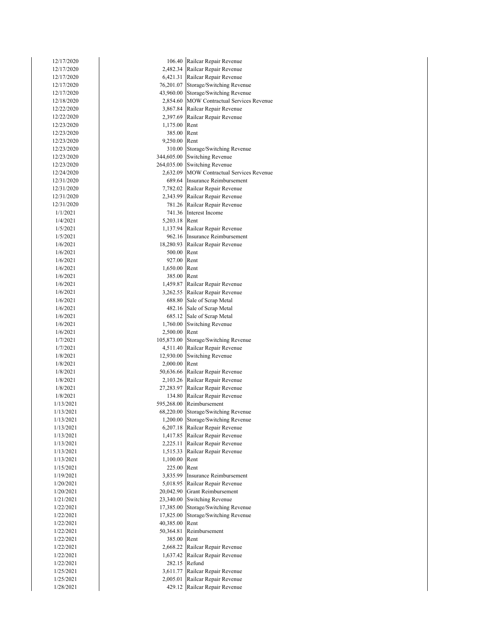| 106.40 Railcar Repair Revenue<br>12/17/2020<br>2,482.34 Railcar Repair Revenue<br>12/17/2020<br>6,421.31 Railcar Repair Revenue<br>12/17/2020<br>12/17/2020<br>76,201.07 Storage/Switching Revenue<br>43,960.00 Storage/Switching Revenue<br>12/17/2020<br>2,854.60 MOW Contractual Services Revenue<br>12/18/2020<br>12/22/2020<br>3,867.84 Railcar Repair Revenue<br>12/22/2020<br>2,397.69 Railcar Repair Revenue<br>12/23/2020<br>1,175.00 Rent<br>12/23/2020<br>385.00 Rent<br>12/23/2020<br>9,250.00 Rent<br>12/23/2020<br>310.00 Storage/Switching Revenue<br>12/23/2020<br>344,605.00 Switching Revenue<br>12/23/2020<br>264,035.00 Switching Revenue<br>2,632.09 MOW Contractual Services Revenue<br>12/24/2020<br>689.64 Insurance Reimbursement<br>12/31/2020<br>7,782.02 Railcar Repair Revenue<br>12/31/2020<br>2,343.99 Railcar Repair Revenue<br>12/31/2020<br>781.26 Railcar Repair Revenue<br>12/31/2020<br>741.36 Interest Income<br>1/1/2021<br>5,203.18 Rent<br>1/4/2021<br>1,137.94 Railcar Repair Revenue<br>1/5/2021<br>962.16 Insurance Reimbursement<br>1/5/2021<br>18,280.93 Railcar Repair Revenue<br>1/6/2021<br>500.00 Rent<br>1/6/2021<br>1/6/2021<br>927.00 Rent<br>1,650.00 Rent<br>1/6/2021<br>1/6/2021<br>385.00 Rent<br>1/6/2021<br>1,459.87 Railcar Repair Revenue<br>3,262.55 Railcar Repair Revenue<br>1/6/2021<br>1/6/2021<br>688.80 Sale of Scrap Metal<br>482.16 Sale of Scrap Metal<br>1/6/2021<br>1/6/2021<br>685.12 Sale of Scrap Metal<br>1/6/2021<br>1,760.00 Switching Revenue<br>2,500.00 Rent<br>1/6/2021<br>105,873.00 Storage/Switching Revenue<br>1/7/2021<br>1/7/2021<br>4,511.40 Railcar Repair Revenue<br>1/8/2021<br>12,930.00 Switching Revenue<br>2,000.00 Rent<br>1/8/2021<br>50,636.66 Railcar Repair Revenue<br>1/8/2021<br>2,103.26 Railcar Repair Revenue<br>1/8/2021<br>27,283.97 Railcar Repair Revenue<br>1/8/2021<br>134.80 Railcar Repair Revenue<br>1/8/2021<br>595,268.00<br>1/13/2021<br>Reimbursement<br>Storage/Switching Revenue<br>1/13/2021<br>68,220.00<br>1,200.00 Storage/Switching Revenue<br>1/13/2021<br>6,207.18 Railcar Repair Revenue<br>1/13/2021<br>1,417.85 Railcar Repair Revenue<br>1/13/2021<br>2,225.11<br>Railcar Repair Revenue<br>1/13/2021<br>Railcar Repair Revenue<br>1/13/2021<br>1,515.33<br>1/13/2021<br>1,100.00 Rent<br>1/15/2021<br>225.00 Rent<br>3,835.99 Insurance Reimbursement<br>1/19/2021<br>5,018.95 Railcar Repair Revenue<br>1/20/2021<br>20,042.90 Grant Reimbursement<br>1/20/2021<br><b>Switching Revenue</b><br>1/21/2021<br>23,340.00<br>1/22/2021<br>17,385.00 Storage/Switching Revenue<br>1/22/2021<br>Storage/Switching Revenue<br>17,825.00<br>1/22/2021<br>Rent<br>40,385.00<br>Reimbursement<br>1/22/2021<br>50,364.81<br>385.00 Rent<br>1/22/2021<br>1/22/2021<br>2,668.22 Railcar Repair Revenue<br>1,637.42 Railcar Repair Revenue<br>1/22/2021<br>1/22/2021<br>282.15 Refund<br>3,611.77 Railcar Repair Revenue<br>1/25/2021<br>2,005.01 Railcar Repair Revenue<br>1/25/2021 |           |  |
|----------------------------------------------------------------------------------------------------------------------------------------------------------------------------------------------------------------------------------------------------------------------------------------------------------------------------------------------------------------------------------------------------------------------------------------------------------------------------------------------------------------------------------------------------------------------------------------------------------------------------------------------------------------------------------------------------------------------------------------------------------------------------------------------------------------------------------------------------------------------------------------------------------------------------------------------------------------------------------------------------------------------------------------------------------------------------------------------------------------------------------------------------------------------------------------------------------------------------------------------------------------------------------------------------------------------------------------------------------------------------------------------------------------------------------------------------------------------------------------------------------------------------------------------------------------------------------------------------------------------------------------------------------------------------------------------------------------------------------------------------------------------------------------------------------------------------------------------------------------------------------------------------------------------------------------------------------------------------------------------------------------------------------------------------------------------------------------------------------------------------------------------------------------------------------------------------------------------------------------------------------------------------------------------------------------------------------------------------------------------------------------------------------------------------------------------------------------------------------------------------------------------------------------------------------------------------------------------------------------------------------------------------------------------------------------------------------------------------------------------------------------------------------------------------------------------------------------------------------------------------------------------------------------------------------------------------------------------------------------------------------------|-----------|--|
|                                                                                                                                                                                                                                                                                                                                                                                                                                                                                                                                                                                                                                                                                                                                                                                                                                                                                                                                                                                                                                                                                                                                                                                                                                                                                                                                                                                                                                                                                                                                                                                                                                                                                                                                                                                                                                                                                                                                                                                                                                                                                                                                                                                                                                                                                                                                                                                                                                                                                                                                                                                                                                                                                                                                                                                                                                                                                                                                                                                                                |           |  |
|                                                                                                                                                                                                                                                                                                                                                                                                                                                                                                                                                                                                                                                                                                                                                                                                                                                                                                                                                                                                                                                                                                                                                                                                                                                                                                                                                                                                                                                                                                                                                                                                                                                                                                                                                                                                                                                                                                                                                                                                                                                                                                                                                                                                                                                                                                                                                                                                                                                                                                                                                                                                                                                                                                                                                                                                                                                                                                                                                                                                                |           |  |
|                                                                                                                                                                                                                                                                                                                                                                                                                                                                                                                                                                                                                                                                                                                                                                                                                                                                                                                                                                                                                                                                                                                                                                                                                                                                                                                                                                                                                                                                                                                                                                                                                                                                                                                                                                                                                                                                                                                                                                                                                                                                                                                                                                                                                                                                                                                                                                                                                                                                                                                                                                                                                                                                                                                                                                                                                                                                                                                                                                                                                |           |  |
|                                                                                                                                                                                                                                                                                                                                                                                                                                                                                                                                                                                                                                                                                                                                                                                                                                                                                                                                                                                                                                                                                                                                                                                                                                                                                                                                                                                                                                                                                                                                                                                                                                                                                                                                                                                                                                                                                                                                                                                                                                                                                                                                                                                                                                                                                                                                                                                                                                                                                                                                                                                                                                                                                                                                                                                                                                                                                                                                                                                                                |           |  |
|                                                                                                                                                                                                                                                                                                                                                                                                                                                                                                                                                                                                                                                                                                                                                                                                                                                                                                                                                                                                                                                                                                                                                                                                                                                                                                                                                                                                                                                                                                                                                                                                                                                                                                                                                                                                                                                                                                                                                                                                                                                                                                                                                                                                                                                                                                                                                                                                                                                                                                                                                                                                                                                                                                                                                                                                                                                                                                                                                                                                                |           |  |
|                                                                                                                                                                                                                                                                                                                                                                                                                                                                                                                                                                                                                                                                                                                                                                                                                                                                                                                                                                                                                                                                                                                                                                                                                                                                                                                                                                                                                                                                                                                                                                                                                                                                                                                                                                                                                                                                                                                                                                                                                                                                                                                                                                                                                                                                                                                                                                                                                                                                                                                                                                                                                                                                                                                                                                                                                                                                                                                                                                                                                |           |  |
|                                                                                                                                                                                                                                                                                                                                                                                                                                                                                                                                                                                                                                                                                                                                                                                                                                                                                                                                                                                                                                                                                                                                                                                                                                                                                                                                                                                                                                                                                                                                                                                                                                                                                                                                                                                                                                                                                                                                                                                                                                                                                                                                                                                                                                                                                                                                                                                                                                                                                                                                                                                                                                                                                                                                                                                                                                                                                                                                                                                                                |           |  |
|                                                                                                                                                                                                                                                                                                                                                                                                                                                                                                                                                                                                                                                                                                                                                                                                                                                                                                                                                                                                                                                                                                                                                                                                                                                                                                                                                                                                                                                                                                                                                                                                                                                                                                                                                                                                                                                                                                                                                                                                                                                                                                                                                                                                                                                                                                                                                                                                                                                                                                                                                                                                                                                                                                                                                                                                                                                                                                                                                                                                                |           |  |
|                                                                                                                                                                                                                                                                                                                                                                                                                                                                                                                                                                                                                                                                                                                                                                                                                                                                                                                                                                                                                                                                                                                                                                                                                                                                                                                                                                                                                                                                                                                                                                                                                                                                                                                                                                                                                                                                                                                                                                                                                                                                                                                                                                                                                                                                                                                                                                                                                                                                                                                                                                                                                                                                                                                                                                                                                                                                                                                                                                                                                |           |  |
|                                                                                                                                                                                                                                                                                                                                                                                                                                                                                                                                                                                                                                                                                                                                                                                                                                                                                                                                                                                                                                                                                                                                                                                                                                                                                                                                                                                                                                                                                                                                                                                                                                                                                                                                                                                                                                                                                                                                                                                                                                                                                                                                                                                                                                                                                                                                                                                                                                                                                                                                                                                                                                                                                                                                                                                                                                                                                                                                                                                                                |           |  |
|                                                                                                                                                                                                                                                                                                                                                                                                                                                                                                                                                                                                                                                                                                                                                                                                                                                                                                                                                                                                                                                                                                                                                                                                                                                                                                                                                                                                                                                                                                                                                                                                                                                                                                                                                                                                                                                                                                                                                                                                                                                                                                                                                                                                                                                                                                                                                                                                                                                                                                                                                                                                                                                                                                                                                                                                                                                                                                                                                                                                                |           |  |
|                                                                                                                                                                                                                                                                                                                                                                                                                                                                                                                                                                                                                                                                                                                                                                                                                                                                                                                                                                                                                                                                                                                                                                                                                                                                                                                                                                                                                                                                                                                                                                                                                                                                                                                                                                                                                                                                                                                                                                                                                                                                                                                                                                                                                                                                                                                                                                                                                                                                                                                                                                                                                                                                                                                                                                                                                                                                                                                                                                                                                |           |  |
|                                                                                                                                                                                                                                                                                                                                                                                                                                                                                                                                                                                                                                                                                                                                                                                                                                                                                                                                                                                                                                                                                                                                                                                                                                                                                                                                                                                                                                                                                                                                                                                                                                                                                                                                                                                                                                                                                                                                                                                                                                                                                                                                                                                                                                                                                                                                                                                                                                                                                                                                                                                                                                                                                                                                                                                                                                                                                                                                                                                                                |           |  |
|                                                                                                                                                                                                                                                                                                                                                                                                                                                                                                                                                                                                                                                                                                                                                                                                                                                                                                                                                                                                                                                                                                                                                                                                                                                                                                                                                                                                                                                                                                                                                                                                                                                                                                                                                                                                                                                                                                                                                                                                                                                                                                                                                                                                                                                                                                                                                                                                                                                                                                                                                                                                                                                                                                                                                                                                                                                                                                                                                                                                                |           |  |
|                                                                                                                                                                                                                                                                                                                                                                                                                                                                                                                                                                                                                                                                                                                                                                                                                                                                                                                                                                                                                                                                                                                                                                                                                                                                                                                                                                                                                                                                                                                                                                                                                                                                                                                                                                                                                                                                                                                                                                                                                                                                                                                                                                                                                                                                                                                                                                                                                                                                                                                                                                                                                                                                                                                                                                                                                                                                                                                                                                                                                |           |  |
|                                                                                                                                                                                                                                                                                                                                                                                                                                                                                                                                                                                                                                                                                                                                                                                                                                                                                                                                                                                                                                                                                                                                                                                                                                                                                                                                                                                                                                                                                                                                                                                                                                                                                                                                                                                                                                                                                                                                                                                                                                                                                                                                                                                                                                                                                                                                                                                                                                                                                                                                                                                                                                                                                                                                                                                                                                                                                                                                                                                                                |           |  |
|                                                                                                                                                                                                                                                                                                                                                                                                                                                                                                                                                                                                                                                                                                                                                                                                                                                                                                                                                                                                                                                                                                                                                                                                                                                                                                                                                                                                                                                                                                                                                                                                                                                                                                                                                                                                                                                                                                                                                                                                                                                                                                                                                                                                                                                                                                                                                                                                                                                                                                                                                                                                                                                                                                                                                                                                                                                                                                                                                                                                                |           |  |
|                                                                                                                                                                                                                                                                                                                                                                                                                                                                                                                                                                                                                                                                                                                                                                                                                                                                                                                                                                                                                                                                                                                                                                                                                                                                                                                                                                                                                                                                                                                                                                                                                                                                                                                                                                                                                                                                                                                                                                                                                                                                                                                                                                                                                                                                                                                                                                                                                                                                                                                                                                                                                                                                                                                                                                                                                                                                                                                                                                                                                |           |  |
|                                                                                                                                                                                                                                                                                                                                                                                                                                                                                                                                                                                                                                                                                                                                                                                                                                                                                                                                                                                                                                                                                                                                                                                                                                                                                                                                                                                                                                                                                                                                                                                                                                                                                                                                                                                                                                                                                                                                                                                                                                                                                                                                                                                                                                                                                                                                                                                                                                                                                                                                                                                                                                                                                                                                                                                                                                                                                                                                                                                                                |           |  |
|                                                                                                                                                                                                                                                                                                                                                                                                                                                                                                                                                                                                                                                                                                                                                                                                                                                                                                                                                                                                                                                                                                                                                                                                                                                                                                                                                                                                                                                                                                                                                                                                                                                                                                                                                                                                                                                                                                                                                                                                                                                                                                                                                                                                                                                                                                                                                                                                                                                                                                                                                                                                                                                                                                                                                                                                                                                                                                                                                                                                                |           |  |
|                                                                                                                                                                                                                                                                                                                                                                                                                                                                                                                                                                                                                                                                                                                                                                                                                                                                                                                                                                                                                                                                                                                                                                                                                                                                                                                                                                                                                                                                                                                                                                                                                                                                                                                                                                                                                                                                                                                                                                                                                                                                                                                                                                                                                                                                                                                                                                                                                                                                                                                                                                                                                                                                                                                                                                                                                                                                                                                                                                                                                |           |  |
|                                                                                                                                                                                                                                                                                                                                                                                                                                                                                                                                                                                                                                                                                                                                                                                                                                                                                                                                                                                                                                                                                                                                                                                                                                                                                                                                                                                                                                                                                                                                                                                                                                                                                                                                                                                                                                                                                                                                                                                                                                                                                                                                                                                                                                                                                                                                                                                                                                                                                                                                                                                                                                                                                                                                                                                                                                                                                                                                                                                                                |           |  |
|                                                                                                                                                                                                                                                                                                                                                                                                                                                                                                                                                                                                                                                                                                                                                                                                                                                                                                                                                                                                                                                                                                                                                                                                                                                                                                                                                                                                                                                                                                                                                                                                                                                                                                                                                                                                                                                                                                                                                                                                                                                                                                                                                                                                                                                                                                                                                                                                                                                                                                                                                                                                                                                                                                                                                                                                                                                                                                                                                                                                                |           |  |
|                                                                                                                                                                                                                                                                                                                                                                                                                                                                                                                                                                                                                                                                                                                                                                                                                                                                                                                                                                                                                                                                                                                                                                                                                                                                                                                                                                                                                                                                                                                                                                                                                                                                                                                                                                                                                                                                                                                                                                                                                                                                                                                                                                                                                                                                                                                                                                                                                                                                                                                                                                                                                                                                                                                                                                                                                                                                                                                                                                                                                |           |  |
|                                                                                                                                                                                                                                                                                                                                                                                                                                                                                                                                                                                                                                                                                                                                                                                                                                                                                                                                                                                                                                                                                                                                                                                                                                                                                                                                                                                                                                                                                                                                                                                                                                                                                                                                                                                                                                                                                                                                                                                                                                                                                                                                                                                                                                                                                                                                                                                                                                                                                                                                                                                                                                                                                                                                                                                                                                                                                                                                                                                                                |           |  |
|                                                                                                                                                                                                                                                                                                                                                                                                                                                                                                                                                                                                                                                                                                                                                                                                                                                                                                                                                                                                                                                                                                                                                                                                                                                                                                                                                                                                                                                                                                                                                                                                                                                                                                                                                                                                                                                                                                                                                                                                                                                                                                                                                                                                                                                                                                                                                                                                                                                                                                                                                                                                                                                                                                                                                                                                                                                                                                                                                                                                                |           |  |
|                                                                                                                                                                                                                                                                                                                                                                                                                                                                                                                                                                                                                                                                                                                                                                                                                                                                                                                                                                                                                                                                                                                                                                                                                                                                                                                                                                                                                                                                                                                                                                                                                                                                                                                                                                                                                                                                                                                                                                                                                                                                                                                                                                                                                                                                                                                                                                                                                                                                                                                                                                                                                                                                                                                                                                                                                                                                                                                                                                                                                |           |  |
|                                                                                                                                                                                                                                                                                                                                                                                                                                                                                                                                                                                                                                                                                                                                                                                                                                                                                                                                                                                                                                                                                                                                                                                                                                                                                                                                                                                                                                                                                                                                                                                                                                                                                                                                                                                                                                                                                                                                                                                                                                                                                                                                                                                                                                                                                                                                                                                                                                                                                                                                                                                                                                                                                                                                                                                                                                                                                                                                                                                                                |           |  |
|                                                                                                                                                                                                                                                                                                                                                                                                                                                                                                                                                                                                                                                                                                                                                                                                                                                                                                                                                                                                                                                                                                                                                                                                                                                                                                                                                                                                                                                                                                                                                                                                                                                                                                                                                                                                                                                                                                                                                                                                                                                                                                                                                                                                                                                                                                                                                                                                                                                                                                                                                                                                                                                                                                                                                                                                                                                                                                                                                                                                                |           |  |
|                                                                                                                                                                                                                                                                                                                                                                                                                                                                                                                                                                                                                                                                                                                                                                                                                                                                                                                                                                                                                                                                                                                                                                                                                                                                                                                                                                                                                                                                                                                                                                                                                                                                                                                                                                                                                                                                                                                                                                                                                                                                                                                                                                                                                                                                                                                                                                                                                                                                                                                                                                                                                                                                                                                                                                                                                                                                                                                                                                                                                |           |  |
|                                                                                                                                                                                                                                                                                                                                                                                                                                                                                                                                                                                                                                                                                                                                                                                                                                                                                                                                                                                                                                                                                                                                                                                                                                                                                                                                                                                                                                                                                                                                                                                                                                                                                                                                                                                                                                                                                                                                                                                                                                                                                                                                                                                                                                                                                                                                                                                                                                                                                                                                                                                                                                                                                                                                                                                                                                                                                                                                                                                                                |           |  |
|                                                                                                                                                                                                                                                                                                                                                                                                                                                                                                                                                                                                                                                                                                                                                                                                                                                                                                                                                                                                                                                                                                                                                                                                                                                                                                                                                                                                                                                                                                                                                                                                                                                                                                                                                                                                                                                                                                                                                                                                                                                                                                                                                                                                                                                                                                                                                                                                                                                                                                                                                                                                                                                                                                                                                                                                                                                                                                                                                                                                                |           |  |
|                                                                                                                                                                                                                                                                                                                                                                                                                                                                                                                                                                                                                                                                                                                                                                                                                                                                                                                                                                                                                                                                                                                                                                                                                                                                                                                                                                                                                                                                                                                                                                                                                                                                                                                                                                                                                                                                                                                                                                                                                                                                                                                                                                                                                                                                                                                                                                                                                                                                                                                                                                                                                                                                                                                                                                                                                                                                                                                                                                                                                |           |  |
|                                                                                                                                                                                                                                                                                                                                                                                                                                                                                                                                                                                                                                                                                                                                                                                                                                                                                                                                                                                                                                                                                                                                                                                                                                                                                                                                                                                                                                                                                                                                                                                                                                                                                                                                                                                                                                                                                                                                                                                                                                                                                                                                                                                                                                                                                                                                                                                                                                                                                                                                                                                                                                                                                                                                                                                                                                                                                                                                                                                                                |           |  |
|                                                                                                                                                                                                                                                                                                                                                                                                                                                                                                                                                                                                                                                                                                                                                                                                                                                                                                                                                                                                                                                                                                                                                                                                                                                                                                                                                                                                                                                                                                                                                                                                                                                                                                                                                                                                                                                                                                                                                                                                                                                                                                                                                                                                                                                                                                                                                                                                                                                                                                                                                                                                                                                                                                                                                                                                                                                                                                                                                                                                                |           |  |
|                                                                                                                                                                                                                                                                                                                                                                                                                                                                                                                                                                                                                                                                                                                                                                                                                                                                                                                                                                                                                                                                                                                                                                                                                                                                                                                                                                                                                                                                                                                                                                                                                                                                                                                                                                                                                                                                                                                                                                                                                                                                                                                                                                                                                                                                                                                                                                                                                                                                                                                                                                                                                                                                                                                                                                                                                                                                                                                                                                                                                |           |  |
|                                                                                                                                                                                                                                                                                                                                                                                                                                                                                                                                                                                                                                                                                                                                                                                                                                                                                                                                                                                                                                                                                                                                                                                                                                                                                                                                                                                                                                                                                                                                                                                                                                                                                                                                                                                                                                                                                                                                                                                                                                                                                                                                                                                                                                                                                                                                                                                                                                                                                                                                                                                                                                                                                                                                                                                                                                                                                                                                                                                                                |           |  |
|                                                                                                                                                                                                                                                                                                                                                                                                                                                                                                                                                                                                                                                                                                                                                                                                                                                                                                                                                                                                                                                                                                                                                                                                                                                                                                                                                                                                                                                                                                                                                                                                                                                                                                                                                                                                                                                                                                                                                                                                                                                                                                                                                                                                                                                                                                                                                                                                                                                                                                                                                                                                                                                                                                                                                                                                                                                                                                                                                                                                                |           |  |
|                                                                                                                                                                                                                                                                                                                                                                                                                                                                                                                                                                                                                                                                                                                                                                                                                                                                                                                                                                                                                                                                                                                                                                                                                                                                                                                                                                                                                                                                                                                                                                                                                                                                                                                                                                                                                                                                                                                                                                                                                                                                                                                                                                                                                                                                                                                                                                                                                                                                                                                                                                                                                                                                                                                                                                                                                                                                                                                                                                                                                |           |  |
|                                                                                                                                                                                                                                                                                                                                                                                                                                                                                                                                                                                                                                                                                                                                                                                                                                                                                                                                                                                                                                                                                                                                                                                                                                                                                                                                                                                                                                                                                                                                                                                                                                                                                                                                                                                                                                                                                                                                                                                                                                                                                                                                                                                                                                                                                                                                                                                                                                                                                                                                                                                                                                                                                                                                                                                                                                                                                                                                                                                                                |           |  |
|                                                                                                                                                                                                                                                                                                                                                                                                                                                                                                                                                                                                                                                                                                                                                                                                                                                                                                                                                                                                                                                                                                                                                                                                                                                                                                                                                                                                                                                                                                                                                                                                                                                                                                                                                                                                                                                                                                                                                                                                                                                                                                                                                                                                                                                                                                                                                                                                                                                                                                                                                                                                                                                                                                                                                                                                                                                                                                                                                                                                                |           |  |
|                                                                                                                                                                                                                                                                                                                                                                                                                                                                                                                                                                                                                                                                                                                                                                                                                                                                                                                                                                                                                                                                                                                                                                                                                                                                                                                                                                                                                                                                                                                                                                                                                                                                                                                                                                                                                                                                                                                                                                                                                                                                                                                                                                                                                                                                                                                                                                                                                                                                                                                                                                                                                                                                                                                                                                                                                                                                                                                                                                                                                |           |  |
|                                                                                                                                                                                                                                                                                                                                                                                                                                                                                                                                                                                                                                                                                                                                                                                                                                                                                                                                                                                                                                                                                                                                                                                                                                                                                                                                                                                                                                                                                                                                                                                                                                                                                                                                                                                                                                                                                                                                                                                                                                                                                                                                                                                                                                                                                                                                                                                                                                                                                                                                                                                                                                                                                                                                                                                                                                                                                                                                                                                                                |           |  |
|                                                                                                                                                                                                                                                                                                                                                                                                                                                                                                                                                                                                                                                                                                                                                                                                                                                                                                                                                                                                                                                                                                                                                                                                                                                                                                                                                                                                                                                                                                                                                                                                                                                                                                                                                                                                                                                                                                                                                                                                                                                                                                                                                                                                                                                                                                                                                                                                                                                                                                                                                                                                                                                                                                                                                                                                                                                                                                                                                                                                                |           |  |
|                                                                                                                                                                                                                                                                                                                                                                                                                                                                                                                                                                                                                                                                                                                                                                                                                                                                                                                                                                                                                                                                                                                                                                                                                                                                                                                                                                                                                                                                                                                                                                                                                                                                                                                                                                                                                                                                                                                                                                                                                                                                                                                                                                                                                                                                                                                                                                                                                                                                                                                                                                                                                                                                                                                                                                                                                                                                                                                                                                                                                |           |  |
|                                                                                                                                                                                                                                                                                                                                                                                                                                                                                                                                                                                                                                                                                                                                                                                                                                                                                                                                                                                                                                                                                                                                                                                                                                                                                                                                                                                                                                                                                                                                                                                                                                                                                                                                                                                                                                                                                                                                                                                                                                                                                                                                                                                                                                                                                                                                                                                                                                                                                                                                                                                                                                                                                                                                                                                                                                                                                                                                                                                                                |           |  |
|                                                                                                                                                                                                                                                                                                                                                                                                                                                                                                                                                                                                                                                                                                                                                                                                                                                                                                                                                                                                                                                                                                                                                                                                                                                                                                                                                                                                                                                                                                                                                                                                                                                                                                                                                                                                                                                                                                                                                                                                                                                                                                                                                                                                                                                                                                                                                                                                                                                                                                                                                                                                                                                                                                                                                                                                                                                                                                                                                                                                                |           |  |
|                                                                                                                                                                                                                                                                                                                                                                                                                                                                                                                                                                                                                                                                                                                                                                                                                                                                                                                                                                                                                                                                                                                                                                                                                                                                                                                                                                                                                                                                                                                                                                                                                                                                                                                                                                                                                                                                                                                                                                                                                                                                                                                                                                                                                                                                                                                                                                                                                                                                                                                                                                                                                                                                                                                                                                                                                                                                                                                                                                                                                |           |  |
|                                                                                                                                                                                                                                                                                                                                                                                                                                                                                                                                                                                                                                                                                                                                                                                                                                                                                                                                                                                                                                                                                                                                                                                                                                                                                                                                                                                                                                                                                                                                                                                                                                                                                                                                                                                                                                                                                                                                                                                                                                                                                                                                                                                                                                                                                                                                                                                                                                                                                                                                                                                                                                                                                                                                                                                                                                                                                                                                                                                                                |           |  |
|                                                                                                                                                                                                                                                                                                                                                                                                                                                                                                                                                                                                                                                                                                                                                                                                                                                                                                                                                                                                                                                                                                                                                                                                                                                                                                                                                                                                                                                                                                                                                                                                                                                                                                                                                                                                                                                                                                                                                                                                                                                                                                                                                                                                                                                                                                                                                                                                                                                                                                                                                                                                                                                                                                                                                                                                                                                                                                                                                                                                                |           |  |
|                                                                                                                                                                                                                                                                                                                                                                                                                                                                                                                                                                                                                                                                                                                                                                                                                                                                                                                                                                                                                                                                                                                                                                                                                                                                                                                                                                                                                                                                                                                                                                                                                                                                                                                                                                                                                                                                                                                                                                                                                                                                                                                                                                                                                                                                                                                                                                                                                                                                                                                                                                                                                                                                                                                                                                                                                                                                                                                                                                                                                |           |  |
|                                                                                                                                                                                                                                                                                                                                                                                                                                                                                                                                                                                                                                                                                                                                                                                                                                                                                                                                                                                                                                                                                                                                                                                                                                                                                                                                                                                                                                                                                                                                                                                                                                                                                                                                                                                                                                                                                                                                                                                                                                                                                                                                                                                                                                                                                                                                                                                                                                                                                                                                                                                                                                                                                                                                                                                                                                                                                                                                                                                                                |           |  |
|                                                                                                                                                                                                                                                                                                                                                                                                                                                                                                                                                                                                                                                                                                                                                                                                                                                                                                                                                                                                                                                                                                                                                                                                                                                                                                                                                                                                                                                                                                                                                                                                                                                                                                                                                                                                                                                                                                                                                                                                                                                                                                                                                                                                                                                                                                                                                                                                                                                                                                                                                                                                                                                                                                                                                                                                                                                                                                                                                                                                                |           |  |
|                                                                                                                                                                                                                                                                                                                                                                                                                                                                                                                                                                                                                                                                                                                                                                                                                                                                                                                                                                                                                                                                                                                                                                                                                                                                                                                                                                                                                                                                                                                                                                                                                                                                                                                                                                                                                                                                                                                                                                                                                                                                                                                                                                                                                                                                                                                                                                                                                                                                                                                                                                                                                                                                                                                                                                                                                                                                                                                                                                                                                |           |  |
|                                                                                                                                                                                                                                                                                                                                                                                                                                                                                                                                                                                                                                                                                                                                                                                                                                                                                                                                                                                                                                                                                                                                                                                                                                                                                                                                                                                                                                                                                                                                                                                                                                                                                                                                                                                                                                                                                                                                                                                                                                                                                                                                                                                                                                                                                                                                                                                                                                                                                                                                                                                                                                                                                                                                                                                                                                                                                                                                                                                                                |           |  |
|                                                                                                                                                                                                                                                                                                                                                                                                                                                                                                                                                                                                                                                                                                                                                                                                                                                                                                                                                                                                                                                                                                                                                                                                                                                                                                                                                                                                                                                                                                                                                                                                                                                                                                                                                                                                                                                                                                                                                                                                                                                                                                                                                                                                                                                                                                                                                                                                                                                                                                                                                                                                                                                                                                                                                                                                                                                                                                                                                                                                                |           |  |
|                                                                                                                                                                                                                                                                                                                                                                                                                                                                                                                                                                                                                                                                                                                                                                                                                                                                                                                                                                                                                                                                                                                                                                                                                                                                                                                                                                                                                                                                                                                                                                                                                                                                                                                                                                                                                                                                                                                                                                                                                                                                                                                                                                                                                                                                                                                                                                                                                                                                                                                                                                                                                                                                                                                                                                                                                                                                                                                                                                                                                |           |  |
|                                                                                                                                                                                                                                                                                                                                                                                                                                                                                                                                                                                                                                                                                                                                                                                                                                                                                                                                                                                                                                                                                                                                                                                                                                                                                                                                                                                                                                                                                                                                                                                                                                                                                                                                                                                                                                                                                                                                                                                                                                                                                                                                                                                                                                                                                                                                                                                                                                                                                                                                                                                                                                                                                                                                                                                                                                                                                                                                                                                                                |           |  |
|                                                                                                                                                                                                                                                                                                                                                                                                                                                                                                                                                                                                                                                                                                                                                                                                                                                                                                                                                                                                                                                                                                                                                                                                                                                                                                                                                                                                                                                                                                                                                                                                                                                                                                                                                                                                                                                                                                                                                                                                                                                                                                                                                                                                                                                                                                                                                                                                                                                                                                                                                                                                                                                                                                                                                                                                                                                                                                                                                                                                                |           |  |
|                                                                                                                                                                                                                                                                                                                                                                                                                                                                                                                                                                                                                                                                                                                                                                                                                                                                                                                                                                                                                                                                                                                                                                                                                                                                                                                                                                                                                                                                                                                                                                                                                                                                                                                                                                                                                                                                                                                                                                                                                                                                                                                                                                                                                                                                                                                                                                                                                                                                                                                                                                                                                                                                                                                                                                                                                                                                                                                                                                                                                |           |  |
|                                                                                                                                                                                                                                                                                                                                                                                                                                                                                                                                                                                                                                                                                                                                                                                                                                                                                                                                                                                                                                                                                                                                                                                                                                                                                                                                                                                                                                                                                                                                                                                                                                                                                                                                                                                                                                                                                                                                                                                                                                                                                                                                                                                                                                                                                                                                                                                                                                                                                                                                                                                                                                                                                                                                                                                                                                                                                                                                                                                                                |           |  |
|                                                                                                                                                                                                                                                                                                                                                                                                                                                                                                                                                                                                                                                                                                                                                                                                                                                                                                                                                                                                                                                                                                                                                                                                                                                                                                                                                                                                                                                                                                                                                                                                                                                                                                                                                                                                                                                                                                                                                                                                                                                                                                                                                                                                                                                                                                                                                                                                                                                                                                                                                                                                                                                                                                                                                                                                                                                                                                                                                                                                                |           |  |
|                                                                                                                                                                                                                                                                                                                                                                                                                                                                                                                                                                                                                                                                                                                                                                                                                                                                                                                                                                                                                                                                                                                                                                                                                                                                                                                                                                                                                                                                                                                                                                                                                                                                                                                                                                                                                                                                                                                                                                                                                                                                                                                                                                                                                                                                                                                                                                                                                                                                                                                                                                                                                                                                                                                                                                                                                                                                                                                                                                                                                |           |  |
|                                                                                                                                                                                                                                                                                                                                                                                                                                                                                                                                                                                                                                                                                                                                                                                                                                                                                                                                                                                                                                                                                                                                                                                                                                                                                                                                                                                                                                                                                                                                                                                                                                                                                                                                                                                                                                                                                                                                                                                                                                                                                                                                                                                                                                                                                                                                                                                                                                                                                                                                                                                                                                                                                                                                                                                                                                                                                                                                                                                                                |           |  |
|                                                                                                                                                                                                                                                                                                                                                                                                                                                                                                                                                                                                                                                                                                                                                                                                                                                                                                                                                                                                                                                                                                                                                                                                                                                                                                                                                                                                                                                                                                                                                                                                                                                                                                                                                                                                                                                                                                                                                                                                                                                                                                                                                                                                                                                                                                                                                                                                                                                                                                                                                                                                                                                                                                                                                                                                                                                                                                                                                                                                                |           |  |
|                                                                                                                                                                                                                                                                                                                                                                                                                                                                                                                                                                                                                                                                                                                                                                                                                                                                                                                                                                                                                                                                                                                                                                                                                                                                                                                                                                                                                                                                                                                                                                                                                                                                                                                                                                                                                                                                                                                                                                                                                                                                                                                                                                                                                                                                                                                                                                                                                                                                                                                                                                                                                                                                                                                                                                                                                                                                                                                                                                                                                |           |  |
|                                                                                                                                                                                                                                                                                                                                                                                                                                                                                                                                                                                                                                                                                                                                                                                                                                                                                                                                                                                                                                                                                                                                                                                                                                                                                                                                                                                                                                                                                                                                                                                                                                                                                                                                                                                                                                                                                                                                                                                                                                                                                                                                                                                                                                                                                                                                                                                                                                                                                                                                                                                                                                                                                                                                                                                                                                                                                                                                                                                                                |           |  |
|                                                                                                                                                                                                                                                                                                                                                                                                                                                                                                                                                                                                                                                                                                                                                                                                                                                                                                                                                                                                                                                                                                                                                                                                                                                                                                                                                                                                                                                                                                                                                                                                                                                                                                                                                                                                                                                                                                                                                                                                                                                                                                                                                                                                                                                                                                                                                                                                                                                                                                                                                                                                                                                                                                                                                                                                                                                                                                                                                                                                                |           |  |
|                                                                                                                                                                                                                                                                                                                                                                                                                                                                                                                                                                                                                                                                                                                                                                                                                                                                                                                                                                                                                                                                                                                                                                                                                                                                                                                                                                                                                                                                                                                                                                                                                                                                                                                                                                                                                                                                                                                                                                                                                                                                                                                                                                                                                                                                                                                                                                                                                                                                                                                                                                                                                                                                                                                                                                                                                                                                                                                                                                                                                |           |  |
|                                                                                                                                                                                                                                                                                                                                                                                                                                                                                                                                                                                                                                                                                                                                                                                                                                                                                                                                                                                                                                                                                                                                                                                                                                                                                                                                                                                                                                                                                                                                                                                                                                                                                                                                                                                                                                                                                                                                                                                                                                                                                                                                                                                                                                                                                                                                                                                                                                                                                                                                                                                                                                                                                                                                                                                                                                                                                                                                                                                                                |           |  |
|                                                                                                                                                                                                                                                                                                                                                                                                                                                                                                                                                                                                                                                                                                                                                                                                                                                                                                                                                                                                                                                                                                                                                                                                                                                                                                                                                                                                                                                                                                                                                                                                                                                                                                                                                                                                                                                                                                                                                                                                                                                                                                                                                                                                                                                                                                                                                                                                                                                                                                                                                                                                                                                                                                                                                                                                                                                                                                                                                                                                                |           |  |
|                                                                                                                                                                                                                                                                                                                                                                                                                                                                                                                                                                                                                                                                                                                                                                                                                                                                                                                                                                                                                                                                                                                                                                                                                                                                                                                                                                                                                                                                                                                                                                                                                                                                                                                                                                                                                                                                                                                                                                                                                                                                                                                                                                                                                                                                                                                                                                                                                                                                                                                                                                                                                                                                                                                                                                                                                                                                                                                                                                                                                |           |  |
|                                                                                                                                                                                                                                                                                                                                                                                                                                                                                                                                                                                                                                                                                                                                                                                                                                                                                                                                                                                                                                                                                                                                                                                                                                                                                                                                                                                                                                                                                                                                                                                                                                                                                                                                                                                                                                                                                                                                                                                                                                                                                                                                                                                                                                                                                                                                                                                                                                                                                                                                                                                                                                                                                                                                                                                                                                                                                                                                                                                                                |           |  |
| 429.12 Railcar Repair Revenue                                                                                                                                                                                                                                                                                                                                                                                                                                                                                                                                                                                                                                                                                                                                                                                                                                                                                                                                                                                                                                                                                                                                                                                                                                                                                                                                                                                                                                                                                                                                                                                                                                                                                                                                                                                                                                                                                                                                                                                                                                                                                                                                                                                                                                                                                                                                                                                                                                                                                                                                                                                                                                                                                                                                                                                                                                                                                                                                                                                  | 1/28/2021 |  |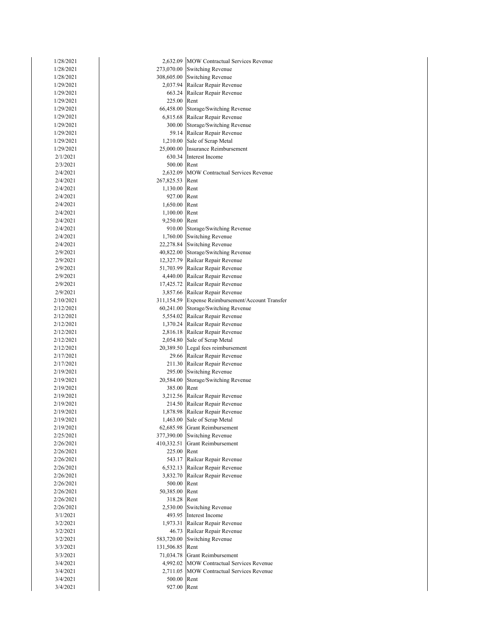| 1/28/2021              |             | 2,632.09 MOW Contractual Services Revenue                 |
|------------------------|-------------|-----------------------------------------------------------|
| 1/28/2021              |             | 273,070.00 Switching Revenue                              |
| 1/28/2021              | 308,605.00  | <b>Switching Revenue</b>                                  |
| 1/29/2021              |             | 2,037.94 Railcar Repair Revenue                           |
| 1/29/2021              | 663.24      | Railcar Repair Revenue                                    |
| 1/29/2021              | 225.00      | Rent                                                      |
| 1/29/2021              | 66,458.00   | Storage/Switching Revenue                                 |
| 1/29/2021              |             | 6,815.68 Railcar Repair Revenue                           |
| 1/29/2021              | 300.00      | Storage/Switching Revenue                                 |
| 1/29/2021              |             | 59.14 Railcar Repair Revenue                              |
| 1/29/2021              |             | 1,210.00 Sale of Scrap Metal                              |
| 1/29/2021              | 25,000.00   | Insurance Reimbursement                                   |
| 2/1/2021               |             | 630.34 Interest Income                                    |
| 2/3/2021               | 500.00      | Rent                                                      |
| 2/4/2021               | 2,632.09    | <b>MOW Contractual Services Revenue</b>                   |
| 2/4/2021               | 267,825.53  | Rent                                                      |
| 2/4/2021               | 1,130.00    | Rent                                                      |
| 2/4/2021               | 927.00      | Rent                                                      |
| 2/4/2021               | 1,650.00    | Rent                                                      |
| 2/4/2021               | 1,100.00    | Rent                                                      |
| 2/4/2021               | 9,250.00    | Rent                                                      |
| 2/4/2021               | 910.00      | Storage/Switching Revenue                                 |
| 2/4/2021               | 1,760.00    | <b>Switching Revenue</b>                                  |
| 2/4/2021               |             | 22,278.84 Switching Revenue                               |
| 2/9/2021               | 40,822.00   | Storage/Switching Revenue                                 |
| 2/9/2021               | 12,327.79   | Railcar Repair Revenue                                    |
| 2/9/2021               | 51,703.99   | Railcar Repair Revenue                                    |
| 2/9/2021               | 4,440.00    | Railcar Repair Revenue                                    |
| 2/9/2021               |             | 17,425.72 Railcar Repair Revenue                          |
| 2/9/2021               |             | 3,857.66 Railcar Repair Revenue                           |
| 2/10/2021              | 311,154.59  | Expense Reimbursement/Account Transfer                    |
| 2/12/2021              | 60,241.00   | Storage/Switching Revenue                                 |
| 2/12/2021              |             | 5,554.02 Railcar Repair Revenue                           |
| 2/12/2021              | 1,370.24    | Railcar Repair Revenue<br>2,816.18 Railcar Repair Revenue |
| 2/12/2021              |             |                                                           |
| 2/12/2021<br>2/12/2021 | 20,389.50   | 2,054.80 Sale of Scrap Metal                              |
| 2/17/2021              |             | Legal fees reimbursement<br>29.66 Railcar Repair Revenue  |
| 2/17/2021              |             | 211.30 Railcar Repair Revenue                             |
| 2/19/2021              | 295.00      | <b>Switching Revenue</b>                                  |
| 2/19/2021              | 20,584.00   | Storage/Switching Revenue                                 |
| 2/19/2021              | 385.00      | Rent                                                      |
| 2/19/2021              | 3,212.56    | Railcar Repair Revenue                                    |
| 2/19/2021              |             | 214.50 Railcar Repair Revenue                             |
| 2/19/2021              |             | 1,878.98 Railcar Repair Revenue                           |
| 2/19/2021              |             | 1,463.00 Sale of Scrap Metal                              |
| 2/19/2021              |             | 62,685.98 Grant Reimbursement                             |
| 2/25/2021              |             | 377,390.00 Switching Revenue                              |
| 2/26/2021              | 410,332.51  | Grant Reimbursement                                       |
| 2/26/2021              | 225.00      | Rent                                                      |
| 2/26/2021              |             | 543.17 Railcar Repair Revenue                             |
| 2/26/2021              |             | 6,532.13 Railcar Repair Revenue                           |
| 2/26/2021              | 3,832.70    | Railcar Repair Revenue                                    |
| 2/26/2021              | 500.00      | Rent                                                      |
| 2/26/2021              | 50,385.00   | Rent                                                      |
| 2/26/2021              | 318.28      | Rent                                                      |
| 2/26/2021              | 2,530.00    | <b>Switching Revenue</b>                                  |
| 3/1/2021               |             | 493.95 Interest Income                                    |
| 3/2/2021               | 1,973.31    | Railcar Repair Revenue                                    |
| 3/2/2021               |             | 46.73 Railcar Repair Revenue                              |
| 3/2/2021               | 583,720.00  | <b>Switching Revenue</b>                                  |
| 3/3/2021               | 131,506.85  | Rent                                                      |
| 3/3/2021               | 71,034.78   | <b>Grant Reimbursement</b>                                |
| 3/4/2021               |             | 4,992.02 MOW Contractual Services Revenue                 |
| 3/4/2021               |             | 2,711.05 MOW Contractual Services Revenue                 |
| 3/4/2021               | 500.00      | Rent                                                      |
| 3/4/2021               | 927.00 Rent |                                                           |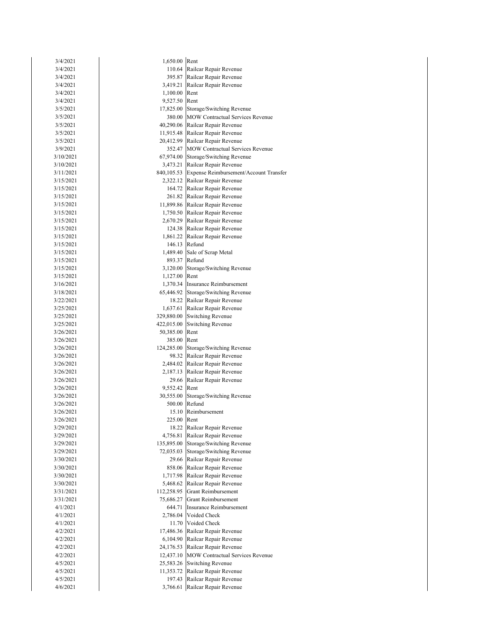| 3/4/2021               | 1,650.00 Rent |                                                   |
|------------------------|---------------|---------------------------------------------------|
| 3/4/2021               |               | 110.64 Railcar Repair Revenue                     |
| 3/4/2021               |               | 395.87 Railcar Repair Revenue                     |
| 3/4/2021               |               | 3,419.21 Railcar Repair Revenue                   |
| 3/4/2021               | 1,100.00      | Rent                                              |
| 3/4/2021               | 9,527.50 Rent |                                                   |
| 3/5/2021               |               | 17,825.00 Storage/Switching Revenue               |
| 3/5/2021               |               | 380.00 MOW Contractual Services Revenue           |
| 3/5/2021               |               | 40,290.06 Railcar Repair Revenue                  |
| 3/5/2021               |               | 11,915.48 Railcar Repair Revenue                  |
| 3/5/2021               |               | 20,412.99 Railcar Repair Revenue                  |
| 3/9/2021               |               | 352.47 MOW Contractual Services Revenue           |
| 3/10/2021              |               | 67,974.00 Storage/Switching Revenue               |
| 3/10/2021              |               | 3,473.21 Railcar Repair Revenue                   |
| 3/11/2021              |               | 840,105.53 Expense Reimbursement/Account Transfer |
| 3/15/2021              |               | 2,322.12 Railcar Repair Revenue                   |
| 3/15/2021              |               | 164.72 Railcar Repair Revenue                     |
| 3/15/2021              |               | 261.82 Railcar Repair Revenue                     |
| 3/15/2021              |               | 11,899.86 Railcar Repair Revenue                  |
| 3/15/2021              |               | 1,750.50 Railcar Repair Revenue                   |
| 3/15/2021              |               | 2,670.29 Railcar Repair Revenue                   |
| 3/15/2021              |               | 124.38 Railcar Repair Revenue                     |
| 3/15/2021              |               | 1,861.22 Railcar Repair Revenue                   |
| 3/15/2021              |               | 146.13 Refund<br>1,489.40 Sale of Scrap Metal     |
| 3/15/2021              |               | 893.37 Refund                                     |
| 3/15/2021<br>3/15/2021 |               | 3,120.00 Storage/Switching Revenue                |
| 3/15/2021              | 1,127.00 Rent |                                                   |
| 3/16/2021              |               | 1,370.34 Insurance Reimbursement                  |
| 3/18/2021              |               | 65,446.92 Storage/Switching Revenue               |
| 3/22/2021              |               | 18.22 Railcar Repair Revenue                      |
| 3/25/2021              |               | 1,637.61 Railcar Repair Revenue                   |
| 3/25/2021              |               | 329,880.00 Switching Revenue                      |
| 3/25/2021              | 422,015.00    | Switching Revenue                                 |
| 3/26/2021              | 50,385.00     | Rent                                              |
| 3/26/2021              | 385.00        | Rent                                              |
| 3/26/2021              |               | 124,285.00 Storage/Switching Revenue              |
| 3/26/2021              |               | 98.32 Railcar Repair Revenue                      |
| 3/26/2021              |               | 2,484.02 Railcar Repair Revenue                   |
| 3/26/2021              |               | 2,187.13 Railcar Repair Revenue                   |
| 3/26/2021              |               | 29.66 Railcar Repair Revenue                      |
| 3/26/2021              | 9,552.42 Rent |                                                   |
| 3/26/2021              |               | 30,555.00 Storage/Switching Revenue               |
| 3/26/2021              | 500.00        | Refund                                            |
| 3/26/2021              | 15.10         | Reimbursement                                     |
| 3/26/2021              | 225.00        | Rent                                              |
| 3/29/2021              | 18.22         | Railcar Repair Revenue                            |
| 3/29/2021              | 4,756.81      | Railcar Repair Revenue                            |
| 3/29/2021              |               | 135,895.00 Storage/Switching Revenue              |
| 3/29/2021              | 72,035.03     | Storage/Switching Revenue                         |
| 3/30/2021              |               | 29.66 Railcar Repair Revenue                      |
| 3/30/2021              | 858.06        | Railcar Repair Revenue                            |
| 3/30/2021              | 1,717.98      | Railcar Repair Revenue                            |
| 3/30/2021              | 5,468.62      | Railcar Repair Revenue                            |
| 3/31/2021              | 112,258.95    | Grant Reimbursement                               |
| 3/31/2021              | 75,686.27     | Grant Reimbursement                               |
| 4/1/2021<br>4/1/2021   | 644.71        | Insurance Reimbursement<br>2,786.04 Voided Check  |
|                        | 11.70         | Voided Check                                      |
| 4/1/2021<br>4/2/2021   | 17,486.36     | Railcar Repair Revenue                            |
| 4/2/2021               | 6,104.90      | Railcar Repair Revenue                            |
| 4/2/2021               | 24,176.53     | Railcar Repair Revenue                            |
| 4/2/2021               | 12,437.10     | MOW Contractual Services Revenue                  |
| 4/5/2021               | 25,583.26     | <b>Switching Revenue</b>                          |
| 4/5/2021               | 11,353.72     | Railcar Repair Revenue                            |
| 4/5/2021               | 197.43        | Railcar Repair Revenue                            |
| 4/6/2021               | 3,766.61      | Railcar Repair Revenue                            |
|                        |               |                                                   |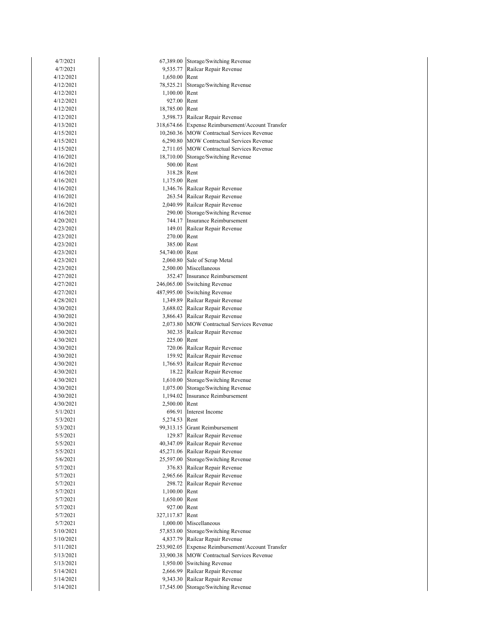| 4/7/2021  | 67,389.00     | Storage/Switching Revenue                  |
|-----------|---------------|--------------------------------------------|
| 4/7/2021  | 9,535.77      | Railcar Repair Revenue                     |
| 4/12/2021 | 1,650.00      | Rent                                       |
| 4/12/2021 | 78,525.21     | Storage/Switching Revenue                  |
| 4/12/2021 | 1,100.00      | Rent                                       |
| 4/12/2021 | 927.00        | Rent                                       |
| 4/12/2021 | 18,785.00     | Rent                                       |
| 4/12/2021 | 3,598.73      | Railcar Repair Revenue                     |
| 4/13/2021 | 318,674.66    | Expense Reimbursement/Account Transfer     |
| 4/15/2021 |               | 10,260.36 MOW Contractual Services Revenue |
| 4/15/2021 |               | 6,290.80 MOW Contractual Services Revenue  |
| 4/15/2021 | 2,711.05      | <b>MOW Contractual Services Revenue</b>    |
| 4/16/2021 | 18,710.00     | Storage/Switching Revenue                  |
| 4/16/2021 | 500.00        | Rent                                       |
| 4/16/2021 | 318.28        | Rent                                       |
| 4/16/2021 | 1,175.00      | Rent                                       |
| 4/16/2021 |               | 1,346.76 Railcar Repair Revenue            |
| 4/16/2021 | 263.54        | Railcar Repair Revenue                     |
| 4/16/2021 | 2,040.99      | Railcar Repair Revenue                     |
| 4/16/2021 |               | 290.00 Storage/Switching Revenue           |
| 4/20/2021 | 744.17        | Insurance Reimbursement                    |
| 4/23/2021 | 149.01        | Railcar Repair Revenue                     |
| 4/23/2021 | 270.00        | Rent                                       |
| 4/23/2021 | 385.00        | Rent                                       |
| 4/23/2021 | 54,740.00     | Rent                                       |
| 4/23/2021 | 2,060.80      | Sale of Scrap Metal                        |
| 4/23/2021 |               | 2,500.00 Miscellaneous                     |
| 4/27/2021 |               | 352.47 Insurance Reimbursement             |
| 4/27/2021 |               | 246,065.00 Switching Revenue               |
| 4/27/2021 |               | 487,995.00 Switching Revenue               |
| 4/28/2021 | 1,349.89      | Railcar Repair Revenue                     |
| 4/30/2021 |               | 3,688.02 Railcar Repair Revenue            |
| 4/30/2021 |               | 3,866.43 Railcar Repair Revenue            |
| 4/30/2021 | 2,073.80      | <b>MOW Contractual Services Revenue</b>    |
| 4/30/2021 | 302.35        | Railcar Repair Revenue                     |
| 4/30/2021 | 225.00        | Rent                                       |
| 4/30/2021 | 720.06        | Railcar Repair Revenue                     |
| 4/30/2021 |               | 159.92 Railcar Repair Revenue              |
| 4/30/2021 |               | 1,766.93 Railcar Repair Revenue            |
| 4/30/2021 | 18.22         | Railcar Repair Revenue                     |
| 4/30/2021 | 1,610.00      | Storage/Switching Revenue                  |
| 4/30/2021 | 1,075.00      | Storage/Switching Revenue                  |
| 4/30/2021 | 1,194.02      | <b>Insurance Reimbursement</b>             |
| 4/30/2021 | 2,500.00 Rent |                                            |
| 5/1/2021  |               | 696.91 Interest Income                     |
| 5/3/2021  | 5,274.53 Rent |                                            |
| 5/3/2021  | 99,313.15     | <b>Grant Reimbursement</b>                 |
| 5/5/2021  |               | 129.87 Railcar Repair Revenue              |
| 5/5/2021  | 40,347.09     | Railcar Repair Revenue                     |
| 5/5/2021  | 45,271.06     | Railcar Repair Revenue                     |
| 5/6/2021  | 25,597.00     | Storage/Switching Revenue                  |
| 5/7/2021  |               | 376.83 Railcar Repair Revenue              |
| 5/7/2021  |               | 2,965.66 Railcar Repair Revenue            |
| 5/7/2021  | 298.72        | Railcar Repair Revenue                     |
| 5/7/2021  | 1,100.00      | Rent                                       |
| 5/7/2021  | 1,650.00      | Rent                                       |
| 5/7/2021  | 927.00        | Rent                                       |
| 5/7/2021  | 327,117.87    | Rent                                       |
| 5/7/2021  | 1,000.00      | Miscellaneous                              |
| 5/10/2021 | 57,853.00     | Storage/Switching Revenue                  |
| 5/10/2021 | 4,837.79      | Railcar Repair Revenue                     |
| 5/11/2021 | 253,902.05    | Expense Reimbursement/Account Transfer     |
| 5/13/2021 | 33,900.38     | <b>MOW Contractual Services Revenue</b>    |
| 5/13/2021 | 1,950.00      | <b>Switching Revenue</b>                   |
| 5/14/2021 | 2,666.99      | Railcar Repair Revenue                     |
| 5/14/2021 | 9,343.30      | Railcar Repair Revenue                     |
| 5/14/2021 |               | 17,545.00 Storage/Switching Revenue        |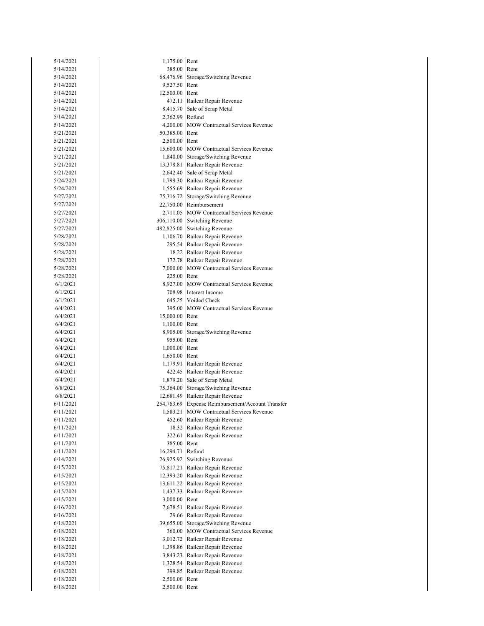| 5/14/2021              | 1,175.00 Rent           |                                                               |
|------------------------|-------------------------|---------------------------------------------------------------|
| 5/14/2021              | 385.00 Rent             |                                                               |
| 5/14/2021              |                         | 68,476.96 Storage/Switching Revenue                           |
| 5/14/2021              | 9,527.50 Rent           |                                                               |
| 5/14/2021              | 12,500.00 Rent          |                                                               |
| 5/14/2021              | 472.11                  | Railcar Repair Revenue                                        |
| 5/14/2021              |                         | 8,415.70 Sale of Scrap Metal                                  |
| 5/14/2021              | 2,362.99 Refund         |                                                               |
| 5/14/2021              |                         | 4,200.00 MOW Contractual Services Revenue                     |
| 5/21/2021              | 50,385.00 Rent          |                                                               |
| 5/21/2021              | 2,500.00 Rent           |                                                               |
| 5/21/2021              |                         | 15,600.00 MOW Contractual Services Revenue                    |
| 5/21/2021              |                         | 1,840.00 Storage/Switching Revenue                            |
| 5/21/2021              |                         | 13,378.81 Railcar Repair Revenue                              |
| 5/21/2021              |                         | 2,642.40 Sale of Scrap Metal                                  |
| 5/24/2021              |                         | 1,799.30 Railcar Repair Revenue                               |
| 5/24/2021              |                         | 1,555.69 Railcar Repair Revenue                               |
| 5/27/2021              |                         | 75,316.72 Storage/Switching Revenue                           |
| 5/27/2021              |                         | 22,750.00 Reimbursement                                       |
| 5/27/2021              |                         | 2,711.05 MOW Contractual Services Revenue                     |
| 5/27/2021              |                         | 306,110.00 Switching Revenue                                  |
| 5/27/2021              |                         | 482,825.00 Switching Revenue                                  |
| 5/28/2021              |                         | 1,106.70 Railcar Repair Revenue                               |
| 5/28/2021              |                         | 295.54 Railcar Repair Revenue                                 |
| 5/28/2021              |                         | 18.22 Railcar Repair Revenue<br>172.78 Railcar Repair Revenue |
| 5/28/2021              |                         | 7,000.00 MOW Contractual Services Revenue                     |
| 5/28/2021              |                         |                                                               |
| 5/28/2021              | 225.00 Rent             | 8,927.00 MOW Contractual Services Revenue                     |
| 6/1/2021<br>6/1/2021   |                         | 708.98 Interest Income                                        |
| 6/1/2021               |                         | 645.25 Voided Check                                           |
| 6/4/2021               |                         | 395.00 MOW Contractual Services Revenue                       |
| 6/4/2021               | 15,000.00 Rent          |                                                               |
| 6/4/2021               | 1,100.00 Rent           |                                                               |
| 6/4/2021               |                         | 8,905.00 Storage/Switching Revenue                            |
| 6/4/2021               | 955.00                  | Rent                                                          |
| 6/4/2021               | 1,000.00                | Rent                                                          |
| 6/4/2021               | 1,650.00 Rent           |                                                               |
| 6/4/2021               |                         | 1,179.91 Railcar Repair Revenue                               |
| 6/4/2021               |                         | 422.45 Railcar Repair Revenue                                 |
| 6/4/2021               |                         | 1,879.20 Sale of Scrap Metal                                  |
| 6/8/2021               |                         | 75,364.00 Storage/Switching Revenue                           |
| 6/8/2021               |                         | 12,681.49 Railcar Repair Revenue                              |
| 6/11/2021              |                         | 254,763.69 Expense Reimbursement/Account Transfer             |
| 6/11/2021              |                         | 1,583.21 MOW Contractual Services Revenue                     |
| 6/11/2021              |                         | 452.60 Railcar Repair Revenue                                 |
| 6/11/2021              |                         | 18.32 Railcar Repair Revenue                                  |
| 6/11/2021              |                         | 322.61 Railcar Repair Revenue                                 |
| 6/11/2021              | 385.00 Rent             |                                                               |
| 6/11/2021              | 16,294.71 Refund        |                                                               |
| 6/14/2021              |                         | 26,925.92 Switching Revenue                                   |
| 6/15/2021              |                         | 75,817.21 Railcar Repair Revenue                              |
| 6/15/2021              |                         | 12,393.20 Railcar Repair Revenue                              |
| 6/15/2021              |                         | 13,611.22 Railcar Repair Revenue                              |
| 6/15/2021              |                         | 1,437.33 Railcar Repair Revenue                               |
| 6/15/2021              | 3,000.00 Rent           |                                                               |
| 6/16/2021              |                         | 7,678.51 Railcar Repair Revenue                               |
| 6/16/2021              |                         | 29.66 Railcar Repair Revenue                                  |
| 6/18/2021              | 39,655.00               | Storage/Switching Revenue                                     |
| 6/18/2021              |                         | 360.00 MOW Contractual Services Revenue                       |
| 6/18/2021              |                         | 3,012.72 Railcar Repair Revenue                               |
| 6/18/2021              |                         | 1,398.86 Railcar Repair Revenue                               |
| 6/18/2021              |                         | 3,843.23 Railcar Repair Revenue                               |
| 6/18/2021              |                         | 1,328.54 Railcar Repair Revenue                               |
| 6/18/2021              | 399.85<br>2,500.00 Rent | Railcar Repair Revenue                                        |
| 6/18/2021<br>6/18/2021 |                         |                                                               |
|                        | 2,500.00 Rent           |                                                               |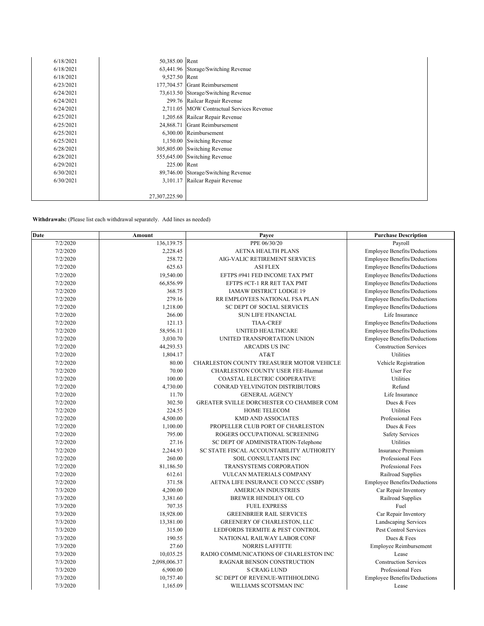| 6/18/2021 | 50,385.00 Rent |                                           |
|-----------|----------------|-------------------------------------------|
| 6/18/2021 |                | 63,441.96 Storage/Switching Revenue       |
| 6/18/2021 | 9,527.50 Rent  |                                           |
| 6/23/2021 |                | 177,704.57 Grant Reimbursement            |
| 6/24/2021 | 73,613.50      | Storage/Switching Revenue                 |
| 6/24/2021 |                | 299.76 Railcar Repair Revenue             |
| 6/24/2021 |                | 2.711.05 MOW Contractual Services Revenue |
| 6/25/2021 |                | 1,205.68 Railcar Repair Revenue           |
| 6/25/2021 | 24,868.71      | <b>Grant Reimbursement</b>                |
| 6/25/2021 |                | 6,300.00 Reimbursement                    |
| 6/25/2021 | 1,150.00       | <b>Switching Revenue</b>                  |
| 6/28/2021 | 305,805.00     | <b>Switching Revenue</b>                  |
| 6/28/2021 | 555,645.00     | <b>Switching Revenue</b>                  |
| 6/29/2021 | 225.00         | Rent                                      |
| 6/30/2021 | 89,746.00      | Storage/Switching Revenue                 |
| 6/30/2021 | 3.101.17       | Railcar Repair Revenue                    |
|           |                |                                           |
|           | 27,307,225.90  |                                           |

Withdrawals: (Please list each withdrawal separately. Add lines as needed)

| Date     | Amount       | Payee                                     | <b>Purchase Description</b>         |
|----------|--------------|-------------------------------------------|-------------------------------------|
| 7/2/2020 | 136,139.75   | PPE 06/30/20                              | Payroll                             |
| 7/2/2020 | 2,228.45     | AETNA HEALTH PLANS                        | <b>Employee Benefits/Deductions</b> |
| 7/2/2020 | 258.72       | AIG-VALIC RETIREMENT SERVICES             | <b>Employee Benefits/Deductions</b> |
| 7/2/2020 | 625.63       | <b>ASI FLEX</b>                           | <b>Employee Benefits/Deductions</b> |
| 7/2/2020 | 19,540.00    | EFTPS #941 FED INCOME TAX PMT             | <b>Employee Benefits/Deductions</b> |
| 7/2/2020 | 66,856.99    | EFTPS #CT-1 RR RET TAX PMT                | <b>Employee Benefits/Deductions</b> |
| 7/2/2020 | 368.75       | IAMAW DISTRICT LODGE 19                   | <b>Employee Benefits/Deductions</b> |
| 7/2/2020 | 279.16       | RR EMPLOYEES NATIONAL FSA PLAN            | <b>Employee Benefits/Deductions</b> |
| 7/2/2020 | 1,218.00     | SC DEPT OF SOCIAL SERVICES                | <b>Employee Benefits/Deductions</b> |
| 7/2/2020 | 266.00       | <b>SUN LIFE FINANCIAL</b>                 | Life Insurance                      |
| 7/2/2020 | 121.13       | <b>TIAA-CREF</b>                          | <b>Employee Benefits/Deductions</b> |
| 7/2/2020 | 58,956.11    | UNITED HEALTHCARE                         | Employee Benefits/Deductions        |
| 7/2/2020 | 3,030.70     | UNITED TRANSPORTATION UNION               | <b>Employee Benefits/Deductions</b> |
| 7/2/2020 | 44,293.53    | <b>ARCADIS US INC</b>                     | <b>Construction Services</b>        |
| 7/2/2020 | 1,804.17     | AT&T                                      | Utilities                           |
| 7/2/2020 | 80.00        | CHARLESTON COUNTY TREASURER MOTOR VEHICLE | Vehicle Registration                |
| 7/2/2020 | 70.00        | CHARLESTON COUNTY USER FEE-Hazmat         | User Fee                            |
| 7/2/2020 | 100.00       | COASTAL ELECTRIC COOPERATIVE              | <b>Utilities</b>                    |
| 7/2/2020 | 4,730.00     | CONRAD YELVINGTON DISTRIBUTORS            | Refund                              |
| 7/2/2020 | 11.70        | <b>GENERAL AGENCY</b>                     | Life Insurance                      |
| 7/2/2020 | 302.50       | GREATER SVILLE DORCHESTER CO CHAMBER COM  | Dues & Fees                         |
| 7/2/2020 | 224.55       | <b>HOME TELECOM</b>                       | Utilities                           |
| 7/2/2020 | 4,500.00     | KMD AND ASSOCIATES                        | Professional Fees                   |
| 7/2/2020 | 1,100.00     | PROPELLER CLUB PORT OF CHARLESTON         | Dues & Fees                         |
| 7/2/2020 | 795.00       | ROGERS OCCUPATIONAL SCREENING             | <b>Safety Services</b>              |
| 7/2/2020 | 27.16        | SC DEPT OF ADMINISTRATION-Telephone       | Utilities                           |
| 7/2/2020 | 2,244.93     | SC STATE FISCAL ACCOUNTABILITY AUTHORITY  | <b>Insurance Premium</b>            |
| 7/2/2020 | 260.00       | SOIL CONSULTANTS INC                      | Professional Fees                   |
| 7/2/2020 | 81,186.50    | TRANSYSTEMS CORPORATION                   | Professional Fees                   |
| 7/2/2020 | 612.61       | VULCAN MATERIALS COMPANY                  | Railroad Supplies                   |
| 7/2/2020 | 371.58       | AETNA LIFE INSURANCE CO NCCC (SSBP)       | <b>Employee Benefits/Deductions</b> |
| 7/3/2020 | 4,200.00     | <b>AMERICAN INDUSTRIES</b>                | Car Repair Inventory                |
| 7/3/2020 | 3,381.60     | BREWER HENDLEY OIL CO                     | Railroad Supplies                   |
| 7/3/2020 | 707.35       | <b>FUEL EXPRESS</b>                       | Fuel                                |
| 7/3/2020 | 18,928.00    | <b>GREENBRIER RAIL SERVICES</b>           | Car Repair Inventory                |
| 7/3/2020 | 13,381.00    | <b>GREENERY OF CHARLESTON, LLC</b>        | Landscaping Services                |
| 7/3/2020 | 315.00       | LEDFORDS TERMITE & PEST CONTROL           | Pest Control Services               |
| 7/3/2020 | 190.55       | NATIONAL RAILWAY LABOR CONF               | Dues & Fees                         |
| 7/3/2020 | 27.60        | <b>NORRIS LAFFITTE</b>                    | Employee Reimbursement              |
| 7/3/2020 | 10,035.25    | RADIO COMMUNICATIONS OF CHARLESTON INC    | Lease                               |
| 7/3/2020 | 2,098,006.37 | RAGNAR BENSON CONSTRUCTION                | <b>Construction Services</b>        |
| 7/3/2020 | 6,900.00     | <b>S CRAIG LUND</b>                       | Professional Fees                   |
| 7/3/2020 | 10,757.40    | SC DEPT OF REVENUE-WITHHOLDING            | <b>Employee Benefits/Deductions</b> |
| 7/3/2020 | 1,165.09     | WILLIAMS SCOTSMAN INC                     | Lease                               |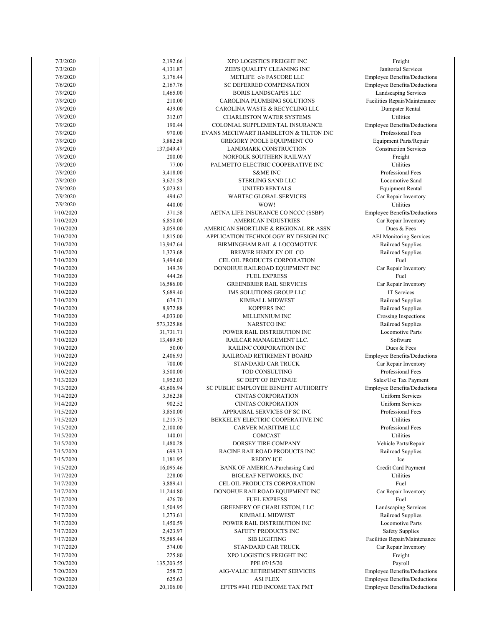| 7/3/2020  | 2,192.66   | XPO LOGISTICS FREIGHT INC             | Freight                    |
|-----------|------------|---------------------------------------|----------------------------|
| 7/3/2020  | 4,131.87   | ZEB'S QUALITY CLEANING INC            | Janitorial Services        |
| 7/6/2020  | 3,176.44   | METLIFE c/o FASCORE LLC               | Employee Benefits/Ded      |
| 7/6/2020  | 2,167.76   | SC DEFERRED COMPENSATION              | Employee Benefits/Ded      |
| 7/9/2020  | 1,465.00   | <b>BORIS LANDSCAPES LLC</b>           | Landscaping Servic         |
| 7/9/2020  | 210.00     | CAROLINA PLUMBING SOLUTIONS           | Facilities Repair/Mainte   |
|           | 439.00     |                                       | Dumpster Rental            |
| 7/9/2020  |            | CAROLINA WASTE & RECYCLING LLC        |                            |
| 7/9/2020  | 312.07     | CHARLESTON WATER SYSTEMS              | Utilities                  |
| 7/9/2020  | 190.44     | COLONIAL SUPPLEMENTAL INSURANCE       | Employee Benefits/Ded      |
| 7/9/2020  | 970.00     | EVANS MECHWART HAMBLETON & TILTON INC | Professional Fees          |
| 7/9/2020  | 3,882.58   | GREGORY POOLE EQUIPMENT CO            | Equipment Parts/Rep        |
| 7/9/2020  | 137,049.47 | LANDMARK CONSTRUCTION                 | Construction Servic        |
| 7/9/2020  | 200.00     | NORFOLK SOUTHERN RAILWAY              | Freight                    |
| 7/9/2020  | 77.00      | PALMETTO ELECTRIC COOPERATIVE INC     | Utilities                  |
| 7/9/2020  | 3,418.00   | <b>S&amp;ME INC</b>                   | Professional Fees          |
| 7/9/2020  | 3,621.58   | STERLING SAND LLC                     | Locomotive Sand            |
| 7/9/2020  | 5,023.81   | UNITED RENTALS                        | Equipment Rental           |
|           | 494.62     |                                       |                            |
| 7/9/2020  |            | WABTEC GLOBAL SERVICES                | Car Repair Invento         |
| 7/9/2020  | 440.00     | WOW!                                  | Utilities                  |
| 7/10/2020 | 371.58     | AETNA LIFE INSURANCE CO NCCC (SSBP)   | Employee Benefits/Ded      |
| 7/10/2020 | 6,850.00   | <b>AMERICAN INDUSTRIES</b>            | Car Repair Invento         |
| 7/10/2020 | 3,059.00   | AMERICAN SHORTLINE & REGIONAL RR ASSN | Dues & Fees                |
| 7/10/2020 | 1,815.00   | APPLICATION TECHNOLOGY BY DESIGN INC  | <b>AEI</b> Monitoring Serv |
| 7/10/2020 | 13,947.64  | BIRMINGHAM RAIL & LOCOMOTIVE          | Railroad Supplies          |
| 7/10/2020 | 1,323.68   | BREWER HENDLEY OIL CO                 | Railroad Supplies          |
| 7/10/2020 | 3,494.60   | CEL OIL PRODUCTS CORPORATION          | Fuel                       |
| 7/10/2020 | 149.39     | DONOHUE RAILROAD EQUIPMENT INC        | Car Repair Invento         |
| 7/10/2020 | 444.26     | <b>FUEL EXPRESS</b>                   | Fuel                       |
| 7/10/2020 | 16,586.00  | <b>GREENBRIER RAIL SERVICES</b>       | Car Repair Invento         |
|           |            |                                       |                            |
| 7/10/2020 | 5,689.40   | IMS SOLUTIONS GROUP LLC               | IT Services                |
| 7/10/2020 | 674.71     | KIMBALL MIDWEST                       | Railroad Supplies          |
| 7/10/2020 | 8,972.88   | KOPPERS INC                           | Railroad Supplies          |
| 7/10/2020 | 4,033.00   | MILLENNIUM INC                        | Crossing Inspection        |
| 7/10/2020 | 573,325.86 | <b>NARSTCO INC</b>                    | Railroad Supplies          |
| 7/10/2020 | 31,731.71  | POWER RAIL DISTRIBUTION INC           | Locomotive Parts           |
| 7/10/2020 | 13,489.50  | RAILCAR MANAGEMENT LLC.               | Software                   |
| 7/10/2020 | 50.00      | RAILINC CORPORATION INC               | Dues & Fees                |
| 7/10/2020 | 2,406.93   | RAILROAD RETIREMENT BOARD             | Employee Benefits/Ded      |
| 7/10/2020 | 700.00     | STANDARD CAR TRUCK                    | Car Repair Invento         |
| 7/10/2020 | 3,500.00   | TOD CONSULTING                        | Professional Fees          |
| 7/13/2020 | 1,952.03   | <b>SC DEPT OF REVENUE</b>             | Sales/Use Tax Paym         |
|           |            |                                       |                            |
| 7/13/2020 | 43,606.94  | SC PUBLIC EMPLOYEE BENEFIT AUTHORITY  | Employee Benefits/Ded      |
| 7/14/2020 | 3,362.38   | <b>CINTAS CORPORATION</b>             | Uniform Services           |
| 7/14/2020 | 902.52     | CINTAS CORPORATION                    | <b>Uniform Services</b>    |
| 7/15/2020 | 3,850.00   | APPRAISAL SERVICES OF SC INC          | Professional Fees          |
| 7/15/2020 | 1,215.75   | BERKELEY ELECTRIC COOPERATIVE INC     | Utilities                  |
| 7/15/2020 | 2,100.00   | CARVER MARITIME LLC                   | Professional Fees          |
| 7/15/2020 | 140.01     | COMCAST                               | Utilities                  |
| 7/15/2020 | 1,480.28   | DORSEY TIRE COMPANY                   | Vehicle Parts/Repa         |
| 7/15/2020 | 699.33     | RACINE RAILROAD PRODUCTS INC          | Railroad Supplies          |
| 7/15/2020 | 1,181.95   | <b>REDDY ICE</b>                      | Ice                        |
| 7/15/2020 | 16,095.46  |                                       | Credit Card Payme          |
|           |            | BANK OF AMERICA-Purchasing Card       |                            |
| 7/17/2020 | 228.00     | <b>BIGLEAF NETWORKS, INC</b>          | Utilities                  |
| 7/17/2020 | 3,889.41   | CEL OIL PRODUCTS CORPORATION          | Fuel                       |
| 7/17/2020 | 11,244.80  | DONOHUE RAILROAD EQUIPMENT INC        | Car Repair Invento         |
| 7/17/2020 | 426.70     | <b>FUEL EXPRESS</b>                   | Fuel                       |
| 7/17/2020 | 1,504.95   | GREENERY OF CHARLESTON, LLC           | Landscaping Servic         |
| 7/17/2020 | 1,273.61   | KIMBALL MIDWEST                       | Railroad Supplies          |
| 7/17/2020 | 1,450.59   | POWER RAIL DISTRIBUTION INC           | Locomotive Parts           |
| 7/17/2020 | 2,423.97   | SAFETY PRODUCTS INC                   | Safety Supplies            |
| 7/17/2020 | 75,585.44  | <b>SIB LIGHTING</b>                   | Facilities Repair/Mainte   |
| 7/17/2020 | 574.00     | STANDARD CAR TRUCK                    | Car Repair Invento         |
| 7/17/2020 | 225.80     | XPO LOGISTICS FREIGHT INC             | Freight                    |
|           |            |                                       |                            |
| 7/20/2020 | 135,203.55 | PPE 07/15/20                          | Payroll                    |
| 7/20/2020 | 258.72     | AIG-VALIC RETIREMENT SERVICES         | Employee Benefits/Ded      |
| 7/20/2020 | 625.63     | <b>ASI FLEX</b>                       | Employee Benefits/Ded      |
| 7/20/2020 | 20,106.00  | EFTPS #941 FED INCOME TAX PMT         | Employee Benefits/Ded      |

ployee Benefits/Deductions ployee Benefits/Deductions ployee Benefits/Deductions Car Repair Inventory Safety Supplies cilities Repair/Maintenance Railroad Supplies Locomotive Parts Landscaping Services Car Repair Inventory Credit Card Payment Railroad Supplies Vehicle Parts/Repair Professional Fees Professional Fees ployee Benefits/Deductions Uniform Services Professional Fees Sales/Use Tax Payment ployee Benefits/Deductions Car Repair Inventory Railroad Supplies Locomotive Parts Railroad Supplies Crossing Inspections Railroad Supplies Car Repair Inventory Car Repair Inventory Railroad Supplies Railroad Supplies **AEI Monitoring Services** ployee Benefits/Deductions Car Repair Inventory Car Repair Inventory Locomotive Sand Equipment Rental Professional Fees **Construction Services** Professional Fees Equipment Parts/Repair ployee Benefits/Deductions cilities Repair/Maintenance Dumpster Rental ployee Benefits/Deductions Landscaping Services Janitorial Services ployee Benefits/Deductions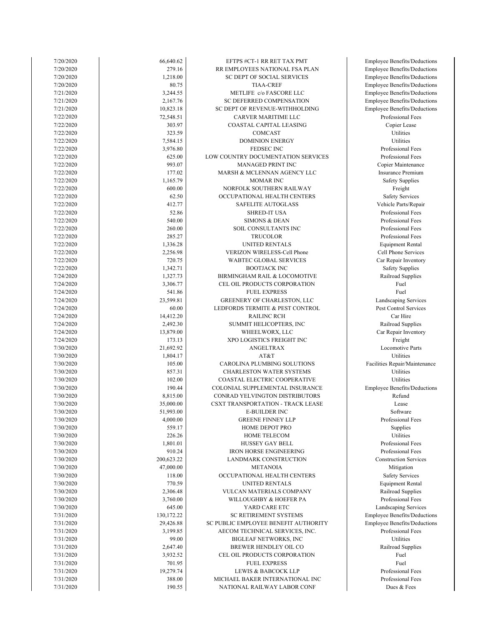| 7/20/2020 | 66,640.62  | EFTPS #CT-1 RR RET TAX PMT               | <b>Employee Benefits/Deductions</b> |
|-----------|------------|------------------------------------------|-------------------------------------|
| 7/20/2020 | 279.16     | RR EMPLOYEES NATIONAL FSA PLAN           | <b>Employee Benefits/Deductions</b> |
| 7/20/2020 | 1,218.00   | SC DEPT OF SOCIAL SERVICES               | <b>Employee Benefits/Deductions</b> |
|           |            |                                          |                                     |
| 7/20/2020 | 80.75      | <b>TIAA-CREF</b>                         | <b>Employee Benefits/Deductions</b> |
| 7/21/2020 | 3,244.55   | METLIFE c/o FASCORE LLC                  | Employee Benefits/Deductions        |
| 7/21/2020 | 2,167.76   | SC DEFERRED COMPENSATION                 | Employee Benefits/Deductions        |
| 7/21/2020 | 10,823.18  | SC DEPT OF REVENUE-WITHHOLDING           | Employee Benefits/Deductions        |
| 7/22/2020 | 72,548.51  | CARVER MARITIME LLC                      | Professional Fees                   |
|           |            |                                          |                                     |
| 7/22/2020 | 303.97     | COASTAL CAPITAL LEASING                  | Copier Lease                        |
| 7/22/2020 | 323.59     | COMCAST                                  | Utilities                           |
| 7/22/2020 | 7,584.15   | <b>DOMINION ENERGY</b>                   | Utilities                           |
| 7/22/2020 | 3,976.80   | FEDSEC INC                               | Professional Fees                   |
| 7/22/2020 | 625.00     | LOW COUNTRY DOCUMENTATION SERVICES       | Professional Fees                   |
|           |            |                                          |                                     |
| 7/22/2020 | 993.07     | <b>MANAGED PRINT INC</b>                 | Copier Maintenance                  |
| 7/22/2020 | 177.02     | MARSH & MCLENNAN AGENCY LLC              | <b>Insurance Premium</b>            |
| 7/22/2020 | 1,165.79   | <b>MOMAR INC</b>                         | <b>Safety Supplies</b>              |
| 7/22/2020 | 600.00     | NORFOLK SOUTHERN RAILWAY                 | Freight                             |
|           |            |                                          |                                     |
| 7/22/2020 | 62.50      | OCCUPATIONAL HEALTH CENTERS              | <b>Safety Services</b>              |
| 7/22/2020 | 412.77     | <b>SAFELITE AUTOGLASS</b>                | Vehicle Parts/Repair                |
| 7/22/2020 | 52.86      | <b>SHRED-IT USA</b>                      | Professional Fees                   |
| 7/22/2020 | 540.00     | <b>SIMONS &amp; DEAN</b>                 | Professional Fees                   |
|           |            |                                          |                                     |
| 7/22/2020 | 260.00     | SOIL CONSULTANTS INC                     | Professional Fees                   |
| 7/22/2020 | 285.27     | <b>TRUCOLOR</b>                          | Professional Fees                   |
| 7/22/2020 | 1,336.28   | UNITED RENTALS                           | <b>Equipment Rental</b>             |
| 7/22/2020 | 2,256.98   | VERIZON WIRELESS-Cell Phone              | Cell Phone Services                 |
| 7/22/2020 | 720.75     | WABTEC GLOBAL SERVICES                   | Car Repair Inventory                |
|           |            |                                          |                                     |
| 7/22/2020 | 1,342.71   | <b>BOOTJACK INC</b>                      | <b>Safety Supplies</b>              |
| 7/24/2020 | 1,327.73   | BIRMINGHAM RAIL & LOCOMOTIVE             | Railroad Supplies                   |
| 7/24/2020 | 3,306.77   | CEL OIL PRODUCTS CORPORATION             | Fuel                                |
| 7/24/2020 | 541.86     | <b>FUEL EXPRESS</b>                      | Fuel                                |
| 7/24/2020 | 23,599.81  | GREENERY OF CHARLESTON, LLC              | Landscaping Services                |
|           |            |                                          |                                     |
| 7/24/2020 | 60.00      | LEDFORDS TERMITE & PEST CONTROL          | Pest Control Services               |
| 7/24/2020 | 14,412.20  | <b>RAILINC RCH</b>                       | Car Hire                            |
| 7/24/2020 | 2,492.30   | SUMMIT HELICOPTERS, INC                  | Railroad Supplies                   |
| 7/24/2020 | 13,879.00  | WHEELWORX, LLC                           | Car Repair Inventory                |
|           |            |                                          |                                     |
| 7/24/2020 | 173.13     | XPO LOGISTICS FREIGHT INC                | Freight                             |
| 7/30/2020 | 21,692.92  | ANGELTRAX                                | Locomotive Parts                    |
| 7/30/2020 | 1,804.17   | AT&T                                     | Utilities                           |
| 7/30/2020 | 105.00     | CAROLINA PLUMBING SOLUTIONS              | Facilities Repair/Maintenance       |
| 7/30/2020 | 857.31     | <b>CHARLESTON WATER SYSTEMS</b>          | Utilities                           |
|           |            |                                          |                                     |
| 7/30/2020 | 102.00     | COASTAL ELECTRIC COOPERATIVE             | Utilities                           |
| 7/30/2020 | 190.44     | COLONIAL SUPPLEMENTAL INSURANCE          | Employee Benefits/Deductions        |
| 7/30/2020 | 8,815.00   | CONRAD YELVINGTON DISTRIBUTORS           | Refund                              |
| 7/30/2020 | 35,000.00  | <b>CSXT TRANSPORTATION - TRACK LEASE</b> | Lease                               |
|           |            |                                          |                                     |
| 7/30/2020 | 51,993.00  | E-BUILDER INC                            | Software                            |
| 7/30/2020 | 4,000.00   | <b>GREENE FINNEY LLP</b>                 | Professional Fees                   |
| 7/30/2020 | 559.17     | HOME DEPOT PRO                           | Supplies                            |
| 7/30/2020 | 226.26     | HOME TELECOM                             | Utilities                           |
| 7/30/2020 | 1,801.01   | HUSSEY GAY BELL                          | Professional Fees                   |
| 7/30/2020 | 910.24     | <b>IRON HORSE ENGINEERING</b>            | Professional Fees                   |
|           |            |                                          |                                     |
| 7/30/2020 | 200,623.22 | LANDMARK CONSTRUCTION                    | <b>Construction Services</b>        |
| 7/30/2020 | 47,000.00  | <b>METANOIA</b>                          | Mitigation                          |
| 7/30/2020 | 118.00     | OCCUPATIONAL HEALTH CENTERS              | <b>Safety Services</b>              |
| 7/30/2020 | 770.59     | <b>UNITED RENTALS</b>                    | <b>Equipment Rental</b>             |
|           |            |                                          |                                     |
| 7/30/2020 | 2,306.48   | VULCAN MATERIALS COMPANY                 | Railroad Supplies                   |
| 7/30/2020 | 3,760.00   | WILLOUGHBY & HOEFER PA                   | Professional Fees                   |
| 7/30/2020 | 645.00     | YARD CARE ETC                            | Landscaping Services                |
| 7/31/2020 | 130,172.22 | SC RETIREMENT SYSTEMS                    | <b>Employee Benefits/Deductions</b> |
| 7/31/2020 | 29,426.88  | SC PUBLIC EMPLOYEE BENEFIT AUTHORITY     | <b>Employee Benefits/Deductions</b> |
|           |            |                                          |                                     |
| 7/31/2020 | 3,199.85   | AECOM TECHNICAL SERVICES, INC.           | Professional Fees                   |
| 7/31/2020 | 99.00      | <b>BIGLEAF NETWORKS, INC</b>             | Utilities                           |
| 7/31/2020 | 2,647.40   | BREWER HENDLEY OIL CO                    | Railroad Supplies                   |
| 7/31/2020 | 3,932.52   | CEL OIL PRODUCTS CORPORATION             | Fuel                                |
| 7/31/2020 | 701.95     | <b>FUEL EXPRESS</b>                      | Fuel                                |
|           |            |                                          |                                     |
| 7/31/2020 | 19,279.74  | LEWIS & BABCOCK LLP                      | Professional Fees                   |
| 7/31/2020 | 388.00     | MICHAEL BAKER INTERNATIONAL INC          | Professional Fees                   |
| 7/31/2020 | 190.55     | NATIONAL RAILWAY LABOR CONF              | Dues & Fees                         |
|           |            |                                          |                                     |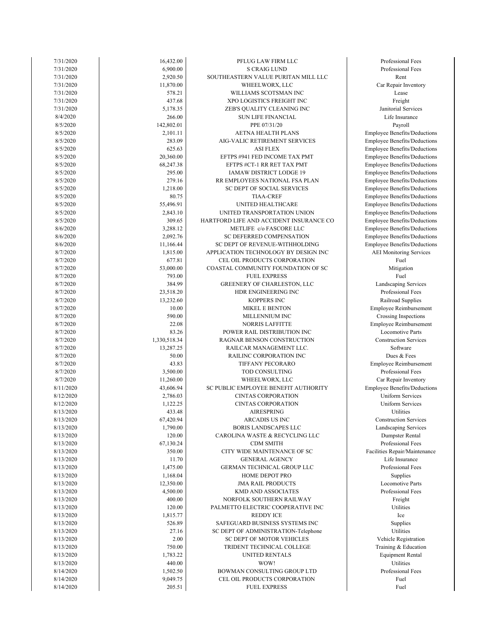| 7/31/2020 | 16,432.00    | PFLUG LAW FIRM LLC                      | Professional Fees        |
|-----------|--------------|-----------------------------------------|--------------------------|
| 7/31/2020 | 6,900.00     | <b>S CRAIG LUND</b>                     | Professional Fees        |
| 7/31/2020 | 2,920.50     | SOUTHEASTERN VALUE PURITAN MILL LLC     | Rent                     |
| 7/31/2020 | 11,870.00    | WHEELWORX, LLC                          | Car Repair Inventor      |
| 7/31/2020 | 578.21       | WILLIAMS SCOTSMAN INC                   | Lease                    |
|           |              |                                         |                          |
| 7/31/2020 | 437.68       | XPO LOGISTICS FREIGHT INC               | Freight                  |
| 7/31/2020 | 5,178.35     | ZEB'S QUALITY CLEANING INC              | Janitorial Services      |
| 8/4/2020  | 266.00       | <b>SUN LIFE FINANCIAL</b>               | Life Insurance           |
| 8/5/2020  | 142,802.01   | PPE 07/31/20                            | Payroll                  |
| 8/5/2020  | 2,101.11     | AETNA HEALTH PLANS                      | Employee Benefits/Dedu   |
| 8/5/2020  | 283.09       | AIG-VALIC RETIREMENT SERVICES           | Employee Benefits/Dedu   |
|           |              |                                         |                          |
| 8/5/2020  | 625.63       | <b>ASI FLEX</b>                         | Employee Benefits/Dedu   |
| 8/5/2020  | 20,360.00    | EFTPS #941 FED INCOME TAX PMT           | Employee Benefits/Dedu   |
| 8/5/2020  | 68,247.38    | EFTPS #CT-1 RR RET TAX PMT              | Employee Benefits/Dedu   |
| 8/5/2020  | 295.00       | IAMAW DISTRICT LODGE 19                 | Employee Benefits/Dedu   |
| 8/5/2020  | 279.16       | RR EMPLOYEES NATIONAL FSA PLAN          | Employee Benefits/Dedu   |
| 8/5/2020  | 1,218.00     | SC DEPT OF SOCIAL SERVICES              |                          |
|           |              |                                         | Employee Benefits/Dedu   |
| 8/5/2020  | 80.75        | <b>TIAA-CREF</b>                        | Employee Benefits/Dedu   |
| 8/5/2020  | 55,496.91    | UNITED HEALTHCARE                       | Employee Benefits/Dedu   |
| 8/5/2020  | 2,843.10     | UNITED TRANSPORTATION UNION             | Employee Benefits/Dedu   |
| 8/5/2020  | 309.65       | HARTFORD LIFE AND ACCIDENT INSURANCE CO | Employee Benefits/Dedu   |
| 8/6/2020  | 3,288.12     | METLIFE c/o FASCORE LLC                 | Employee Benefits/Dedu   |
|           |              | SC DEFERRED COMPENSATION                |                          |
| 8/6/2020  | 2,092.76     |                                         | Employee Benefits/Dedu   |
| 8/6/2020  | 11,166.44    | SC DEPT OF REVENUE-WITHHOLDING          | Employee Benefits/Dedu   |
| 8/7/2020  | 1,815.00     | APPLICATION TECHNOLOGY BY DESIGN INC    | AEI Monitoring Servi     |
| 8/7/2020  | 677.81       | CEL OIL PRODUCTS CORPORATION            | Fuel                     |
| 8/7/2020  | 53,000.00    | COASTAL COMMUNITY FOUNDATION OF SC      | Mitigation               |
| 8/7/2020  | 793.00       | <b>FUEL EXPRESS</b>                     | Fuel                     |
|           | 384.99       |                                         |                          |
| 8/7/2020  |              | GREENERY OF CHARLESTON, LLC             | Landscaping Servic       |
| 8/7/2020  | 23,518.20    | HDR ENGINEERING INC                     | Professional Fees        |
| 8/7/2020  | 13,232.60    | KOPPERS INC                             | Railroad Supplies        |
| 8/7/2020  | 10.00        | <b>MIKEL E BENTON</b>                   | Employee Reimburser      |
| 8/7/2020  | 590.00       | MILLENNIUM INC                          | Crossing Inspection      |
| 8/7/2020  | 22.08        | <b>NORRIS LAFFITTE</b>                  | Employee Reimburser      |
|           |              |                                         |                          |
| 8/7/2020  | 83.26        | POWER RAIL DISTRIBUTION INC             | Locomotive Parts         |
| 8/7/2020  | 1,330,518.34 | RAGNAR BENSON CONSTRUCTION              | Construction Service     |
| 8/7/2020  | 13,287.25    | RAILCAR MANAGEMENT LLC.                 | Software                 |
| 8/7/2020  | 50.00        | RAILINC CORPORATION INC                 | Dues & Fees              |
| 8/7/2020  | 43.83        | TIFFANY PECORARO                        | Employee Reimburser      |
| 8/7/2020  | 3,500.00     | TOD CONSULTING                          | Professional Fees        |
|           |              |                                         |                          |
| 8/7/2020  | 11,260.00    | WHEELWORX, LLC                          | Car Repair Inventor      |
| 8/11/2020 | 43,606.94    | SC PUBLIC EMPLOYEE BENEFIT AUTHORITY    | Employee Benefits/Dedu   |
| 8/12/2020 | 2,786.03     | <b>CINTAS CORPORATION</b>               | <b>Uniform Services</b>  |
| 8/12/2020 | 1,122.25     | <b>CINTAS CORPORATION</b>               | <b>Uniform Services</b>  |
| 8/13/2020 | 433.48       | AIRESPRING                              | Utilities                |
| 8/13/2020 | 67,420.94    | ARCADIS US INC                          | Construction Servic      |
|           |              |                                         |                          |
| 8/13/2020 | 1,790.00     | <b>BORIS LANDSCAPES LLC</b>             | Landscaping Service      |
| 8/13/2020 | 120.00       | CAROLINA WASTE & RECYCLING LLC          | Dumpster Rental          |
| 8/13/2020 | 67,130.24    | <b>CDM SMITH</b>                        | Professional Fees        |
| 8/13/2020 | 350.00       | CITY WIDE MAINTENANCE OF SC             | Facilities Repair/Mainte |
| 8/13/2020 | 11.70        | <b>GENERAL AGENCY</b>                   | Life Insurance           |
| 8/13/2020 | 1,475.00     | GERMAN TECHNICAL GROUP LLC              | Professional Fees        |
|           |              |                                         |                          |
| 8/13/2020 | 1,168.04     | HOME DEPOT PRO                          | Supplies                 |
| 8/13/2020 | 12,350.00    | <b>JMA RAIL PRODUCTS</b>                | Locomotive Parts         |
| 8/13/2020 | 4,500.00     | <b>KMD AND ASSOCIATES</b>               | Professional Fees        |
| 8/13/2020 | 400.00       | NORFOLK SOUTHERN RAILWAY                | Freight                  |
| 8/13/2020 | 120.00       | PALMETTO ELECTRIC COOPERATIVE INC       | Utilities                |
| 8/13/2020 | 1,815.77     | <b>REDDY ICE</b>                        | Ice                      |
|           |              |                                         |                          |
| 8/13/2020 | 526.89       | SAFEGUARD BUSINESS SYSTEMS INC          | Supplies                 |
| 8/13/2020 | 27.16        | SC DEPT OF ADMINISTRATION-Telephone     | Utilities                |
| 8/13/2020 | 2.00         | SC DEPT OF MOTOR VEHICLES               | Vehicle Registration     |
| 8/13/2020 | 750.00       | TRIDENT TECHNICAL COLLEGE               | Training & Educatio      |
| 8/13/2020 | 1,783.22     | UNITED RENTALS                          | <b>Equipment Rental</b>  |
|           | 440.00       |                                         | Utilities                |
| 8/13/2020 |              | WOW!                                    |                          |
| 8/14/2020 | 1,502.50     | BOWMAN CONSULTING GROUP LTD             | Professional Fees        |
| 8/14/2020 | 9,049.75     | CEL OIL PRODUCTS CORPORATION            | Fuel                     |
| 8/14/2020 | 205.51       | <b>FUEL EXPRESS</b>                     | Fuel                     |
|           |              |                                         |                          |

Professional Fees Training & Education Equipment Rental Vehicle Registration Locomotive Parts Professional Fees Professional Fees Facilities Repair/Maintenance Life Insurance Dumpster Rental Professional Fees Construction Services Landscaping Services **Uniform Services** Employee Benefits/Deductions Uniform Services Professional Fees Car Repair Inventory Employee Reimbursement Construction Services Employee Reimbursement Locomotive Parts Employee Reimbursement Crossing Inspections Professional Fees Railroad Supplies Landscaping Services Employee Benefits/Deductions AEI Monitoring Services Employee Benefits/Deductions Employee Benefits/Deductions Employee Benefits/Deductions Employee Benefits/Deductions Employee Benefits/Deductions Employee Benefits/Deductions Employee Benefits/Deductions Employee Benefits/Deductions Employee Benefits/Deductions Employee Benefits/Deductions Employee Benefits/Deductions Employee Benefits/Deductions Employee Benefits/Deductions Employee Benefits/Deductions Life Insurance Janitorial Services Car Repair Inventory Professional Fees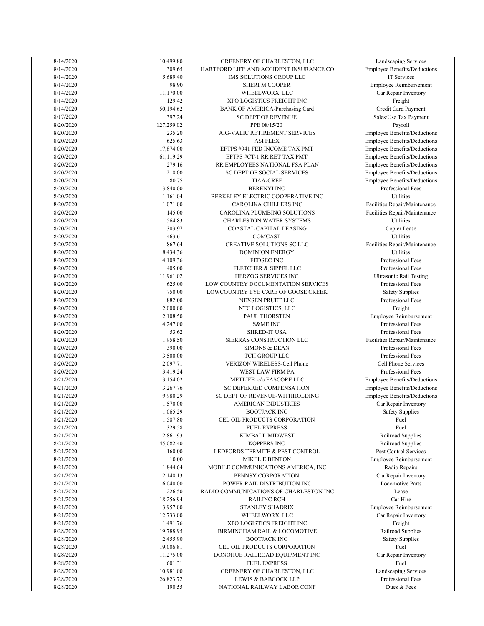| 8/14/2020 | 10,499.80  | GREENERY OF CHARLESTON, LLC             | Landscaping Services           |
|-----------|------------|-----------------------------------------|--------------------------------|
| 8/14/2020 | 309.65     | HARTFORD LIFE AND ACCIDENT INSURANCE CO | Employee Benefits/Deduct       |
| 8/14/2020 | 5,689.40   | IMS SOLUTIONS GROUP LLC                 | IT Services                    |
| 8/14/2020 | 98.90      | <b>SHERI M COOPER</b>                   | Employee Reimburseme           |
| 8/14/2020 | 11,170.00  | WHEELWORX, LLC                          | Car Repair Inventory           |
| 8/14/2020 | 129.42     | XPO LOGISTICS FREIGHT INC               | Freight                        |
| 8/14/2020 | 50,194.62  | BANK OF AMERICA-Purchasing Card         | Credit Card Payment            |
|           |            |                                         |                                |
| 8/17/2020 | 397.24     | <b>SC DEPT OF REVENUE</b>               | Sales/Use Tax Paymen           |
| 8/20/2020 | 127,259.02 | PPE 08/15/20                            | Payroll                        |
| 8/20/2020 | 235.20     | AIG-VALIC RETIREMENT SERVICES           | Employee Benefits/Deduct       |
| 8/20/2020 | 625.63     | <b>ASI FLEX</b>                         | Employee Benefits/Deduct       |
| 8/20/2020 | 17,874.00  | EFTPS #941 FED INCOME TAX PMT           | Employee Benefits/Deduct       |
| 8/20/2020 | 61,119.29  | EFTPS #CT-1 RR RET TAX PMT              | Employee Benefits/Deduct       |
| 8/20/2020 | 279.16     | RR EMPLOYEES NATIONAL FSA PLAN          | Employee Benefits/Deduct       |
|           |            |                                         |                                |
| 8/20/2020 | 1,218.00   | SC DEPT OF SOCIAL SERVICES              | Employee Benefits/Deduct       |
| 8/20/2020 | 80.75      | <b>TIAA-CREF</b>                        | Employee Benefits/Deduct       |
| 8/20/2020 | 3,840.00   | <b>BERENYI INC</b>                      | Professional Fees              |
| 8/20/2020 | 1,161.04   | BERKELEY ELECTRIC COOPERATIVE INC       | Utilities                      |
| 8/20/2020 | 1,071.00   | CAROLINA CHILLERS INC                   | Facilities Repair/Maintena     |
| 8/20/2020 | 145.00     | CAROLINA PLUMBING SOLUTIONS             | Facilities Repair/Maintena     |
| 8/20/2020 | 564.83     | <b>CHARLESTON WATER SYSTEMS</b>         | Utilities                      |
|           |            |                                         |                                |
| 8/20/2020 | 303.97     | COASTAL CAPITAL LEASING                 | Copier Lease                   |
| 8/20/2020 | 463.61     | COMCAST                                 | Utilities                      |
| 8/20/2020 | 867.64     | CREATIVE SOLUTIONS SC LLC               | Facilities Repair/Maintena     |
| 8/20/2020 | 8,434.36   | <b>DOMINION ENERGY</b>                  | Utilities                      |
| 8/20/2020 | 4,109.36   | FEDSEC INC                              | Professional Fees              |
| 8/20/2020 | 405.00     | FLETCHER & SIPPEL LLC                   | Professional Fees              |
| 8/20/2020 | 11,961.02  | <b>HERZOG SERVICES INC</b>              | <b>Ultrasonic Rail Testing</b> |
|           |            |                                         | Professional Fees              |
| 8/20/2020 | 625.00     | LOW COUNTRY DOCUMENTATION SERVICES      |                                |
| 8/20/2020 | 750.00     | LOWCOUNTRY EYE CARE OF GOOSE CREEK      | <b>Safety Supplies</b>         |
| 8/20/2020 | 882.00     | NEXSEN PRUET LLC                        | Professional Fees              |
| 8/20/2020 | 2,000.00   | NTC LOGISTICS, LLC                      | Freight                        |
| 8/20/2020 | 2,108.50   | PAUL THORSTEN                           | Employee Reimburseme           |
| 8/20/2020 | 4,247.00   | <b>S&amp;ME INC</b>                     | Professional Fees              |
| 8/20/2020 | 53.62      | <b>SHRED-IT USA</b>                     | Professional Fees              |
| 8/20/2020 | 1,958.50   | SIERRAS CONSTRUCTION LLC                |                                |
|           |            |                                         | Facilities Repair/Maintena     |
| 8/20/2020 | 390.00     | <b>SIMONS &amp; DEAN</b>                | Professional Fees              |
| 8/20/2020 | 3,500.00   | TCH GROUP LLC                           | Professional Fees              |
| 8/20/2020 | 2,097.71   | VERIZON WIRELESS-Cell Phone             | Cell Phone Services            |
| 8/20/2020 | 3,419.24   | <b>WEST LAW FIRM PA</b>                 | Professional Fees              |
| 8/21/2020 | 3,154.02   | METLIFE c/o FASCORE LLC                 | Employee Benefits/Deduct       |
| 8/21/2020 | 3,267.76   | SC DEFERRED COMPENSATION                | Employee Benefits/Deduct       |
| 8/21/2020 | 9,980.29   | SC DEPT OF REVENUE-WITHHOLDING          | Employee Benefits/Deduct       |
|           |            |                                         |                                |
| 8/21/2020 | 1,570.00   | <b>AMERICAN INDUSTRIES</b>              | Car Repair Inventory           |
| 8/21/2020 | 1,065.29   | <b>BOOTJACK INC</b>                     | <b>Safety Supplies</b>         |
| 8/21/2020 | 1,587.80   | CEL OIL PRODUCTS CORPORATION            | Fuel                           |
| 8/21/2020 | 329.58     | <b>FUEL EXPRESS</b>                     | Fuel                           |
| 8/21/2020 | 2,861.93   | KIMBALL MIDWEST                         | Railroad Supplies              |
| 8/21/2020 | 45,082.40  | <b>KOPPERS INC</b>                      | Railroad Supplies              |
| 8/21/2020 | 160.00     | LEDFORDS TERMITE & PEST CONTROL         | Pest Control Services          |
|           |            |                                         |                                |
| 8/21/2020 | 10.00      | <b>MIKEL E BENTON</b>                   | Employee Reimburseme           |
| 8/21/2020 | 1,844.64   | MOBILE COMMUNICATIONS AMERICA, INC      | Radio Repairs                  |
| 8/21/2020 | 2,148.13   | PENNSY CORPORATION                      | Car Repair Inventory           |
| 8/21/2020 | 6,040.00   | POWER RAIL DISTRIBUTION INC             | Locomotive Parts               |
| 8/21/2020 | 226.50     | RADIO COMMUNICATIONS OF CHARLESTON INC  | Lease                          |
| 8/21/2020 | 18,256.94  | <b>RAILINC RCH</b>                      | Car Hire                       |
| 8/21/2020 | 3,957.00   | STANLEY SHADRIX                         | Employee Reimburseme           |
|           |            |                                         |                                |
| 8/21/2020 | 12,733.00  | WHEELWORX, LLC                          | Car Repair Inventory           |
| 8/21/2020 | 1,491.76   | XPO LOGISTICS FREIGHT INC               | Freight                        |
| 8/28/2020 | 19,788.95  | BIRMINGHAM RAIL & LOCOMOTIVE            | Railroad Supplies              |
| 8/28/2020 | 2,455.90   | <b>BOOTJACK INC</b>                     | <b>Safety Supplies</b>         |
| 8/28/2020 | 19,006.81  | CEL OIL PRODUCTS CORPORATION            | Fuel                           |
| 8/28/2020 | 11,275.00  | DONOHUE RAILROAD EQUIPMENT INC          | Car Repair Inventory           |
| 8/28/2020 | 601.31     | <b>FUEL EXPRESS</b>                     | Fuel                           |
|           | 10,981.00  |                                         |                                |
| 8/28/2020 |            | GREENERY OF CHARLESTON, LLC             | Landscaping Services           |
| 8/28/2020 | 26,823.72  | LEWIS & BABCOCK LLP                     | Professional Fees              |
| 8/28/2020 | 190.55     | NATIONAL RAILWAY LABOR CONF             | Dues & Fees                    |

Landscaping Services Professional Fees Car Repair Inventory Safety Supplies Railroad Supplies nployee Reimbursement Car Repair Inventory Car Repair Inventory Locomotive Parts nployee Reimbursement Railroad Supplies Pest Control Services Railroad Supplies Safety Supplies loyee Benefits/Deductions Car Repair Inventory loyee Benefits/Deductions loyee Benefits/Deductions Cell Phone Services Professional Fees Professional Fees Professional Fees Professional Fees lities Repair/Maintenance ployee Reimbursement Professional Fees Professional Fees Professional Fees Safety Supplies Professional Fees Jltrasonic Rail Testing Professional Fees lities Repair/Maintenance Copier Lease lities Repair/Maintenance lities Repair/Maintenance Professional Fees loyee Benefits/Deductions loyee Benefits/Deductions loyee Benefits/Deductions loyee Benefits/Deductions loyee Benefits/Deductions loyee Benefits/Deductions loyee Benefits/Deductions Credit Card Payment ales/Use Tax Payment Car Repair Inventory nployee Reimbursement loyee Benefits/Deductions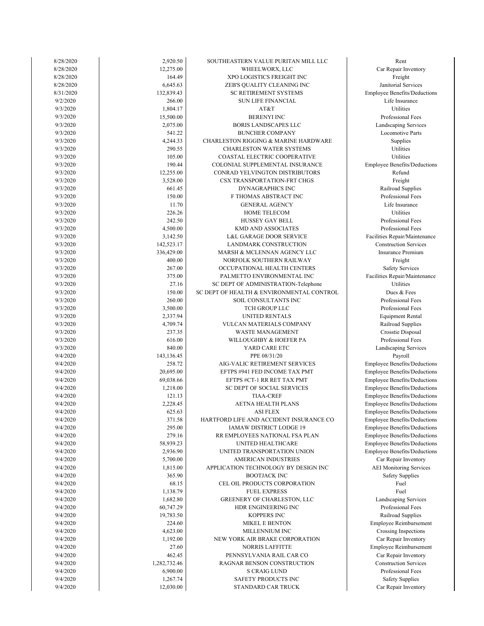| 8/28/2020 | 2,920.50     | SOUTHEASTERN VALUE PURITAN MILL LLC             | Rent                     |
|-----------|--------------|-------------------------------------------------|--------------------------|
| 8/28/2020 | 12,275.00    | WHEELWORX, LLC                                  | Car Repair Inver         |
| 8/28/2020 | 164.49       | XPO LOGISTICS FREIGHT INC                       | Freight                  |
| 8/28/2020 | 6.645.63     | ZEB'S QUALITY CLEANING INC                      | Janitorial Servi         |
| 8/31/2020 | 132,839.43   | <b>SC RETIREMENT SYSTEMS</b>                    | Employee Benefits/D      |
| 9/2/2020  | 266.00       | <b>SUN LIFE FINANCIAL</b>                       | Life Insuranc            |
| 9/3/2020  | 1,804.17     | AT&T                                            | Utilities                |
| 9/3/2020  | 15,500.00    | <b>BERENYI INC</b>                              | Professional Fe          |
| 9/3/2020  | 2,075.00     | <b>BORIS LANDSCAPES LLC</b>                     | Landscaping Serv         |
| 9/3/2020  | 541.22       |                                                 | Locomotive Pa            |
|           |              | <b>BUNCHER COMPANY</b>                          |                          |
| 9/3/2020  | 4,244.33     | <b>CHARLESTON RIGGING &amp; MARINE HARDWARE</b> | Supplies                 |
| 9/3/2020  | 290.55       | <b>CHARLESTON WATER SYSTEMS</b>                 | Utilities                |
| 9/3/2020  | 105.00       | COASTAL ELECTRIC COOPERATIVE                    | <b>Utilities</b>         |
| 9/3/2020  | 190.44       | COLONIAL SUPPLEMENTAL INSURANCE                 | Employee Benefits/D      |
| 9/3/2020  | 12,255.00    | CONRAD YELVINGTON DISTRIBUTORS                  | Refund                   |
| 9/3/2020  | 3,528.00     | CSX TRANSPORTATION-FRT CHGS                     | Freight                  |
| 9/3/2020  | 661.45       | <b>DYNAGRAPHICS INC</b>                         | Railroad Suppl           |
| 9/3/2020  | 150.00       | F THOMAS ABSTRACT INC                           | Professional Fe          |
| 9/3/2020  | 11.70        | <b>GENERAL AGENCY</b>                           | Life Insuranc            |
| 9/3/2020  | 226.26       | <b>HOME TELECOM</b>                             | Utilities                |
| 9/3/2020  | 242.50       | HUSSEY GAY BELL                                 | Professional Fe          |
| 9/3/2020  | 4,500.00     | <b>KMD AND ASSOCIATES</b>                       | Professional Fe          |
| 9/3/2020  | 3,142.50     | <b>L&amp;L GARAGE DOOR SERVICE</b>              | Facilities Repair/Mai    |
| 9/3/2020  | 142,523.17   | LANDMARK CONSTRUCTION                           | Construction Serv        |
|           | 336,429.00   |                                                 | Insurance Premi          |
| 9/3/2020  |              | MARSH & MCLENNAN AGENCY LLC                     |                          |
| 9/3/2020  | 400.00       | NORFOLK SOUTHERN RAILWAY                        | Freight                  |
| 9/3/2020  | 267.00       | OCCUPATIONAL HEALTH CENTERS                     | Safety Service           |
| 9/3/2020  | 375.00       | PALMETTO ENVIRONMENTAL INC                      | Facilities Repair/Mai    |
| 9/3/2020  | 27.16        | SC DEPT OF ADMINISTRATION-Telephone             | Utilities                |
| 9/3/2020  | 150.00       | SC DEPT OF HEALTH & ENVIRONMENTAL CONTROL       | Dues & Fees              |
| 9/3/2020  | 260.00       | SOIL CONSULTANTS INC                            | Professional Fe          |
| 9/3/2020  | 3,500.00     | TCH GROUP LLC                                   | Professional Fe          |
| 9/3/2020  | 2,337.94     | UNITED RENTALS                                  | Equipment Ren            |
| 9/3/2020  | 4,709.74     | VULCAN MATERIALS COMPANY                        | Railroad Suppl           |
| 9/3/2020  | 237.35       | <b>WASTE MANAGEMENT</b>                         | Crosstie Dispos          |
| 9/3/2020  | 616.00       | WILLOUGHBY & HOEFER PA                          | Professional Fe          |
| 9/3/2020  | 840.00       | YARD CARE ETC                                   | Landscaping Serv         |
| 9/4/2020  | 143,136.45   | PPE 08/31/20                                    | Payroll                  |
| 9/4/2020  | 258.72       | AIG-VALIC RETIREMENT SERVICES                   | Employee Benefits/D      |
| 9/4/2020  | 20,695.00    | EFTPS #941 FED INCOME TAX PMT                   | Employee Benefits/D      |
| 9/4/2020  | 69,038.66    | EFTPS #CT-1 RR RET TAX PMT                      | Employee Benefits/D      |
| 9/4/2020  | 1,218.00     | SC DEPT OF SOCIAL SERVICES                      | Employee Benefits/D      |
| 9/4/2020  | 121.13       | <b>TIAA-CREF</b>                                | Employee Benefits/D      |
|           |              |                                                 |                          |
| 9/4/2020  | 2,228.45     | <b>AETNA HEALTH PLANS</b>                       | Employee Benefits/D      |
| 9/4/2020  | 625.63       | ASI FLEX                                        | Employee Benefits/D      |
| 9/4/2020  | 371.58       | HARTFORD LIFE AND ACCIDENT INSURANCE CO         | Employee Benefits/D      |
| 9/4/2020  | 295.00       | IAMAW DISTRICT LODGE 19                         | Employee Benefits/Do     |
| 9/4/2020  | 279.16       | RR EMPLOYEES NATIONAL FSA PLAN                  | Employee Benefits/D      |
| 9/4/2020  | 58,939.23    | UNITED HEALTHCARE                               | Employee Benefits/D      |
| 9/4/2020  | 2,936.90     | UNITED TRANSPORTATION UNION                     | Employee Benefits/D      |
| 9/4/2020  | 5,700.00     | AMERICAN INDUSTRIES                             | Car Repair Inver         |
| 9/4/2020  | 1,815.00     | APPLICATION TECHNOLOGY BY DESIGN INC            | <b>AEI</b> Monitoring Se |
| 9/4/2020  | 365.90       | <b>BOOTJACK INC</b>                             | Safety Supplie           |
| 9/4/2020  | 68.15        | CEL OIL PRODUCTS CORPORATION                    | Fuel                     |
| 9/4/2020  | 1,138.79     | <b>FUEL EXPRESS</b>                             | Fuel                     |
| 9/4/2020  | 1,682.80     | GREENERY OF CHARLESTON, LLC                     | Landscaping Serv         |
| 9/4/2020  | 60,747.29    | HDR ENGINEERING INC                             | Professional Fe          |
| 9/4/2020  | 19,783.50    | KOPPERS INC                                     | Railroad Suppl           |
| 9/4/2020  | 224.60       | <b>MIKEL E BENTON</b>                           | Employee Reimbur         |
| 9/4/2020  | 4,623.00     | MILLENNIUM INC                                  | Crossing Inspect         |
|           |              |                                                 |                          |
| 9/4/2020  | 1,192.00     | NEW YORK AIR BRAKE CORPORATION                  | Car Repair Inver         |
| 9/4/2020  | 27.60        | <b>NORRIS LAFFITTE</b>                          | Employee Reimbur         |
| 9/4/2020  | 462.45       | PENNSYLVANIA RAIL CAR CO                        | Car Repair Inver         |
| 9/4/2020  | 1,282,732.46 | RAGNAR BENSON CONSTRUCTION                      | Construction Serv        |
| 9/4/2020  | 6,900.00     | <b>S CRAIG LUND</b>                             | Professional Fe          |
| 9/4/2020  | 1,267.74     | SAFETY PRODUCTS INC                             | Safety Supplie           |
| 9/4/2020  | 12,030.00    | STANDARD CAR TRUCK                              | Car Repair Inver         |

Safety Supplies Car Repair Inventory Construction Services Professional Fees Employee Reimbursement Car Repair Inventory Crossing Inspections Car Repair Inventory Railroad Supplies Employee Reimbursement Landscaping Services Professional Fees AEI Monitoring Services Safety Supplies Employee Benefits/Deductions Car Repair Inventory Employee Benefits/Deductions Employee Benefits/Deductions Employee Benefits/Deductions Employee Benefits/Deductions Employee Benefits/Deductions Employee Benefits/Deductions Employee Benefits/Deductions Employee Benefits/Deductions Employee Benefits/Deductions Employee Benefits/Deductions Employee Benefits/Deductions Professional Fees Landscaping Services Railroad Supplies Crosstie Disposal Professional Fees Equipment Rental Professional Fees Facilities Repair/Maintenance Safety Services Construction Services Insurance Premium Professional Fees Facilities Repair/Maintenance Professional Fees Professional Fees Life Insurance Railroad Supplies Employee Benefits/Deductions Locomotive Parts Professional Fees Landscaping Services Life Insurance Janitorial Services Employee Benefits/Deductions Car Repair Inventory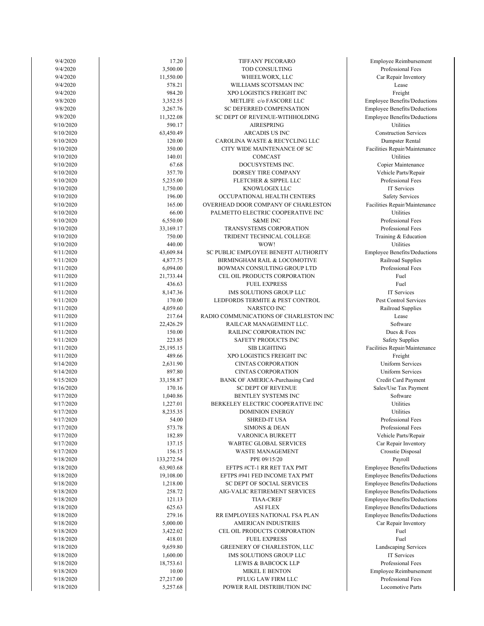| 9/4/2020  | 17.20      | TIFFANY PECORARO                       | Employee Reimbursement       |
|-----------|------------|----------------------------------------|------------------------------|
| 9/4/2020  | 3,500.00   | TOD CONSULTING                         | Professional Fees            |
| 9/4/2020  | 11,550.00  | WHEELWORX, LLC                         | Car Repair Inventory         |
| 9/4/2020  | 578.21     | WILLIAMS SCOTSMAN INC                  | Lease                        |
| 9/4/2020  | 984.20     | XPO LOGISTICS FREIGHT INC              | Freight                      |
| 9/8/2020  | 3,352.55   | METLIFE c/o FASCORE LLC                | Employee Benefits/Deduction  |
| 9/8/2020  | 3,267.76   | SC DEFERRED COMPENSATION               | Employee Benefits/Deduction  |
| 9/8/2020  | 11,322.08  | SC DEPT OF REVENUE-WITHHOLDING         | Employee Benefits/Deduction  |
| 9/10/2020 | 590.17     | <b>AIRESPRING</b>                      | Utilities                    |
| 9/10/2020 | 63,450.49  | <b>ARCADIS US INC</b>                  | <b>Construction Services</b> |
| 9/10/2020 | 120.00     | CAROLINA WASTE & RECYCLING LLC         | Dumpster Rental              |
| 9/10/2020 | 350.00     | CITY WIDE MAINTENANCE OF SC            | Facilities Repair/Maintenanc |
| 9/10/2020 | 140.01     | COMCAST                                | Utilities                    |
| 9/10/2020 | 67.68      | DOCUSYSTEMS INC.                       | Copier Maintenance           |
| 9/10/2020 | 357.70     | DORSEY TIRE COMPANY                    | Vehicle Parts/Repair         |
| 9/10/2020 | 5,235.00   | FLETCHER & SIPPEL LLC                  | Professional Fees            |
| 9/10/2020 | 1,750.00   | KNOWLOGIX LLC                          | IT Services                  |
| 9/10/2020 | 196.00     | OCCUPATIONAL HEALTH CENTERS            | Safety Services              |
| 9/10/2020 | 165.00     | OVERHEAD DOOR COMPANY OF CHARLESTON    | Facilities Repair/Maintenanc |
| 9/10/2020 | 66.00      | PALMETTO ELECTRIC COOPERATIVE INC      | <b>Utilities</b>             |
| 9/10/2020 | 6,550.00   | <b>S&amp;ME INC</b>                    | Professional Fees            |
| 9/10/2020 | 33,169.17  | TRANSYSTEMS CORPORATION                | Professional Fees            |
| 9/10/2020 | 750.00     | TRIDENT TECHNICAL COLLEGE              | Training & Education         |
| 9/10/2020 | 440.00     | WOW!                                   | Utilities                    |
| 9/11/2020 | 43,609.84  | SC PUBLIC EMPLOYEE BENEFIT AUTHORITY   | Employee Benefits/Deduction  |
|           |            |                                        |                              |
| 9/11/2020 | 4,877.75   | BIRMINGHAM RAIL & LOCOMOTIVE           | Railroad Supplies            |
| 9/11/2020 | 6,094.00   | BOWMAN CONSULTING GROUP LTD            | Professional Fees            |
| 9/11/2020 | 21,733.44  | CEL OIL PRODUCTS CORPORATION           | Fuel                         |
| 9/11/2020 | 436.63     | <b>FUEL EXPRESS</b>                    | Fuel                         |
| 9/11/2020 | 8,147.36   | IMS SOLUTIONS GROUP LLC                | IT Services                  |
| 9/11/2020 | 170.00     | LEDFORDS TERMITE & PEST CONTROL        | Pest Control Services        |
| 9/11/2020 | 4,059.60   | NARSTCO INC                            | Railroad Supplies            |
| 9/11/2020 | 217.64     | RADIO COMMUNICATIONS OF CHARLESTON INC | Lease                        |
| 9/11/2020 | 22,426.29  | RAILCAR MANAGEMENT LLC.                | Software                     |
| 9/11/2020 | 150.00     | RAILINC CORPORATION INC                | Dues & Fees                  |
| 9/11/2020 | 223.85     | SAFETY PRODUCTS INC                    | <b>Safety Supplies</b>       |
| 9/11/2020 | 25,195.15  | <b>SIB LIGHTING</b>                    | Facilities Repair/Maintenanc |
| 9/11/2020 | 489.66     | XPO LOGISTICS FREIGHT INC              | Freight                      |
| 9/14/2020 | 2,631.90   | <b>CINTAS CORPORATION</b>              | <b>Uniform Services</b>      |
| 9/14/2020 | 897.80     | <b>CINTAS CORPORATION</b>              | <b>Uniform Services</b>      |
| 9/15/2020 | 33,158.87  | BANK OF AMERICA-Purchasing Card        | Credit Card Payment          |
| 9/16/2020 | 170.16     | <b>SC DEPT OF REVENUE</b>              | Sales/Use Tax Payment        |
| 9/17/2020 | 1,040.86   | BENTLEY SYSTEMS INC                    | Software                     |
| 9/17/2020 | 1,227.01   | BERKELEY ELECTRIC COOPERATIVE INC      | Utilities                    |
| 9/17/2020 | 8,235.35   | DOMINION ENERGY                        | Utilities                    |
| 9/17/2020 | 54.00      | <b>SHRED-IT USA</b>                    | Professional Fees            |
| 9/17/2020 | 573.78     | <b>SIMONS &amp; DEAN</b>               | Professional Fees            |
| 9/17/2020 | 182.89     | VARONICA BURKETT                       | Vehicle Parts/Repair         |
| 9/17/2020 | 137.15     | <b>WABTEC GLOBAL SERVICES</b>          | Car Repair Inventory         |
| 9/17/2020 | 156.15     | WASTE MANAGEMENT                       | Crosstie Disposal            |
| 9/18/2020 | 133,272.54 | PPE 09/15/20                           | Payroll                      |
| 9/18/2020 | 63,903.68  | EFTPS #CT-1 RR RET TAX PMT             | Employee Benefits/Deduction  |
| 9/18/2020 | 19,108.00  | EFTPS #941 FED INCOME TAX PMT          | Employee Benefits/Deduction  |
| 9/18/2020 | 1,218.00   | SC DEPT OF SOCIAL SERVICES             | Employee Benefits/Deduction  |
| 9/18/2020 | 258.72     | AIG-VALIC RETIREMENT SERVICES          | Employee Benefits/Deduction  |
| 9/18/2020 | 121.13     | <b>TIAA-CREF</b>                       | Employee Benefits/Deduction  |
| 9/18/2020 | 625.63     | <b>ASI FLEX</b>                        | Employee Benefits/Deduction  |
| 9/18/2020 | 279.16     | RR EMPLOYEES NATIONAL FSA PLAN         | Employee Benefits/Deduction  |
| 9/18/2020 | 5,000.00   | AMERICAN INDUSTRIES                    |                              |
|           |            |                                        | Car Repair Inventory         |
| 9/18/2020 | 3,422.02   | CEL OIL PRODUCTS CORPORATION           | Fuel                         |
| 9/18/2020 | 418.01     | <b>FUEL EXPRESS</b>                    | Fuel                         |
| 9/18/2020 | 9,659.80   | GREENERY OF CHARLESTON, LLC            | Landscaping Services         |
| 9/18/2020 | 1,600.00   | IMS SOLUTIONS GROUP LLC                | IT Services                  |
| 9/18/2020 | 18,753.61  | LEWIS & BABCOCK LLP                    | Professional Fees            |
| 9/18/2020 | 10.00      | <b>MIKEL E BENTON</b>                  | Employee Reimbursement       |
| 9/18/2020 | 27,217.00  | PFLUG LAW FIRM LLC                     | Professional Fees            |
| 9/18/2020 | 5,257.68   | POWER RAIL DISTRIBUTION INC            | Locomotive Parts             |

Locomotive Parts Employee Reimbursement Professional Fees Professional Fees Landscaping Services Car Repair Inventory Employee Benefits/Deductions Employee Benefits/Deductions Employee Benefits/Deductions Employee Benefits/Deductions Employee Benefits/Deductions Employee Benefits/Deductions Employee Benefits/Deductions Car Repair Inventory Crosstie Disposal Professional Fees Vehicle Parts/Repair Professional Fees Credit Card Payment Sales/Use Tax Payment Uniform Services Uniform Services Facilities Repair/Maintenance Safety Supplies Pest Control Services Railroad Supplies Professional Fees Employee Benefits/Deductions Railroad Supplies Training & Education Professional Fees Professional Fees Facilities Repair/Maintenance Safety Services Vehicle Parts/Repair Professional Fees Copier Maintenance Dumpster Rental Facilities Repair/Maintenance Construction Services Employee Benefits/Deductions Employee Benefits/Deductions Employee Benefits/Deductions Car Repair Inventory Professional Fees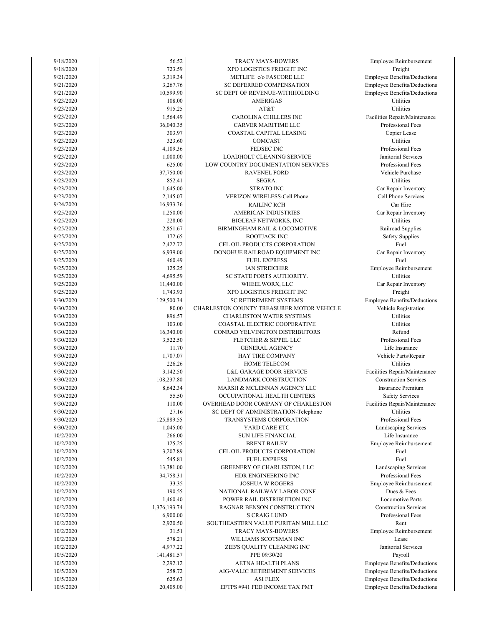| 9/18/2020 | 56.52        | TRACY MAYS-BOWERS                         | Employee Reimbursement        |
|-----------|--------------|-------------------------------------------|-------------------------------|
| 9/18/2020 | 723.59       | XPO LOGISTICS FREIGHT INC                 | Freight                       |
| 9/21/2020 | 3,319.34     | METLIFE c/o FASCORE LLC                   | Employee Benefits/Deduction   |
| 9/21/2020 | 3,267.76     | SC DEFERRED COMPENSATION                  | Employee Benefits/Deduction   |
| 9/21/2020 | 10,599.90    | SC DEPT OF REVENUE-WITHHOLDING            | Employee Benefits/Deduction   |
| 9/23/2020 | 108.00       | <b>AMERIGAS</b>                           | Utilities                     |
| 9/23/2020 | 915.25       | AT&T                                      | Utilities                     |
| 9/23/2020 | 1,564.49     | CAROLINA CHILLERS INC                     | Facilities Repair/Maintenanc  |
| 9/23/2020 | 36,040.35    | CARVER MARITIME LLC                       | Professional Fees             |
| 9/23/2020 | 303.97       | COASTAL CAPITAL LEASING                   | Copier Lease                  |
| 9/23/2020 | 323.60       | COMCAST                                   | Utilities                     |
| 9/23/2020 | 4,109.36     | <b>FEDSEC INC</b>                         | Professional Fees             |
| 9/23/2020 | 1,000.00     | <b>LOADHOLT CLEANING SERVICE</b>          | Janitorial Services           |
| 9/23/2020 | 625.00       | LOW COUNTRY DOCUMENTATION SERVICES        | Professional Fees             |
| 9/23/2020 | 37,750.00    | <b>RAVENEL FORD</b>                       | Vehicle Purchase              |
|           | 852.41       |                                           | Utilities                     |
| 9/23/2020 |              | SEGRA.                                    |                               |
| 9/23/2020 | 1,645.00     | <b>STRATO INC</b>                         | Car Repair Inventory          |
| 9/23/2020 | 2,145.07     | VERIZON WIRELESS-Cell Phone               | Cell Phone Services           |
| 9/24/2020 | 16,933.36    | <b>RAILINC RCH</b>                        | Car Hire                      |
| 9/25/2020 | 1,250.00     | <b>AMERICAN INDUSTRIES</b>                | Car Repair Inventory          |
| 9/25/2020 | 228.00       | <b>BIGLEAF NETWORKS, INC</b>              | Utilities                     |
| 9/25/2020 | 2,851.67     | BIRMINGHAM RAIL & LOCOMOTIVE              | Railroad Supplies             |
| 9/25/2020 | 172.65       | <b>BOOTJACK INC</b>                       | <b>Safety Supplies</b>        |
| 9/25/2020 | 2,422.72     | CEL OIL PRODUCTS CORPORATION              | Fuel                          |
| 9/25/2020 | 6,939.00     | DONOHUE RAILROAD EQUIPMENT INC            | Car Repair Inventory          |
| 9/25/2020 | 460.49       | <b>FUEL EXPRESS</b>                       | Fuel                          |
| 9/25/2020 | 125.25       | IAN STREICHER                             | <b>Employee Reimbursement</b> |
| 9/25/2020 | 4,695.59     | SC STATE PORTS AUTHORITY.                 | Utilities                     |
| 9/25/2020 | 11,440.00    | WHEELWORX, LLC                            | Car Repair Inventory          |
| 9/25/2020 | 1,743.93     | XPO LOGISTICS FREIGHT INC                 | Freight                       |
| 9/30/2020 | 129,500.34   | SC RETIREMENT SYSTEMS                     | Employee Benefits/Deduction   |
| 9/30/2020 | 80.00        | CHARLESTON COUNTY TREASURER MOTOR VEHICLE | Vehicle Registration          |
| 9/30/2020 | 896.57       | <b>CHARLESTON WATER SYSTEMS</b>           | Utilities                     |
| 9/30/2020 | 103.00       | COASTAL ELECTRIC COOPERATIVE              | Utilities                     |
| 9/30/2020 | 16,340.00    | CONRAD YELVINGTON DISTRIBUTORS            | Refund                        |
| 9/30/2020 | 3,522.50     | FLETCHER & SIPPEL LLC                     | Professional Fees             |
| 9/30/2020 | 11.70        | <b>GENERAL AGENCY</b>                     | Life Insurance                |
| 9/30/2020 | 1,707.07     | HAY TIRE COMPANY                          | Vehicle Parts/Repair          |
| 9/30/2020 | 226.26       | HOME TELECOM                              | Utilities                     |
| 9/30/2020 | 3,142.50     | L&L GARAGE DOOR SERVICE                   | Facilities Repair/Maintenanc  |
| 9/30/2020 | 108,237.80   | LANDMARK CONSTRUCTION                     | <b>Construction Services</b>  |
| 9/30/2020 | 8,642.34     | MARSH & MCLENNAN AGENCY LLC               | Insurance Premium             |
| 9/30/2020 | 55.50        | OCCUPATIONAL HEALTH CENTERS               | <b>Safety Services</b>        |
|           | 110.00       |                                           |                               |
| 9/30/2020 |              | OVERHEAD DOOR COMPANY OF CHARLESTON       | Facilities Repair/Maintenanc  |
| 9/30/2020 | 27.16        | SC DEPT OF ADMINISTRATION-Telephone       | Utilities                     |
| 9/30/2020 | 125,889.55   | TRANSYSTEMS CORPORATION                   | Professional Fees             |
| 9/30/2020 | 1,045.00     | YARD CARE ETC                             | Landscaping Services          |
| 10/2/2020 | 266.00       | <b>SUN LIFE FINANCIAL</b>                 | Life Insurance                |
| 10/2/2020 | 125.25       | <b>BRENT BAILEY</b>                       | <b>Employee Reimbursement</b> |
| 10/2/2020 | 3,207.89     | CEL OIL PRODUCTS CORPORATION              | Fuel                          |
| 10/2/2020 | 545.81       | <b>FUEL EXPRESS</b>                       | Fuel                          |
| 10/2/2020 | 13,381.00    | GREENERY OF CHARLESTON, LLC               | Landscaping Services          |
| 10/2/2020 | 34,758.31    | HDR ENGINEERING INC                       | Professional Fees             |
| 10/2/2020 | 33.35        | <b>JOSHUA W ROGERS</b>                    | <b>Employee Reimbursement</b> |
| 10/2/2020 | 190.55       | NATIONAL RAILWAY LABOR CONF               | Dues & Fees                   |
| 10/2/2020 | 1,460.40     | POWER RAIL DISTRIBUTION INC               | <b>Locomotive Parts</b>       |
| 10/2/2020 | 1,376,193.74 | RAGNAR BENSON CONSTRUCTION                | <b>Construction Services</b>  |
| 10/2/2020 | 6,900.00     | <b>S CRAIG LUND</b>                       | Professional Fees             |
| 10/2/2020 | 2,920.50     | SOUTHEASTERN VALUE PURITAN MILL LLC       | Rent                          |
| 10/2/2020 | 31.51        | TRACY MAYS-BOWERS                         | Employee Reimbursement        |
| 10/2/2020 | 578.21       | WILLIAMS SCOTSMAN INC                     | Lease                         |
| 10/2/2020 | 4,977.22     | ZEB'S QUALITY CLEANING INC                | Janitorial Services           |
| 10/5/2020 | 141,481.57   | PPE 09/30/20                              | Payroll                       |
| 10/5/2020 | 2,292.12     | AETNA HEALTH PLANS                        | Employee Benefits/Deduction   |
| 10/5/2020 | 258.72       | AIG-VALIC RETIREMENT SERVICES             | Employee Benefits/Deduction   |
| 10/5/2020 | 625.63       | <b>ASI FLEX</b>                           | Employee Benefits/Deduction   |
| 10/5/2020 | 20,405.00    | EFTPS #941 FED INCOME TAX PMT             | Employee Benefits/Deduction   |
|           |              |                                           |                               |

loyee Benefits/Deductions loyee Benefits/Deductions loyee Benefits/Deductions loyee Benefits/Deductions Janitorial Services aployee Reimbursement Professional Fees Locomotive Parts **Construction Services** aployee Reimbursement Landscaping Services Professional Fees Life Insurance nployee Reimbursement Professional Fees Landscaping Services lities Repair/Maintenance Insurance Premium Safety Services lities Repair/Maintenance **Construction Services** Vehicle Parts/Repair Professional Fees Life Insurance Vehicle Registration loyee Benefits/Deductions Car Repair Inventory nployee Reimbursement Car Repair Inventory Railroad Supplies Safety Supplies Car Repair Inventory Cell Phone Services Car Repair Inventory Professional Fees Vehicle Purchase Professional Fees Janitorial Services Copier Lease lities Repair/Maintenance Professional Fees loyee Benefits/Deductions loyee Benefits/Deductions loyee Benefits/Deductions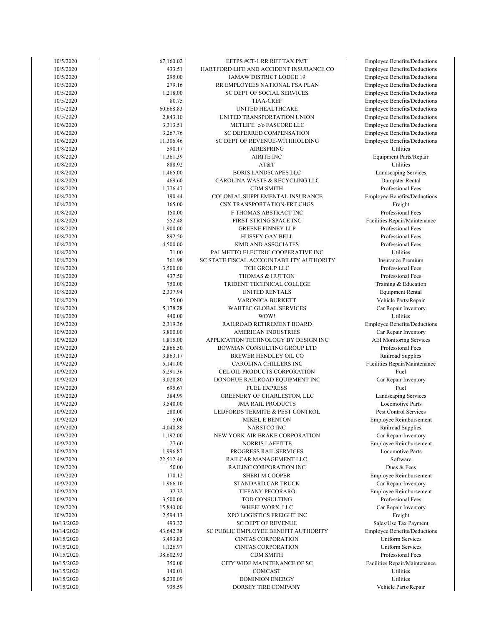| 10/5/2020  | 67,160.02 | EFTPS #CT-1 RR RET TAX PMT               | <b>Employee Benefits/Deductions</b> |
|------------|-----------|------------------------------------------|-------------------------------------|
| 10/5/2020  | 433.51    | HARTFORD LIFE AND ACCIDENT INSURANCE CO  | <b>Employee Benefits/Deductions</b> |
| 10/5/2020  | 295.00    | IAMAW DISTRICT LODGE 19                  | <b>Employee Benefits/Deductions</b> |
|            |           |                                          |                                     |
| 10/5/2020  | 279.16    | RR EMPLOYEES NATIONAL FSA PLAN           | <b>Employee Benefits/Deductions</b> |
| 10/5/2020  | 1,218.00  | SC DEPT OF SOCIAL SERVICES               | <b>Employee Benefits/Deductions</b> |
| 10/5/2020  | 80.75     | <b>TIAA-CREF</b>                         | <b>Employee Benefits/Deductions</b> |
| 10/5/2020  | 60,668.83 | UNITED HEALTHCARE                        | <b>Employee Benefits/Deductions</b> |
| 10/5/2020  | 2,843.10  | UNITED TRANSPORTATION UNION              |                                     |
|            |           |                                          | <b>Employee Benefits/Deductions</b> |
| 10/6/2020  | 3,313.51  | METLIFE c/o FASCORE LLC                  | <b>Employee Benefits/Deductions</b> |
| 10/6/2020  | 3,267.76  | SC DEFERRED COMPENSATION                 | <b>Employee Benefits/Deductions</b> |
| 10/6/2020  | 11,306.46 | SC DEPT OF REVENUE-WITHHOLDING           | Employee Benefits/Deductions        |
| 10/8/2020  | 590.17    | <b>AIRESPRING</b>                        | Utilities                           |
|            |           |                                          |                                     |
| 10/8/2020  | 1,361.39  | <b>AIRITE INC</b>                        | Equipment Parts/Repair              |
| 10/8/2020  | 888.92    | AT&T                                     | Utilities                           |
| 10/8/2020  | 1,465.00  | BORIS LANDSCAPES LLC                     | Landscaping Services                |
| 10/8/2020  | 469.60    | CAROLINA WASTE & RECYCLING LLC           | Dumpster Rental                     |
|            | 1,776.47  | <b>CDM SMITH</b>                         | Professional Fees                   |
| 10/8/2020  |           |                                          |                                     |
| 10/8/2020  | 190.44    | COLONIAL SUPPLEMENTAL INSURANCE          | Employee Benefits/Deductions        |
| 10/8/2020  | 165.00    | CSX TRANSPORTATION-FRT CHGS              | Freight                             |
| 10/8/2020  | 150.00    | F THOMAS ABSTRACT INC                    | Professional Fees                   |
| 10/8/2020  | 552.48    | FIRST STRING SPACE INC                   | Facilities Repair/Maintenance       |
|            |           |                                          |                                     |
| 10/8/2020  | 1,900.00  | <b>GREENE FINNEY LLP</b>                 | Professional Fees                   |
| 10/8/2020  | 892.50    | <b>HUSSEY GAY BELL</b>                   | Professional Fees                   |
| 10/8/2020  | 4,500.00  | <b>KMD AND ASSOCIATES</b>                | Professional Fees                   |
| 10/8/2020  | 71.00     | PALMETTO ELECTRIC COOPERATIVE INC        | Utilities                           |
|            |           |                                          | <b>Insurance Premium</b>            |
| 10/8/2020  | 361.98    | SC STATE FISCAL ACCOUNTABILITY AUTHORITY |                                     |
| 10/8/2020  | 3,500.00  | <b>TCH GROUP LLC</b>                     | Professional Fees                   |
| 10/8/2020  | 437.50    | <b>THOMAS &amp; HUTTON</b>               | Professional Fees                   |
| 10/8/2020  | 750.00    | TRIDENT TECHNICAL COLLEGE                | Training & Education                |
| 10/8/2020  | 2,337.94  | UNITED RENTALS                           | <b>Equipment Rental</b>             |
|            |           |                                          |                                     |
| 10/8/2020  | 75.00     | VARONICA BURKETT                         | Vehicle Parts/Repair                |
| 10/8/2020  | 5,178.28  | WABTEC GLOBAL SERVICES                   | Car Repair Inventory                |
| 10/8/2020  | 440.00    | WOW!                                     | Utilities                           |
| 10/9/2020  | 2,319.36  | RAILROAD RETIREMENT BOARD                | Employee Benefits/Deductions        |
| 10/9/2020  |           | AMERICAN INDUSTRIES                      |                                     |
|            | 3,800.00  |                                          | Car Repair Inventory                |
| 10/9/2020  | 1,815.00  | APPLICATION TECHNOLOGY BY DESIGN INC     | <b>AEI</b> Monitoring Services      |
| 10/9/2020  | 2,866.50  | BOWMAN CONSULTING GROUP LTD              | Professional Fees                   |
| 10/9/2020  | 3,863.17  | BREWER HENDLEY OIL CO                    | Railroad Supplies                   |
| 10/9/2020  | 5,141.00  | CAROLINA CHILLERS INC                    | Facilities Repair/Maintenance       |
|            |           |                                          | Fuel                                |
| 10/9/2020  | 5,291.36  | CEL OIL PRODUCTS CORPORATION             |                                     |
| 10/9/2020  | 3,028.80  | DONOHUE RAILROAD EQUIPMENT INC           | Car Repair Inventory                |
| 10/9/2020  | 695.67    | <b>FUEL EXPRESS</b>                      | Fuel                                |
| 10/9/2020  | 384.99    | GREENERY OF CHARLESTON, LLC              | Landscaping Services                |
| 10/9/2020  | 3,540.00  | <b>JMA RAIL PRODUCTS</b>                 | Locomotive Parts                    |
|            |           |                                          |                                     |
| 10/9/2020  | 280.00    | LEDFORDS TERMITE & PEST CONTROL          | Pest Control Services               |
| 10/9/2020  | 5.00      | <b>MIKEL E BENTON</b>                    | Employee Reimbursement              |
| 10/9/2020  | 4,040.88  | NARSTCO INC                              | Railroad Supplies                   |
| 10/9/2020  | 1,192.00  | NEW YORK AIR BRAKE CORPORATION           | Car Repair Inventory                |
| 10/9/2020  | 27.60     | <b>NORRIS LAFFITTE</b>                   | Employee Reimbursement              |
|            |           |                                          |                                     |
| 10/9/2020  | 1,996.87  | PROGRESS RAIL SERVICES                   | Locomotive Parts                    |
| 10/9/2020  | 22,512.46 | RAILCAR MANAGEMENT LLC.                  | Software                            |
| 10/9/2020  | 50.00     | RAILINC CORPORATION INC                  | Dues & Fees                         |
| 10/9/2020  | 170.12    | <b>SHERI M COOPER</b>                    | Employee Reimbursement              |
|            |           |                                          |                                     |
| 10/9/2020  | 1,966.10  | STANDARD CAR TRUCK                       | Car Repair Inventory                |
| 10/9/2020  | 32.32     | TIFFANY PECORARO                         | Employee Reimbursement              |
| 10/9/2020  | 3,500.00  | TOD CONSULTING                           | Professional Fees                   |
| 10/9/2020  | 15,840.00 | WHEELWORX, LLC                           | Car Repair Inventory                |
| 10/9/2020  | 2,594.13  | XPO LOGISTICS FREIGHT INC                | Freight                             |
|            |           |                                          |                                     |
| 10/13/2020 | 493.32    | <b>SC DEPT OF REVENUE</b>                | Sales/Use Tax Payment               |
| 10/14/2020 | 43,642.38 | SC PUBLIC EMPLOYEE BENEFIT AUTHORITY     | <b>Employee Benefits/Deductions</b> |
| 10/15/2020 | 3,493.83  | <b>CINTAS CORPORATION</b>                | Uniform Services                    |
| 10/15/2020 | 1,126.97  | <b>CINTAS CORPORATION</b>                | <b>Uniform Services</b>             |
| 10/15/2020 | 38,602.93 | <b>CDM SMITH</b>                         | Professional Fees                   |
|            |           |                                          |                                     |
| 10/15/2020 | 350.00    | CITY WIDE MAINTENANCE OF SC              | Facilities Repair/Maintenance       |
| 10/15/2020 | 140.01    | COMCAST                                  | Utilities                           |
| 10/15/2020 | 8,230.09  | <b>DOMINION ENERGY</b>                   | Utilities                           |
| 10/15/2020 | 935.59    | DORSEY TIRE COMPANY                      | Vehicle Parts/Repair                |
|            |           |                                          |                                     |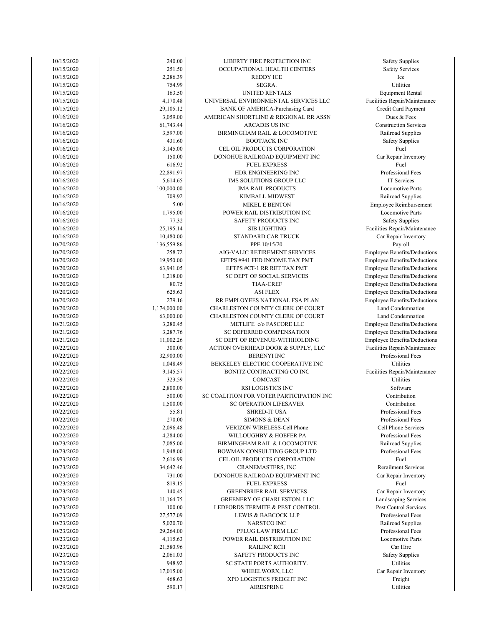| 10/15/2020 | 240.00       | LIBERTY FIRE PROTECTION INC              | <b>Safety Supplies</b>  |
|------------|--------------|------------------------------------------|-------------------------|
| 10/15/2020 | 251.50       | OCCUPATIONAL HEALTH CENTERS              | <b>Safety Services</b>  |
| 10/15/2020 | 2,286.39     | <b>REDDY ICE</b>                         | Ice                     |
| 10/15/2020 | 754.99       | SEGRA.                                   | Utilities               |
| 10/15/2020 | 163.50       | UNITED RENTALS                           | <b>Equipment Renta</b>  |
| 10/15/2020 | 4,170.48     | UNIVERSAL ENVIRONMENTAL SERVICES LLC     | Facilities Repair/Maint |
| 10/15/2020 | 29,105.12    | BANK OF AMERICA-Purchasing Card          | Credit Card Payme       |
| 10/16/2020 | 3,059.00     | AMERICAN SHORTLINE & REGIONAL RR ASSN    | Dues & Fees             |
| 10/16/2020 | 61,743.44    | <b>ARCADIS US INC</b>                    | Construction Servi      |
|            |              |                                          |                         |
| 10/16/2020 | 3,597.00     | BIRMINGHAM RAIL & LOCOMOTIVE             | Railroad Supplie        |
| 10/16/2020 | 431.60       | <b>BOOTJACK INC</b>                      | <b>Safety Supplies</b>  |
| 10/16/2020 | 3,145.00     | CEL OIL PRODUCTS CORPORATION             | Fuel                    |
| 10/16/2020 | 150.00       | DONOHUE RAILROAD EQUIPMENT INC           | Car Repair Invento      |
| 10/16/2020 | 616.92       | <b>FUEL EXPRESS</b>                      | Fuel                    |
| 10/16/2020 | 22,891.97    | HDR ENGINEERING INC                      | Professional Fee        |
| 10/16/2020 | 5,614.65     | IMS SOLUTIONS GROUP LLC                  | IT Services             |
| 10/16/2020 | 100,000.00   | <b>JMA RAIL PRODUCTS</b>                 | Locomotive Part         |
| 10/16/2020 | 709.92       | KIMBALL MIDWEST                          | Railroad Supplie        |
| 10/16/2020 | 5.00         | <b>MIKEL E BENTON</b>                    | Employee Reimburse      |
| 10/16/2020 | 1,795.00     | POWER RAIL DISTRIBUTION INC              | Locomotive Part         |
| 10/16/2020 | 77.32        | SAFETY PRODUCTS INC                      | <b>Safety Supplies</b>  |
| 10/16/2020 | 25,195.14    | <b>SIB LIGHTING</b>                      | Facilities Repair/Maint |
| 10/16/2020 | 10,480.00    | STANDARD CAR TRUCK                       | Car Repair Invento      |
| 10/20/2020 | 136,559.86   | PPE 10/15/20                             | Payroll                 |
| 10/20/2020 | 258.72       | AIG-VALIC RETIREMENT SERVICES            | Employee Benefits/Dec   |
| 10/20/2020 | 19,950.00    | EFTPS #941 FED INCOME TAX PMT            | Employee Benefits/Dec   |
| 10/20/2020 | 63,941.05    | EFTPS #CT-1 RR RET TAX PMT               | Employee Benefits/Dec   |
| 10/20/2020 | 1,218.00     | SC DEPT OF SOCIAL SERVICES               | Employee Benefits/Dec   |
| 10/20/2020 | 80.75        |                                          |                         |
|            |              | <b>TIAA-CREF</b>                         | Employee Benefits/Dec   |
| 10/20/2020 | 625.63       | <b>ASI FLEX</b>                          | Employee Benefits/Dec   |
| 10/20/2020 | 279.16       | RR EMPLOYEES NATIONAL FSA PLAN           | Employee Benefits/Dec   |
| 10/20/2020 | 1,174,000.00 | CHARLESTON COUNTY CLERK OF COURT         | Land Condemnati         |
| 10/20/2020 | 63,000.00    | CHARLESTON COUNTY CLERK OF COURT         | Land Condemnati         |
| 10/21/2020 | 3,280.45     | METLIFE c/o FASCORE LLC                  | Employee Benefits/Dec   |
| 10/21/2020 | 3,287.76     | SC DEFERRED COMPENSATION                 | Employee Benefits/Dec   |
| 10/21/2020 | 11,002.26    | SC DEPT OF REVENUE-WITHHOLDING           | Employee Benefits/Dec   |
| 10/22/2020 | 300.00       | ACTION OVERHEAD DOOR & SUPPLY, LLC       | Facilities Repair/Maint |
| 10/22/2020 | 32,900.00    | <b>BERENYI INC</b>                       | Professional Fee        |
| 10/22/2020 | 1,048.49     | BERKELEY ELECTRIC COOPERATIVE INC        | Utilities               |
| 10/22/2020 | 9,145.57     | BONITZ CONTRACTING CO INC                | Facilities Repair/Maint |
| 10/22/2020 | 323.59       | COMCAST                                  | Utilities               |
| 10/22/2020 | 2,800.00     | RSI LOGISTICS INC                        | Software                |
| 10/22/2020 | 500.00       | SC COALITION FOR VOTER PARTICIPATION INC | Contribution            |
| 10/22/2020 | 1,500.00     | <b>SC OPERATION LIFESAVER</b>            | Contribution            |
| 10/22/2020 | 55.81        | SHRED-IT USA                             | Professional Fee        |
| 10/22/2020 | 270.00       | <b>SIMONS &amp; DEAN</b>                 | Professional Fee        |
| 10/22/2020 | 2,096.48     | <b>VERIZON WIRELESS-Cell Phone</b>       | Cell Phone Servic       |
| 10/22/2020 | 4,284.00     | WILLOUGHBY & HOEFER PA                   | Professional Fee        |
| 10/23/2020 | 7,085.00     | BIRMINGHAM RAIL & LOCOMOTIVE             | Railroad Supplie        |
|            | 1,948.00     | BOWMAN CONSULTING GROUP LTD              | Professional Fee        |
| 10/23/2020 |              |                                          |                         |
| 10/23/2020 | 2,616.99     | CEL OIL PRODUCTS CORPORATION             | Fuel                    |
| 10/23/2020 | 34,642.46    | CRANEMASTERS, INC                        | Rerailment Servic       |
| 10/23/2020 | 731.00       | DONOHUE RAILROAD EQUIPMENT INC           | Car Repair Invento      |
| 10/23/2020 | 819.15       | <b>FUEL EXPRESS</b>                      | Fuel                    |
| 10/23/2020 | 140.45       | <b>GREENBRIER RAIL SERVICES</b>          | Car Repair Invento      |
| 10/23/2020 | 11,164.75    | GREENERY OF CHARLESTON, LLC              | Landscaping Servi       |
| 10/23/2020 | 100.00       | LEDFORDS TERMITE & PEST CONTROL          | Pest Control Servi      |
| 10/23/2020 | 27,577.09    | LEWIS & BABCOCK LLP                      | Professional Fee        |
| 10/23/2020 | 5,020.70     | NARSTCO INC                              | Railroad Supplie        |
| 10/23/2020 | 29,264.00    | PFLUG LAW FIRM LLC                       | Professional Fee        |
| 10/23/2020 | 4,115.63     | POWER RAIL DISTRIBUTION INC              | Locomotive Part         |
| 10/23/2020 | 21,580.96    | <b>RAILINC RCH</b>                       | Car Hire                |
| 10/23/2020 | 2,061.03     | SAFETY PRODUCTS INC                      | <b>Safety Supplies</b>  |
| 10/23/2020 | 948.92       | SC STATE PORTS AUTHORITY.                | Utilities               |
| 10/23/2020 | 17,015.00    | WHEELWORX, LLC                           | Car Repair Invento      |
| 10/23/2020 | 468.63       | XPO LOGISTICS FREIGHT INC                | Freight                 |
| 10/29/2020 | 590.17       | AIRESPRING                               | Utilities               |
|            |              |                                          |                         |

Car Repair Inventory Safety Supplies Professional Fees Locomotive Parts Professional Fees Railroad Supplies Landscaping Services Pest Control Services Car Repair Inventory Rerailment Services Car Repair Inventory Professional Fees Professional Fees Railroad Supplies Professional Fees Cell Phone Services Professional Fees Contribution cilities Repair/Maintenance Professional Fees ployee Benefits/Deductions cilities Repair/Maintenance ployee Benefits/Deductions ployee Benefits/Deductions Land Condemnation Land Condemnation ployee Benefits/Deductions ployee Benefits/Deductions ployee Benefits/Deductions ployee Benefits/Deductions ployee Benefits/Deductions ployee Benefits/Deductions ployee Benefits/Deductions cilities Repair/Maintenance Car Repair Inventory Locomotive Parts Safety Supplies Railroad Supplies Imployee Reimbursement Locomotive Parts Professional Fees Car Repair Inventory Railroad Supplies Safety Supplies Construction Services cilities Repair/Maintenance Credit Card Payment Equipment Rental Safety Services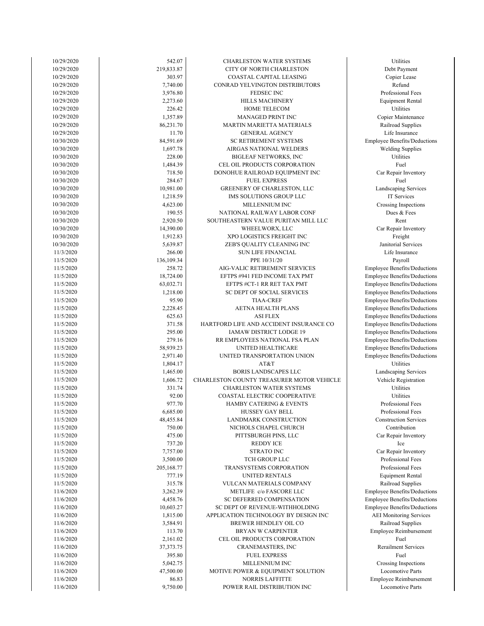| 10/29/2020 | 542.07      | CHARLESTON WATER SYSTEMS                  | Utilities                           |
|------------|-------------|-------------------------------------------|-------------------------------------|
| 10/29/2020 | 219,833.87  | CITY OF NORTH CHARLESTON                  | Debt Payment                        |
| 10/29/2020 | 303.97      | COASTAL CAPITAL LEASING                   | Copier Lease                        |
| 10/29/2020 | 7,740.00    | CONRAD YELVINGTON DISTRIBUTORS            | Refund                              |
| 10/29/2020 | 3,976.80    | FEDSEC INC                                | Professional Fees                   |
| 10/29/2020 | 2,273.60    | <b>HILLS MACHINERY</b>                    | <b>Equipment Rental</b>             |
| 10/29/2020 | 226.42      | <b>HOME TELECOM</b>                       | Utilities                           |
| 10/29/2020 | 1,357.89    | <b>MANAGED PRINT INC</b>                  | Copier Maintenance                  |
| 10/29/2020 | 86,231.70   | <b>MARTIN MARIETTA MATERIALS</b>          | Railroad Supplies                   |
| 10/29/2020 | 11.70       | <b>GENERAL AGENCY</b>                     | Life Insurance                      |
| 10/30/2020 | 84,591.69   | <b>SC RETIREMENT SYSTEMS</b>              | Employee Benefits/Deductions        |
| 10/30/2020 | 1,697.78    | AIRGAS NATIONAL WELDERS                   | <b>Welding Supplies</b>             |
| 10/30/2020 | 228.00      | <b>BIGLEAF NETWORKS, INC</b>              | Utilities                           |
| 10/30/2020 | 1.484.39    | CEL OIL PRODUCTS CORPORATION              | Fuel                                |
| 10/30/2020 | 718.50      | DONOHUE RAILROAD EQUIPMENT INC            | Car Repair Inventory                |
| 10/30/2020 | 284.67      | <b>FUEL EXPRESS</b>                       | Fuel                                |
| 10/30/2020 | 10,981.00   | GREENERY OF CHARLESTON, LLC               | Landscaping Services                |
| 10/30/2020 | 1,218.59    | IMS SOLUTIONS GROUP LLC                   | IT Services                         |
| 10/30/2020 | 4,623.00    | MILLENNIUM INC                            | Crossing Inspections                |
| 10/30/2020 | 190.55      | NATIONAL RAILWAY LABOR CONF               | Dues & Fees                         |
| 10/30/2020 | 2,920.50    | SOUTHEASTERN VALUE PURITAN MILL LLC       | Rent                                |
| 10/30/2020 | 14,390.00   | WHEELWORX, LLC                            | Car Repair Inventory                |
| 10/30/2020 | 1,912.83    | XPO LOGISTICS FREIGHT INC                 | Freight                             |
| 10/30/2020 | 5,639.87    | ZEB'S QUALITY CLEANING INC                | Janitorial Services                 |
| 11/3/2020  | 266.00      | <b>SUN LIFE FINANCIAL</b>                 | Life Insurance                      |
| 11/5/2020  | 136,109.34  | PPE 10/31/20                              | Payroll                             |
| 11/5/2020  | 258.72      | AIG-VALIC RETIREMENT SERVICES             |                                     |
|            |             |                                           | <b>Employee Benefits/Deductions</b> |
| 11/5/2020  | 18,724.00   | EFTPS #941 FED INCOME TAX PMT             | <b>Employee Benefits/Deductions</b> |
| 11/5/2020  | 63,032.71   | EFTPS #CT-1 RR RET TAX PMT                | <b>Employee Benefits/Deductions</b> |
| 11/5/2020  | 1,218.00    | SC DEPT OF SOCIAL SERVICES                | <b>Employee Benefits/Deductions</b> |
| 11/5/2020  | 95.90       | <b>TIAA-CREF</b>                          | <b>Employee Benefits/Deductions</b> |
| 11/5/2020  | 2,228.45    | AETNA HEALTH PLANS                        | <b>Employee Benefits/Deductions</b> |
| 11/5/2020  | 625.63      | <b>ASI FLEX</b>                           | <b>Employee Benefits/Deductions</b> |
| 11/5/2020  | 371.58      | HARTFORD LIFE AND ACCIDENT INSURANCE CO   | <b>Employee Benefits/Deductions</b> |
| 11/5/2020  | 295.00      | IAMAW DISTRICT LODGE 19                   | <b>Employee Benefits/Deductions</b> |
| 11/5/2020  | 279.16      | RR EMPLOYEES NATIONAL FSA PLAN            | <b>Employee Benefits/Deductions</b> |
| 11/5/2020  | 58,939.23   | UNITED HEALTHCARE                         | <b>Employee Benefits/Deductions</b> |
| 11/5/2020  | 2,971.40    | UNITED TRANSPORTATION UNION               | Employee Benefits/Deductions        |
| 11/5/2020  | 1,804.17    | AT&T                                      | Utilities                           |
| 11/5/2020  | 1,465.00    | <b>BORIS LANDSCAPES LLC</b>               | Landscaping Services                |
| 11/5/2020  | 1,606.72    | CHARLESTON COUNTY TREASURER MOTOR VEHICLE | Vehicle Registration                |
| 11/5/2020  | 331.74      | <b>CHARLESTON WATER SYSTEMS</b>           | Utilities                           |
| 11/5/2020  | 92.00       | COASTAL ELECTRIC COOPERATIVE              | Utilities                           |
| 11/5/2020  | 977.70      | <b>HAMBY CATERING &amp; EVENTS</b>        | Professional Fees                   |
| 11/5/2020  | 6,685.00    | <b>HUSSEY GAY BELL</b>                    | Professional Fees                   |
| 11/5/2020  | 48,455.84   | LANDMARK CONSTRUCTION                     | <b>Construction Services</b>        |
| 11/5/2020  | 750.00      | NICHOLS CHAPEL CHURCH                     | Contribution                        |
| 11/5/2020  | 475.00      | PITTSBURGH PINS, LLC                      | Car Repair Inventory                |
| 11/5/2020  | 737.20      | <b>REDDY ICE</b>                          | Ice                                 |
| 11/5/2020  | 7,757.00    | <b>STRATO INC</b>                         | Car Repair Inventory                |
| 11/5/2020  | 3,500.00    | TCH GROUP LLC                             | Professional Fees                   |
| 11/5/2020  | 205,168.77  | TRANSYSTEMS CORPORATION                   | Professional Fees                   |
| 11/5/2020  | 777.19      | UNITED RENTALS                            | <b>Equipment Rental</b>             |
| 11/5/2020  | 315.78      | VULCAN MATERIALS COMPANY                  | Railroad Supplies                   |
| 11/6/2020  | 3,262.39    | METLIFE c/o FASCORE LLC                   | <b>Employee Benefits/Deductions</b> |
| 11/6/2020  | 4,458.76    | SC DEFERRED COMPENSATION                  | Employee Benefits/Deductions        |
| 11/6/2020  | 10,603.27   | SC DEPT OF REVENUE-WITHHOLDING            | <b>Employee Benefits/Deductions</b> |
| 11/6/2020  | 1,815.00    | APPLICATION TECHNOLOGY BY DESIGN INC      | <b>AEI</b> Monitoring Services      |
| 11/6/2020  | 3,584.91    | BREWER HENDLEY OIL CO                     | Railroad Supplies                   |
| 11/6/2020  | 113.70      | BRYAN W CARPENTER                         | Employee Reimbursement              |
| 11/6/2020  | 2,161.02    | CEL OIL PRODUCTS CORPORATION              | Fuel                                |
| 11/6/2020  | 37, 373. 75 | CRANEMASTERS, INC                         | <b>Rerailment Services</b>          |
| 11/6/2020  | 395.80      | <b>FUEL EXPRESS</b>                       | Fuel                                |
| 11/6/2020  | 5,042.75    | MILLENNIUM INC                            | Crossing Inspections                |
| 11/6/2020  | 47,500.00   | MOTIVE POWER & EQUIPMENT SOLUTION         | Locomotive Parts                    |
| 11/6/2020  | 86.83       | <b>NORRIS LAFFITTE</b>                    | Employee Reimbursement              |
| 11/6/2020  | 9,750.00    | POWER RAIL DISTRIBUTION INC               | Locomotive Parts                    |
|            |             |                                           |                                     |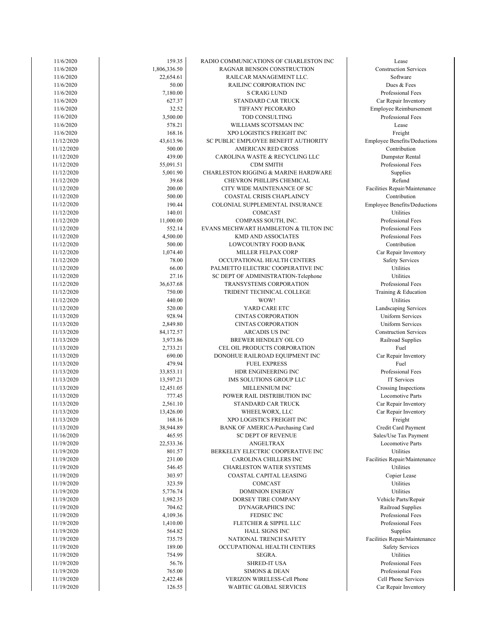| 11/6/2020  | 159.35       | RADIO COMMUNICATIONS OF CHARLESTON INC          | Lease                               |
|------------|--------------|-------------------------------------------------|-------------------------------------|
| 11/6/2020  | 1,806,336.50 | RAGNAR BENSON CONSTRUCTION                      | <b>Construction Services</b>        |
| 11/6/2020  | 22,654.61    | RAILCAR MANAGEMENT LLC.                         | Software                            |
| 11/6/2020  | 50.00        | RAILINC CORPORATION INC                         | Dues & Fees                         |
| 11/6/2020  | 7,180.00     | <b>S CRAIG LUND</b>                             | Professional Fees                   |
| 11/6/2020  | 627.37       | STANDARD CAR TRUCK                              | Car Repair Inventory                |
| 11/6/2020  | 32.52        | TIFFANY PECORARO                                | Employee Reimbursement              |
| 11/6/2020  | 3,500.00     | TOD CONSULTING                                  | Professional Fees                   |
| 11/6/2020  | 578.21       | WILLIAMS SCOTSMAN INC                           | Lease                               |
| 11/6/2020  | 168.16       | XPO LOGISTICS FREIGHT INC                       |                                     |
|            | 43.613.96    |                                                 | Freight                             |
| 11/12/2020 |              | SC PUBLIC EMPLOYEE BENEFIT AUTHORITY            | <b>Employee Benefits/Deductions</b> |
| 11/12/2020 | 500.00       | <b>AMERICAN RED CROSS</b>                       | Contribution                        |
| 11/12/2020 | 439.00       | CAROLINA WASTE & RECYCLING LLC                  | Dumpster Rental                     |
| 11/12/2020 | 55,091.51    | <b>CDM SMITH</b>                                | Professional Fees                   |
| 11/12/2020 | 5,001.90     | <b>CHARLESTON RIGGING &amp; MARINE HARDWARE</b> | Supplies                            |
| 11/12/2020 | 39.68        | CHEVRON PHILLIPS CHEMICAL                       | Refund                              |
| 11/12/2020 | 200.00       | CITY WIDE MAINTENANCE OF SC                     | Facilities Repair/Maintenance       |
| 11/12/2020 | 500.00       | COASTAL CRISIS CHAPLAINCY                       | Contribution                        |
| 11/12/2020 | 190.44       | COLONIAL SUPPLEMENTAL INSURANCE                 | <b>Employee Benefits/Deductions</b> |
| 11/12/2020 | 140.01       | COMCAST                                         | Utilities                           |
| 11/12/2020 | 11,000.00    | COMPASS SOUTH, INC.                             | Professional Fees                   |
| 11/12/2020 | 552.14       | EVANS MECHWART HAMBLETON & TILTON INC           | Professional Fees                   |
| 11/12/2020 | 4,500.00     | <b>KMD AND ASSOCIATES</b>                       | Professional Fees                   |
| 11/12/2020 | 500.00       | LOWCOUNTRY FOOD BANK                            | Contribution                        |
| 11/12/2020 | 1.074.40     | MILLER FELPAX CORP                              | Car Repair Inventory                |
| 11/12/2020 | 78.00        | OCCUPATIONAL HEALTH CENTERS                     | <b>Safety Services</b>              |
| 11/12/2020 | 66.00        | PALMETTO ELECTRIC COOPERATIVE INC               | Utilities                           |
|            | 27.16        |                                                 | Utilities                           |
| 11/12/2020 |              | SC DEPT OF ADMINISTRATION-Telephone             |                                     |
| 11/12/2020 | 36,637.68    | TRANSYSTEMS CORPORATION                         | Professional Fees                   |
| 11/12/2020 | 750.00       | TRIDENT TECHNICAL COLLEGE                       | Training & Education                |
| 11/12/2020 | 440.00       | WOW!                                            | Utilities                           |
| 11/12/2020 | 520.00       | YARD CARE ETC                                   | Landscaping Services                |
| 11/13/2020 | 928.94       | <b>CINTAS CORPORATION</b>                       | <b>Uniform Services</b>             |
| 11/13/2020 | 2,849.80     | <b>CINTAS CORPORATION</b>                       | <b>Uniform Services</b>             |
| 11/13/2020 | 84,172.57    | ARCADIS US INC                                  | <b>Construction Services</b>        |
| 11/13/2020 | 3,973.86     | BREWER HENDLEY OIL CO                           | Railroad Supplies                   |
| 11/13/2020 | 2,733.21     | CEL OIL PRODUCTS CORPORATION                    | Fuel                                |
| 11/13/2020 | 690.00       | DONOHUE RAILROAD EQUIPMENT INC                  | Car Repair Inventory                |
| 11/13/2020 | 479.94       | <b>FUEL EXPRESS</b>                             | Fuel                                |
| 11/13/2020 | 33,853.11    | HDR ENGINEERING INC                             | Professional Fees                   |
| 11/13/2020 | 13,597.21    | IMS SOLUTIONS GROUP LLC                         | IT Services                         |
| 11/13/2020 | 12,451.05    | MILLENNIUM INC                                  | Crossing Inspections                |
| 11/13/2020 | 777.45       | POWER RAIL DISTRIBUTION INC                     | Locomotive Parts                    |
| 11/13/2020 | 2,561.10     | STANDARD CAR TRUCK                              | Car Repair Inventory                |
| 11/13/2020 | 13,426.00    | WHEELWORX, LLC                                  | Car Repair Inventory                |
| 11/13/2020 | 168.16       | XPO LOGISTICS FREIGHT INC                       | Freight                             |
| 11/13/2020 | 38,944.89    | BANK OF AMERICA-Purchasing Card                 | Credit Card Payment                 |
| 11/16/2020 | 465.95       | <b>SC DEPT OF REVENUE</b>                       | Sales/Use Tax Payment               |
| 11/19/2020 | 22,533.36    | <b>ANGELTRAX</b>                                | Locomotive Parts                    |
| 11/19/2020 | 801.57       | BERKELEY ELECTRIC COOPERATIVE INC               | Utilities                           |
| 11/19/2020 | 231.00       | CAROLINA CHILLERS INC                           | Facilities Repair/Maintenance       |
| 11/19/2020 | 546.45       | <b>CHARLESTON WATER SYSTEMS</b>                 | Utilities                           |
| 11/19/2020 | 303.97       | COASTAL CAPITAL LEASING                         |                                     |
|            |              | <b>COMCAST</b>                                  | Copier Lease                        |
| 11/19/2020 | 323.59       |                                                 | Utilities                           |
| 11/19/2020 | 5,776.74     | <b>DOMINION ENERGY</b>                          | Utilities                           |
| 11/19/2020 | 1,982.35     | DORSEY TIRE COMPANY                             | Vehicle Parts/Repair                |
| 11/19/2020 | 704.62       | DYNAGRAPHICS INC                                | Railroad Supplies                   |
| 11/19/2020 | 4,109.36     | FEDSEC INC                                      | Professional Fees                   |
| 11/19/2020 | 1,410.00     | FLETCHER & SIPPEL LLC                           | Professional Fees                   |
| 11/19/2020 | 564.82       | <b>HALL SIGNS INC</b>                           | Supplies                            |
| 11/19/2020 | 735.75       | NATIONAL TRENCH SAFETY                          | Facilities Repair/Maintenance       |
| 11/19/2020 | 189.00       | OCCUPATIONAL HEALTH CENTERS                     | <b>Safety Services</b>              |
| 11/19/2020 | 754.99       | SEGRA.                                          | Utilities                           |
| 11/19/2020 | 56.76        | <b>SHRED-IT USA</b>                             | Professional Fees                   |
| 11/19/2020 | 765.00       | <b>SIMONS &amp; DEAN</b>                        | Professional Fees                   |
| 11/19/2020 | 2,422.48     | VERIZON WIRELESS-Cell Phone                     | Cell Phone Services                 |
| 11/19/2020 | 126.55       | WABTEC GLOBAL SERVICES                          | Car Repair Inventory                |
|            |              |                                                 |                                     |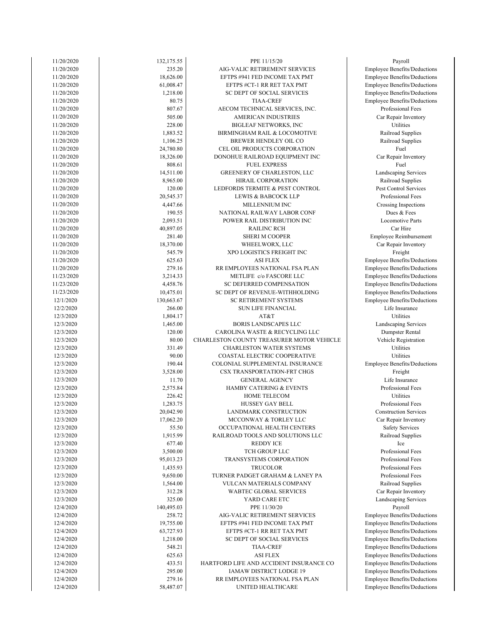| 11/20/2020               | 132,175.55            | PPE 11/15/20                                               | Payroll                                         |
|--------------------------|-----------------------|------------------------------------------------------------|-------------------------------------------------|
| 11/20/2020               | 235.20                | AIG-VALIC RETIREMENT SERVICES                              | Employee Benefits/Ded                           |
| 11/20/2020               | 18,626.00             | EFTPS #941 FED INCOME TAX PMT                              | Employee Benefits/Ded                           |
| 11/20/2020               | 61,008.47             | EFTPS #CT-1 RR RET TAX PMT                                 | Employee Benefits/Ded                           |
| 11/20/2020               | 1,218.00              | SC DEPT OF SOCIAL SERVICES                                 | Employee Benefits/Ded                           |
| 11/20/2020               | 80.75                 | <b>TIAA-CREF</b>                                           | Employee Benefits/Ded                           |
| 11/20/2020               | 807.67                | AECOM TECHNICAL SERVICES, INC.                             | Professional Fees                               |
| 11/20/2020               | 505.00                | <b>AMERICAN INDUSTRIES</b>                                 | Car Repair Invento                              |
| 11/20/2020               | 228.00                | <b>BIGLEAF NETWORKS, INC</b>                               | Utilities                                       |
| 11/20/2020<br>11/20/2020 | 1,883.52<br>1,106.25  | BIRMINGHAM RAIL & LOCOMOTIVE<br>BREWER HENDLEY OIL CO      | Railroad Supplies<br>Railroad Supplies          |
| 11/20/2020               | 24,780.80             | CEL OIL PRODUCTS CORPORATION                               | Fuel                                            |
| 11/20/2020               | 18,326.00             | DONOHUE RAILROAD EQUIPMENT INC                             | Car Repair Invento                              |
| 11/20/2020               | 808.61                | <b>FUEL EXPRESS</b>                                        | Fuel                                            |
| 11/20/2020               | 14,511.00             | GREENERY OF CHARLESTON, LLC                                | Landscaping Servic                              |
| 11/20/2020               | 8,965.00              | HIRAIL CORPORATION                                         | Railroad Supplies                               |
| 11/20/2020               | 120.00                | LEDFORDS TERMITE & PEST CONTROL                            | Pest Control Servic                             |
| 11/20/2020               | 20,545.37             | LEWIS & BABCOCK LLP                                        | Professional Fees                               |
| 11/20/2020               | 4,447.66              | MILLENNIUM INC                                             | Crossing Inspection                             |
| 11/20/2020               | 190.55                | NATIONAL RAILWAY LABOR CONF                                | Dues & Fees                                     |
| 11/20/2020               | 2,093.51              | POWER RAIL DISTRIBUTION INC                                | <b>Locomotive Parts</b>                         |
| 11/20/2020               | 40,897.05             | <b>RAILINC RCH</b>                                         | Car Hire                                        |
| 11/20/2020               | 281.40                | <b>SHERI M COOPER</b>                                      | Employee Reimburser                             |
| 11/20/2020               | 18,370.00             | WHEELWORX, LLC                                             | Car Repair Invento                              |
| 11/20/2020               | 545.79                | XPO LOGISTICS FREIGHT INC                                  | Freight                                         |
| 11/20/2020               | 625.63                | <b>ASI FLEX</b>                                            | Employee Benefits/Ded                           |
| 11/20/2020               | 279.16                | RR EMPLOYEES NATIONAL FSA PLAN                             | Employee Benefits/Ded                           |
| 11/23/2020<br>11/23/2020 | 3,214.33<br>4,458.76  | METLIFE c/o FASCORE LLC<br>SC DEFERRED COMPENSATION        | Employee Benefits/Ded                           |
| 11/23/2020               | 10,475.01             | SC DEPT OF REVENUE-WITHHOLDING                             | Employee Benefits/Ded<br>Employee Benefits/Ded  |
| 12/1/2020                | 130,663.67            | SC RETIREMENT SYSTEMS                                      | Employee Benefits/Dedu                          |
| 12/2/2020                | 266.00                | <b>SUN LIFE FINANCIAL</b>                                  | Life Insurance                                  |
| 12/3/2020                | 1,804.17              | AT&T                                                       | Utilities                                       |
| 12/3/2020                | 1,465.00              | <b>BORIS LANDSCAPES LLC</b>                                | Landscaping Servic                              |
| 12/3/2020                | 120.00                | CAROLINA WASTE & RECYCLING LLC                             | Dumpster Rental                                 |
| 12/3/2020                | 80.00                 | CHARLESTON COUNTY TREASURER MOTOR VEHICLE                  | Vehicle Registratio                             |
| 12/3/2020                | 331.49                | <b>CHARLESTON WATER SYSTEMS</b>                            | Utilities                                       |
| 12/3/2020                | 90.00                 | COASTAL ELECTRIC COOPERATIVE                               | Utilities                                       |
| 12/3/2020                | 190.44                | COLONIAL SUPPLEMENTAL INSURANCE                            | Employee Benefits/Ded                           |
| 12/3/2020                | 3,528.00              | CSX TRANSPORTATION-FRT CHGS                                | Freight                                         |
| 12/3/2020                | 11.70                 | <b>GENERAL AGENCY</b>                                      | Life Insurance                                  |
| 12/3/2020                | 2,575.84              | HAMBY CATERING & EVENTS                                    | Professional Fees                               |
| 12/3/2020                | 226.42                | HOME TELECOM<br><b>HUSSEY GAY BELL</b>                     | Utilities                                       |
| 12/3/2020<br>12/3/2020   | 1,283.75<br>20,042.90 | <b>LANDMARK CONSTRUCTION</b>                               | Professional Fees<br><b>Construction Servic</b> |
| 12/3/2020                | 17,062.20             | MCCONWAY & TORLEY LLC                                      | Car Repair Invento                              |
| 12/3/2020                | 55.50                 | OCCUPATIONAL HEALTH CENTERS                                | <b>Safety Services</b>                          |
| 12/3/2020                | 1,915.99              | RAILROAD TOOLS AND SOLUTIONS LLC                           | Railroad Supplies                               |
| 12/3/2020                | 677.40                | <b>REDDY ICE</b>                                           | Ice                                             |
| 12/3/2020                | 3,500.00              | TCH GROUP LLC                                              | Professional Fees                               |
| 12/3/2020                | 95,013.23             | TRANSYSTEMS CORPORATION                                    | Professional Fees                               |
| 12/3/2020                | 1,435.93              | <b>TRUCOLOR</b>                                            | Professional Fees                               |
| 12/3/2020                | 9,650.00              | TURNER PADGET GRAHAM & LANEY PA                            | Professional Fees                               |
| 12/3/2020                | 1,564.00              | VULCAN MATERIALS COMPANY                                   | Railroad Supplies                               |
| 12/3/2020                | 312.28                | WABTEC GLOBAL SERVICES                                     | Car Repair Invento                              |
| 12/3/2020                | 325.00                | YARD CARE ETC                                              | Landscaping Servic                              |
| 12/4/2020                | 140,495.03            | PPE 11/30/20                                               | Payroll                                         |
| 12/4/2020                | 258.72                | AIG-VALIC RETIREMENT SERVICES                              | Employee Benefits/Ded                           |
| 12/4/2020                | 19,755.00             | EFTPS #941 FED INCOME TAX PMT                              | Employee Benefits/Ded                           |
| 12/4/2020                | 63,727.93             | EFTPS #CT-1 RR RET TAX PMT                                 | Employee Benefits/Ded                           |
| 12/4/2020                | 1,218.00              | SC DEPT OF SOCIAL SERVICES                                 | Employee Benefits/Ded                           |
| 12/4/2020                | 548.21                | <b>TIAA-CREF</b>                                           | Employee Benefits/Ded                           |
| 12/4/2020<br>12/4/2020   | 625.63<br>433.51      | <b>ASI FLEX</b><br>HARTFORD LIFE AND ACCIDENT INSURANCE CO | Employee Benefits/Ded<br>Employee Benefits/Ded  |
| 12/4/2020                | 295.00                | IAMAW DISTRICT LODGE 19                                    | Employee Benefits/Ded                           |
| 12/4/2020                | 279.16                | RR EMPLOYEES NATIONAL FSA PLAN                             | Employee Benefits/Ded                           |
| 12/4/2020                | 58,487.07             | UNITED HEALTHCARE                                          | Employee Benefits/Ded                           |
|                          |                       |                                                            |                                                 |

Employee Benefits/Deductions Employee Benefits/Deductions Employee Benefits/Deductions Employee Benefits/Deductions Employee Benefits/Deductions Employee Benefits/Deductions Employee Benefits/Deductions Employee Benefits/Deductions Employee Benefits/Deductions Employee Benefits/Deductions Car Repair Inventory Landscaping Services Professional Fees Railroad Supplies Professional Fees Professional Fees Professional Fees Safety Services Railroad Supplies **Construction Services** Car Repair Inventory Professional Fees Employee Benefits/Deductions Dumpster Rental Vehicle Registration Landscaping Services Employee Benefits/Deductions Life Insurance Employee Benefits/Deductions Employee Benefits/Deductions Employee Benefits/Deductions Employee Benefits/Deductions Employee Benefits/Deductions Employee Reimbursement Car Repair Inventory Crossing Inspections Pest Control Services Professional Fees Landscaping Services Railroad Supplies Car Repair Inventory Railroad Supplies Railroad Supplies Professional Fees Car Repair Inventory Employee Benefits/Deductions Employee Benefits/Deductions Employee Benefits/Deductions Employee Benefits/Deductions Employee Benefits/Deductions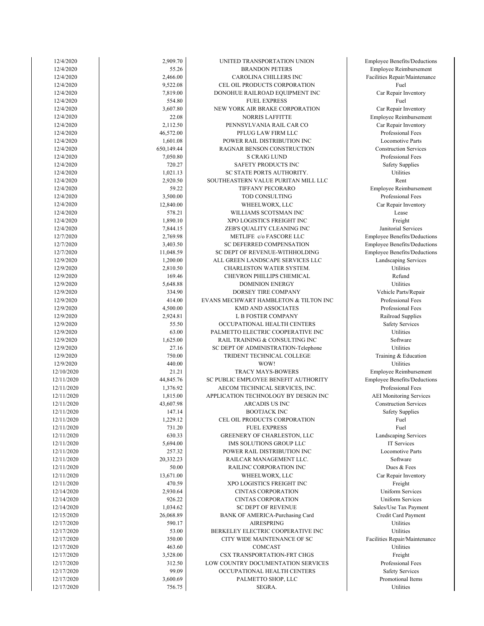| 12/4/2020  | 2,909.70   | UNITED TRANSPORTATION UNION           | Employee Benefits/Deductions        |
|------------|------------|---------------------------------------|-------------------------------------|
| 12/4/2020  | 55.26      | <b>BRANDON PETERS</b>                 | Employee Reimbursement              |
| 12/4/2020  |            |                                       |                                     |
|            | 2,466.00   | CAROLINA CHILLERS INC                 | Facilities Repair/Maintenance       |
| 12/4/2020  | 9,522.08   | CEL OIL PRODUCTS CORPORATION          | Fuel                                |
| 12/4/2020  | 7,819.00   | DONOHUE RAILROAD EQUIPMENT INC        | Car Repair Inventory                |
| 12/4/2020  | 554.80     | <b>FUEL EXPRESS</b>                   | Fuel                                |
| 12/4/2020  | 3,607.80   | NEW YORK AIR BRAKE CORPORATION        | Car Repair Inventory                |
| 12/4/2020  | 22.08      | <b>NORRIS LAFFITTE</b>                | Employee Reimbursement              |
| 12/4/2020  | 2,112.50   | PENNSYLVANIA RAIL CAR CO              | Car Repair Inventory                |
| 12/4/2020  | 46,572.00  | PFLUG LAW FIRM LLC                    | Professional Fees                   |
| 12/4/2020  | 1,601.08   | POWER RAIL DISTRIBUTION INC           | <b>Locomotive Parts</b>             |
| 12/4/2020  | 650,149.44 | RAGNAR BENSON CONSTRUCTION            | <b>Construction Services</b>        |
| 12/4/2020  | 7,050.80   | <b>S CRAIG LUND</b>                   | Professional Fees                   |
| 12/4/2020  | 720.27     | SAFETY PRODUCTS INC                   | <b>Safety Supplies</b>              |
| 12/4/2020  | 1,021.13   | SC STATE PORTS AUTHORITY.             | Utilities                           |
|            |            |                                       |                                     |
| 12/4/2020  | 2,920.50   | SOUTHEASTERN VALUE PURITAN MILL LLC   | Rent                                |
| 12/4/2020  | 59.22      | TIFFANY PECORARO                      | Employee Reimbursement              |
| 12/4/2020  | 3,500.00   | TOD CONSULTING                        | Professional Fees                   |
| 12/4/2020  | 12,840.00  | WHEELWORX, LLC                        | Car Repair Inventory                |
| 12/4/2020  | 578.21     | WILLIAMS SCOTSMAN INC                 | Lease                               |
| 12/4/2020  | 1,890.10   | XPO LOGISTICS FREIGHT INC             | Freight                             |
| 12/4/2020  | 7,844.15   | ZEB'S QUALITY CLEANING INC            | Janitorial Services                 |
| 12/7/2020  | 2,769.98   | METLIFE c/o FASCORE LLC               | <b>Employee Benefits/Deductions</b> |
| 12/7/2020  | 3,403.50   | SC DEFERRED COMPENSATION              | <b>Employee Benefits/Deductions</b> |
| 12/7/2020  | 11,048.59  | SC DEPT OF REVENUE-WITHHOLDING        | <b>Employee Benefits/Deductions</b> |
| 12/9/2020  | 1,200.00   | ALL GREEN LANDSCAPE SERVICES LLC      | Landscaping Services                |
|            |            | CHARLESTON WATER SYSTEM.              | Utilities                           |
| 12/9/2020  | 2,810.50   |                                       |                                     |
| 12/9/2020  | 169.46     | CHEVRON PHILLIPS CHEMICAL             | Refund                              |
| 12/9/2020  | 5,648.88   | <b>DOMINION ENERGY</b>                | Utilities                           |
| 12/9/2020  | 334.90     | DORSEY TIRE COMPANY                   | Vehicle Parts/Repair                |
| 12/9/2020  | 414.00     | EVANS MECHWART HAMBLETON & TILTON INC | Professional Fees                   |
| 12/9/2020  | 4,500.00   | <b>KMD AND ASSOCIATES</b>             | Professional Fees                   |
| 12/9/2020  | 2,924.81   | L B FOSTER COMPANY                    | Railroad Supplies                   |
| 12/9/2020  | 55.50      | OCCUPATIONAL HEALTH CENTERS           | <b>Safety Services</b>              |
| 12/9/2020  | 63.00      | PALMETTO ELECTRIC COOPERATIVE INC     | Utilities                           |
| 12/9/2020  | 1,625.00   | RAIL TRAINING & CONSULTING INC        | Software                            |
| 12/9/2020  | 27.16      | SC DEPT OF ADMINISTRATION-Telephone   | Utilities                           |
| 12/9/2020  | 750.00     | TRIDENT TECHNICAL COLLEGE             | Training & Education                |
| 12/9/2020  | 440.00     | WOW!                                  | Utilities                           |
|            |            |                                       |                                     |
| 12/10/2020 | 21.21      | <b>TRACY MAYS-BOWERS</b>              | Employee Reimbursement              |
| 12/11/2020 | 44,845.76  | SC PUBLIC EMPLOYEE BENEFIT AUTHORITY  | <b>Employee Benefits/Deductions</b> |
| 12/11/2020 | 1,376.92   | AECOM TECHNICAL SERVICES, INC.        | Professional Fees                   |
| 12/11/2020 | 1,815.00   | APPLICATION TECHNOLOGY BY DESIGN INC  | <b>AEI</b> Monitoring Services      |
| 12/11/2020 | 43,607.98  | <b>ARCADIS US INC</b>                 | <b>Construction Services</b>        |
| 12/11/2020 | 147.14     | BOOTJACK INC                          | <b>Safety Supplies</b>              |
| 12/11/2020 | 1,229.12   | CEL OIL PRODUCTS CORPORATION          | Fuel                                |
| 12/11/2020 | 731.20     | <b>FUEL EXPRESS</b>                   | Fuel                                |
| 12/11/2020 | 630.33     | GREENERY OF CHARLESTON, LLC           | Landscaping Services                |
| 12/11/2020 | 5,694.00   | IMS SOLUTIONS GROUP LLC               | IT Services                         |
| 12/11/2020 | 257.32     | POWER RAIL DISTRIBUTION INC           | <b>Locomotive Parts</b>             |
| 12/11/2020 | 20,332.23  | RAILCAR MANAGEMENT LLC.               | Software                            |
| 12/11/2020 | 50.00      | RAILINC CORPORATION INC               | Dues & Fees                         |
|            |            |                                       |                                     |
| 12/11/2020 | 13,671.00  | WHEELWORX, LLC                        | Car Repair Inventory                |
| 12/11/2020 | 470.59     | XPO LOGISTICS FREIGHT INC             | Freight                             |
| 12/14/2020 | 2,930.64   | <b>CINTAS CORPORATION</b>             | <b>Uniform Services</b>             |
| 12/14/2020 | 926.22     | <b>CINTAS CORPORATION</b>             | Uniform Services                    |
| 12/14/2020 | 1,034.62   | <b>SC DEPT OF REVENUE</b>             | Sales/Use Tax Payment               |
| 12/15/2020 | 26,068.89  | BANK OF AMERICA-Purchasing Card       | Credit Card Payment                 |
| 12/17/2020 | 590.17     | AIRESPRING                            | Utilities                           |
| 12/17/2020 | 53.00      | BERKELEY ELECTRIC COOPERATIVE INC     | Utilities                           |
| 12/17/2020 | 350.00     | CITY WIDE MAINTENANCE OF SC           | Facilities Repair/Maintenance       |
| 12/17/2020 | 463.60     | COMCAST                               | Utilities                           |
| 12/17/2020 | 3,528.00   | CSX TRANSPORTATION-FRT CHGS           | Freight                             |
|            |            |                                       | Professional Fees                   |
| 12/17/2020 | 312.50     | LOW COUNTRY DOCUMENTATION SERVICES    |                                     |
| 12/17/2020 | 99.09      | OCCUPATIONAL HEALTH CENTERS           | <b>Safety Services</b>              |
| 12/17/2020 | 3,600.69   | PALMETTO SHOP, LLC                    | Promotional Items                   |
| 12/17/2020 | 756.75     | SEGRA.                                | Utilities                           |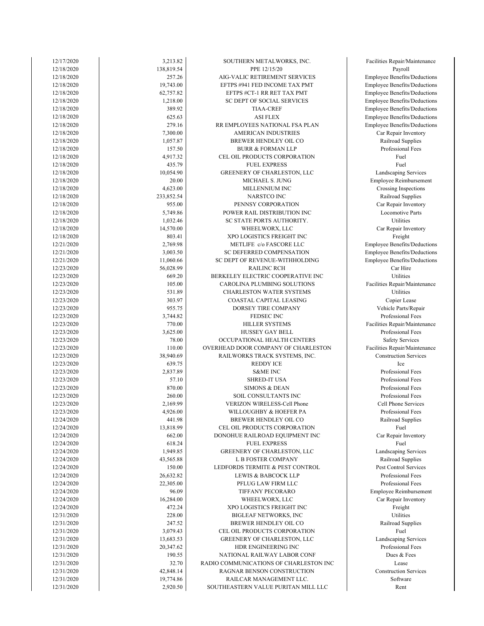| 12/17/2020 | 3,213.82   | SOUTHERN METALWORKS, INC.              | Facilities Repair/Maintenance       |
|------------|------------|----------------------------------------|-------------------------------------|
| 12/18/2020 | 138,819.54 | PPE 12/15/20                           | Payroll                             |
| 12/18/2020 | 257.26     | AIG-VALIC RETIREMENT SERVICES          | Employee Benefits/Deductions        |
| 12/18/2020 | 19,743.00  | EFTPS #941 FED INCOME TAX PMT          | <b>Employee Benefits/Deductions</b> |
| 12/18/2020 | 62,757.82  | EFTPS #CT-1 RR RET TAX PMT             | <b>Employee Benefits/Deductions</b> |
| 12/18/2020 | 1,218.00   | SC DEPT OF SOCIAL SERVICES             | <b>Employee Benefits/Deductions</b> |
| 12/18/2020 | 389.92     | <b>TIAA-CREF</b>                       | Employee Benefits/Deductions        |
| 12/18/2020 | 625.63     | <b>ASI FLEX</b>                        | Employee Benefits/Deductions        |
| 12/18/2020 | 279.16     | RR EMPLOYEES NATIONAL FSA PLAN         | <b>Employee Benefits/Deductions</b> |
| 12/18/2020 | 7,300.00   | AMERICAN INDUSTRIES                    | Car Repair Inventory                |
| 12/18/2020 | 1,057.87   | BREWER HENDLEY OIL CO                  | Railroad Supplies                   |
| 12/18/2020 | 157.50     | <b>BURR &amp; FORMAN LLP</b>           | Professional Fees                   |
| 12/18/2020 | 4,917.32   | CEL OIL PRODUCTS CORPORATION           | Fuel                                |
| 12/18/2020 | 435.79     | <b>FUEL EXPRESS</b>                    | Fuel                                |
| 12/18/2020 | 10,054.90  | GREENERY OF CHARLESTON, LLC            | Landscaping Services                |
| 12/18/2020 | 20.00      | MICHAEL S. JUNG                        | Employee Reimbursement              |
| 12/18/2020 | 4,623.00   | MILLENNIUM INC                         | Crossing Inspections                |
| 12/18/2020 | 233,852.54 | <b>NARSTCO INC</b>                     | Railroad Supplies                   |
| 12/18/2020 | 955.00     | PENNSY CORPORATION                     | Car Repair Inventory                |
| 12/18/2020 | 5,749.86   | POWER RAIL DISTRIBUTION INC            | Locomotive Parts                    |
| 12/18/2020 | 1,032.46   | SC STATE PORTS AUTHORITY.              | Utilities                           |
| 12/18/2020 | 14,570.00  | WHEELWORX, LLC                         | Car Repair Inventory                |
| 12/18/2020 | 803.41     | XPO LOGISTICS FREIGHT INC              | Freight                             |
| 12/21/2020 | 2,769.98   | METLIFE c/o FASCORE LLC                | Employee Benefits/Deductions        |
| 12/21/2020 | 3,003.50   | <b>SC DEFERRED COMPENSATION</b>        | <b>Employee Benefits/Deductions</b> |
| 12/21/2020 | 11,060.66  | SC DEPT OF REVENUE-WITHHOLDING         | Employee Benefits/Deductions        |
| 12/23/2020 | 56,028.99  | <b>RAILINC RCH</b>                     | Car Hire                            |
| 12/23/2020 | 669.20     | BERKELEY ELECTRIC COOPERATIVE INC      | Utilities                           |
| 12/23/2020 | 105.00     | CAROLINA PLUMBING SOLUTIONS            | Facilities Repair/Maintenance       |
| 12/23/2020 | 531.89     | <b>CHARLESTON WATER SYSTEMS</b>        | Utilities                           |
| 12/23/2020 | 303.97     | COASTAL CAPITAL LEASING                | Copier Lease                        |
| 12/23/2020 | 955.75     | DORSEY TIRE COMPANY                    | Vehicle Parts/Repair                |
| 12/23/2020 | 3,744.82   | FEDSEC INC                             | Professional Fees                   |
| 12/23/2020 | 770.00     | HILLER SYSTEMS                         | Facilities Repair/Maintenance       |
| 12/23/2020 | 3,625.00   | HUSSEY GAY BELL                        | Professional Fees                   |
| 12/23/2020 | 78.00      | OCCUPATIONAL HEALTH CENTERS            | <b>Safety Services</b>              |
| 12/23/2020 | 110.00     | OVERHEAD DOOR COMPANY OF CHARLESTON    | Facilities Repair/Maintenance       |
| 12/23/2020 | 38,940.69  |                                        | <b>Construction Services</b>        |
| 12/23/2020 | 639.75     | RAILWORKS TRACK SYSTEMS, INC.          | <b>Ice</b>                          |
| 12/23/2020 | 2,837.89   | REDDY ICE<br><b>S&amp;ME INC</b>       | Professional Fees                   |
|            |            |                                        | Professional Fees                   |
| 12/23/2020 | 57.10      | <b>SHRED-IT USA</b>                    |                                     |
| 12/23/2020 | 870.00     | <b>SIMONS &amp; DEAN</b>               | Professional Fees                   |
| 12/23/2020 | 260.00     | SOIL CONSULTANTS INC                   | Professional Fees                   |
| 12/23/2020 | 2,169.99   | <b>VERIZON WIRELESS-Cell Phone</b>     | Cell Phone Services                 |
| 12/23/2020 | 4,926.00   | WILLOUGHBY & HOEFER PA                 | Professional Fees                   |
| 12/24/2020 | 441.98     | BREWER HENDLEY OIL CO                  | Railroad Supplies                   |
| 12/24/2020 | 13,818.99  | CEL OIL PRODUCTS CORPORATION           | Fuel                                |
| 12/24/2020 | 662.00     | DONOHUE RAILROAD EQUIPMENT INC         | Car Repair Inventory                |
| 12/24/2020 | 618.24     | <b>FUEL EXPRESS</b>                    | Fuel                                |
| 12/24/2020 | 1,949.85   | GREENERY OF CHARLESTON, LLC            | Landscaping Services                |
| 12/24/2020 | 43,565.88  | <b>L B FOSTER COMPANY</b>              | Railroad Supplies                   |
| 12/24/2020 | 150.00     | LEDFORDS TERMITE & PEST CONTROL        | Pest Control Services               |
| 12/24/2020 | 26,632.82  | LEWIS & BABCOCK LLP                    | Professional Fees                   |
| 12/24/2020 | 22,305.00  | PFLUG LAW FIRM LLC                     | Professional Fees                   |
| 12/24/2020 | 96.09      | TIFFANY PECORARO                       | <b>Employee Reimbursement</b>       |
| 12/24/2020 | 16,284.00  | WHEELWORX, LLC                         | Car Repair Inventory                |
| 12/24/2020 | 472.24     | XPO LOGISTICS FREIGHT INC              | Freight                             |
| 12/31/2020 | 228.00     | <b>BIGLEAF NETWORKS, INC</b>           | Utilities                           |
| 12/31/2020 | 247.52     | BREWER HENDLEY OIL CO                  | Railroad Supplies                   |
| 12/31/2020 | 3,079.43   | CEL OIL PRODUCTS CORPORATION           | Fuel                                |
| 12/31/2020 | 13,683.53  | GREENERY OF CHARLESTON, LLC            | Landscaping Services                |
| 12/31/2020 | 20,347.62  | HDR ENGINEERING INC                    | Professional Fees                   |
| 12/31/2020 | 190.55     | NATIONAL RAILWAY LABOR CONF            | Dues & Fees                         |
| 12/31/2020 | 32.70      | RADIO COMMUNICATIONS OF CHARLESTON INC | Lease                               |
| 12/31/2020 | 42,848.14  | RAGNAR BENSON CONSTRUCTION             | <b>Construction Services</b>        |
| 12/31/2020 | 19,774.86  | RAILCAR MANAGEMENT LLC.                | Software                            |
| 12/31/2020 | 2,920.50   | SOUTHEASTERN VALUE PURITAN MILL LLC    | Rent                                |
|            |            |                                        |                                     |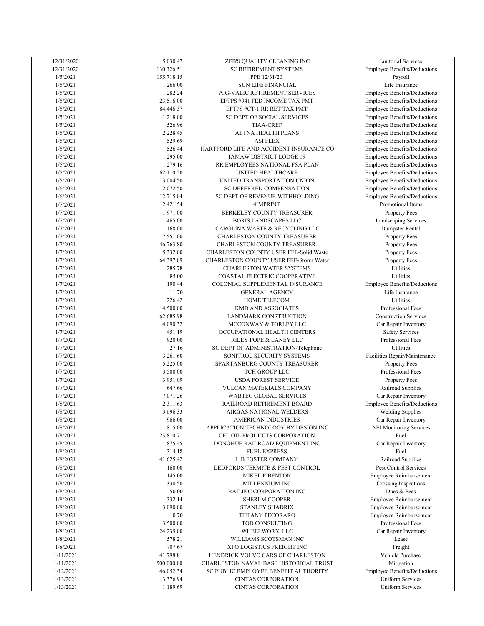| 12/31/2020 | 5,030.47   | ZEB'S QUALITY CLEANING INC              | Janitorial Services         |
|------------|------------|-----------------------------------------|-----------------------------|
| 12/31/2020 | 130,326.51 | <b>SC RETIREMENT SYSTEMS</b>            | Employee Benefits/Dedu      |
| 1/5/2021   | 155,718.15 | PPE 12/31/20                            | Payroll                     |
|            |            |                                         |                             |
| 1/5/2021   | 266.00     | <b>SUN LIFE FINANCIAL</b>               | Life Insurance              |
| 1/5/2021   | 282.24     | AIG-VALIC RETIREMENT SERVICES           | Employee Benefits/Dedu      |
| 1/5/2021   | 23,516.00  | EFTPS #941 FED INCOME TAX PMT           | Employee Benefits/Dedu      |
| 1/5/2021   | 84,446.37  | EFTPS #CT-1 RR RET TAX PMT              | Employee Benefits/Dedu      |
| 1/5/2021   | 1,218.00   | SC DEPT OF SOCIAL SERVICES              | Employee Benefits/Dedu      |
| 1/5/2021   | 526.96     | <b>TIAA-CREF</b>                        | Employee Benefits/Dedu      |
|            |            |                                         |                             |
| 1/5/2021   | 2,228.45   | <b>AETNA HEALTH PLANS</b>               | Employee Benefits/Dedu      |
| 1/5/2021   | 529.69     | <b>ASI FLEX</b>                         | Employee Benefits/Dedu      |
| 1/5/2021   | 526.44     | HARTFORD LIFE AND ACCIDENT INSURANCE CO | Employee Benefits/Dedu      |
| 1/5/2021   | 295.00     | IAMAW DISTRICT LODGE 19                 | Employee Benefits/Dedu      |
| 1/5/2021   | 279.16     | RR EMPLOYEES NATIONAL FSA PLAN          | Employee Benefits/Dedu      |
| 1/5/2021   | 62,110.20  | UNITED HEALTHCARE                       | Employee Benefits/Dedu      |
|            |            |                                         |                             |
| 1/5/2021   | 3,004.50   | UNITED TRANSPORTATION UNION             | Employee Benefits/Dedu      |
| 1/6/2021   | 2,072.50   | SC DEFERRED COMPENSATION                | Employee Benefits/Dedu      |
| 1/6/2021   | 12,715.04  | SC DEPT OF REVENUE-WITHHOLDING          | Employee Benefits/Dedu      |
| 1/7/2021   | 2,421.54   | 4IMPRINT                                | Promotional Items           |
| 1/7/2021   | 1,971.00   | BERKELEY COUNTY TREASURER               | Property Fees               |
| 1/7/2021   | 1,465.00   | <b>BORIS LANDSCAPES LLC</b>             | Landscaping Service         |
|            |            |                                         |                             |
| 1/7/2021   | 1,168.00   | CAROLINA WASTE & RECYCLING LLC          | Dumpster Rental             |
| 1/7/2021   | 7,551.00   | CHARLESTON COUNTY TREASURER             | Property Fees               |
| 1/7/2021   | 46,763.80  | CHARLESTON COUNTY TREASURER.            | Property Fees               |
| 1/7/2021   | 5,332.00   | CHARLESTON COUNTY USER FEE-Solid Waste  | Property Fees               |
| 1/7/2021   | 64,397.09  | CHARLESTON COUNTY USER FEE-Storm Water  | Property Fees               |
| 1/7/2021   | 285.78     | CHARLESTON WATER SYSTEMS                | Utilities                   |
|            |            |                                         |                             |
| 1/7/2021   | 85.00      | COASTAL ELECTRIC COOPERATIVE            | Utilities                   |
| 1/7/2021   | 190.44     | COLONIAL SUPPLEMENTAL INSURANCE         | Employee Benefits/Dedu      |
| 1/7/2021   | 11.70      | <b>GENERAL AGENCY</b>                   | Life Insurance              |
| 1/7/2021   | 226.42     | HOME TELECOM                            | Utilities                   |
| 1/7/2021   | 4,500.00   | KMD AND ASSOCIATES                      | Professional Fees           |
| 1/7/2021   | 62,685.98  | LANDMARK CONSTRUCTION                   | <b>Construction Service</b> |
|            |            |                                         |                             |
| 1/7/2021   | 4,090.32   | MCCONWAY & TORLEY LLC                   | Car Repair Inventor         |
| 1/7/2021   | 451.19     | OCCUPATIONAL HEALTH CENTERS             | Safety Services             |
| 1/7/2021   | 920.00     | RILEY POPE & LANEY LLC                  | Professional Fees           |
| 1/7/2021   | 27.16      | SC DEPT OF ADMINISTRATION-Telephone     | Utilities                   |
| 1/7/2021   | 3,261.60   | SONITROL SECURITY SYSTEMS               | Facilities Repair/Mainter   |
| 1/7/2021   | 5,225.00   | SPARTANBURG COUNTY TREASURER            | Property Fees               |
|            |            |                                         |                             |
| 1/7/2021   | 3,500.00   | TCH GROUP LLC                           | Professional Fees           |
| 1/7/2021   | 3,951.09   | <b>USDA FOREST SERVICE</b>              | Property Fees               |
| 1/7/2021   | 647.66     | VULCAN MATERIALS COMPANY                | Railroad Supplies           |
| 1/7/2021   | 7,071.26   | <b>WABTEC GLOBAL SERVICES</b>           | Car Repair Inventor         |
| 1/8/2021   | 2,311.63   | RAILROAD RETIREMENT BOARD               | Employee Benefits/Dedu      |
|            |            | AIRGAS NATIONAL WELDERS                 |                             |
| 1/8/2021   | 3,696.33   |                                         | <b>Welding Supplies</b>     |
| 1/8/2021   | 966.00     | AMERICAN INDUSTRIES                     | Car Repair Inventor         |
| 1/8/2021   | 1,815.00   | APPLICATION TECHNOLOGY BY DESIGN INC    | <b>AEI</b> Monitoring Servi |
| 1/8/2021   | 23,810.71  | CEL OIL PRODUCTS CORPORATION            | Fuel                        |
| 1/8/2021   | 1,875.45   | DONOHUE RAILROAD EQUIPMENT INC          | Car Repair Inventor         |
| 1/8/2021   | 314.18     | <b>FUEL EXPRESS</b>                     | Fuel                        |
| 1/8/2021   | 41,625.42  | L B FOSTER COMPANY                      | Railroad Supplies           |
|            |            |                                         |                             |
| 1/8/2021   | 160.00     | LEDFORDS TERMITE & PEST CONTROL         | Pest Control Service        |
| 1/8/2021   | 145.00     | MIKEL E BENTON                          | Employee Reimbursen         |
| 1/8/2021   | 1,330.50   | MILLENNIUM INC                          | Crossing Inspection         |
| 1/8/2021   | 50.00      | RAILINC CORPORATION INC                 | Dues & Fees                 |
| 1/8/2021   | 332.14     | <b>SHERI M COOPER</b>                   | Employee Reimbursen         |
| 1/8/2021   | 3,090.00   | STANLEY SHADRIX                         | Employee Reimbursen         |
|            |            |                                         |                             |
| 1/8/2021   | 10.70      | TIFFANY PECORARO                        | Employee Reimbursen         |
| 1/8/2021   | 3,500.00   | TOD CONSULTING                          | Professional Fees           |
| 1/8/2021   | 24,235.00  | WHEELWORX, LLC                          | Car Repair Inventor         |
| 1/8/2021   | 578.21     | WILLIAMS SCOTSMAN INC                   | Lease                       |
| 1/8/2021   | 707.67     | XPO LOGISTICS FREIGHT INC               | Freight                     |
|            |            |                                         |                             |
| 1/11/2021  | 41,798.81  | HENDRICK VOLVO CARS OF CHARLESTON       | Vehicle Purchase            |
| 1/11/2021  | 500,000.00 | CHARLESTON NAVAL BASE HISTORICAL TRUST  | Mitigation                  |
| 1/12/2021  | 46,052.34  | SC PUBLIC EMPLOYEE BENEFIT AUTHORITY    | Employee Benefits/Dedu      |
| 1/13/2021  | 3,376.94   | <b>CINTAS CORPORATION</b>               | <b>Uniform Services</b>     |
| 1/13/2021  | 1,189.69   | <b>CINTAS CORPORATION</b>               | <b>Uniform Services</b>     |
|            |            |                                         |                             |

Uniform Services Uniform Services **Employee Benefits/Deductions** Vehicle Purchase Car Repair Inventory Employee Reimbursement Professional Fees Employee Reimbursement Employee Reimbursement Crossing Inspections Pest Control Services Employee Reimbursement Railroad Supplies Car Repair Inventory Car Repair Inventory AEI Monitoring Services Employee Benefits/Deductions Welding Supplies Railroad Supplies Car Repair Inventory Professional Fees Facilities Repair/Maintenance Property Fees Professional Fees Car Repair Inventory Safety Services Professional Fees Construction Services Life Insurance **Employee Benefits/Deductions** Property Fees Property Fees Property Fees Dumpster Rental Property Fees Landscaping Services Imployee Benefits/Deductions Promotional Items **Employee Benefits/Deductions** Employee Benefits/Deductions **Employee Benefits/Deductions** Employee Benefits/Deductions Imployee Benefits/Deductions Employee Benefits/Deductions Employee Benefits/Deductions **Employee Benefits/Deductions Employee Benefits/Deductions Employee Benefits/Deductions Employee Benefits/Deductions Employee Benefits/Deductions** Life Insurance Employee Benefits/Deductions **Employee Benefits/Deductions**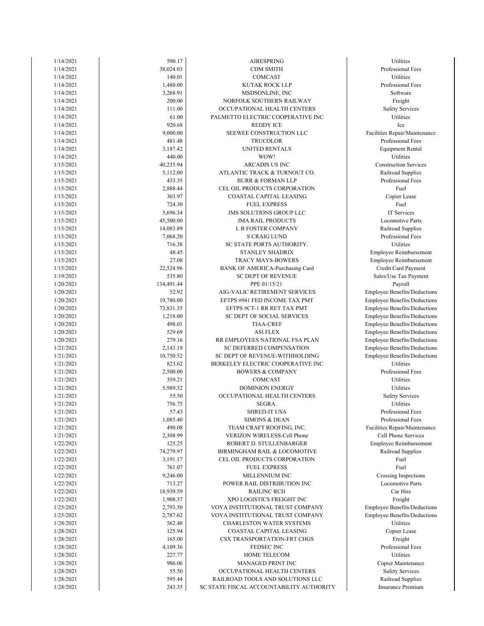| 1/14/2021 | 590.17             | AIRESPRING                                                   | Utilities             |
|-----------|--------------------|--------------------------------------------------------------|-----------------------|
| 1/14/2021 | 38,024.03          | CDM SMITH                                                    | Professional Fe       |
| 1/14/2021 | 140.01             | COMCAST                                                      | Utilities             |
| 1/14/2021 | 1,480.00           | KUTAK ROCK LLP                                               | Professional Fe       |
| 1/14/2021 | 3,268.91           | MSDSONLINE, INC                                              | Software              |
| 1/14/2021 | 200.00             | NORFOLK SOUTHERN RAILWAY                                     | Freight               |
| 1/14/2021 | 111.00             | OCCUPATIONAL HEALTH CENTERS                                  | Safety Service        |
| 1/14/2021 | 61.00              | PALMETTO ELECTRIC COOPERATIVE INC                            | Utilities             |
| 1/14/2021 | 920.68             | <b>REDDY ICE</b>                                             | Ice                   |
| 1/14/2021 | 9,000.00           | SEEWEE CONSTRUCTION LLC                                      | Facilities Repair/Mai |
| 1/14/2021 | 481.48             | <b>TRUCOLOR</b>                                              | Professional Fe       |
| 1/14/2021 | 3,187.42           | UNITED RENTALS                                               | Equipment Ren         |
| 1/14/2021 | 440.00             | WOW!                                                         | Utilities             |
| 1/15/2021 | 40,235.94          | ARCADIS US INC                                               | Construction Serv     |
| 1/15/2021 | 5,112.00           | ATLANTIC TRACK & TURNOUT CO.                                 | Railroad Suppli       |
| 1/15/2021 | 433.35             | <b>BURR &amp; FORMAN LLP</b>                                 | Professional Fe       |
| 1/15/2021 | 2,888.44           | CEL OIL PRODUCTS CORPORATION                                 | Fuel                  |
| 1/15/2021 | 303.97             | COASTAL CAPITAL LEASING                                      | Copier Lease          |
| 1/15/2021 | 724.30             | <b>FUEL EXPRESS</b>                                          | Fuel                  |
| 1/15/2021 | 5,696.34           | IMS SOLUTIONS GROUP LLC                                      | IT Services           |
| 1/15/2021 | 45,500.00          | <b>JMA RAIL PRODUCTS</b>                                     | Locomotive Pa         |
| 1/15/2021 | 14,083.89          | L B FOSTER COMPANY                                           | Railroad Suppli       |
| 1/15/2021 | 7,068.20           | <b>S CRAIG LUND</b>                                          | Professional Fe       |
| 1/15/2021 | 716.38             | SC STATE PORTS AUTHORITY.                                    | Utilities             |
| 1/15/2021 | 48.45              | STANLEY SHADRIX                                              | Employee Reimbur      |
| 1/15/2021 | 27.08              | TRACY MAYS-BOWERS                                            | Employee Reimbur      |
| 1/15/2021 | 22,524.96          | BANK OF AMERICA-Purchasing Card                              | Credit Card Payr      |
| 1/19/2021 | 535.80             | <b>SC DEPT OF REVENUE</b>                                    | Sales/Use Tax Pay     |
| 1/20/2021 | 134,491.44         | PPE 01/15/21                                                 | Payroll               |
| 1/20/2021 | 52.92              | AIG-VALIC RETIREMENT SERVICES                                | Employee Benefits/Do  |
| 1/20/2021 | 19,780.00          | EFTPS #941 FED INCOME TAX PMT                                | Employee Benefits/Do  |
| 1/20/2021 | 73,831.35          | EFTPS #CT-1 RR RET TAX PMT                                   | Employee Benefits/Do  |
| 1/20/2021 | 1,218.00           | SC DEPT OF SOCIAL SERVICES                                   | Employee Benefits/Do  |
| 1/20/2021 | 498.01             | <b>TIAA-CREF</b>                                             | Employee Benefits/Do  |
| 1/20/2021 | 529.69             | <b>ASI FLEX</b>                                              | Employee Benefits/Do  |
| 1/20/2021 | 279.16             | RR EMPLOYEES NATIONAL FSA PLAN                               | Employee Benefits/Do  |
| 1/21/2021 | 2,143.19           | SC DEFERRED COMPENSATION                                     | Employee Benefits/Do  |
| 1/21/2021 | 10,750.52          | SC DEPT OF REVENUE-WITHHOLDING                               | Employee Benefits/De  |
| 1/21/2021 | 823.62             | BERKELEY ELECTRIC COOPERATIVE INC                            | Utilities             |
| 1/21/2021 | 2,500.00           | <b>BOWERS &amp; COMPANY</b>                                  | Professional Fe       |
| 1/21/2021 | 359.21             | COMCAST                                                      | Utilities             |
| 1/21/2021 | 5,989.32           | <b>DOMINION ENERGY</b>                                       | Utilities             |
| 1/21/2021 | 55.50              | OCCUPATIONAL HEALTH CENTERS                                  | Safety Service        |
| 1/21/2021 | 756.75             | SEGRA.                                                       | Utilities             |
| 1/21/2021 | 57.43              | <b>SHRED-IT USA</b>                                          | Professional Fe       |
| 1/21/2021 | 1,085.40           | <b>SIMONS &amp; DEAN</b>                                     | Professional Fe       |
| 1/21/2021 | 490.08             | TEAM CRAFT ROOFING, INC.                                     | Facilities Repair/Mai |
| 1/21/2021 | 2,308.99           | VERIZON WIRELESS-Cell Phone                                  | Cell Phone Serv:      |
| 1/22/2021 | 125.25             | ROBERT D. STULLENBARGER                                      | Employee Reimbur      |
| 1/22/2021 | 74,279.97          |                                                              | Railroad Suppli       |
|           |                    | BIRMINGHAM RAIL & LOCOMOTIVE<br>CEL OIL PRODUCTS CORPORATION | Fuel                  |
| 1/22/2021 | 3,191.17<br>761.07 | <b>FUEL EXPRESS</b>                                          | Fuel                  |
| 1/22/2021 |                    |                                                              |                       |
| 1/22/2021 | 9,246.00           | MILLENNIUM INC                                               | Crossing Inspect      |
| 1/22/2021 | 713.27             | POWER RAIL DISTRIBUTION INC                                  | Locomotive Pa         |
| 1/22/2021 | 18,939.59          | <b>RAILINC RCH</b>                                           | Car Hire              |
| 1/22/2021 | 1,908.37           | XPO LOGISTICS FREIGHT INC                                    | Freight               |
| 1/25/2021 | 2,793.50           | VOYA INSTITUTIONAL TRUST COMPANY                             | Employee Benefits/Do  |
| 1/25/2021 | 2,787.62           | VOYA INSTITUTIONAL TRUST COMPANY                             | Employee Benefits/Do  |
| 1/28/2021 | 562.48             | <b>CHARLESTON WATER SYSTEMS</b>                              | Utilities             |
| 1/28/2021 | 125.94             | COASTAL CAPITAL LEASING                                      | Copier Lease          |
| 1/28/2021 | 165.00             | <b>CSX TRANSPORTATION-FRT CHGS</b>                           | Freight               |
| 1/28/2021 | 4,109.36           | FEDSEC INC                                                   | Professional Fe       |
| 1/28/2021 | 227.77             | HOME TELECOM                                                 | Utilities             |
| 1/28/2021 | 986.06             | MANAGED PRINT INC                                            | Copier Maintena       |
| 1/28/2021 | 55.50              | OCCUPATIONAL HEALTH CENTERS                                  | Safety Service        |
| 1/28/2021 | 595.44             | RAILROAD TOOLS AND SOLUTIONS LLC                             | Railroad Suppli       |
| 1/28/2021 | 243.35             | SC STATE FISCAL ACCOUNTABILITY AUTHORITY                     | Insurance Premi       |
|           |                    |                                                              |                       |

Insurance Premium Safety Services Railroad Supplies Copier Maintenance Professional Fees Employee Benefits/Deductions Employee Benefits/Deductions Crossing Inspections Locomotive Parts Employee Reimbursement Railroad Supplies Facilities Repair/Maintenance Cell Phone Services Professional Fees Professional Fees Safety Services Professional Fees Employee Benefits/Deductions Employee Benefits/Deductions Employee Benefits/Deductions Employee Benefits/Deductions Employee Benefits/Deductions Employee Benefits/Deductions Employee Benefits/Deductions Employee Benefits/Deductions Employee Benefits/Deductions Credit Card Payment Sales/Use Tax Payment Employee Reimbursement Employee Reimbursement Professional Fees Locomotive Parts Railroad Supplies Copier Lease Railroad Supplies Professional Fees Construction Services Professional Fees Equipment Rental Facilities Repair/Maintenance Safety Services Professional Fees Professional Fees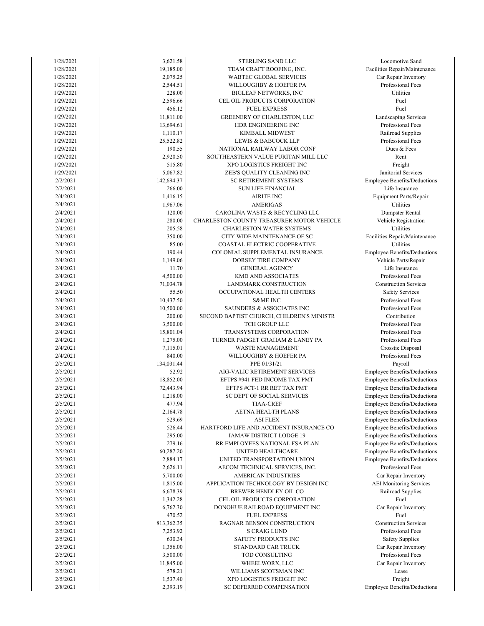| 1/28/2021 | 3,621.58   | STERLING SAND LLC                         | Locomotive Sa                |
|-----------|------------|-------------------------------------------|------------------------------|
| 1/28/2021 | 19,185.00  | TEAM CRAFT ROOFING, INC.                  | Facilities Repair/Mai        |
| 1/28/2021 | 2,075.25   | WABTEC GLOBAL SERVICES                    | Car Repair Inver             |
| 1/28/2021 | 2,544.51   | WILLOUGHBY & HOEFER PA                    | Professional Fe              |
| 1/29/2021 | 228.00     | <b>BIGLEAF NETWORKS, INC</b>              | Utilities                    |
| 1/29/2021 | 2,596.66   | CEL OIL PRODUCTS CORPORATION              | Fuel                         |
| 1/29/2021 | 456.12     | <b>FUEL EXPRESS</b>                       | Fuel                         |
| 1/29/2021 | 11,811.00  | GREENERY OF CHARLESTON, LLC               | Landscaping Serv             |
| 1/29/2021 | 13,694.61  | HDR ENGINEERING INC                       | Professional Fe              |
| 1/29/2021 | 1,110.17   | KIMBALL MIDWEST                           | Railroad Suppl               |
| 1/29/2021 | 25,522.82  | LEWIS & BABCOCK LLP                       | Professional Fe              |
| 1/29/2021 | 190.55     | NATIONAL RAILWAY LABOR CONF               | Dues & Fees                  |
| 1/29/2021 | 2,920.50   | SOUTHEASTERN VALUE PURITAN MILL LLC       | Rent                         |
| 1/29/2021 | 515.80     | XPO LOGISTICS FREIGHT INC                 |                              |
| 1/29/2021 | 5,067.82   |                                           | Freight<br>Janitorial Servic |
| 2/2/2021  | 142,694.37 | ZEB'S QUALITY CLEANING INC                | Employee Benefits/D          |
|           |            | SC RETIREMENT SYSTEMS                     |                              |
| 2/2/2021  | 266.00     | <b>SUN LIFE FINANCIAL</b>                 | Life Insuranc                |
| 2/4/2021  | 1,416.15   | <b>AIRITE INC</b>                         | Equipment Parts/R            |
| 2/4/2021  | 1,967.06   | <b>AMERIGAS</b>                           | Utilities                    |
| 2/4/2021  | 120.00     | CAROLINA WASTE & RECYCLING LLC            | Dumpster Rent                |
| 2/4/2021  | 280.00     | CHARLESTON COUNTY TREASURER MOTOR VEHICLE | Vehicle Registra             |
| 2/4/2021  | 205.58     | <b>CHARLESTON WATER SYSTEMS</b>           | Utilities                    |
| 2/4/2021  | 350.00     | CITY WIDE MAINTENANCE OF SC               | Facilities Repair/Mai        |
| 2/4/2021  | 85.00      | COASTAL ELECTRIC COOPERATIVE              | Utilities                    |
| 2/4/2021  | 190.44     | COLONIAL SUPPLEMENTAL INSURANCE           | Employee Benefits/D          |
| 2/4/2021  | 1,149.06   | DORSEY TIRE COMPANY                       | Vehicle Parts/Re             |
| 2/4/2021  | 11.70      | <b>GENERAL AGENCY</b>                     | Life Insuranc                |
| 2/4/2021  | 4,500.00   | KMD AND ASSOCIATES                        | Professional Fe              |
| 2/4/2021  | 71,034.78  | LANDMARK CONSTRUCTION                     | Construction Serv            |
| 2/4/2021  | 55.50      | OCCUPATIONAL HEALTH CENTERS               | Safety Service               |
| 2/4/2021  | 10,437.50  | <b>S&amp;ME INC</b>                       | Professional Fe              |
| 2/4/2021  | 10,500.00  | SAUNDERS & ASSOCIATES INC                 | Professional Fe              |
| 2/4/2021  | 200.00     | SECOND BAPTIST CHURCH, CHILDREN'S MINISTR | Contribution                 |
| 2/4/2021  | 3,500.00   | TCH GROUP LLC                             | Professional Fe              |
| 2/4/2021  | 15,801.04  | TRANSYSTEMS CORPORATION                   | Professional Fe              |
| 2/4/2021  | 1,275.00   | TURNER PADGET GRAHAM & LANEY PA           | Professional Fe              |
| 2/4/2021  | 7,115.01   | WASTE MANAGEMENT                          | Crosstie Dispos              |
| 2/4/2021  | 840.00     | WILLOUGHBY & HOEFER PA                    | Professional Fe              |
| 2/5/2021  | 134,031.44 | PPE 01/31/21                              | Payroll                      |
| 2/5/2021  | 52.92      | AIG-VALIC RETIREMENT SERVICES             | Employee Benefits/D          |
| 2/5/2021  | 18,852.00  | EFTPS #941 FED INCOME TAX PMT             | Employee Benefits/D          |
| 2/5/2021  | 72,443.94  | EFTPS #CT-1 RR RET TAX PMT                | Employee Benefits/D          |
| 2/5/2021  | 1,218.00   | SC DEPT OF SOCIAL SERVICES                | Employee Benefits/D          |
| 2/5/2021  | 477.94     | <b>TIAA-CREF</b>                          | Employee Benefits/D          |
| 2/5/2021  | 2,164.78   | <b>AETNA HEALTH PLANS</b>                 | Employee Benefits/D          |
| 2/5/2021  | 529.69     | <b>ASI FLEX</b>                           | Employee Benefits/D          |
| 2/5/2021  | 526.44     | HARTFORD LIFE AND ACCIDENT INSURANCE CO   | Employee Benefits/D          |
| 2/5/2021  | 295.00     | IAMAW DISTRICT LODGE 19                   | Employee Benefits/D          |
| 2/5/2021  | 279.16     | RR EMPLOYEES NATIONAL FSA PLAN            | Employee Benefits/D          |
| 2/5/2021  | 60,287.20  | UNITED HEALTHCARE                         | Employee Benefits/D          |
| 2/5/2021  | 2,884.17   | UNITED TRANSPORTATION UNION               | Employee Benefits/D          |
| 2/5/2021  | 2,626.11   | AECOM TECHNICAL SERVICES, INC.            | Professional Fe              |
| 2/5/2021  | 5,700.00   | <b>AMERICAN INDUSTRIES</b>                | Car Repair Inver             |
| 2/5/2021  | 1,815.00   | APPLICATION TECHNOLOGY BY DESIGN INC      | <b>AEI</b> Monitoring Se     |
| 2/5/2021  | 6,678.39   | BREWER HENDLEY OIL CO                     | Railroad Suppli              |
| 2/5/2021  | 1,342.28   | CEL OIL PRODUCTS CORPORATION              | Fuel                         |
| 2/5/2021  | 6,762.30   | DONOHUE RAILROAD EQUIPMENT INC            | Car Repair Inver             |
| 2/5/2021  | 470.52     | <b>FUEL EXPRESS</b>                       | Fuel                         |
|           | 813,362.35 |                                           | Construction Serv            |
| 2/5/2021  |            | RAGNAR BENSON CONSTRUCTION                |                              |
| 2/5/2021  | 7,253.92   | S CRAIG LUND                              | Professional Fe              |
| 2/5/2021  | 630.34     | SAFETY PRODUCTS INC                       | Safety Supplie               |
| 2/5/2021  | 1,356.00   | STANDARD CAR TRUCK                        | Car Repair Inver             |
| 2/5/2021  | 3,500.00   | TOD CONSULTING                            | Professional Fe              |
| 2/5/2021  | 11,845.00  | WHEELWORX, LLC                            | Car Repair Inver             |
| 2/5/2021  | 578.21     | WILLIAMS SCOTSMAN INC                     | Lease                        |
| 2/5/2021  | 1,537.40   | XPO LOGISTICS FREIGHT INC                 | Freight                      |
| 2/8/2021  | 2,393.19   | SC DEFERRED COMPENSATION                  | Employee Benefits/D          |

Employee Benefits/Deductions Car Repair Inventory Car Repair Inventory Professional Fees Professional Fees Safety Supplies Construction Services Car Repair Inventory AEI Monitoring Services Railroad Supplies Professional Fees Car Repair Inventory Employee Benefits/Deductions Employee Benefits/Deductions Employee Benefits/Deductions Employee Benefits/Deductions Employee Benefits/Deductions Employee Benefits/Deductions Employee Benefits/Deductions Employee Benefits/Deductions Employee Benefits/Deductions Employee Benefits/Deductions Employee Benefits/Deductions Employee Benefits/Deductions Professional Fees Professional Fees Crosstie Disposal Professional Fees Professional Fees Professional Fees Safety Services Professional Fees Professional Fees Construction Services Vehicle Parts/Repair Life Insurance Employee Benefits/Deductions Facilities Repair/Maintenance Dumpster Rental Vehicle Registration Equipment Parts/Repair Employee Benefits/Deductions Life Insurance Janitorial Services Railroad Supplies Professional Fees Landscaping Services Professional Fees Professional Fees Facilities Repair/Maintenance Car Repair Inventory Locomotive Sand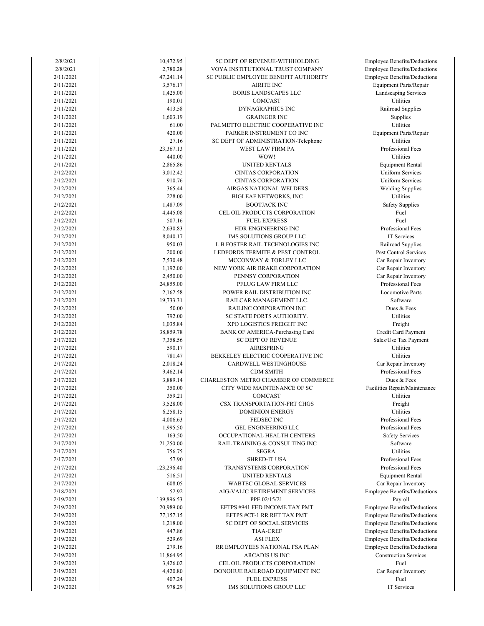| 2/8/2021               | 10,472.95  | SC DEPT OF REVENUE-WITHHOLDING                  | Employee Benefits/D        |
|------------------------|------------|-------------------------------------------------|----------------------------|
| 2/8/2021               | 2,780.28   | VOYA INSTITUTIONAL TRUST COMPANY                | Employee Benefits/D        |
| 2/11/2021              | 47,241.14  | SC PUBLIC EMPLOYEE BENEFIT AUTHORITY            | Employee Benefits/D        |
| 2/11/2021              | 3,576.17   | <b>AIRITE INC</b>                               | Equipment Parts/F          |
| 2/11/2021              | 1,425.00   | <b>BORIS LANDSCAPES LLC</b>                     | Landscaping Serv           |
| 2/11/2021              | 190.01     | <b>COMCAST</b>                                  | Utilities                  |
| 2/11/2021              | 413.58     | <b>DYNAGRAPHICS INC</b>                         | Railroad Suppli            |
| 2/11/2021              | 1,603.19   | <b>GRAINGER INC</b>                             | Supplies                   |
| 2/11/2021              | 61.00      | PALMETTO ELECTRIC COOPERATIVE INC               | Utilities                  |
| 2/11/2021              | 420.00     | PARKER INSTRUMENT CO INC                        | Equipment Parts/R          |
| 2/11/2021              | 27.16      | SC DEPT OF ADMINISTRATION-Telephone             | Utilities                  |
| 2/11/2021              | 23,367.13  | WEST LAW FIRM PA                                | Professional Fe            |
| 2/11/2021              | 440.00     | WOW!                                            | Utilities                  |
| 2/11/2021              | 2,865.86   | UNITED RENTALS                                  | Equipment Ren              |
| 2/12/2021              | 3,012.42   | <b>CINTAS CORPORATION</b>                       | Uniform Servic             |
| 2/12/2021              | 910.76     | <b>CINTAS CORPORATION</b>                       | Uniform Servic             |
| 2/12/2021              | 365.44     | AIRGAS NATIONAL WELDERS                         | Welding Suppli             |
| 2/12/2021              | 228.00     | <b>BIGLEAF NETWORKS, INC</b>                    | Utilities                  |
| 2/12/2021              | 1,487.09   | <b>BOOTJACK INC</b>                             | Safety Supplie             |
| 2/12/2021              | 4,445.08   | CEL OIL PRODUCTS CORPORATION                    | Fuel                       |
| 2/12/2021              | 507.16     | <b>FUEL EXPRESS</b>                             | Fuel                       |
| 2/12/2021              | 2,630.83   | HDR ENGINEERING INC                             | Professional Fe            |
| 2/12/2021              | 8,040.17   | IMS SOLUTIONS GROUP LLC                         | IT Services                |
| 2/12/2021              | 950.03     | L B FOSTER RAIL TECHNOLOGIES INC                | Railroad Suppl             |
| 2/12/2021              | 200.00     | LEDFORDS TERMITE & PEST CONTROL                 | Pest Control Serv          |
| 2/12/2021              | 7,530.48   | MCCONWAY & TORLEY LLC                           | Car Repair Inver           |
| 2/12/2021              | 1,192.00   | NEW YORK AIR BRAKE CORPORATION                  | Car Repair Inver           |
| 2/12/2021              | 2,450.00   | PENNSY CORPORATION                              | Car Repair Inver           |
| 2/12/2021              | 24,855.00  | PFLUG LAW FIRM LLC                              | Professional Fe            |
| 2/12/2021              | 2,162.58   | POWER RAIL DISTRIBUTION INC                     | Locomotive Pa              |
| 2/12/2021              | 19,733.31  | RAILCAR MANAGEMENT LLC.                         | Software                   |
| 2/12/2021              | 50.00      | RAILINC CORPORATION INC                         | Dues & Fees                |
| 2/12/2021              | 792.00     | SC STATE PORTS AUTHORITY.                       | Utilities                  |
| 2/12/2021              | 1,035.84   | XPO LOGISTICS FREIGHT INC                       | Freight                    |
| 2/12/2021              | 38,859.78  | BANK OF AMERICA-Purchasing Card                 | Credit Card Payr           |
| 2/17/2021              | 7,358.56   | <b>SC DEPT OF REVENUE</b>                       | Sales/Use Tax Pay          |
| 2/17/2021              | 590.17     | <b>AIRESPRING</b>                               | Utilities                  |
| 2/17/2021              | 781.47     | BERKELEY ELECTRIC COOPERATIVE INC               | Utilities                  |
| 2/17/2021              | 2,018.24   | CARDWELL WESTINGHOUSE                           | Car Repair Inver           |
| 2/17/2021              | 9,462.14   | <b>CDM SMITH</b>                                | Professional Fe            |
| 2/17/2021              | 3,889.14   | CHARLESTON METRO CHAMBER OF COMMERCE            | Dues & Fees                |
| 2/17/2021              | 350.00     | CITY WIDE MAINTENANCE OF SC                     | Facilities Repair/Mai      |
| 2/17/2021              | 359.21     | COMCAST                                         | Utilities                  |
| 2/17/2021              | 3,528.00   | CSX TRANSPORTATION-FRT CHGS                     | Freight                    |
| 2/17/2021              | 6,258.15   | <b>DOMINION ENERGY</b>                          | Utilities                  |
| 2/17/2021              | 4,006.63   | FEDSEC INC                                      | Professional Fe            |
| 2/17/2021              | 1,995.50   | <b>GEL ENGINEERING LLC</b>                      | Professional Fe            |
|                        | 163.50     | OCCUPATIONAL HEALTH CENTERS                     |                            |
| 2/17/2021<br>2/17/2021 | 21,250.00  | RAIL TRAINING & CONSULTING INC                  | Safety Service<br>Software |
| 2/17/2021              | 756.75     | SEGRA.                                          | <b>Utilities</b>           |
| 2/17/2021              | 57.90      | <b>SHRED-IT USA</b>                             | Professional Fe            |
| 2/17/2021              | 123,296.40 | TRANSYSTEMS CORPORATION                         | Professional Fe            |
| 2/17/2021              | 516.51     |                                                 |                            |
|                        |            | UNITED RENTALS<br><b>WABTEC GLOBAL SERVICES</b> | Equipment Ren              |
| 2/17/2021              | 608.05     |                                                 | Car Repair Inver           |
| 2/18/2021              | 52.92      | AIG-VALIC RETIREMENT SERVICES                   | Employee Benefits/D        |
| 2/19/2021              | 139,896.53 | PPE 02/15/21                                    | Payroll                    |
| 2/19/2021              | 20,989.00  | EFTPS #941 FED INCOME TAX PMT                   | Employee Benefits/Do       |
| 2/19/2021              | 77,157.15  | EFTPS #CT-1 RR RET TAX PMT                      | Employee Benefits/D        |
| 2/19/2021              | 1,218.00   | SC DEPT OF SOCIAL SERVICES                      | Employee Benefits/D        |
| 2/19/2021              | 447.86     | <b>TIAA-CREF</b>                                | Employee Benefits/D        |
| 2/19/2021              | 529.69     | <b>ASI FLEX</b>                                 | Employee Benefits/D        |
| 2/19/2021              | 279.16     | RR EMPLOYEES NATIONAL FSA PLAN                  | Employee Benefits/D        |
| 2/19/2021              | 11,864.95  | ARCADIS US INC                                  | Construction Serv          |
| 2/19/2021              | 3,426.02   | CEL OIL PRODUCTS CORPORATION                    | Fuel                       |
| 2/19/2021              | 4,420.80   | DONOHUE RAILROAD EQUIPMENT INC                  | Car Repair Inver           |
| 2/19/2021              | 407.24     | <b>FUEL EXPRESS</b>                             | Fuel                       |
| 2/19/2021              | 978.29     | IMS SOLUTIONS GROUP LLC                         | IT Services                |

Car Repair Inventory Construction Services Employee Benefits/Deductions Employee Benefits/Deductions Employee Benefits/Deductions Employee Benefits/Deductions Employee Benefits/Deductions Employee Benefits/Deductions Employee Benefits/Deductions Equipment Rental Car Repair Inventory Professional Fees Professional Fees Professional Fees Safety Services Professional Fees Facilities Repair/Maintenance Car Repair Inventory Professional Fees Credit Card Payment Sales/Use Tax Payment Professional Fees Locomotive Parts Car Repair Inventory Car Repair Inventory Pest Control Services Car Repair Inventory Railroad Supplies Professional Fees Safety Supplies Welding Supplies Uniform Services Uniform Services Equipment Rental Professional Fees Equipment Parts/Repair Railroad Supplies Landscaping Services Employee Benefits/Deductions Equipment Parts/Repair Employee Benefits/Deductions Employee Benefits/Deductions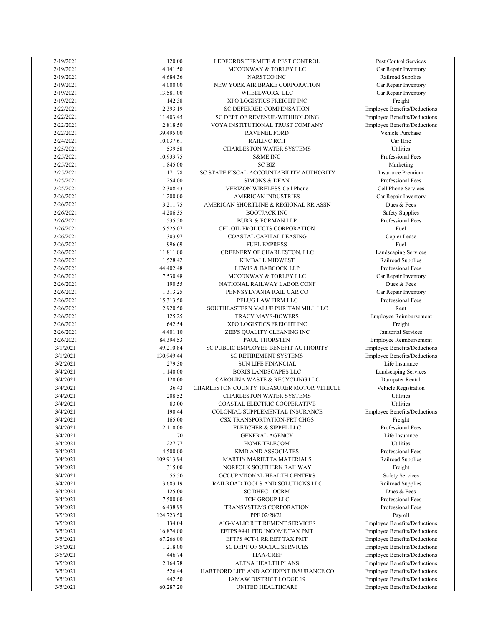| 2/19/2021              | 120.00               | LEDFORDS TERMITE & PEST CONTROL                           | Pest Control Serv                |
|------------------------|----------------------|-----------------------------------------------------------|----------------------------------|
| 2/19/2021              | 4,141.50             | MCCONWAY & TORLEY LLC                                     | Car Repair Invent                |
| 2/19/2021              | 4,684.36             | NARSTCO INC                                               | Railroad Supplie                 |
| 2/19/2021              | 4,000.00             | NEW YORK AIR BRAKE CORPORATION                            | Car Repair Invent                |
| 2/19/2021              | 13,581.00            | WHEELWORX, LLC                                            | Car Repair Invent                |
| 2/19/2021              | 142.38               | XPO LOGISTICS FREIGHT INC                                 | Freight                          |
| 2/22/2021              | 2,393.19             | SC DEFERRED COMPENSATION                                  | Employee Benefits/De             |
| 2/22/2021              | 11,403.45            | SC DEPT OF REVENUE-WITHHOLDING                            | Employee Benefits/De             |
| 2/22/2021              | 2,818.50             | VOYA INSTITUTIONAL TRUST COMPANY                          | Employee Benefits/De             |
| 2/22/2021              | 39,495.00            | <b>RAVENEL FORD</b>                                       | Vehicle Purchas                  |
| 2/24/2021              | 10,037.61            | <b>RAILINC RCH</b>                                        | Car Hire                         |
| 2/25/2021              | 539.58               | CHARLESTON WATER SYSTEMS                                  | Utilities                        |
| 2/25/2021              | 10,933.75            | <b>S&amp;ME INC</b>                                       | Professional Fee                 |
| 2/25/2021              | 1,845.00             | <b>SC BIZ</b>                                             | Marketing                        |
| 2/25/2021              | 171.78               | SC STATE FISCAL ACCOUNTABILITY AUTHORITY                  | Insurance Premiu                 |
| 2/25/2021              | 1,254.00             | <b>SIMONS &amp; DEAN</b>                                  | Professional Fee                 |
| 2/25/2021<br>2/26/2021 | 2,308.43             | VERIZON WIRELESS-Cell Phone<br><b>AMERICAN INDUSTRIES</b> | Cell Phone Servi                 |
|                        | 1,200.00<br>3,211.75 | AMERICAN SHORTLINE & REGIONAL RR ASSN                     | Car Repair Invent<br>Dues & Fees |
| 2/26/2021<br>2/26/2021 | 4,286.35             | <b>BOOTJACK INC</b>                                       | Safety Supplies                  |
| 2/26/2021              | 535.50               | <b>BURR &amp; FORMAN LLP</b>                              | Professional Fee                 |
| 2/26/2021              | 5,525.07             | CEL OIL PRODUCTS CORPORATION                              | Fuel                             |
| 2/26/2021              | 303.97               | COASTAL CAPITAL LEASING                                   | Copier Lease                     |
| 2/26/2021              | 996.69               | <b>FUEL EXPRESS</b>                                       | Fuel                             |
| 2/26/2021              | 11,811.00            | GREENERY OF CHARLESTON, LLC                               | Landscaping Serv                 |
| 2/26/2021              | 1,528.42             | KIMBALL MIDWEST                                           | Railroad Supplie                 |
| 2/26/2021              | 44,402.48            | <b>LEWIS &amp; BABCOCK LLP</b>                            | Professional Fee                 |
| 2/26/2021              | 7,530.48             | MCCONWAY & TORLEY LLC                                     | Car Repair Invent                |
| 2/26/2021              | 190.55               | NATIONAL RAILWAY LABOR CONF                               | Dues & Fees                      |
| 2/26/2021              | 1,313.25             | PENNSYLVANIA RAIL CAR CO                                  | Car Repair Invent                |
| 2/26/2021              | 15,313.50            | PFLUG LAW FIRM LLC                                        | Professional Fee                 |
| 2/26/2021              | 2,920.50             | SOUTHEASTERN VALUE PURITAN MILL LLC                       | Rent                             |
| 2/26/2021              | 125.25               | <b>TRACY MAYS-BOWERS</b>                                  | <b>Employee Reimburs</b>         |
| 2/26/2021              | 642.54               | XPO LOGISTICS FREIGHT INC                                 | Freight                          |
| 2/26/2021              | 4,401.10             | ZEB'S QUALITY CLEANING INC                                | Janitorial Servic                |
| 2/26/2021              | 84,394.53            | PAUL THORSTEN                                             | <b>Employee Reimburs</b>         |
| 3/1/2021               | 49,210.84            | SC PUBLIC EMPLOYEE BENEFIT AUTHORITY                      | Employee Benefits/De             |
| 3/1/2021               | 130,949.44           | <b>SC RETIREMENT SYSTEMS</b>                              | Employee Benefits/De             |
| 3/2/2021               | 279.30               | <b>SUN LIFE FINANCIAL</b>                                 | Life Insurance                   |
| 3/4/2021               | 1,140.00             | <b>BORIS LANDSCAPES LLC</b>                               | Landscaping Serv                 |
| 3/4/2021               | 120.00               | CAROLINA WASTE & RECYCLING LLC                            | Dumpster Renta                   |
| 3/4/2021               | 36.43                | CHARLESTON COUNTY TREASURER MOTOR VEHICLE                 | Vehicle Registrat                |
| 3/4/2021               | 208.52               | <b>CHARLESTON WATER SYSTEMS</b>                           | Utilities                        |
| 3/4/2021               | 83.00                | COASTAL ELECTRIC COOPERATIVE                              | Utilities                        |
| 3/4/2021               | 190.44               | COLONIAL SUPPLEMENTAL INSURANCE                           | Employee Benefits/De             |
| 3/4/2021               | 165.00               | CSX TRANSPORTATION-FRT CHGS                               | Freight                          |
| 3/4/2021               | 2,110.00             | FLETCHER & SIPPEL LLC                                     | Professional Fee                 |
| 3/4/2021               | 11.70                | <b>GENERAL AGENCY</b>                                     | Life Insurance                   |
| 3/4/2021               | 227.77               | HOME TELECOM                                              | Utilities                        |
| 3/4/2021               | 4,500.00             | <b>KMD AND ASSOCIATES</b>                                 | Professional Fee                 |
| 3/4/2021<br>3/4/2021   | 109,913.94<br>315.00 | MARTIN MARIETTA MATERIALS<br>NORFOLK SOUTHERN RAILWAY     | Railroad Supplie<br>Freight      |
|                        | 55.50                | OCCUPATIONAL HEALTH CENTERS                               | Safety Service:                  |
| 3/4/2021<br>3/4/2021   | 3,683.19             | RAILROAD TOOLS AND SOLUTIONS LLC                          | Railroad Supplie                 |
| 3/4/2021               | 125.00               | SC DHEC - OCRM                                            | Dues & Fees                      |
| 3/4/2021               | 7,500.00             | TCH GROUP LLC                                             | Professional Fee                 |
| 3/4/2021               | 6,438.99             | TRANSYSTEMS CORPORATION                                   | Professional Fee                 |
| 3/5/2021               | 124,723.50           | PPE 02/28/21                                              | Payroll                          |
| 3/5/2021               | 134.04               | AIG-VALIC RETIREMENT SERVICES                             | Employee Benefits/De             |
| 3/5/2021               | 16,874.00            | EFTPS #941 FED INCOME TAX PMT                             | Employee Benefits/De             |
| 3/5/2021               | 67,266.00            | EFTPS #CT-1 RR RET TAX PMT                                | Employee Benefits/De             |
| 3/5/2021               | 1,218.00             | SC DEPT OF SOCIAL SERVICES                                | Employee Benefits/De             |
| 3/5/2021               | 446.74               | <b>TIAA-CREF</b>                                          | Employee Benefits/De             |
| 3/5/2021               | 2,164.78             | AETNA HEALTH PLANS                                        | Employee Benefits/De             |
| 3/5/2021               | 526.44               | HARTFORD LIFE AND ACCIDENT INSURANCE CO                   | Employee Benefits/De             |
| 3/5/2021               | 442.50               | IAMAW DISTRICT LODGE 19                                   | Employee Benefits/De             |
| 3/5/2021               | 60,287.20            | UNITED HEALTHCARE                                         | Employee Benefits/De             |
|                        |                      |                                                           |                                  |

Employee Benefits/Deductions Employee Benefits/Deductions Employee Benefits/Deductions Employee Benefits/Deductions Employee Benefits/Deductions Employee Benefits/Deductions Employee Benefits/Deductions Employee Benefits/Deductions Employee Benefits/Deductions Professional Fees Professional Fees Railroad Supplies Safety Services Professional Fees Railroad Supplies Life Insurance Professional Fees Employee Benefits/Deductions Vehicle Registration Landscaping Services Dumpster Rental Employee Benefits/Deductions Employee Reimbursement Employee Benefits/Deductions Janitorial Services Employee Reimbursement Car Repair Inventory Professional Fees Car Repair Inventory Dues & Fees Railroad Supplies Professional Fees Landscaping Services Copier Lease Safety Supplies Professional Fees Car Repair Inventory Professional Fees Cell Phone Services Insurance Premium Professional Fees Vehicle Purchase Employee Benefits/Deductions Employee Benefits/Deductions Employee Benefits/Deductions Car Repair Inventory Car Repair Inventory Car Repair Inventory Railroad Supplies Pest Control Services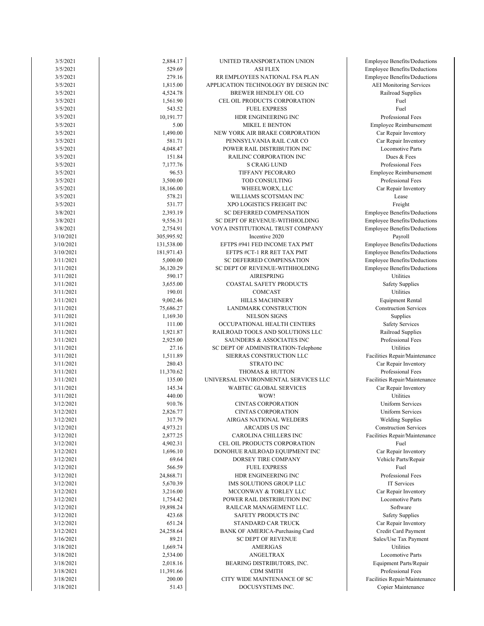| 3/5/2021               | 2,884.17         | UNITED TRANSPORTATION UNION          | <b>Employee Benefits/Deductions</b> |
|------------------------|------------------|--------------------------------------|-------------------------------------|
| 3/5/2021               | 529.69           | <b>ASI FLEX</b>                      | <b>Employee Benefits/Deductions</b> |
| 3/5/2021               | 279.16           | RR EMPLOYEES NATIONAL FSA PLAN       | <b>Employee Benefits/Deductions</b> |
| 3/5/2021               | 1,815.00         | APPLICATION TECHNOLOGY BY DESIGN INC | <b>AEI</b> Monitoring Services      |
| 3/5/2021               | 4,524.78         | BREWER HENDLEY OIL CO                | Railroad Supplies                   |
| 3/5/2021               | 1,561.90         | CEL OIL PRODUCTS CORPORATION         | Fuel                                |
| 3/5/2021               | 543.52           | <b>FUEL EXPRESS</b>                  | Fuel                                |
| 3/5/2021               | 10,191.77        | HDR ENGINEERING INC                  | Professional Fees                   |
| 3/5/2021               | 5.00             | <b>MIKEL E BENTON</b>                | Employee Reimbursement              |
| 3/5/2021               | 1,490.00         | NEW YORK AIR BRAKE CORPORATION       | Car Repair Inventory                |
| 3/5/2021               | 581.71           | PENNSYLVANIA RAIL CAR CO             | Car Repair Inventory                |
| 3/5/2021               | 4,048.47         | POWER RAIL DISTRIBUTION INC          | Locomotive Parts                    |
| 3/5/2021               | 151.84           | RAILINC CORPORATION INC              | Dues & Fees                         |
| 3/5/2021               | 7,177.76         | <b>S CRAIG LUND</b>                  | Professional Fees                   |
| 3/5/2021               | 96.53            | TIFFANY PECORARO                     | <b>Employee Reimbursement</b>       |
| 3/5/2021               | 3,500.00         | TOD CONSULTING                       | Professional Fees                   |
| 3/5/2021               | 18,166.00        | WHEELWORX, LLC                       | Car Repair Inventory                |
| 3/5/2021               | 578.21           | WILLIAMS SCOTSMAN INC                | Lease                               |
| 3/5/2021               | 531.77           | XPO LOGISTICS FREIGHT INC            | Freight                             |
| 3/8/2021               | 2,393.19         | SC DEFERRED COMPENSATION             | <b>Employee Benefits/Deductions</b> |
| 3/8/2021               | 9,556.31         | SC DEPT OF REVENUE-WITHHOLDING       | Employee Benefits/Deductions        |
| 3/8/2021               | 2,754.91         | VOYA INSTITUTIONAL TRUST COMPANY     | <b>Employee Benefits/Deductions</b> |
| 3/10/2021              | 305,995.92       | Incentive 2020                       | Payroll                             |
| 3/10/2021              | 131,538.00       | EFTPS #941 FED INCOME TAX PMT        | Employee Benefits/Deductions        |
| 3/10/2021              | 181,971.43       | EFTPS #CT-1 RR RET TAX PMT           | <b>Employee Benefits/Deductions</b> |
| 3/11/2021              | 5,000.00         | SC DEFERRED COMPENSATION             | <b>Employee Benefits/Deductions</b> |
| 3/11/2021              | 36,120.29        | SC DEPT OF REVENUE-WITHHOLDING       | Employee Benefits/Deductions        |
| 3/11/2021              | 590.17           | <b>AIRESPRING</b>                    | Utilities                           |
| 3/11/2021              | 3,655.00         | COASTAL SAFETY PRODUCTS              | <b>Safety Supplies</b>              |
| 3/11/2021              | 190.01           | COMCAST                              | Utilities                           |
| 3/11/2021              | 9,002.46         | <b>HILLS MACHINERY</b>               | <b>Equipment Rental</b>             |
| 3/11/2021              | 75,686.27        | LANDMARK CONSTRUCTION                | <b>Construction Services</b>        |
| 3/11/2021              | 1,169.30         | <b>NELSON SIGNS</b>                  | Supplies                            |
| 3/11/2021              | 111.00           | OCCUPATIONAL HEALTH CENTERS          | <b>Safety Services</b>              |
| 3/11/2021              | 1,921.87         | RAILROAD TOOLS AND SOLUTIONS LLC     | Railroad Supplies                   |
| 3/11/2021              | 2,925.00         | SAUNDERS & ASSOCIATES INC            | Professional Fees                   |
| 3/11/2021              | 27.16            | SC DEPT OF ADMINISTRATION-Telephone  | Utilities                           |
| 3/11/2021              | 1,511.89         | SIERRAS CONSTRUCTION LLC             | Facilities Repair/Maintenance       |
| 3/11/2021              | 280.43           | <b>STRATO INC</b>                    | Car Repair Inventory                |
| 3/11/2021              | 11,370.62        | THOMAS & HUTTON                      | Professional Fees                   |
| 3/11/2021              | 135.00           | UNIVERSAL ENVIRONMENTAL SERVICES LLC | Facilities Repair/Maintenance       |
|                        |                  |                                      | Car Repair Inventory                |
| 3/11/2021<br>3/11/2021 | 145.34<br>440.00 | WABTEC GLOBAL SERVICES               | Utilities                           |
|                        |                  | WOW!<br><b>CINTAS CORPORATION</b>    |                                     |
| 3/12/2021              | 910.76           |                                      | <b>Uniform Services</b>             |
| 3/12/2021              | 2,826.77         | CINTAS CORPORATION                   | Uniform Services                    |
| 3/12/2021              | 317.79           | AIRGAS NATIONAL WELDERS              | <b>Welding Supplies</b>             |
| 3/12/2021              | 4,973.21         | <b>ARCADIS US INC</b>                | <b>Construction Services</b>        |
| 3/12/2021              | 2,877.25         | CAROLINA CHILLERS INC                | Facilities Repair/Maintenance       |
| 3/12/2021              | 4,902.31         | CEL OIL PRODUCTS CORPORATION         | Fuel                                |
| 3/12/2021              | 1,696.10         | DONOHUE RAILROAD EQUIPMENT INC       | Car Repair Inventory                |
| 3/12/2021              | 69.64            | DORSEY TIRE COMPANY                  | Vehicle Parts/Repair                |
| 3/12/2021              | 566.59           | <b>FUEL EXPRESS</b>                  | Fuel                                |
| 3/12/2021              | 24,868.71        | HDR ENGINEERING INC                  | Professional Fees                   |
| 3/12/2021              | 5,670.39         | IMS SOLUTIONS GROUP LLC              | IT Services                         |
| 3/12/2021              | 3,216.00         | MCCONWAY & TORLEY LLC                | Car Repair Inventory                |
| 3/12/2021              | 1,754.42         | POWER RAIL DISTRIBUTION INC          | Locomotive Parts                    |
| 3/12/2021              | 19,898.24        | RAILCAR MANAGEMENT LLC.              | Software                            |
| 3/12/2021              | 423.68           | SAFETY PRODUCTS INC                  | <b>Safety Supplies</b>              |
| 3/12/2021              | 651.24           | STANDARD CAR TRUCK                   | Car Repair Inventory                |
| 3/12/2021              | 24,258.64        | BANK OF AMERICA-Purchasing Card      | Credit Card Payment                 |
| 3/16/2021              | 89.21            | <b>SC DEPT OF REVENUE</b>            | Sales/Use Tax Payment               |
| 3/18/2021              | 1,669.74         | <b>AMERIGAS</b>                      | Utilities                           |
| 3/18/2021              | 2,534.00         | ANGELTRAX                            | <b>Locomotive Parts</b>             |
| 3/18/2021              | 2,018.16         | BEARING DISTRIBUTORS, INC.           | Equipment Parts/Repair              |
| 3/18/2021              | 11,391.66        | <b>CDM SMITH</b>                     | Professional Fees                   |
| 3/18/2021              | 200.00           | CITY WIDE MAINTENANCE OF SC          | Facilities Repair/Maintenance       |
| 3/18/2021              | 51.43            | DOCUSYSTEMS INC.                     | Copier Maintenance                  |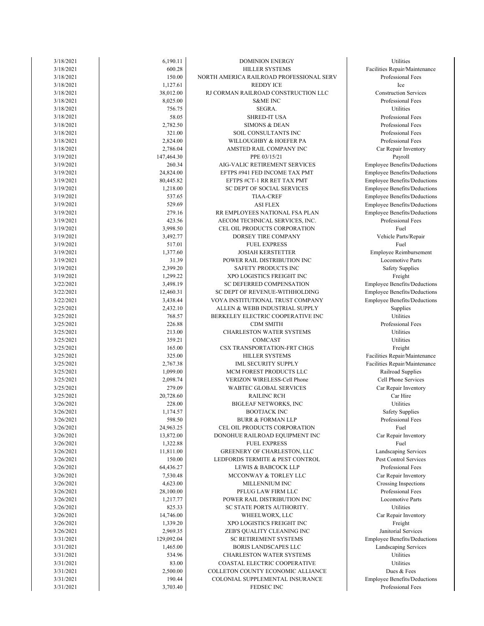| 3/18/2021 | 6,190.11   | <b>DOMINION ENERGY</b>                   | Utilities             |
|-----------|------------|------------------------------------------|-----------------------|
| 3/18/2021 | 600.28     | HILLER SYSTEMS                           | Facilities Repair/Mai |
| 3/18/2021 | 150.00     | NORTH AMERICA RAILROAD PROFESSIONAL SERV | Professional Fe       |
| 3/18/2021 | 1,127.61   | <b>REDDY ICE</b>                         | Ice                   |
| 3/18/2021 | 38,012.00  | RJ CORMAN RAILROAD CONSTRUCTION LLC      | Construction Serv     |
| 3/18/2021 | 8,025.00   | <b>S&amp;ME INC</b>                      | Professional Fe       |
| 3/18/2021 | 756.75     | SEGRA.                                   | Utilities             |
| 3/18/2021 | 58.05      | <b>SHRED-IT USA</b>                      | Professional Fe       |
| 3/18/2021 | 2,782.50   | <b>SIMONS &amp; DEAN</b>                 | Professional Fe       |
| 3/18/2021 | 321.00     | SOIL CONSULTANTS INC                     | Professional Fe       |
| 3/18/2021 | 2,824.00   | WILLOUGHBY & HOEFER PA                   | Professional Fe       |
|           |            |                                          |                       |
| 3/18/2021 | 2,786.04   | AMSTED RAIL COMPANY INC                  | Car Repair Inver      |
| 3/19/2021 | 147,464.30 | PPE 03/15/21                             | Payroll               |
| 3/19/2021 | 260.34     | AIG-VALIC RETIREMENT SERVICES            | Employee Benefits/D   |
| 3/19/2021 | 24,824.00  | EFTPS #941 FED INCOME TAX PMT            | Employee Benefits/D   |
| 3/19/2021 | 80,445.82  | EFTPS #CT-1 RR RET TAX PMT               | Employee Benefits/D   |
| 3/19/2021 | 1,218.00   | SC DEPT OF SOCIAL SERVICES               | Employee Benefits/D   |
| 3/19/2021 | 537.65     | <b>TIAA-CREF</b>                         | Employee Benefits/D   |
| 3/19/2021 | 529.69     | <b>ASI FLEX</b>                          | Employee Benefits/D   |
| 3/19/2021 | 279.16     | RR EMPLOYEES NATIONAL FSA PLAN           | Employee Benefits/D   |
| 3/19/2021 | 423.56     | AECOM TECHNICAL SERVICES, INC.           | Professional Fe       |
| 3/19/2021 | 3,998.50   | CEL OIL PRODUCTS CORPORATION             | Fuel                  |
| 3/19/2021 |            | DORSEY TIRE COMPANY                      | Vehicle Parts/Re      |
|           | 3,492.77   |                                          |                       |
| 3/19/2021 | 517.01     | <b>FUEL EXPRESS</b>                      | Fuel                  |
| 3/19/2021 | 1,377.60   | <b>JOSIAH KERSTETTER</b>                 | Employee Reimbur      |
| 3/19/2021 | 31.39      | POWER RAIL DISTRIBUTION INC              | Locomotive Pa         |
| 3/19/2021 | 2,399.20   | SAFETY PRODUCTS INC                      | Safety Supplie        |
| 3/19/2021 | 1,299.22   | XPO LOGISTICS FREIGHT INC                | Freight               |
| 3/22/2021 | 3,498.19   | SC DEFERRED COMPENSATION                 | Employee Benefits/D   |
| 3/22/2021 | 12,460.31  | SC DEPT OF REVENUE-WITHHOLDING           | Employee Benefits/D   |
| 3/22/2021 | 3,438.44   | VOYA INSTITUTIONAL TRUST COMPANY         | Employee Benefits/D   |
| 3/25/2021 | 2,432.10   | ALLEN & WEBB INDUSTRIAL SUPPLY           | Supplies              |
| 3/25/2021 | 768.57     | BERKELEY ELECTRIC COOPERATIVE INC        | Utilities             |
| 3/25/2021 | 226.88     | <b>CDM SMITH</b>                         | Professional Fe       |
|           |            |                                          | Utilities             |
| 3/25/2021 | 213.00     | CHARLESTON WATER SYSTEMS                 |                       |
| 3/25/2021 | 359.21     | COMCAST                                  | Utilities             |
| 3/25/2021 | 165.00     | CSX TRANSPORTATION-FRT CHGS              | Freight               |
| 3/25/2021 | 325.00     | HILLER SYSTEMS                           | Facilities Repair/Mai |
| 3/25/2021 | 2,767.38   | <b>IML SECURITY SUPPLY</b>               | Facilities Repair/Mai |
| 3/25/2021 | 1,099.00   | MCM FOREST PRODUCTS LLC                  | Railroad Suppl        |
| 3/25/2021 | 2,098.74   | VERIZON WIRELESS-Cell Phone              | Cell Phone Serv       |
| 3/25/2021 | 279.09     | WABTEC GLOBAL SERVICES                   | Car Repair Inver      |
| 3/25/2021 | 20,728.60  | <b>RAILINC RCH</b>                       | Car Hire              |
| 3/26/2021 | 228.00     | <b>BIGLEAF NETWORKS, INC</b>             | Utilities             |
| 3/26/2021 | 1,174.57   | BOOTJACK INC                             | Safety Supplie        |
|           | 598.50     |                                          |                       |
| 3/26/2021 |            | <b>BURR &amp; FORMAN LLP</b>             | Professional Fe       |
| 3/26/2021 | 24,963.25  | CEL OIL PRODUCTS CORPORATION             | Fuel                  |
| 3/26/2021 | 13,872.00  | DONOHUE RAILROAD EQUIPMENT INC           | Car Repair Inver      |
| 3/26/2021 | 1,322.88   | <b>FUEL EXPRESS</b>                      | Fuel                  |
| 3/26/2021 | 11,811.00  | GREENERY OF CHARLESTON, LLC              | Landscaping Serv      |
| 3/26/2021 | 150.00     | LEDFORDS TERMITE & PEST CONTROL          | Pest Control Serv     |
| 3/26/2021 | 64,436.27  | <b>LEWIS &amp; BABCOCK LLP</b>           | Professional Fe       |
| 3/26/2021 | 7,530.48   | MCCONWAY & TORLEY LLC                    | Car Repair Inver      |
| 3/26/2021 | 4,623.00   | MILLENNIUM INC                           | Crossing Inspect      |
| 3/26/2021 | 28,100.00  | PFLUG LAW FIRM LLC                       | Professional Fe       |
| 3/26/2021 | 1,217.77   | POWER RAIL DISTRIBUTION INC              | Locomotive Pa         |
| 3/26/2021 | 825.33     | SC STATE PORTS AUTHORITY.                | Utilities             |
|           |            |                                          |                       |
| 3/26/2021 | 14,746.00  | WHEELWORX, LLC                           | Car Repair Inver      |
| 3/26/2021 | 1,339.20   | XPO LOGISTICS FREIGHT INC                | Freight               |
| 3/26/2021 | 2,969.35   | ZEB'S QUALITY CLEANING INC               | Janitorial Servi      |
| 3/31/2021 | 129,092.04 | <b>SC RETIREMENT SYSTEMS</b>             | Employee Benefits/D   |
| 3/31/2021 | 1,465.00   | <b>BORIS LANDSCAPES LLC</b>              | Landscaping Serv      |
| 3/31/2021 | 534.96     | <b>CHARLESTON WATER SYSTEMS</b>          | Utilities             |
| 3/31/2021 | 83.00      | COASTAL ELECTRIC COOPERATIVE             | Utilities             |
| 3/31/2021 | 2,500.00   | COLLETON COUNTY ECONOMIC ALLIANCE        | Dues & Fees           |
| 3/31/2021 | 190.44     | COLONIAL SUPPLEMENTAL INSURANCE          | Employee Benefits/Do  |
| 3/31/2021 | 3,703.40   | FEDSEC INC                               | Professional Fe       |
|           |            |                                          |                       |

loyee Benefits/Deductions Professional Fees **Landscaping Services** Janitorial Services loyee Benefits/Deductions Car Repair Inventory Locomotive Parts Crossing Inspections Professional Fees Professional Fees Car Repair Inventory Landscaping Services Pest Control Services Car Repair Inventory Professional Fees Safety Supplies Car Repair Inventory Railroad Supplies Cell Phone Services lities Repair/Maintenance Ilities Repair/Maintenance Professional Fees loyee Benefits/Deductions loyee Benefits/Deductions loyee Benefits/Deductions Locomotive Parts Safety Supplies nployee Reimbursement Vehicle Parts/Repair loyee Benefits/Deductions Professional Fees loyee Benefits/Deductions loyee Benefits/Deductions loyee Benefits/Deductions loyee Benefits/Deductions loyee Benefits/Deductions loyee Benefits/Deductions Car Repair Inventory Professional Fees Professional Fees Professional Fees Professional Fees Professional Fees **Construction Services** ilities Repair/Maintenance Professional Fees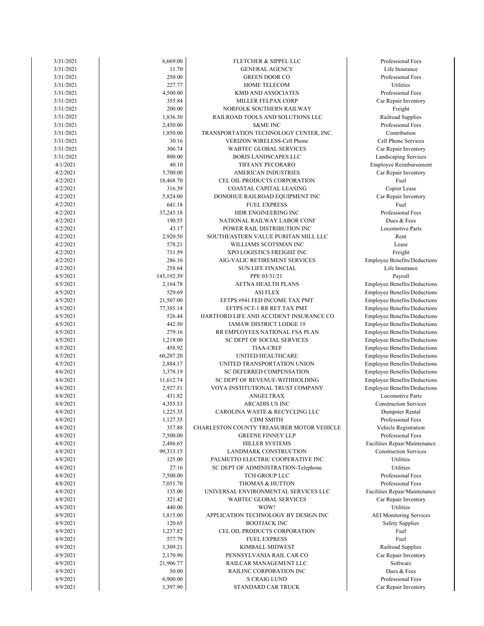| 3/31/2021             | 6,669.00            | FLETCHER & SIPPEL LLC                                                    | Professional Fe                            |
|-----------------------|---------------------|--------------------------------------------------------------------------|--------------------------------------------|
| 3/31/2021             | 11.70               | <b>GENERAL AGENCY</b>                                                    | Life Insuranc                              |
| 3/31/2021             | 250.00              | <b>GREEN DOOR CO</b>                                                     | Professional Fe                            |
| 3/31/2021             | 227.77              | <b>HOME TELECOM</b>                                                      | Utilities                                  |
| 3/31/2021             | 4,500.00            | KMD AND ASSOCIATES                                                       | Professional Fe                            |
| 3/31/2021             | 355.84              | MILLER FELPAX CORP                                                       | Car Repair Inver                           |
| 3/31/2021             | 200.00              | NORFOLK SOUTHERN RAILWAY                                                 | Freight                                    |
| 3/31/2021             | 1,836.30            | RAILROAD TOOLS AND SOLUTIONS LLC                                         | Railroad Suppl                             |
| 3/31/2021             | 2,450.00            | <b>S&amp;ME INC</b>                                                      | Professional Fe                            |
| 3/31/2021             | 1,850.00            | TRANSPORTATION TECHNOLOGY CENTER, INC.                                   | Contribution                               |
| 3/31/2021             | 30.16               | VERIZON WIRELESS-Cell Phone                                              | Cell Phone Serv                            |
| 3/31/2021             | 306.74              | WABTEC GLOBAL SERVICES                                                   | Car Repair Inver                           |
| 3/31/2021<br>4/1/2021 | 800.00<br>40.10     | <b>BORIS LANDSCAPES LLC</b>                                              | Landscaping Serv                           |
| 4/2/2021              | 5,700.00            | TIFFANY PECORARO<br>AMERICAN INDUSTRIES                                  | Employee Reimbur<br>Car Repair Inven       |
| 4/2/2021              | 18,468.70           | CEL OIL PRODUCTS CORPORATION                                             | Fuel                                       |
| 4/2/2021              | 316.39              | COASTAL CAPITAL LEASING                                                  | Copier Lease                               |
| 4/2/2021              | 5,824.00            | DONOHUE RAILROAD EQUIPMENT INC                                           | Car Repair Inven                           |
| 4/2/2021              | 641.18              | <b>FUEL EXPRESS</b>                                                      | Fuel                                       |
| 4/2/2021              | 37,243.18           | HDR ENGINEERING INC                                                      | Professional Fe                            |
| 4/2/2021              | 190.55              | NATIONAL RAILWAY LABOR CONF                                              | Dues & Fees                                |
| 4/2/2021              | 43.17               | POWER RAIL DISTRIBUTION INC                                              | Locomotive Pa                              |
| 4/2/2021              | 2,920.50            | SOUTHEASTERN VALUE PURITAN MILL LLC                                      | Rent                                       |
| 4/2/2021              | 578.21              | WILLIAMS SCOTSMAN INC                                                    | Lease                                      |
| 4/2/2021              | 711.59              | XPO LOGISTICS FREIGHT INC                                                | Freight                                    |
| 4/2/2021              | 286.16              | AIG-VALIC RETIREMENT SERVICES                                            | Employee Benefits/D                        |
| 4/2/2021              | 258.64              | SUN LIFE FINANCIAL                                                       | Life Insuranc                              |
| 4/5/2021              | 145,192.39          | PPE 03/31/21                                                             | Payroll                                    |
| 4/5/2021              | 2,164.78            | AETNA HEALTH PLANS                                                       | Employee Benefits/D                        |
| 4/5/2021              | 529.69              | <b>ASI FLEX</b>                                                          | Employee Benefits/D                        |
| 4/5/2021              | 21,507.00           | EFTPS #941 FED INCOME TAX PMT                                            | Employee Benefits/Do                       |
| 4/5/2021<br>4/5/2021  | 77,385.14<br>526.44 | EFTPS #CT-1 RR RET TAX PMT<br>HARTFORD LIFE AND ACCIDENT INSURANCE CO    | Employee Benefits/D<br>Employee Benefits/D |
| 4/5/2021              | 442.50              | IAMAW DISTRICT LODGE 19                                                  | Employee Benefits/D                        |
| 4/5/2021              | 279.16              | RR EMPLOYEES NATIONAL FSA PLAN                                           | Employee Benefits/D                        |
| 4/5/2021              | 1,218.00            | SC DEPT OF SOCIAL SERVICES                                               | Employee Benefits/D                        |
| 4/5/2021              | 458.92              | <b>TIAA-CREF</b>                                                         | Employee Benefits/D                        |
| 4/5/2021              | 60,287.20           | UNITED HEALTHCARE                                                        | Employee Benefits/D                        |
| 4/5/2021              | 2,884.17            | UNITED TRANSPORTATION UNION                                              | Employee Benefits/D                        |
| 4/6/2021              | 3,378.19            | SC DEFERRED COMPENSATION                                                 | Employee Benefits/D                        |
| 4/6/2021              | 11,612.74           | SC DEPT OF REVENUE-WITHHOLDING                                           | Employee Benefits/D                        |
| 4/6/2021              | 2,927.51            | VOYA INSTITUTIONAL TRUST COMPANY                                         | Employee Benefits/D                        |
| 4/8/2021              | 431.82              | ANGELTRAX                                                                | Locomotive Pa                              |
| 4/8/2021              | 4,355.53            | ARCADIS US INC                                                           | Construction Serv                          |
| 4/8/2021              | 1,225.35            | CAROLINA WASTE & RECYCLING LLC                                           | Dumpster Rent                              |
| 4/8/2021              | 1,127.35            | CDM SMITH                                                                | Professional Fe                            |
| 4/8/2021              | 357.88              | CHARLESTON COUNTY TREASURER MOTOR VEHICLE                                | Vehicle Registra                           |
| 4/8/2021              | 7,500.00            | <b>GREENE FINNEY LLP</b>                                                 | Professional Fe                            |
| 4/8/2021              | 2,486.65            | <b>HILLER SYSTEMS</b>                                                    | Facilities Repair/Mai                      |
| 4/8/2021<br>4/8/2021  | 99,313.15           | LANDMARK CONSTRUCTION                                                    | Construction Serv<br>Utilities             |
| 4/8/2021              | 125.00<br>27.16     | PALMETTO ELECTRIC COOPERATIVE INC<br>SC DEPT OF ADMINISTRATION-Telephone | Utilities                                  |
| 4/8/2021              | 7,500.00            | TCH GROUP LLC                                                            | Professional Fe                            |
| 4/8/2021              | 7,051.70            | <b>THOMAS &amp; HUTTON</b>                                               | Professional Fe                            |
| 4/8/2021              | 135.00              | UNIVERSAL ENVIRONMENTAL SERVICES LLC                                     | Facilities Repair/Mai                      |
| 4/8/2021              | 321.42              | <b>WABTEC GLOBAL SERVICES</b>                                            | Car Repair Inver                           |
| 4/8/2021              | 440.00              | WOW!                                                                     | Utilities                                  |
| 4/9/2021              | 1,815.00            | APPLICATION TECHNOLOGY BY DESIGN INC                                     | <b>AEI</b> Monitoring Se                   |
| 4/9/2021              | 120.65              | <b>BOOTJACK INC</b>                                                      | Safety Supplie                             |
| 4/9/2021              | 1,237.82            | CEL OIL PRODUCTS CORPORATION                                             | Fuel                                       |
| 4/9/2021              | 577.79              | <b>FUEL EXPRESS</b>                                                      | Fuel                                       |
| 4/9/2021              | 1,309.21            | KIMBALL MIDWEST                                                          | Railroad Suppl                             |
| 4/9/2021              | 2,170.90            | PENNSYLVANIA RAIL CAR CO                                                 | Car Repair Inver                           |
| 4/9/2021              | 21,906.77           | RAILCAR MANAGEMENT LLC.                                                  | Software                                   |
| 4/9/2021              | 50.00               | RAILINC CORPORATION INC                                                  | Dues & Fees                                |
| 4/9/2021              | 6,900.00            | <b>S CRAIG LUND</b>                                                      | Professional Fe                            |
| 4/9/2021              | 1,397.90            | STANDARD CAR TRUCK                                                       | Car Repair Inver                           |

Car Repair Inventory Professional Fees Car Repair Inventory Railroad Supplies Safety Supplies AEI Monitoring Services Facilities Repair/Maintenance Car Repair Inventory Professional Fees Professional Fees Facilities Repair/Maintenance Construction Services Vehicle Registration Professional Fees Dumpster Rental Professional Fees Locomotive Parts Construction Services Employee Benefits/Deductions Employee Benefits/Deductions Employee Benefits/Deductions Employee Benefits/Deductions Employee Benefits/Deductions Employee Benefits/Deductions Employee Benefits/Deductions Employee Benefits/Deductions Employee Benefits/Deductions Employee Benefits/Deductions Employee Benefits/Deductions Employee Benefits/Deductions Employee Benefits/Deductions Employee Benefits/Deductions Life Insurance Employee Benefits/Deductions Locomotive Parts Professional Fees Copier Lease Car Repair Inventory Car Repair Inventory Landscaping Services Employee Reimbursement Cell Phone Services Car Repair Inventory Professional Fees Railroad Supplies Professional Fees Car Repair Inventory Professional Fees Professional Fees Life Insurance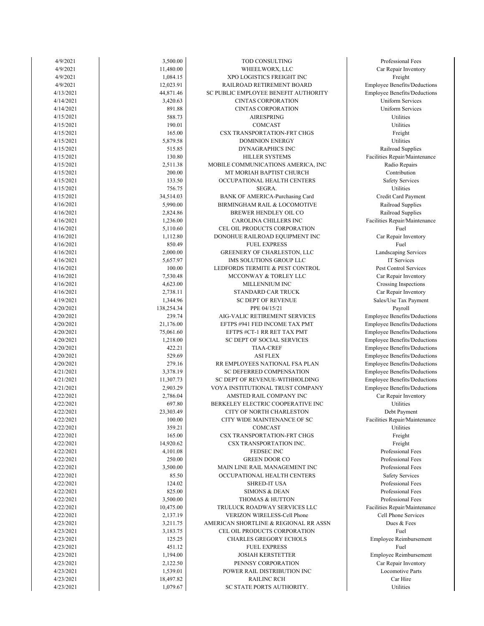| 4/9/2021  | 3,500.00   | TOD CONSULTING                        | Professional Fees        |
|-----------|------------|---------------------------------------|--------------------------|
| 4/9/2021  | 11,480.00  | WHEELWORX, LLC                        | Car Repair Inventor      |
| 4/9/2021  | 1,084.15   | XPO LOGISTICS FREIGHT INC             | Freight                  |
| 4/9/2021  | 12,023.91  | RAILROAD RETIREMENT BOARD             | Employee Benefits/Dedu   |
| 4/13/2021 | 44,871.46  | SC PUBLIC EMPLOYEE BENEFIT AUTHORITY  | Employee Benefits/Dedu   |
| 4/14/2021 | 3,420.63   | <b>CINTAS CORPORATION</b>             | <b>Uniform Services</b>  |
| 4/14/2021 | 891.88     | <b>CINTAS CORPORATION</b>             | <b>Uniform Services</b>  |
|           | 588.73     | <b>AIRESPRING</b>                     | Utilities                |
| 4/15/2021 |            |                                       |                          |
| 4/15/2021 | 190.01     | COMCAST                               | Utilities                |
| 4/15/2021 | 165.00     | CSX TRANSPORTATION-FRT CHGS           | Freight                  |
| 4/15/2021 | 5,879.58   | <b>DOMINION ENERGY</b>                | Utilities                |
| 4/15/2021 | 515.85     | <b>DYNAGRAPHICS INC</b>               | Railroad Supplies        |
| 4/15/2021 | 130.80     | <b>HILLER SYSTEMS</b>                 | Facilities Repair/Mainte |
| 4/15/2021 | 2,511.38   | MOBILE COMMUNICATIONS AMERICA, INC    | Radio Repairs            |
| 4/15/2021 | 200.00     | MT MORIAH BAPTIST CHURCH              | Contribution             |
| 4/15/2021 | 133.50     | OCCUPATIONAL HEALTH CENTERS           | <b>Safety Services</b>   |
| 4/15/2021 | 756.75     | SEGRA.                                | Utilities                |
| 4/15/2021 | 34,514.03  | BANK OF AMERICA-Purchasing Card       | Credit Card Paymer       |
| 4/16/2021 | 5,990.00   | BIRMINGHAM RAIL & LOCOMOTIVE          | Railroad Supplies        |
| 4/16/2021 | 2,824.86   | BREWER HENDLEY OIL CO                 | Railroad Supplies        |
| 4/16/2021 | 1,236.00   | CAROLINA CHILLERS INC                 | Facilities Repair/Mainte |
| 4/16/2021 |            | CEL OIL PRODUCTS CORPORATION          | Fuel                     |
|           | 5,110.60   |                                       |                          |
| 4/16/2021 | 1,112.80   | DONOHUE RAILROAD EQUIPMENT INC        | Car Repair Inventor      |
| 4/16/2021 | 850.49     | <b>FUEL EXPRESS</b>                   | Fuel                     |
| 4/16/2021 | 2,000.00   | GREENERY OF CHARLESTON, LLC           | Landscaping Servic       |
| 4/16/2021 | 5,657.97   | IMS SOLUTIONS GROUP LLC               | IT Services              |
| 4/16/2021 | 100.00     | LEDFORDS TERMITE & PEST CONTROL       | Pest Control Service     |
| 4/16/2021 | 7,530.48   | MCCONWAY & TORLEY LLC                 | Car Repair Inventor      |
| 4/16/2021 | 4,623.00   | MILLENNIUM INC                        | Crossing Inspection      |
| 4/16/2021 | 2,738.11   | STANDARD CAR TRUCK                    | Car Repair Inventor      |
| 4/19/2021 | 1,344.96   | <b>SC DEPT OF REVENUE</b>             | Sales/Use Tax Payme      |
| 4/20/2021 | 138,254.34 | PPE 04/15/21                          | Payroll                  |
| 4/20/2021 | 239.74     | AIG-VALIC RETIREMENT SERVICES         | Employee Benefits/Dedu   |
| 4/20/2021 | 21,176.00  | EFTPS #941 FED INCOME TAX PMT         | Employee Benefits/Dedu   |
| 4/20/2021 | 75,061.60  | EFTPS #CT-1 RR RET TAX PMT            | Employee Benefits/Dedu   |
|           |            |                                       |                          |
| 4/20/2021 | 1,218.00   | SC DEPT OF SOCIAL SERVICES            | Employee Benefits/Dedu   |
| 4/20/2021 | 422.21     | <b>TIAA-CREF</b>                      | Employee Benefits/Dedu   |
| 4/20/2021 | 529.69     | <b>ASI FLEX</b>                       | Employee Benefits/Dedu   |
| 4/20/2021 | 279.16     | RR EMPLOYEES NATIONAL FSA PLAN        | Employee Benefits/Dedu   |
| 4/21/2021 | 3,378.19   | SC DEFERRED COMPENSATION              | Employee Benefits/Dedu   |
| 4/21/2021 | 11,307.73  | SC DEPT OF REVENUE-WITHHOLDING        | Employee Benefits/Dedu   |
| 4/21/2021 | 2,903.29   | VOYA INSTITUTIONAL TRUST COMPANY      | Employee Benefits/Dedu   |
| 4/22/2021 | 2,786.04   | AMSTED RAIL COMPANY INC               | Car Repair Inventor      |
| 4/22/2021 | 697.80     | BERKELEY ELECTRIC COOPERATIVE INC     | Utilities                |
| 4/22/2021 | 23,303.49  | CITY OF NORTH CHARLESTON              | Debt Payment             |
| 4/22/2021 | 100.00     | CITY WIDE MAINTENANCE OF SC           | Facilities Repair/Mainte |
| 4/22/2021 | 359.21     | COMCAST                               | Utilities                |
| 4/22/2021 | 165.00     | CSX TRANSPORTATION-FRT CHGS           | Freight                  |
| 4/22/2021 | 14,920.62  | CSX TRANSPORTATION INC.               | Freight                  |
| 4/22/2021 | 4,101.08   | FEDSEC INC                            | Professional Fees        |
|           |            |                                       |                          |
| 4/22/2021 | 250.00     | <b>GREEN DOOR CO</b>                  | Professional Fees        |
| 4/22/2021 | 3,500.00   | MAIN LINE RAIL MANAGEMENT INC         | Professional Fees        |
| 4/22/2021 | 85.50      | OCCUPATIONAL HEALTH CENTERS           | <b>Safety Services</b>   |
| 4/22/2021 | 124.02     | <b>SHRED-IT USA</b>                   | Professional Fees        |
| 4/22/2021 | 825.00     | <b>SIMONS &amp; DEAN</b>              | Professional Fees        |
| 4/22/2021 | 3,500.00   | THOMAS & HUTTON                       | Professional Fees        |
| 4/22/2021 | 10,475.00  | TRULUCK ROADWAY SERVICES LLC          | Facilities Repair/Mainte |
| 4/22/2021 | 2,137.19   | VERIZON WIRELESS-Cell Phone           | Cell Phone Service       |
| 4/23/2021 | 3,211.75   | AMERICAN SHORTLINE & REGIONAL RR ASSN | Dues & Fees              |
| 4/23/2021 | 3,183.75   | CEL OIL PRODUCTS CORPORATION          | Fuel                     |
| 4/23/2021 | 125.25     | CHARLES GREGORY ECHOLS                | Employee Reimbursen      |
| 4/23/2021 | 451.12     | <b>FUEL EXPRESS</b>                   | Fuel                     |
|           |            |                                       |                          |
| 4/23/2021 | 1,194.00   | <b>JOSIAH KERSTETTER</b>              | Employee Reimburser      |
| 4/23/2021 | 2,122.50   | PENNSY CORPORATION                    | Car Repair Inventor      |
| 4/23/2021 | 1,539.01   | POWER RAIL DISTRIBUTION INC           | <b>Locomotive Parts</b>  |
| 4/23/2021 | 18,497.82  | <b>RAILINC RCH</b>                    | Car Hire                 |
| 4/23/2021 | 1,079.67   | SC STATE PORTS AUTHORITY.             | Utilities                |

Repair Inventory ocomotive Parts oyee Reimbursement oyee Reimbursement ell Phone Services Tofessional Fees es Repair/Maintenance rofessional Fees rofessional Fees rofessional Fees Safety Services rofessional Fees rofessional Fees es Repair/Maintenance Debt Payment ee Benefits/Deductions Repair Inventory ee Benefits/Deductions ee Benefits/Deductions ee Benefits/Deductions ee Benefits/Deductions ee Benefits/Deductions ee Benefits/Deductions ee Benefits/Deductions ee Benefits/Deductions ee Benefits/Deductions Repair Inventory s/Use Tax Payment **Repair Inventory** ossing Inspections st Control Services dscaping Services Repair Inventory ailroad Supplies es Repair/Maintenance edit Card Payment ailroad Supplies Safety Services Radio Repairs Contribution dailroad Supplies es Repair/Maintenance Jniform Services Jniform Services ree Benefits/Deductions ee Benefits/Deductions Repair Inventory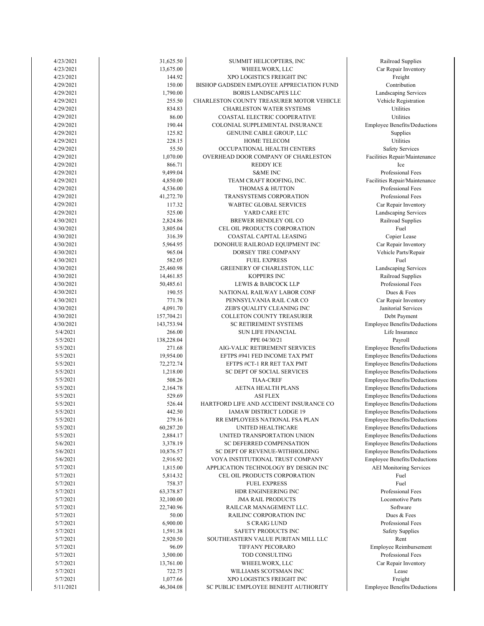| 4/23/2021 | 31,625.50  | SUMMIT HELICOPTERS, INC                   | Railroad Suppli          |
|-----------|------------|-------------------------------------------|--------------------------|
| 4/23/2021 | 13,675.00  | WHEELWORX, LLC                            | Car Repair Inven         |
| 4/23/2021 | 144.92     | XPO LOGISTICS FREIGHT INC                 | Freight                  |
| 4/29/2021 | 150.00     | BISHOP GADSDEN EMPLOYEE APPRECIATION FUND | Contribution             |
| 4/29/2021 | 1,790.00   | <b>BORIS LANDSCAPES LLC</b>               | Landscaping Serv         |
| 4/29/2021 | 255.50     | CHARLESTON COUNTY TREASURER MOTOR VEHICLE | Vehicle Registra         |
| 4/29/2021 | 834.83     | <b>CHARLESTON WATER SYSTEMS</b>           | Utilities                |
| 4/29/2021 | 86.00      | COASTAL ELECTRIC COOPERATIVE              | Utilities                |
| 4/29/2021 | 190.44     | COLONIAL SUPPLEMENTAL INSURANCE           | Employee Benefits/Do     |
|           |            |                                           |                          |
| 4/29/2021 | 125.82     | GENUINE CABLE GROUP, LLC                  | Supplies                 |
| 4/29/2021 | 228.15     | HOME TELECOM                              | Utilities                |
| 4/29/2021 | 55.50      | OCCUPATIONAL HEALTH CENTERS               | Safety Service           |
| 4/29/2021 | 1,070.00   | OVERHEAD DOOR COMPANY OF CHARLESTON       | Facilities Repair/Mai    |
| 4/29/2021 | 866.71     | <b>REDDY ICE</b>                          | Ice                      |
| 4/29/2021 | 9,499.04   | <b>S&amp;ME INC</b>                       | Professional Fe          |
| 4/29/2021 | 4,850.00   | TEAM CRAFT ROOFING, INC.                  | Facilities Repair/Mai    |
| 4/29/2021 | 4,536.00   | <b>THOMAS &amp; HUTTON</b>                | Professional Fe          |
| 4/29/2021 | 41,272.70  | TRANSYSTEMS CORPORATION                   | Professional Fe          |
| 4/29/2021 | 117.32     | WABTEC GLOBAL SERVICES                    | Car Repair Inven         |
| 4/29/2021 | 525.00     | YARD CARE ETC                             | Landscaping Serv         |
| 4/30/2021 | 2,824.86   | BREWER HENDLEY OIL CO                     | Railroad Suppli          |
| 4/30/2021 | 3,805.04   | CEL OIL PRODUCTS CORPORATION              | Fuel                     |
| 4/30/2021 | 316.39     | COASTAL CAPITAL LEASING                   | Copier Lease             |
| 4/30/2021 | 5,964.95   | DONOHUE RAILROAD EQUIPMENT INC            | Car Repair Inven         |
| 4/30/2021 | 965.04     | DORSEY TIRE COMPANY                       | Vehicle Parts/Re         |
| 4/30/2021 | 582.05     | <b>FUEL EXPRESS</b>                       | Fuel                     |
| 4/30/2021 | 25,460.98  | GREENERY OF CHARLESTON, LLC               | Landscaping Serv         |
| 4/30/2021 | 14,461.85  | KOPPERS INC                               | Railroad Suppli          |
| 4/30/2021 | 50,485.61  | <b>LEWIS &amp; BABCOCK LLP</b>            | Professional Fe          |
| 4/30/2021 | 190.55     | NATIONAL RAILWAY LABOR CONF               | Dues & Fees              |
| 4/30/2021 |            |                                           |                          |
|           | 771.78     | PENNSYLVANIA RAIL CAR CO                  | Car Repair Inven         |
| 4/30/2021 | 4,091.70   | ZEB'S QUALITY CLEANING INC                | Janitorial Servic        |
| 4/30/2021 | 157,704.21 | COLLETON COUNTY TREASURER                 | Debt Paymen              |
| 4/30/2021 | 143,753.94 | <b>SC RETIREMENT SYSTEMS</b>              | Employee Benefits/Do     |
| 5/4/2021  | 266.00     | <b>SUN LIFE FINANCIAL</b>                 | Life Insurance           |
| 5/5/2021  | 138,228.04 | PPE 04/30/21                              | Payroll                  |
| 5/5/2021  | 271.68     | AIG-VALIC RETIREMENT SERVICES             | Employee Benefits/Do     |
| 5/5/2021  | 19,954.00  | EFTPS #941 FED INCOME TAX PMT             | Employee Benefits/De     |
| 5/5/2021  | 72,272.74  | EFTPS #CT-1 RR RET TAX PMT                | Employee Benefits/Do     |
| 5/5/2021  | 1,218.00   | SC DEPT OF SOCIAL SERVICES                | Employee Benefits/Do     |
| 5/5/2021  | 508.26     | <b>TIAA-CREF</b>                          | Employee Benefits/Do     |
| 5/5/2021  | 2,164.78   | AETNA HEALTH PLANS                        | Employee Benefits/Do     |
| 5/5/2021  | 529.69     | <b>ASI FLEX</b>                           | Employee Benefits/Do     |
| 5/5/2021  | 526.44     | HARTFORD LIFE AND ACCIDENT INSURANCE CO   | Employee Benefits/Do     |
| 5/5/2021  | 442.50     | IAMAW DISTRICT LODGE 19                   | Employee Benefits/De     |
| 5/5/2021  | 279.16     | RR EMPLOYEES NATIONAL FSA PLAN            | Employee Benefits/Do     |
| 5/5/2021  | 60,287.20  | UNITED HEALTHCARE                         | Employee Benefits/De     |
| 5/5/2021  | 2,884.17   | UNITED TRANSPORTATION UNION               | Employee Benefits/Do     |
| 5/6/2021  | 3,378.19   | SC DEFERRED COMPENSATION                  | Employee Benefits/Do     |
| 5/6/2021  | 10,876.57  | SC DEPT OF REVENUE-WITHHOLDING            | Employee Benefits/Do     |
| 5/6/2021  | 2,916.92   | VOYA INSTITUTIONAL TRUST COMPANY          | Employee Benefits/De     |
| 5/7/2021  | 1,815.00   | APPLICATION TECHNOLOGY BY DESIGN INC      | <b>AEI</b> Monitoring Se |
| 5/7/2021  | 5,814.32   | CEL OIL PRODUCTS CORPORATION              | Fuel                     |
| 5/7/2021  | 758.37     | <b>FUEL EXPRESS</b>                       | Fuel                     |
| 5/7/2021  | 63,378.87  | HDR ENGINEERING INC                       | Professional Fe          |
|           |            |                                           |                          |
| 5/7/2021  | 32,100.00  | <b>JMA RAIL PRODUCTS</b>                  | Locomotive Pa            |
| 5/7/2021  | 22,740.96  | RAILCAR MANAGEMENT LLC.                   | Software                 |
| 5/7/2021  | 50.00      | RAILINC CORPORATION INC                   | Dues & Fees              |
| 5/7/2021  | 6,900.00   | <b>S CRAIG LUND</b>                       | Professional Fe          |
| 5/7/2021  | 1,591.38   | SAFETY PRODUCTS INC                       | Safety Supplie           |
| 5/7/2021  | 2,920.50   | SOUTHEASTERN VALUE PURITAN MILL LLC       | Rent                     |
| 5/7/2021  | 96.09      | TIFFANY PECORARO                          | Employee Reimbur         |
| 5/7/2021  | 3,500.00   | TOD CONSULTING                            | Professional Fe          |
| 5/7/2021  | 13,761.00  | WHEELWORX, LLC                            | Car Repair Inven         |
| 5/7/2021  | 722.75     | WILLIAMS SCOTSMAN INC                     | Lease                    |
| 5/7/2021  | 1,077.66   | XPO LOGISTICS FREIGHT INC                 | Freight                  |
| 5/11/2021 | 46,304.08  | SC PUBLIC EMPLOYEE BENEFIT AUTHORITY      | Employee Benefits/De     |
|           |            |                                           |                          |

Employee Benefits/Deductions Professional Fees Car Repair Inventory Employee Reimbursement Professional Fees Safety Supplies Professional Fees Locomotive Parts Employee Benefits/Deductions AEI Monitoring Services Employee Benefits/Deductions Employee Benefits/Deductions Employee Benefits/Deductions Employee Benefits/Deductions Employee Benefits/Deductions Employee Benefits/Deductions Employee Benefits/Deductions Employee Benefits/Deductions Employee Benefits/Deductions Employee Benefits/Deductions Employee Benefits/Deductions Employee Benefits/Deductions Employee Benefits/Deductions Employee Benefits/Deductions Life Insurance Debt Payment Employee Benefits/Deductions Car Repair Inventory Janitorial Services Professional Fees Landscaping Services Railroad Supplies Vehicle Parts/Repair Car Repair Inventory Railroad Supplies Car Repair Inventory Landscaping Services Professional Fees Professional Fees Professional Fees Facilities Repair/Maintenance Facilities Repair/Maintenance Safety Services Employee Benefits/Deductions Landscaping Services Vehicle Registration Railroad Supplies Car Repair Inventory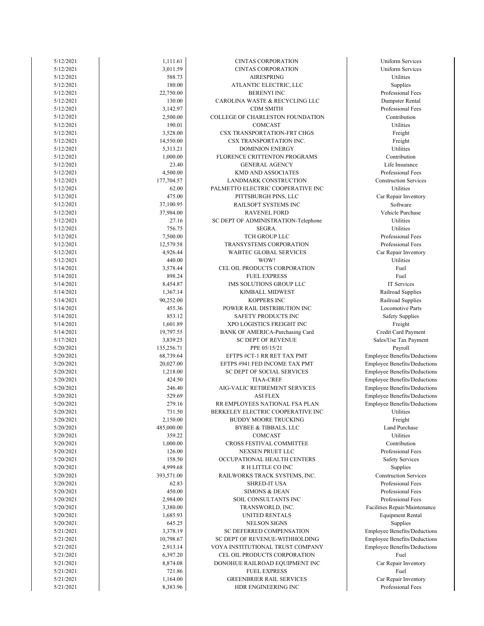| 5/12/2021 | 1,111.61   | <b>CINTAS CORPORATION</b>           | <b>Uniform Services</b>     |
|-----------|------------|-------------------------------------|-----------------------------|
| 5/12/2021 | 3,011.59   | <b>CINTAS CORPORATION</b>           | <b>Uniform Services</b>     |
| 5/12/2021 | 588.73     | AIRESPRING                          | Utilities                   |
| 5/12/2021 | 180.00     | ATLANTIC ELECTRIC, LLC              | Supplies                    |
| 5/12/2021 | 22,750.00  | <b>BERENYI INC</b>                  | Professional Fees           |
| 5/12/2021 | 130.00     | CAROLINA WASTE & RECYCLING LLC      | Dumpster Rental             |
| 5/12/2021 | 3,142.97   | <b>CDM SMITH</b>                    | Professional Fees           |
| 5/12/2021 | 2,500.00   | COLLEGE OF CHARLESTON FOUNDATION    | Contribution                |
|           |            |                                     |                             |
| 5/12/2021 | 190.01     | COMCAST                             | Utilities                   |
| 5/12/2021 | 3,528.00   | CSX TRANSPORTATION-FRT CHGS         | Freight                     |
| 5/12/2021 | 14,550.00  | CSX TRANSPORTATION INC.             | Freight                     |
| 5/12/2021 | 5,313.21   | <b>DOMINION ENERGY</b>              | Utilities                   |
| 5/12/2021 | 1,000.00   | FLORENCE CRITTENTON PROGRAMS        | Contribution                |
| 5/12/2021 | 23.40      | <b>GENERAL AGENCY</b>               | Life Insurance              |
| 5/12/2021 | 4,500.00   | <b>KMD AND ASSOCIATES</b>           | Professional Fees           |
| 5/12/2021 | 177,704.57 | LANDMARK CONSTRUCTION               | Construction Service        |
| 5/12/2021 | 62.00      | PALMETTO ELECTRIC COOPERATIVE INC   | Utilities                   |
| 5/12/2021 | 475.00     | PITTSBURGH PINS, LLC                | Car Repair Inventor         |
| 5/12/2021 | 37,100.95  | RAILSOFT SYSTEMS INC                | Software                    |
|           |            | <b>RAVENEL FORD</b>                 | Vehicle Purchase            |
| 5/12/2021 | 37,984.00  |                                     |                             |
| 5/12/2021 | 27.16      | SC DEPT OF ADMINISTRATION-Telephone | Utilities                   |
| 5/12/2021 | 756.75     | SEGRA.                              | Utilities                   |
| 5/12/2021 | 7,500.00   | TCH GROUP LLC                       | Professional Fees           |
| 5/12/2021 | 12,579.58  | TRANSYSTEMS CORPORATION             | Professional Fees           |
| 5/12/2021 | 4,926.44   | WABTEC GLOBAL SERVICES              | Car Repair Inventor         |
| 5/12/2021 | 440.00     | WOW!                                | Utilities                   |
| 5/14/2021 | 3,578.44   | CEL OIL PRODUCTS CORPORATION        | Fuel                        |
| 5/14/2021 | 898.24     | <b>FUEL EXPRESS</b>                 | Fuel                        |
| 5/14/2021 | 8,454.87   | IMS SOLUTIONS GROUP LLC             | IT Services                 |
| 5/14/2021 | 1,367.14   | KIMBALL MIDWEST                     | Railroad Supplies           |
| 5/14/2021 | 90,252.00  | KOPPERS INC                         | Railroad Supplies           |
| 5/14/2021 | 455.36     | POWER RAIL DISTRIBUTION INC         | Locomotive Parts            |
| 5/14/2021 | 853.12     | SAFETY PRODUCTS INC                 | <b>Safety Supplies</b>      |
|           |            |                                     |                             |
| 5/14/2021 | 1,601.89   | XPO LOGISTICS FREIGHT INC           | Freight                     |
| 5/14/2021 | 19,797.55  | BANK OF AMERICA-Purchasing Card     | Credit Card Paymer          |
| 5/17/2021 | 3,839.25   | SC DEPT OF REVENUE                  | Sales/Use Tax Paymo         |
| 5/20/2021 | 135,256.71 | PPE 05/15/21                        | Payroll                     |
| 5/20/2021 | 68,739.64  | EFTPS #CT-1 RR RET TAX PMT          | Employee Benefits/Dedu      |
| 5/20/2021 | 20,027.00  | EFTPS #941 FED INCOME TAX PMT       | Employee Benefits/Dedu      |
| 5/20/2021 | 1,218.00   | SC DEPT OF SOCIAL SERVICES          | Employee Benefits/Dedu      |
| 5/20/2021 | 424.50     | <b>TIAA-CREF</b>                    | Employee Benefits/Dedu      |
| 5/20/2021 | 246.40     | AIG-VALIC RETIREMENT SERVICES       | Employee Benefits/Dedu      |
| 5/20/2021 | 529.69     | <b>ASI FLEX</b>                     | Employee Benefits/Dedu      |
| 5/20/2021 | 279.16     | RR EMPLOYEES NATIONAL FSA PLAN      | Employee Benefits/Dedu      |
| 5/20/2021 | 731.50     | BERKELEY ELECTRIC COOPERATIVE INC   | Utilities                   |
| 5/20/2021 |            |                                     |                             |
|           | 2,150.00   | <b>BUDDY MOORE TRUCKING</b>         | Freight                     |
| 5/20/2021 | 485,000.00 | <b>BYBEE &amp; TIBBALS, LLC</b>     | <b>Land Purchase</b>        |
| 5/20/2021 | 359.22     | COMCAST                             | Utilities                   |
| 5/20/2021 | 1,000.00   | CROSS FESTIVAL COMMITTEE            | Contribution                |
| 5/20/2021 | 126.00     | NEXSEN PRUET LLC                    | Professional Fees           |
| 5/20/2021 | 158.50     | OCCUPATIONAL HEALTH CENTERS         | <b>Safety Services</b>      |
| 5/20/2021 | 4,999.68   | R H LITTLE CO INC                   | Supplies                    |
| 5/20/2021 | 393,571.00 | RAILWORKS TRACK SYSTEMS, INC.       | <b>Construction Service</b> |
| 5/20/2021 | 62.83      | <b>SHRED-IT USA</b>                 | Professional Fees           |
| 5/20/2021 | 450.00     | <b>SIMONS &amp; DEAN</b>            | Professional Fees           |
| 5/20/2021 | 2,984.00   | SOIL CONSULTANTS INC                | Professional Fees           |
| 5/20/2021 | 3,380.00   | TRANSWORLD, INC.                    | Facilities Repair/Mainte    |
| 5/20/2021 | 1,685.93   | UNITED RENTALS                      | <b>Equipment Rental</b>     |
|           |            |                                     |                             |
| 5/20/2021 | 645.25     | <b>NELSON SIGNS</b>                 | Supplies                    |
| 5/21/2021 | 3,378.19   | SC DEFERRED COMPENSATION            | Employee Benefits/Dedu      |
| 5/21/2021 | 10,798.67  | SC DEPT OF REVENUE-WITHHOLDING      | Employee Benefits/Dedu      |
| 5/21/2021 | 2,913.14   | VOYA INSTITUTIONAL TRUST COMPANY    | Employee Benefits/Dedu      |
| 5/21/2021 | 6,397.20   | CEL OIL PRODUCTS CORPORATION        | Fuel                        |
| 5/21/2021 | 8,874.08   | DONOHUE RAILROAD EQUIPMENT INC      | Car Repair Inventor         |
| 5/21/2021 | 721.86     | <b>FUEL EXPRESS</b>                 | Fuel                        |
| 5/21/2021 | 1,164.00   | <b>GREENBRIER RAIL SERVICES</b>     | Car Repair Inventor         |
| 5/21/2021 | 8,383.96   | HDR ENGINEERING INC                 | Professional Fees           |
|           |            |                                     |                             |

Car Repair Inventory Professional Fees Car Repair Inventory Employee Benefits/Deductions Employee Benefits/Deductions Employee Benefits/Deductions Equipment Rental Professional Fees Facilities Repair/Maintenance Professional Fees Professional Fees **Construction Services** Professional Fees Safety Services Land Purchase Employee Benefits/Deductions Employee Benefits/Deductions Employee Benefits/Deductions Employee Benefits/Deductions Employee Benefits/Deductions Employee Benefits/Deductions Employee Benefits/Deductions Sales/Use Tax Payment Credit Card Payment Locomotive Parts Safety Supplies Railroad Supplies Railroad Supplies Professional Fees Car Repair Inventory Professional Fees Vehicle Purchase<br>Utilities Car Repair Inventory **Construction Services** Life Insurance Professional Fees Dumpster Rental Professional Fees Professional Fees Uniform Services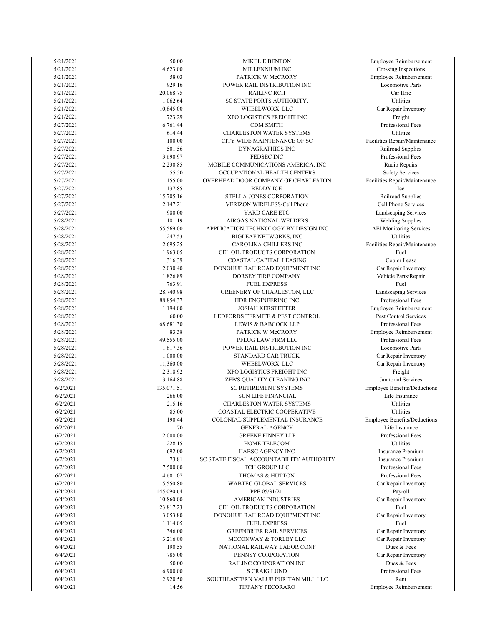| 5/21/2021 | 50.00      | <b>MIKEL E BENTON</b>                    | Employee Reimbursement         |
|-----------|------------|------------------------------------------|--------------------------------|
| 5/21/2021 | 4,623.00   | MILLENNIUM INC                           | Crossing Inspections           |
| 5/21/2021 | 58.03      | PATRICK W McCRORY                        | Employee Reimbursement         |
| 5/21/2021 | 929.16     | POWER RAIL DISTRIBUTION INC              | <b>Locomotive Parts</b>        |
| 5/21/2021 | 20,068.75  | <b>RAILINC RCH</b>                       | Car Hire                       |
| 5/21/2021 | 1,062.64   | SC STATE PORTS AUTHORITY.                | Utilities                      |
| 5/21/2021 | 10,845.00  | WHEELWORX, LLC                           | Car Repair Inventory           |
| 5/21/2021 | 723.29     |                                          | Freight                        |
|           |            | XPO LOGISTICS FREIGHT INC                |                                |
| 5/27/2021 | 6,761.44   | <b>CDM SMITH</b>                         | Professional Fees              |
| 5/27/2021 | 614.44     | <b>CHARLESTON WATER SYSTEMS</b>          | Utilities                      |
| 5/27/2021 | 100.00     | CITY WIDE MAINTENANCE OF SC              | Facilities Repair/Maintenand   |
| 5/27/2021 | 501.56     | DYNAGRAPHICS INC                         | Railroad Supplies              |
| 5/27/2021 | 3,690.97   | FEDSEC INC                               | Professional Fees              |
| 5/27/2021 | 2,230.85   | MOBILE COMMUNICATIONS AMERICA, INC       | Radio Repairs                  |
| 5/27/2021 | 55.50      | OCCUPATIONAL HEALTH CENTERS              | <b>Safety Services</b>         |
| 5/27/2021 | 1,155.00   | OVERHEAD DOOR COMPANY OF CHARLESTON      | Facilities Repair/Maintenand   |
| 5/27/2021 | 1,137.85   | <b>REDDY ICE</b>                         | Ice                            |
| 5/27/2021 | 15,705.16  | STELLA-JONES CORPORATION                 | Railroad Supplies              |
| 5/27/2021 | 2,147.21   | VERIZON WIRELESS-Cell Phone              | Cell Phone Services            |
| 5/27/2021 | 980.00     | YARD CARE ETC                            | Landscaping Services           |
|           |            |                                          |                                |
| 5/28/2021 | 181.19     | AIRGAS NATIONAL WELDERS                  | <b>Welding Supplies</b>        |
| 5/28/2021 | 55,569.00  | APPLICATION TECHNOLOGY BY DESIGN INC     | <b>AEI</b> Monitoring Services |
| 5/28/2021 | 247.53     | <b>BIGLEAF NETWORKS, INC</b>             | Utilities                      |
| 5/28/2021 | 2,695.25   | CAROLINA CHILLERS INC                    | Facilities Repair/Maintenand   |
| 5/28/2021 | 1,963.05   | CEL OIL PRODUCTS CORPORATION             | Fuel                           |
| 5/28/2021 | 316.39     | COASTAL CAPITAL LEASING                  | Copier Lease                   |
| 5/28/2021 | 2,030.40   | DONOHUE RAILROAD EQUIPMENT INC           | Car Repair Inventory           |
| 5/28/2021 | 1,826.89   | DORSEY TIRE COMPANY                      | Vehicle Parts/Repair           |
| 5/28/2021 | 763.91     | <b>FUEL EXPRESS</b>                      | Fuel                           |
| 5/28/2021 | 28,740.98  | <b>GREENERY OF CHARLESTON, LLC</b>       | Landscaping Services           |
| 5/28/2021 | 88,854.37  | HDR ENGINEERING INC                      | Professional Fees              |
| 5/28/2021 | 1,194.00   | <b>JOSIAH KERSTETTER</b>                 | Employee Reimbursement         |
| 5/28/2021 | 60.00      | LEDFORDS TERMITE & PEST CONTROL          | Pest Control Services          |
| 5/28/2021 | 68,681.30  | LEWIS & BABCOCK LLP                      | Professional Fees              |
|           |            |                                          |                                |
| 5/28/2021 | 83.38      | PATRICK W McCRORY                        | Employee Reimbursement         |
| 5/28/2021 | 49,555.00  | PFLUG LAW FIRM LLC                       | Professional Fees              |
| 5/28/2021 | 1,817.36   | POWER RAIL DISTRIBUTION INC              | Locomotive Parts               |
| 5/28/2021 | 1,000.00   | STANDARD CAR TRUCK                       | Car Repair Inventory           |
| 5/28/2021 | 11,360.00  | WHEELWORX, LLC                           | Car Repair Inventory           |
| 5/28/2021 | 2,318.92   | XPO LOGISTICS FREIGHT INC                | Freight                        |
| 5/28/2021 | 3,164.88   | ZEB'S QUALITY CLEANING INC               | Janitorial Services            |
| 6/2/2021  | 135,071.51 | SC RETIREMENT SYSTEMS                    | Employee Benefits/Deductio     |
| 6/2/2021  | 266.00     | <b>SUN LIFE FINANCIAL</b>                | Life Insurance                 |
| 6/2/2021  | 215.16     | <b>CHARLESTON WATER SYSTEMS</b>          | Utilities                      |
| 6/2/2021  | 85.00      | <b>COASTAL ELECTRIC COOPERATIVE</b>      | Utilities                      |
| 6/2/2021  | 190.44     | COLONIAL SUPPLEMENTAL INSURANCE          | Employee Benefits/Deductio     |
| 6/2/2021  | 11.70      | <b>GENERAL AGENCY</b>                    | Life Insurance                 |
|           |            | <b>GREENE FINNEY LLP</b>                 | Professional Fees              |
| 6/2/2021  | 2,000.00   |                                          | <b>Utilities</b>               |
| 6/2/2021  | 228.15     | HOME TELECOM                             |                                |
| 6/2/2021  | 692.00     | <b>IIABSC AGENCY INC</b>                 | <b>Insurance Premium</b>       |
| 6/2/2021  | 73.81      | SC STATE FISCAL ACCOUNTABILITY AUTHORITY | <b>Insurance Premium</b>       |
| 6/2/2021  | 7,500.00   | TCH GROUP LLC                            | Professional Fees              |
| 6/2/2021  | 4,601.07   | THOMAS & HUTTON                          | Professional Fees              |
| 6/2/2021  | 15,550.80  | WABTEC GLOBAL SERVICES                   | Car Repair Inventory           |
| 6/4/2021  | 145,090.64 | PPE 05/31/21                             | Payroll                        |
| 6/4/2021  | 10,860.00  | <b>AMERICAN INDUSTRIES</b>               | Car Repair Inventory           |
| 6/4/2021  | 23,817.23  | CEL OIL PRODUCTS CORPORATION             | Fuel                           |
| 6/4/2021  | 3,053.80   | DONOHUE RAILROAD EQUIPMENT INC           | Car Repair Inventory           |
| 6/4/2021  | 1,114.05   | <b>FUEL EXPRESS</b>                      | Fuel                           |
| 6/4/2021  | 346.00     | <b>GREENBRIER RAIL SERVICES</b>          | Car Repair Inventory           |
|           |            |                                          |                                |
| 6/4/2021  | 3,216.00   | MCCONWAY & TORLEY LLC                    | Car Repair Inventory           |
| 6/4/2021  | 190.55     | NATIONAL RAILWAY LABOR CONF              | Dues & Fees                    |
| 6/4/2021  | 785.00     | PENNSY CORPORATION                       | Car Repair Inventory           |
| 6/4/2021  | 50.00      | RAILINC CORPORATION INC                  | Dues & Fees                    |
| 6/4/2021  | 6,900.00   | S CRAIG LUND                             | Professional Fees              |
| 6/4/2021  | 2,920.50   | SOUTHEASTERN VALUE PURITAN MILL LLC      | Rent                           |
| 6/4/2021  | 14.56      | TIFFANY PECORARO                         | <b>Employee Reimbursement</b>  |
|           |            |                                          |                                |

Professional Fees Car Repair Inventory Car Repair Inventory Car Repair Inventory Car Repair Inventory Car Repair Inventory Professional Fees Car Repair Inventory Insurance Premium Professional Fees Insurance Premium Life Insurance Professional Fees Employee Benefits/Deductions Life Insurance Janitorial Services Employee Benefits/Deductions Car Repair Inventory Locomotive Parts Car Repair Inventory Employee Reimbursement Professional Fees Pest Control Services Professional Fees Professional Fees Employee Reimbursement Landscaping Services Car Repair Inventory Vehicle Parts/Repair Copier Lease Facilities Repair/Maintenance Welding Supplies AEI Monitoring Services Cell Phone Services Landscaping Services Railroad Supplies Safety Services Facilities Repair/Maintenance Professional Fees Radio Repairs Facilities Repair/Maintenance Railroad Supplies Professional Fees Car Repair Inventory Employee Reimbursement Locomotive Parts Crossing Inspections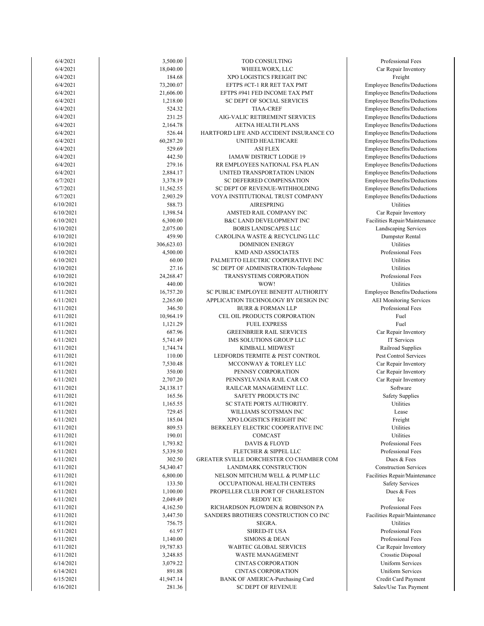| 6/4/2021               | 3,500.00            | TOD CONSULTING                                                    | Professional Fe                            |
|------------------------|---------------------|-------------------------------------------------------------------|--------------------------------------------|
| 6/4/2021               | 18,040.00           | WHEELWORX, LLC                                                    | Car Repair Inver                           |
| 6/4/2021               | 184.68              | XPO LOGISTICS FREIGHT INC                                         | Freight                                    |
| 6/4/2021               | 73,200.07           | EFTPS #CT-1 RR RET TAX PMT                                        | Employee Benefits/D                        |
| 6/4/2021               | 21,606.00           | EFTPS #941 FED INCOME TAX PMT                                     | Employee Benefits/D                        |
| 6/4/2021               | 1,218.00            | SC DEPT OF SOCIAL SERVICES                                        | Employee Benefits/D                        |
| 6/4/2021               | 524.32              | <b>TIAA-CREF</b>                                                  | Employee Benefits/D                        |
| 6/4/2021               | 231.25              | AIG-VALIC RETIREMENT SERVICES                                     | Employee Benefits/D                        |
| 6/4/2021               | 2,164.78            | AETNA HEALTH PLANS                                                | Employee Benefits/D                        |
| 6/4/2021               | 526.44              | HARTFORD LIFE AND ACCIDENT INSURANCE CO                           | Employee Benefits/D                        |
| 6/4/2021               | 60,287.20           | UNITED HEALTHCARE                                                 | Employee Benefits/D                        |
| 6/4/2021               | 529.69              | <b>ASI FLEX</b>                                                   | Employee Benefits/D                        |
| 6/4/2021<br>6/4/2021   | 442.50<br>279.16    | IAMAW DISTRICT LODGE 19<br>RR EMPLOYEES NATIONAL FSA PLAN         | Employee Benefits/D<br>Employee Benefits/D |
| 6/4/2021               | 2,884.17            | UNITED TRANSPORTATION UNION                                       | Employee Benefits/D                        |
| 6/7/2021               | 3,378.19            | SC DEFERRED COMPENSATION                                          | Employee Benefits/D                        |
| 6/7/2021               | 11,562.55           | SC DEPT OF REVENUE-WITHHOLDING                                    | Employee Benefits/D                        |
| 6/7/2021               | 2,903.29            | VOYA INSTITUTIONAL TRUST COMPANY                                  | Employee Benefits/D                        |
| 6/10/2021              | 588.73              | <b>AIRESPRING</b>                                                 | Utilities                                  |
| 6/10/2021              | 1,398.54            | AMSTED RAIL COMPANY INC                                           | Car Repair Inver                           |
| 6/10/2021              | 6,300.00            | B&C LAND DEVELOPMENT INC                                          | Facilities Repair/Mai                      |
| 6/10/2021              | 2,075.00            | <b>BORIS LANDSCAPES LLC</b>                                       | Landscaping Serv                           |
| 6/10/2021              | 459.90              | CAROLINA WASTE & RECYCLING LLC                                    | Dumpster Rent                              |
| 6/10/2021              | 306,623.03          | <b>DOMINION ENERGY</b>                                            | Utilities                                  |
| 6/10/2021              | 4,500.00            | <b>KMD AND ASSOCIATES</b>                                         | Professional Fe                            |
| 6/10/2021              | 60.00               | PALMETTO ELECTRIC COOPERATIVE INC                                 | Utilities                                  |
| 6/10/2021              | 27.16               | SC DEPT OF ADMINISTRATION-Telephone                               | Utilities                                  |
| 6/10/2021              | 24,268.47           | TRANSYSTEMS CORPORATION                                           | Professional Fe                            |
| 6/10/2021              | 440.00              | WOW!                                                              | Utilities                                  |
| 6/11/2021              | 16,757.20           | SC PUBLIC EMPLOYEE BENEFIT AUTHORITY                              | Employee Benefits/D                        |
| 6/11/2021              | 2,265.00            | APPLICATION TECHNOLOGY BY DESIGN INC                              | <b>AEI</b> Monitoring Se                   |
| 6/11/2021<br>6/11/2021 | 346.50<br>10,964.19 | <b>BURR &amp; FORMAN LLP</b><br>CEL OIL PRODUCTS CORPORATION      | Professional Fe<br>Fuel                    |
| 6/11/2021              | 1,121.29            | <b>FUEL EXPRESS</b>                                               | Fuel                                       |
| 6/11/2021              | 687.96              | <b>GREENBRIER RAIL SERVICES</b>                                   | Car Repair Inver                           |
| 6/11/2021              | 5,741.49            | IMS SOLUTIONS GROUP LLC                                           | IT Services                                |
| 6/11/2021              | 1,744.74            | KIMBALL MIDWEST                                                   | Railroad Suppl                             |
| 6/11/2021              | 110.00              | LEDFORDS TERMITE & PEST CONTROL                                   | Pest Control Serv                          |
| 6/11/2021              | 7,530.48            | MCCONWAY & TORLEY LLC                                             | Car Repair Inver                           |
| 6/11/2021              | 350.00              | PENNSY CORPORATION                                                | Car Repair Inver                           |
| 6/11/2021              | 2,707.20            | PENNSYLVANIA RAIL CAR CO                                          | Car Repair Inver                           |
| 6/11/2021              | 24,138.17           | RAILCAR MANAGEMENT LLC.                                           | Software                                   |
| 6/11/2021              | 165.56              | SAFETY PRODUCTS INC                                               | Safety Supplie                             |
| 6/11/2021              | 1,165.55            | SC STATE PORTS AUTHORITY.                                         | Utilities                                  |
| 6/11/2021              | 729.45              | WILLIAMS SCOTSMAN INC                                             | Lease                                      |
| 6/11/2021              | 185.04              | XPO LOGISTICS FREIGHT INC                                         | Freight                                    |
| 6/11/2021              | 809.53              | BERKELEY ELECTRIC COOPERATIVE INC                                 | Utilities                                  |
| 6/11/2021              | 190.01              | COMCAST                                                           | Utilities                                  |
| 6/11/2021              | 1,793.82            | DAVIS & FLOYD                                                     | Professional Fe<br>Professional Fe         |
| 6/11/2021<br>6/11/2021 | 5,339.50<br>302.50  | FLETCHER & SIPPEL LLC<br>GREATER SVILLE DORCHESTER CO CHAMBER COM | Dues & Fees                                |
| 6/11/2021              | 54,340.47           | LANDMARK CONSTRUCTION                                             | Construction Serv                          |
| 6/11/2021              | 6,800.00            | NELSON MITCHUM WELL & PUMP LLC                                    | Facilities Repair/Mai                      |
| 6/11/2021              | 133.50              | OCCUPATIONAL HEALTH CENTERS                                       | Safety Service                             |
| 6/11/2021              | 1,100.00            | PROPELLER CLUB PORT OF CHARLESTON                                 | Dues & Fees                                |
| 6/11/2021              | 2,049.49            | <b>REDDY ICE</b>                                                  | Ice                                        |
| 6/11/2021              | 4,162.50            | RICHARDSON PLOWDEN & ROBINSON PA                                  | Professional Fe                            |
| 6/11/2021              | 3,447.50            | SANDERS BROTHERS CONSTRUCTION CO INC                              | Facilities Repair/Mai                      |
| 6/11/2021              | 756.75              | SEGRA.                                                            | Utilities                                  |
| 6/11/2021              | 61.97               | <b>SHRED-IT USA</b>                                               | Professional Fe                            |
| 6/11/2021              | 1,140.00            | <b>SIMONS &amp; DEAN</b>                                          | Professional Fe                            |
| 6/11/2021              | 19,787.83           | WABTEC GLOBAL SERVICES                                            | Car Repair Inver                           |
| 6/11/2021              | 3,248.85            | WASTE MANAGEMENT                                                  | Crosstie Dispos                            |
| 6/14/2021              | 3,079.22            | <b>CINTAS CORPORATION</b>                                         | Uniform Servic                             |
| 6/14/2021              | 891.88              | <b>CINTAS CORPORATION</b>                                         | Uniform Servic                             |
| 6/15/2021              | 41,947.14           | <b>BANK OF AMERICA-Purchasing Card</b>                            | Credit Card Payr                           |
| 6/16/2021              | 281.36              | <b>SC DEPT OF REVENUE</b>                                         | Sales/Use Tax Pay                          |

Credit Card Payment Sales/Use Tax Payment Uniform Services Uniform Services Car Repair Inventory Crosstie Disposal Professional Fees Professional Fees Facilities Repair/Maintenance Professional Fees Safety Services Construction Services Facilities Repair/Maintenance Professional Fees Professional Fees Safety Supplies Car Repair Inventory Car Repair Inventory Pest Control Services Car Repair Inventory Railroad Supplies Car Repair Inventory Professional Fees Employee Benefits/Deductions AEI Monitoring Services Professional Fees Professional Fees Landscaping Services Dumpster Rental Car Repair Inventory Facilities Repair/Maintenance Employee Benefits/Deductions Employee Benefits/Deductions Employee Benefits/Deductions Employee Benefits/Deductions Employee Benefits/Deductions Employee Benefits/Deductions Employee Benefits/Deductions Employee Benefits/Deductions Employee Benefits/Deductions Employee Benefits/Deductions Employee Benefits/Deductions Employee Benefits/Deductions Employee Benefits/Deductions Employee Benefits/Deductions Employee Benefits/Deductions Car Repair Inventory Professional Fees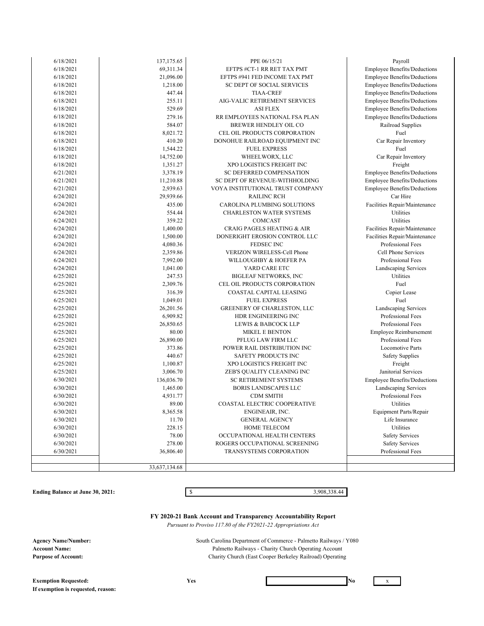| 6/18/2021 | 137,175.65    | PPE 06/15/21                          | Payroll                             |
|-----------|---------------|---------------------------------------|-------------------------------------|
| 6/18/2021 | 69,311.34     | EFTPS #CT-1 RR RET TAX PMT            | <b>Employee Benefits/Deductions</b> |
| 6/18/2021 | 21,096.00     | EFTPS #941 FED INCOME TAX PMT         | <b>Employee Benefits/Deductions</b> |
| 6/18/2021 | 1,218.00      | SC DEPT OF SOCIAL SERVICES            | <b>Employee Benefits/Deductions</b> |
| 6/18/2021 | 447.44        | <b>TIAA-CREF</b>                      | <b>Employee Benefits/Deductions</b> |
| 6/18/2021 | 255.11        | AIG-VALIC RETIREMENT SERVICES         | <b>Employee Benefits/Deductions</b> |
| 6/18/2021 | 529.69        | <b>ASI FLEX</b>                       | Employee Benefits/Deductions        |
| 6/18/2021 | 279.16        | RR EMPLOYEES NATIONAL FSA PLAN        | <b>Employee Benefits/Deductions</b> |
| 6/18/2021 | 584.07        | BREWER HENDLEY OIL CO                 | Railroad Supplies                   |
| 6/18/2021 | 8,021.72      | CEL OIL PRODUCTS CORPORATION          | Fuel                                |
| 6/18/2021 | 410.20        | DONOHUE RAILROAD EQUIPMENT INC        | Car Repair Inventory                |
| 6/18/2021 | 1,544.22      | <b>FUEL EXPRESS</b>                   | Fuel                                |
| 6/18/2021 | 14,752.00     | WHEELWORX, LLC                        | Car Repair Inventory                |
| 6/18/2021 | 1,351.27      | XPO LOGISTICS FREIGHT INC             | Freight                             |
| 6/21/2021 | 3,378.19      | SC DEFERRED COMPENSATION              | <b>Employee Benefits/Deductions</b> |
| 6/21/2021 | 11,210.88     | SC DEPT OF REVENUE-WITHHOLDING        | <b>Employee Benefits/Deductions</b> |
| 6/21/2021 | 2,939.63      | VOYA INSTITUTIONAL TRUST COMPANY      | <b>Employee Benefits/Deductions</b> |
| 6/24/2021 | 29,939.66     | <b>RAILINC RCH</b>                    | Car Hire                            |
| 6/24/2021 | 435.00        | CAROLINA PLUMBING SOLUTIONS           | Facilities Repair/Maintenance       |
| 6/24/2021 | 554.44        | <b>CHARLESTON WATER SYSTEMS</b>       | Utilities                           |
| 6/24/2021 | 359.22        | COMCAST                               | Utilities                           |
| 6/24/2021 | 1,400.00      | <b>CRAIG PAGELS HEATING &amp; AIR</b> | Facilities Repair/Maintenance       |
| 6/24/2021 | 1,500.00      | DONERIGHT EROSION CONTROL LLC         | Facilities Repair/Maintenance       |
| 6/24/2021 | 4,080.36      | FEDSEC INC                            | Professional Fees                   |
| 6/24/2021 | 2,359.86      | <b>VERIZON WIRELESS-Cell Phone</b>    | Cell Phone Services                 |
| 6/24/2021 | 7,992.00      | WILLOUGHBY & HOEFER PA                | Professional Fees                   |
| 6/24/2021 | 1,041.00      | YARD CARE ETC                         | Landscaping Services                |
| 6/25/2021 | 247.53        | <b>BIGLEAF NETWORKS, INC</b>          | Utilities                           |
| 6/25/2021 | 2,309.76      | CEL OIL PRODUCTS CORPORATION          | Fuel                                |
| 6/25/2021 | 316.39        | COASTAL CAPITAL LEASING               | Copier Lease                        |
| 6/25/2021 | 1,049.01      | <b>FUEL EXPRESS</b>                   | Fuel                                |
| 6/25/2021 | 26,201.56     | GREENERY OF CHARLESTON, LLC           | Landscaping Services                |
| 6/25/2021 | 6,909.82      | HDR ENGINEERING INC                   | Professional Fees                   |
| 6/25/2021 | 26,850.65     | LEWIS & BABCOCK LLP                   | Professional Fees                   |
| 6/25/2021 | 80.00         | <b>MIKEL E BENTON</b>                 | Employee Reimbursement              |
| 6/25/2021 | 26,890.00     | PFLUG LAW FIRM LLC                    | Professional Fees                   |
| 6/25/2021 | 373.86        | POWER RAIL DISTRIBUTION INC           | <b>Locomotive Parts</b>             |
| 6/25/2021 | 440.67        | SAFETY PRODUCTS INC                   | <b>Safety Supplies</b>              |
| 6/25/2021 | 1,100.87      | XPO LOGISTICS FREIGHT INC             | Freight                             |
| 6/25/2021 | 3,006.70      | ZEB'S QUALITY CLEANING INC            | Janitorial Services                 |
| 6/30/2021 | 136,036.70    | <b>SC RETIREMENT SYSTEMS</b>          | <b>Employee Benefits/Deductions</b> |
| 6/30/2021 | 1,465.00      | <b>BORIS LANDSCAPES LLC</b>           | Landscaping Services                |
| 6/30/2021 | 4,931.77      | <b>CDM SMITH</b>                      | Professional Fees                   |
| 6/30/2021 | 89.00         | COASTAL ELECTRIC COOPERATIVE          | Utilities                           |
| 6/30/2021 | 8,365.58      | ENGINEAIR, INC.                       | Equipment Parts/Repair              |
| 6/30/2021 | 11.70         | <b>GENERAL AGENCY</b>                 | Life Insurance                      |
| 6/30/2021 | 228.15        | <b>HOME TELECOM</b>                   | Utilities                           |
| 6/30/2021 | 78.00         | OCCUPATIONAL HEALTH CENTERS           | <b>Safety Services</b>              |
| 6/30/2021 | 278.00        | ROGERS OCCUPATIONAL SCREENING         | <b>Safety Services</b>              |
| 6/30/2021 | 36,806.40     | <b>TRANSYSTEMS CORPORATION</b>        | Professional Fees                   |
|           |               |                                       |                                     |
|           | 33,637,134.68 |                                       |                                     |

**Ending Balance at June 30, 2021:** \$ 3,908,338.44

**FY 2020-21 Bank Account and Transparency Accountability Report**

 *Pursuant to Proviso 117.80 of the FY2021-22 Appropriations Act*

**Agency Name/Number: Account Name: Purpose of Account:**

Charity Church (East Cooper Berkeley Railroad) Operating South Carolina Department of Commerce - Palmetto Railways / Y080 Palmetto Railways - Charity Church Operating Account

**Exemption Requested:** Yes No x **If exemption is requested, reason:**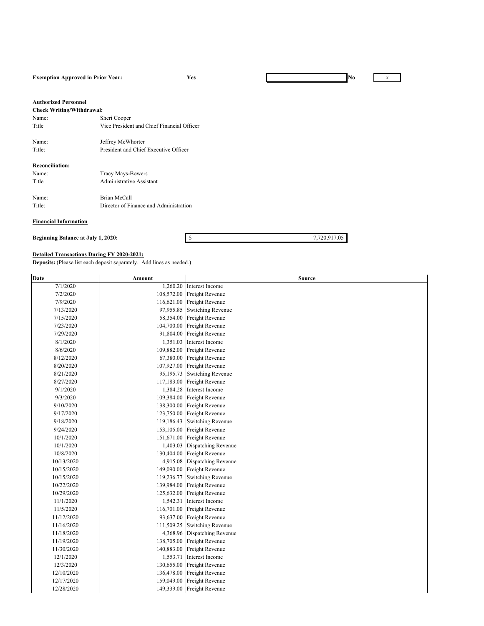#### **Exemption Approved in Prior Year: Yes No** x

#### **Authorized Personnel**

| <b>Check Writing/Withdrawal:</b> |                                            |
|----------------------------------|--------------------------------------------|
| Name:                            | Sheri Cooper                               |
| Title                            | Vice President and Chief Financial Officer |
| Name:                            | Jeffrey McWhorter                          |
| Title:                           | President and Chief Executive Officer      |
| <b>Reconciliation:</b>           |                                            |
| Name:                            | Tracy Mays-Bowers                          |
| Title                            | Administrative Assistant                   |
| Name:                            | Brian McCall                               |

Title: Director of Finance and Administration

### **Financial Information**

**Beginning Balance at July 1, 2020:**  $\qquad \qquad$  \$ 7,720,917.05

#### **Detailed Transactions During FY 2020-2021:**

**Deposits:** (Please list each deposit separately. Add lines as needed.)

| <b>Date</b> | Amount     | <b>Source</b>                |
|-------------|------------|------------------------------|
| 7/1/2020    | 1,260.20   | Interest Income              |
| 7/2/2020    | 108,572.00 | Freight Revenue              |
| 7/9/2020    | 116,621.00 | Freight Revenue              |
| 7/13/2020   | 97,955.85  | <b>Switching Revenue</b>     |
| 7/15/2020   | 58,354.00  | Freight Revenue              |
| 7/23/2020   | 104,700.00 | Freight Revenue              |
| 7/29/2020   | 91,804.00  | Freight Revenue              |
| 8/1/2020    | 1,351.03   | Interest Income              |
| 8/6/2020    | 109,882.00 | Freight Revenue              |
| 8/12/2020   | 67,380.00  | Freight Revenue              |
| 8/20/2020   | 107,927.00 | Freight Revenue              |
| 8/21/2020   | 95,195.73  | <b>Switching Revenue</b>     |
| 8/27/2020   | 117,183.00 | Freight Revenue              |
| 9/1/2020    | 1,384.28   | Interest Income              |
| 9/3/2020    | 109,384.00 | Freight Revenue              |
| 9/10/2020   | 138,300.00 | Freight Revenue              |
| 9/17/2020   | 123,750.00 | Freight Revenue              |
| 9/18/2020   | 119,186.43 | <b>Switching Revenue</b>     |
| 9/24/2020   | 153,105.00 | Freight Revenue              |
| 10/1/2020   | 151,671.00 | Freight Revenue              |
| 10/1/2020   | 1,403.03   | Dispatching Revenue          |
| 10/8/2020   |            | 130,404.00 Freight Revenue   |
| 10/13/2020  | 4,915.08   | Dispatching Revenue          |
| 10/15/2020  |            | 149,090.00 Freight Revenue   |
| 10/15/2020  | 119,236.77 | <b>Switching Revenue</b>     |
| 10/22/2020  | 139,984.00 | Freight Revenue              |
| 10/29/2020  | 125,632.00 | Freight Revenue              |
| 11/1/2020   | 1,542.31   | Interest Income              |
| 11/5/2020   | 116,701.00 | Freight Revenue              |
| 11/12/2020  | 93,637.00  | Freight Revenue              |
| 11/16/2020  | 111,509.25 | <b>Switching Revenue</b>     |
| 11/18/2020  |            | 4,368.96 Dispatching Revenue |
| 11/19/2020  | 138,705.00 | Freight Revenue              |
| 11/30/2020  | 140,883.00 | Freight Revenue              |
| 12/1/2020   | 1,553.71   | Interest Income              |
| 12/3/2020   | 130,655.00 | Freight Revenue              |
| 12/10/2020  | 136,478.00 | Freight Revenue              |
| 12/17/2020  | 159,049.00 | Freight Revenue              |
| 12/28/2020  |            | 149,339.00 Freight Revenue   |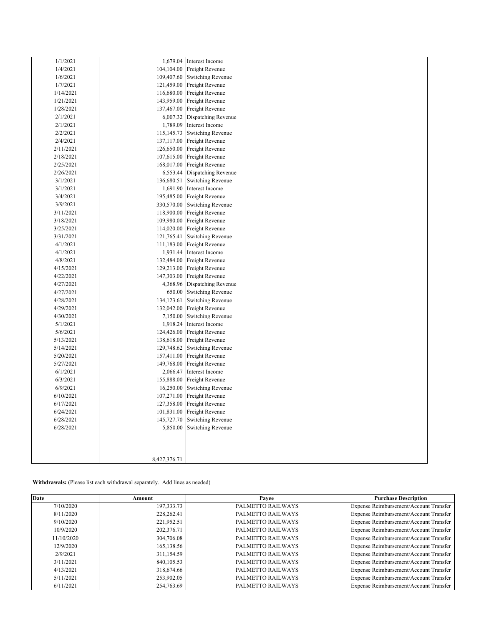| 1/1/2021  |              | 1,679.04 Interest Income     |
|-----------|--------------|------------------------------|
| 1/4/2021  |              | 104,104.00 Freight Revenue   |
| 1/6/2021  |              | 109,407.60 Switching Revenue |
| 1/7/2021  |              | 121,459.00 Freight Revenue   |
| 1/14/2021 |              | 116,680.00 Freight Revenue   |
| 1/21/2021 |              | 143,959.00 Freight Revenue   |
| 1/28/2021 |              | 137,467.00 Freight Revenue   |
| 2/1/2021  | 6,007.32     | Dispatching Revenue          |
| 2/1/2021  |              | 1,789.09 Interest Income     |
| 2/2/2021  | 115,145.73   | <b>Switching Revenue</b>     |
| 2/4/2021  |              | 137,117.00 Freight Revenue   |
| 2/11/2021 | 126,650.00   | Freight Revenue              |
| 2/18/2021 |              | 107,615.00 Freight Revenue   |
| 2/25/2021 | 168,017.00   | Freight Revenue              |
| 2/26/2021 |              | 6,553.44 Dispatching Revenue |
| 3/1/2021  | 136,680.51   | <b>Switching Revenue</b>     |
| 3/1/2021  |              | 1,691.90 Interest Income     |
| 3/4/2021  |              | 195,485.00 Freight Revenue   |
| 3/9/2021  | 330,570.00   | <b>Switching Revenue</b>     |
| 3/11/2021 |              | 118,900.00 Freight Revenue   |
| 3/18/2021 | 109,980.00   | Freight Revenue              |
| 3/25/2021 |              | 114,020.00 Freight Revenue   |
| 3/31/2021 | 121,765.41   | <b>Switching Revenue</b>     |
| 4/1/2021  |              | 111,183.00 Freight Revenue   |
| 4/1/2021  |              | 1,931.44 Interest Income     |
| 4/8/2021  |              | 132,484.00 Freight Revenue   |
| 4/15/2021 |              | 129,213.00 Freight Revenue   |
| 4/22/2021 |              | 147,303.00 Freight Revenue   |
| 4/27/2021 |              | 4,368.96 Dispatching Revenue |
| 4/27/2021 | 650.00       | <b>Switching Revenue</b>     |
| 4/28/2021 | 134,123.61   | <b>Switching Revenue</b>     |
| 4/29/2021 |              | 132,042.00 Freight Revenue   |
| 4/30/2021 | 7,150.00     | Switching Revenue            |
| 5/1/2021  | 1,918.24     | Interest Income              |
| 5/6/2021  |              | 124,426.00 Freight Revenue   |
| 5/13/2021 | 138,618.00   | Freight Revenue              |
| 5/14/2021 | 129,748.62   | Switching Revenue            |
| 5/20/2021 | 157,411.00   | Freight Revenue              |
| 5/27/2021 | 149,768.00   | Freight Revenue              |
| 6/1/2021  | 2,066.47     | Interest Income              |
| 6/3/2021  |              | 155,888.00 Freight Revenue   |
| 6/9/2021  | 16,250.00    | <b>Switching Revenue</b>     |
| 6/10/2021 | 107,271.00   | Freight Revenue              |
| 6/17/2021 | 127,358.00   | Freight Revenue              |
| 6/24/2021 | 101,831.00   | Freight Revenue              |
| 6/28/2021 | 145,727.70   | <b>Switching Revenue</b>     |
| 6/28/2021 | 5,850.00     | <b>Switching Revenue</b>     |
|           |              |                              |
|           |              |                              |
|           |              |                              |
|           | 8,427,376.71 |                              |
|           |              |                              |

**Withdrawals:** (Please list each withdrawal separately. Add lines as needed)

| Date       | Amount       | Payee             | <b>Purchase Description</b>            |
|------------|--------------|-------------------|----------------------------------------|
| 7/10/2020  | 197, 333. 73 | PALMETTO RAILWAYS | Expense Reimbursement/Account Transfer |
| 8/11/2020  | 228,262.41   | PALMETTO RAILWAYS | Expense Reimbursement/Account Transfer |
| 9/10/2020  | 221,952.51   | PALMETTO RAILWAYS | Expense Reimbursement/Account Transfer |
| 10/9/2020  | 202,376.71   | PALMETTO RAILWAYS | Expense Reimbursement/Account Transfer |
| 11/10/2020 | 304,706.08   | PALMETTO RAILWAYS | Expense Reimbursement/Account Transfer |
| 12/9/2020  | 165,138.56   | PALMETTO RAILWAYS | Expense Reimbursement/Account Transfer |
| 2/9/2021   | 311,154.59   | PALMETTO RAILWAYS | Expense Reimbursement/Account Transfer |
| 3/11/2021  | 840, 105.53  | PALMETTO RAILWAYS | Expense Reimbursement/Account Transfer |
| 4/13/2021  | 318,674.66   | PALMETTO RAILWAYS | Expense Reimbursement/Account Transfer |
| 5/11/2021  | 253,902.05   | PALMETTO RAILWAYS | Expense Reimbursement/Account Transfer |
| 6/11/2021  | 254,763.69   | PALMETTO RAILWAYS | Expense Reimbursement/Account Transfer |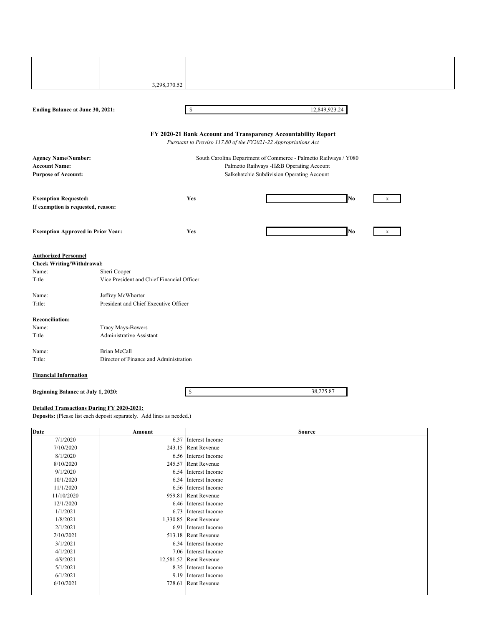|                                                    | 3,298,370.52                                               |                                                                                                                                  |                                                                                        |    |             |
|----------------------------------------------------|------------------------------------------------------------|----------------------------------------------------------------------------------------------------------------------------------|----------------------------------------------------------------------------------------|----|-------------|
|                                                    |                                                            |                                                                                                                                  |                                                                                        |    |             |
|                                                    |                                                            |                                                                                                                                  |                                                                                        |    |             |
| Ending Balance at June 30, 2021:                   |                                                            | S                                                                                                                                | 12,849,923.24                                                                          |    |             |
|                                                    |                                                            | FY 2020-21 Bank Account and Transparency Accountability Report<br>Pursuant to Proviso 117.80 of the FY2021-22 Appropriations Act |                                                                                        |    |             |
| <b>Agency Name/Number:</b>                         |                                                            |                                                                                                                                  | South Carolina Department of Commerce - Palmetto Railways / Y080                       |    |             |
| <b>Account Name:</b><br><b>Purpose of Account:</b> |                                                            |                                                                                                                                  | Palmetto Railways -H&B Operating Account<br>Salkehatchie Subdivision Operating Account |    |             |
|                                                    |                                                            |                                                                                                                                  |                                                                                        |    |             |
| <b>Exemption Requested:</b>                        |                                                            | Yes                                                                                                                              |                                                                                        | No | X           |
| If exemption is requested, reason:                 |                                                            |                                                                                                                                  |                                                                                        |    |             |
|                                                    |                                                            |                                                                                                                                  |                                                                                        |    |             |
| <b>Exemption Approved in Prior Year:</b>           |                                                            | <b>Yes</b>                                                                                                                       |                                                                                        | No | $\mathbf X$ |
|                                                    |                                                            |                                                                                                                                  |                                                                                        |    |             |
| <b>Authorized Personnel</b>                        |                                                            |                                                                                                                                  |                                                                                        |    |             |
| <b>Check Writing/Withdrawal:</b>                   |                                                            |                                                                                                                                  |                                                                                        |    |             |
| Name:<br>Title                                     | Sheri Cooper<br>Vice President and Chief Financial Officer |                                                                                                                                  |                                                                                        |    |             |
|                                                    |                                                            |                                                                                                                                  |                                                                                        |    |             |
| Name:                                              | Jeffrey McWhorter                                          |                                                                                                                                  |                                                                                        |    |             |
| Title:                                             | President and Chief Executive Officer                      |                                                                                                                                  |                                                                                        |    |             |
| <b>Reconciliation:</b>                             |                                                            |                                                                                                                                  |                                                                                        |    |             |
| Name:                                              | Tracy Mays-Bowers                                          |                                                                                                                                  |                                                                                        |    |             |
| Title                                              | Administrative Assistant                                   |                                                                                                                                  |                                                                                        |    |             |
| Name:                                              | Brian McCall                                               |                                                                                                                                  |                                                                                        |    |             |
| Title:                                             | Director of Finance and Administration                     |                                                                                                                                  |                                                                                        |    |             |
| <b>Financial Information</b>                       |                                                            |                                                                                                                                  |                                                                                        |    |             |
| Beginning Balance at July 1, 2020:                 |                                                            | \$                                                                                                                               | 38,225.87                                                                              |    |             |
|                                                    |                                                            |                                                                                                                                  |                                                                                        |    |             |

#### **Detailed Transactions During FY 2020-2021:**

**Deposits:** (Please list each deposit separately. Add lines as needed.)

| <b>Date</b> | Amount | <b>Source</b>          |
|-------------|--------|------------------------|
| 7/1/2020    |        | 6.37 Interest Income   |
| 7/10/2020   |        | 243.15 Rent Revenue    |
| 8/1/2020    |        | 6.56 Interest Income   |
| 8/10/2020   |        | 245.57 Rent Revenue    |
| 9/1/2020    |        | 6.54 Interest Income   |
| 10/1/2020   |        | 6.34 Interest Income   |
| 11/1/2020   |        | 6.56 Interest Income   |
| 11/10/2020  |        | 959.81 Rent Revenue    |
| 12/1/2020   |        | 6.46 Interest Income   |
| 1/1/2021    |        | 6.73 Interest Income   |
| 1/8/2021    |        | 1,330.85 Rent Revenue  |
| 2/1/2021    |        | 6.91 Interest Income   |
| 2/10/2021   |        | 513.18 Rent Revenue    |
| 3/1/2021    |        | 6.34 Interest Income   |
| 4/1/2021    |        | 7.06 Interest Income   |
| 4/9/2021    |        | 12,581.52 Rent Revenue |
| 5/1/2021    |        | 8.35 Interest Income   |
| 6/1/2021    |        | 9.19 Interest Income   |
| 6/10/2021   |        | 728.61 Rent Revenue    |
|             |        |                        |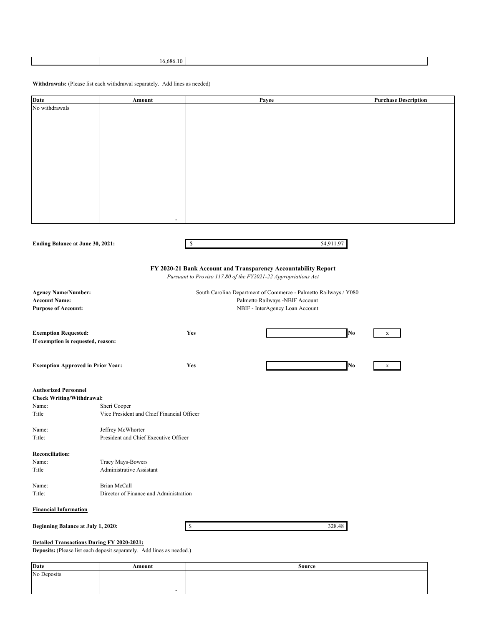#### **Withdrawals:** (Please list each withdrawal separately. Add lines as needed)

| <b>Date</b>                             | Amount                                                           | Payee                                                          | <b>Purchase Description</b> |
|-----------------------------------------|------------------------------------------------------------------|----------------------------------------------------------------|-----------------------------|
| No withdrawals                          |                                                                  |                                                                |                             |
|                                         |                                                                  |                                                                |                             |
|                                         |                                                                  |                                                                |                             |
|                                         |                                                                  |                                                                |                             |
|                                         |                                                                  |                                                                |                             |
|                                         |                                                                  |                                                                |                             |
|                                         |                                                                  |                                                                |                             |
|                                         |                                                                  |                                                                |                             |
|                                         |                                                                  |                                                                |                             |
|                                         |                                                                  |                                                                |                             |
|                                         |                                                                  |                                                                |                             |
|                                         |                                                                  |                                                                |                             |
|                                         |                                                                  |                                                                |                             |
|                                         | $\overline{\phantom{a}}$                                         |                                                                |                             |
|                                         |                                                                  |                                                                |                             |
|                                         |                                                                  |                                                                |                             |
| <b>Ending Balance at June 30, 2021:</b> |                                                                  | 54,911.97<br>\$                                                |                             |
|                                         |                                                                  |                                                                |                             |
|                                         |                                                                  | FY 2020-21 Bank Account and Transparency Accountability Report |                             |
|                                         |                                                                  | Pursuant to Proviso 117.80 of the FY2021-22 Appropriations Act |                             |
|                                         |                                                                  |                                                                |                             |
| <b>Agency Name/Number:</b>              | South Carolina Department of Commerce - Palmetto Railways / Y080 |                                                                |                             |
| <b>Account Name:</b>                    | Palmetto Railways -NBIF Account                                  |                                                                |                             |
| <b>Purpose of Account:</b>              |                                                                  | NBIF - InterAgency Loan Account                                |                             |
|                                         |                                                                  |                                                                |                             |
| <b>Exemption Requested:</b>             |                                                                  | Yes                                                            | No<br>$\mathbf x$           |

| If exemption is requested, reason:                              |                                            |            |    |   |
|-----------------------------------------------------------------|--------------------------------------------|------------|----|---|
|                                                                 | <b>Exemption Approved in Prior Year:</b>   | <b>Yes</b> | No | X |
| <b>Authorized Personnel</b><br><b>Check Writing/Withdrawal:</b> |                                            |            |    |   |
| Name:                                                           | Sheri Cooper                               |            |    |   |
| Title                                                           | Vice President and Chief Financial Officer |            |    |   |
| Name:                                                           | Jeffrey McWhorter                          |            |    |   |
| Title:                                                          | President and Chief Executive Officer      |            |    |   |
| <b>Reconciliation:</b>                                          |                                            |            |    |   |
| Name:                                                           | <b>Tracy Mays-Bowers</b>                   |            |    |   |

| Title  | Administrative Assistant               |  |
|--------|----------------------------------------|--|
| Name:  | Brian McCall                           |  |
| Title: | Director of Finance and Administration |  |

#### **Financial Information**

| 328.48<br>æ<br>чJ. |
|--------------------|
|--------------------|

#### **Detailed Transactions During FY 2020-2021:**

**Beginning Balance at July 1, 2020:** 

**Deposits:** (Please list each deposit separately. Add lines as needed.)

| <b>Date</b> | Amount | Source |
|-------------|--------|--------|
| No Deposits |        |        |
|             |        |        |
|             |        |        |